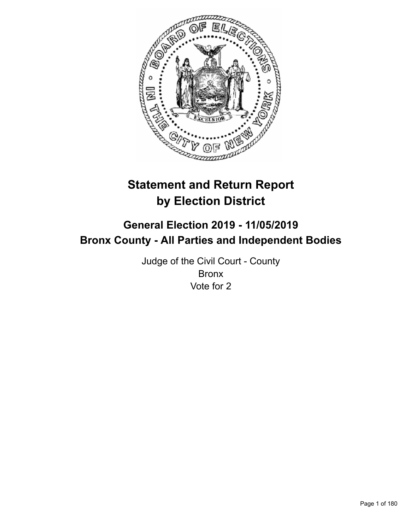

# **Statement and Return Report by Election District**

# **General Election 2019 - 11/05/2019 Bronx County - All Parties and Independent Bodies**

Judge of the Civil Court - County Bronx Vote for 2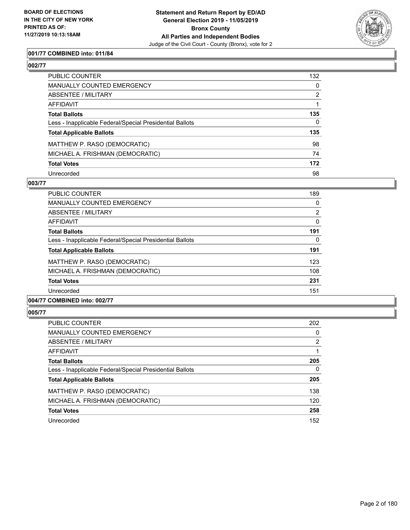

### **001/77 COMBINED into: 011/84**

| PUBLIC COUNTER                                           | 132          |
|----------------------------------------------------------|--------------|
| <b>MANUALLY COUNTED EMERGENCY</b>                        | $\mathbf{0}$ |
| <b>ABSENTEE / MILITARY</b>                               | 2            |
| <b>AFFIDAVIT</b>                                         |              |
| <b>Total Ballots</b>                                     | 135          |
| Less - Inapplicable Federal/Special Presidential Ballots | 0            |
| <b>Total Applicable Ballots</b>                          | 135          |
| MATTHEW P. RASO (DEMOCRATIC)                             | 98           |
| MICHAEL A. FRISHMAN (DEMOCRATIC)                         | 74           |
| <b>Total Votes</b>                                       | 172          |
| Unrecorded                                               | 98           |

### **003/77**

| <b>PUBLIC COUNTER</b>                                    | 189      |
|----------------------------------------------------------|----------|
| <b>MANUALLY COUNTED EMERGENCY</b>                        | 0        |
| ABSENTEE / MILITARY                                      | 2        |
| AFFIDAVIT                                                | $\Omega$ |
| <b>Total Ballots</b>                                     | 191      |
| Less - Inapplicable Federal/Special Presidential Ballots | 0        |
| <b>Total Applicable Ballots</b>                          | 191      |
| MATTHEW P. RASO (DEMOCRATIC)                             | 123      |
| MICHAEL A. FRISHMAN (DEMOCRATIC)                         | 108      |
| <b>Total Votes</b>                                       | 231      |
| Unrecorded                                               | 151      |
|                                                          |          |

# **004/77 COMBINED into: 002/77**

| <b>PUBLIC COUNTER</b>                                    | 202           |
|----------------------------------------------------------|---------------|
| <b>MANUALLY COUNTED EMERGENCY</b>                        | 0             |
| ABSENTEE / MILITARY                                      | $\mathcal{P}$ |
| AFFIDAVIT                                                |               |
| <b>Total Ballots</b>                                     | 205           |
| Less - Inapplicable Federal/Special Presidential Ballots | $\Omega$      |
| <b>Total Applicable Ballots</b>                          | 205           |
| MATTHEW P. RASO (DEMOCRATIC)                             | 138           |
| MICHAEL A. FRISHMAN (DEMOCRATIC)                         | 120           |
| <b>Total Votes</b>                                       | 258           |
| Unrecorded                                               | 152           |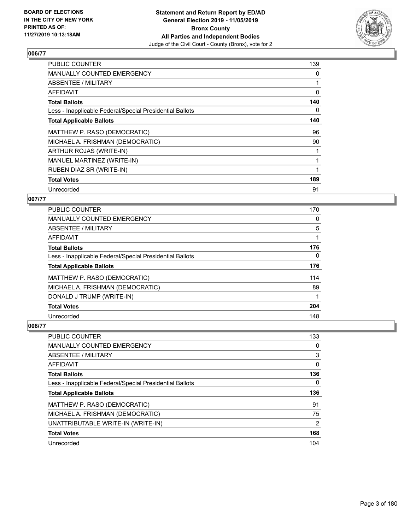

| <b>PUBLIC COUNTER</b>                                    | 139 |
|----------------------------------------------------------|-----|
| MANUALLY COUNTED EMERGENCY                               | 0   |
| ABSENTEE / MILITARY                                      |     |
| AFFIDAVIT                                                | 0   |
| <b>Total Ballots</b>                                     | 140 |
| Less - Inapplicable Federal/Special Presidential Ballots | 0   |
| <b>Total Applicable Ballots</b>                          | 140 |
| MATTHEW P. RASO (DEMOCRATIC)                             | 96  |
| MICHAEL A. FRISHMAN (DEMOCRATIC)                         | 90  |
| ARTHUR ROJAS (WRITE-IN)                                  |     |
| MANUEL MARTINEZ (WRITE-IN)                               |     |
| RUBEN DIAZ SR (WRITE-IN)                                 |     |
| <b>Total Votes</b>                                       | 189 |
| Unrecorded                                               | 91  |

### **007/77**

| <b>PUBLIC COUNTER</b>                                    | 170      |
|----------------------------------------------------------|----------|
| <b>MANUALLY COUNTED EMERGENCY</b>                        | 0        |
| ABSENTEE / MILITARY                                      | 5        |
| AFFIDAVIT                                                |          |
| <b>Total Ballots</b>                                     | 176      |
| Less - Inapplicable Federal/Special Presidential Ballots | $\Omega$ |
| <b>Total Applicable Ballots</b>                          | 176      |
| MATTHEW P. RASO (DEMOCRATIC)                             | 114      |
| MICHAEL A. FRISHMAN (DEMOCRATIC)                         | 89       |
| DONALD J TRUMP (WRITE-IN)                                |          |
| <b>Total Votes</b>                                       | 204      |
| Unrecorded                                               | 148      |

| PUBLIC COUNTER                                           | 133            |
|----------------------------------------------------------|----------------|
| MANUALLY COUNTED EMERGENCY                               | 0              |
| ABSENTEE / MILITARY                                      | 3              |
| AFFIDAVIT                                                | 0              |
| <b>Total Ballots</b>                                     | 136            |
| Less - Inapplicable Federal/Special Presidential Ballots | 0              |
|                                                          |                |
| <b>Total Applicable Ballots</b>                          | 136            |
| MATTHEW P. RASO (DEMOCRATIC)                             | 91             |
| MICHAEL A. FRISHMAN (DEMOCRATIC)                         | 75             |
| UNATTRIBUTABLE WRITE-IN (WRITE-IN)                       | $\overline{2}$ |
| <b>Total Votes</b>                                       | 168            |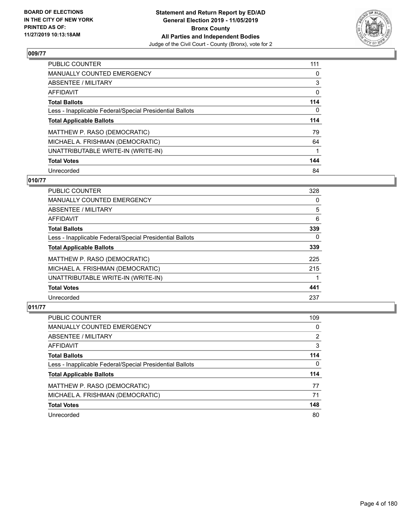

| PUBLIC COUNTER                                           | 111 |
|----------------------------------------------------------|-----|
| <b>MANUALLY COUNTED EMERGENCY</b>                        | 0   |
| ABSENTEE / MILITARY                                      | 3   |
| AFFIDAVIT                                                | 0   |
| <b>Total Ballots</b>                                     | 114 |
| Less - Inapplicable Federal/Special Presidential Ballots | 0   |
| <b>Total Applicable Ballots</b>                          | 114 |
| MATTHEW P. RASO (DEMOCRATIC)                             | 79  |
|                                                          |     |
| MICHAEL A. FRISHMAN (DEMOCRATIC)                         | 64  |
| UNATTRIBUTABLE WRITE-IN (WRITE-IN)                       |     |
| <b>Total Votes</b>                                       | 144 |

### **010/77**

| <b>PUBLIC COUNTER</b>                                    | 328      |
|----------------------------------------------------------|----------|
| <b>MANUALLY COUNTED EMERGENCY</b>                        | 0        |
| ABSENTEE / MILITARY                                      | 5        |
| <b>AFFIDAVIT</b>                                         | 6        |
| <b>Total Ballots</b>                                     | 339      |
| Less - Inapplicable Federal/Special Presidential Ballots | $\Omega$ |
| <b>Total Applicable Ballots</b>                          | 339      |
| MATTHEW P. RASO (DEMOCRATIC)                             | 225      |
| MICHAEL A. FRISHMAN (DEMOCRATIC)                         | 215      |
| UNATTRIBUTABLE WRITE-IN (WRITE-IN)                       |          |
| <b>Total Votes</b>                                       | 441      |
| Unrecorded                                               | 237      |

| <b>PUBLIC COUNTER</b>                                    | 109      |
|----------------------------------------------------------|----------|
| <b>MANUALLY COUNTED EMERGENCY</b>                        | $\Omega$ |
| ABSENTEE / MILITARY                                      | 2        |
| AFFIDAVIT                                                | 3        |
| <b>Total Ballots</b>                                     | 114      |
| Less - Inapplicable Federal/Special Presidential Ballots | 0        |
| <b>Total Applicable Ballots</b>                          | 114      |
| MATTHEW P. RASO (DEMOCRATIC)                             | 77       |
| MICHAEL A. FRISHMAN (DEMOCRATIC)                         | 71       |
| <b>Total Votes</b>                                       | 148      |
| Unrecorded                                               | 80       |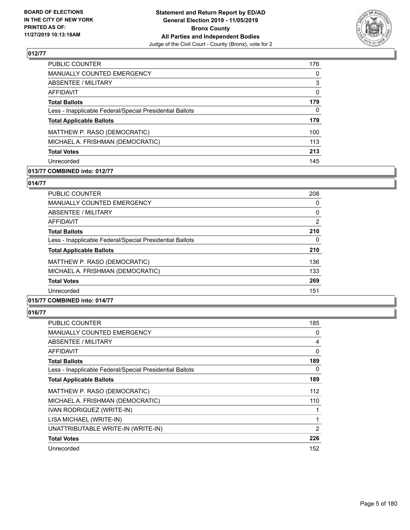

| PUBLIC COUNTER                                           | 176      |
|----------------------------------------------------------|----------|
| <b>MANUALLY COUNTED EMERGENCY</b>                        | $\Omega$ |
| ABSENTEE / MILITARY                                      | 3        |
| AFFIDAVIT                                                | 0        |
| <b>Total Ballots</b>                                     | 179      |
| Less - Inapplicable Federal/Special Presidential Ballots | 0        |
| <b>Total Applicable Ballots</b>                          | 179      |
| MATTHEW P. RASO (DEMOCRATIC)                             | 100      |
| MICHAEL A. FRISHMAN (DEMOCRATIC)                         | 113      |
| <b>Total Votes</b>                                       | 213      |
| Unrecorded                                               | 145      |

### **013/77 COMBINED into: 012/77**

#### **014/77**

| <b>PUBLIC COUNTER</b>                                    | 208      |
|----------------------------------------------------------|----------|
| MANUALLY COUNTED EMERGENCY                               | 0        |
| ABSENTEE / MILITARY                                      | 0        |
| AFFIDAVIT                                                | 2        |
| <b>Total Ballots</b>                                     | 210      |
| Less - Inapplicable Federal/Special Presidential Ballots | $\Omega$ |
| <b>Total Applicable Ballots</b>                          | 210      |
| MATTHEW P. RASO (DEMOCRATIC)                             | 136      |
| MICHAEL A. FRISHMAN (DEMOCRATIC)                         | 133      |
| <b>Total Votes</b>                                       | 269      |
| Unrecorded                                               | 151      |
|                                                          |          |

## **015/77 COMBINED into: 014/77**

| PUBLIC COUNTER                                           | 185      |
|----------------------------------------------------------|----------|
| MANUALLY COUNTED EMERGENCY                               | 0        |
| ABSENTEE / MILITARY                                      | 4        |
| AFFIDAVIT                                                | $\Omega$ |
| <b>Total Ballots</b>                                     | 189      |
| Less - Inapplicable Federal/Special Presidential Ballots | $\Omega$ |
| <b>Total Applicable Ballots</b>                          | 189      |
| MATTHEW P. RASO (DEMOCRATIC)                             | 112      |
| MICHAEL A. FRISHMAN (DEMOCRATIC)                         | 110      |
| IVAN RODRIGUEZ (WRITE-IN)                                | 1        |
| LISA MICHAEL (WRITE-IN)                                  |          |
| UNATTRIBUTABLE WRITE-IN (WRITE-IN)                       | 2        |
| <b>Total Votes</b>                                       | 226      |
| Unrecorded                                               | 152      |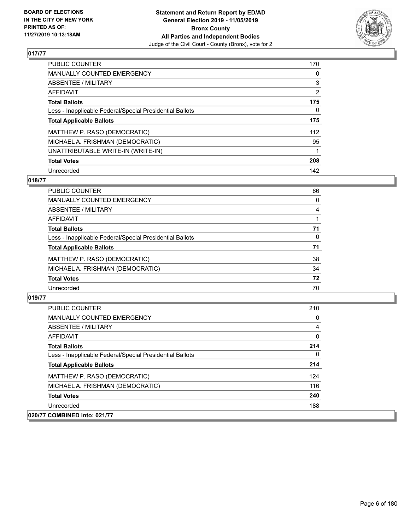

| PUBLIC COUNTER                                           | 170 |
|----------------------------------------------------------|-----|
| <b>MANUALLY COUNTED EMERGENCY</b>                        | 0   |
| ABSENTEE / MILITARY                                      | 3   |
| AFFIDAVIT                                                | 2   |
| <b>Total Ballots</b>                                     | 175 |
| Less - Inapplicable Federal/Special Presidential Ballots | 0   |
| <b>Total Applicable Ballots</b>                          | 175 |
| MATTHEW P. RASO (DEMOCRATIC)                             | 112 |
| MICHAEL A. FRISHMAN (DEMOCRATIC)                         | 95  |
| UNATTRIBUTABLE WRITE-IN (WRITE-IN)                       |     |
| <b>Total Votes</b>                                       | 208 |
| Unrecorded                                               | 142 |

### **018/77**

| PUBLIC COUNTER                                           | 66       |
|----------------------------------------------------------|----------|
| <b>MANUALLY COUNTED EMERGENCY</b>                        | 0        |
| <b>ABSENTEE / MILITARY</b>                               | 4        |
| AFFIDAVIT                                                |          |
| <b>Total Ballots</b>                                     | 71       |
| Less - Inapplicable Federal/Special Presidential Ballots | $\Omega$ |
| <b>Total Applicable Ballots</b>                          | 71       |
| MATTHEW P. RASO (DEMOCRATIC)                             | 38       |
| MICHAEL A. FRISHMAN (DEMOCRATIC)                         | 34       |
| <b>Total Votes</b>                                       | 72       |
| Unrecorded                                               | 70       |

| PUBLIC COUNTER                                           | 210      |
|----------------------------------------------------------|----------|
| <b>MANUALLY COUNTED EMERGENCY</b>                        | 0        |
| ABSENTEE / MILITARY                                      | 4        |
| AFFIDAVIT                                                | $\Omega$ |
| <b>Total Ballots</b>                                     | 214      |
| Less - Inapplicable Federal/Special Presidential Ballots | 0        |
| <b>Total Applicable Ballots</b>                          | 214      |
| MATTHEW P. RASO (DEMOCRATIC)                             | 124      |
| MICHAEL A. FRISHMAN (DEMOCRATIC)                         | 116      |
| <b>Total Votes</b>                                       | 240      |
| Unrecorded                                               | 188      |
| 020/77 COMBINED into: 021/77                             |          |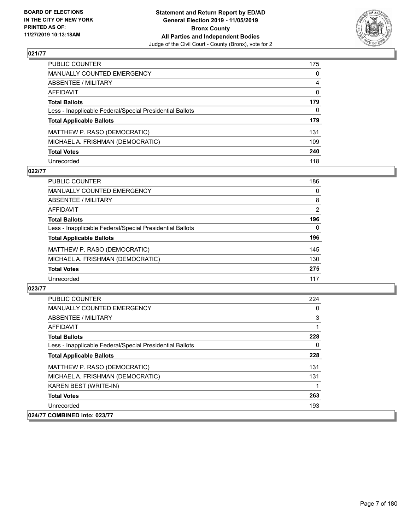

| PUBLIC COUNTER                                           | 175          |
|----------------------------------------------------------|--------------|
| <b>MANUALLY COUNTED EMERGENCY</b>                        | $\mathbf{0}$ |
| <b>ABSENTEE / MILITARY</b>                               | 4            |
| <b>AFFIDAVIT</b>                                         | $\mathbf{0}$ |
| <b>Total Ballots</b>                                     | 179          |
| Less - Inapplicable Federal/Special Presidential Ballots | 0            |
| <b>Total Applicable Ballots</b>                          | 179          |
| MATTHEW P. RASO (DEMOCRATIC)                             | 131          |
| MICHAEL A. FRISHMAN (DEMOCRATIC)                         | 109          |
| <b>Total Votes</b>                                       | 240          |
| Unrecorded                                               | 118          |

### **022/77**

| <b>PUBLIC COUNTER</b>                                    | 186            |
|----------------------------------------------------------|----------------|
| MANUALLY COUNTED EMERGENCY                               | $\Omega$       |
| ABSENTEE / MILITARY                                      | 8              |
| AFFIDAVIT                                                | $\overline{2}$ |
| <b>Total Ballots</b>                                     | 196            |
| Less - Inapplicable Federal/Special Presidential Ballots | 0              |
| <b>Total Applicable Ballots</b>                          | 196            |
| MATTHEW P. RASO (DEMOCRATIC)                             | 145            |
| MICHAEL A. FRISHMAN (DEMOCRATIC)                         | 130            |
| <b>Total Votes</b>                                       | 275            |
| Unrecorded                                               | 117            |

| <b>PUBLIC COUNTER</b>                                    | 224 |
|----------------------------------------------------------|-----|
| MANUALLY COUNTED EMERGENCY                               | 0   |
| ABSENTEE / MILITARY                                      | 3   |
| AFFIDAVIT                                                | 1   |
| <b>Total Ballots</b>                                     | 228 |
| Less - Inapplicable Federal/Special Presidential Ballots | 0   |
| <b>Total Applicable Ballots</b>                          | 228 |
| MATTHEW P. RASO (DEMOCRATIC)                             | 131 |
| MICHAEL A. FRISHMAN (DEMOCRATIC)                         | 131 |
| KAREN BEST (WRITE-IN)                                    | 1   |
| <b>Total Votes</b>                                       | 263 |
| Unrecorded                                               | 193 |
| 024/77 COMBINED into: 023/77                             |     |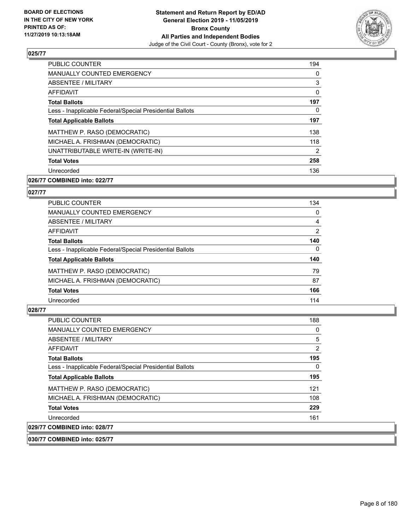

| <b>PUBLIC COUNTER</b>                                    | 194      |
|----------------------------------------------------------|----------|
| MANUALLY COUNTED EMERGENCY                               | 0        |
| ABSENTEE / MILITARY                                      | 3        |
| AFFIDAVIT                                                | $\Omega$ |
| <b>Total Ballots</b>                                     | 197      |
| Less - Inapplicable Federal/Special Presidential Ballots | 0        |
| <b>Total Applicable Ballots</b>                          | 197      |
| MATTHEW P. RASO (DEMOCRATIC)                             | 138      |
| MICHAEL A. FRISHMAN (DEMOCRATIC)                         | 118      |
| UNATTRIBUTABLE WRITE-IN (WRITE-IN)                       | 2        |
| <b>Total Votes</b>                                       | 258      |
| Unrecorded                                               | 136      |

### **026/77 COMBINED into: 022/77**

#### **027/77**

| <b>PUBLIC COUNTER</b>                                    | 134            |
|----------------------------------------------------------|----------------|
| <b>MANUALLY COUNTED EMERGENCY</b>                        | $\Omega$       |
| ABSENTEE / MILITARY                                      | 4              |
| AFFIDAVIT                                                | $\overline{2}$ |
| <b>Total Ballots</b>                                     | 140            |
| Less - Inapplicable Federal/Special Presidential Ballots | 0              |
| <b>Total Applicable Ballots</b>                          | 140            |
| MATTHEW P. RASO (DEMOCRATIC)                             | 79             |
| MICHAEL A. FRISHMAN (DEMOCRATIC)                         | 87             |
| <b>Total Votes</b>                                       | 166            |
| Unrecorded                                               | 114            |

#### **028/77**

 $|029/77$ 

| <b>PUBLIC COUNTER</b>                                    | 188            |
|----------------------------------------------------------|----------------|
| MANUALLY COUNTED EMERGENCY                               | 0              |
| ABSENTEE / MILITARY                                      | 5              |
| AFFIDAVIT                                                | $\overline{2}$ |
| <b>Total Ballots</b>                                     | 195            |
| Less - Inapplicable Federal/Special Presidential Ballots | 0              |
| <b>Total Applicable Ballots</b>                          | 195            |
| MATTHEW P. RASO (DEMOCRATIC)                             | 121            |
| MICHAEL A. FRISHMAN (DEMOCRATIC)                         | 108            |
| <b>Total Votes</b>                                       | 229            |
| Unrecorded                                               | 161            |
| <b>COMBINED into: 028/77</b>                             |                |

**030/77 COMBINED into: 025/77**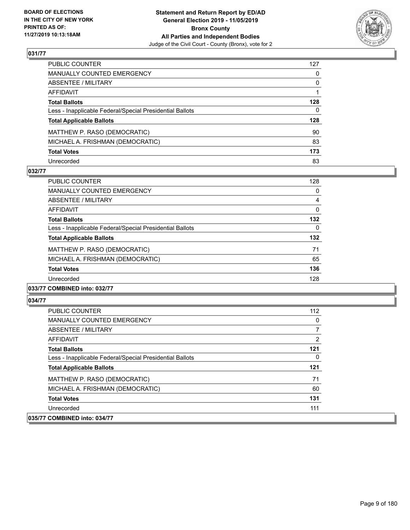

| PUBLIC COUNTER                                           | 127          |
|----------------------------------------------------------|--------------|
| MANUALLY COUNTED EMERGENCY                               | $\mathbf{0}$ |
| ABSENTEE / MILITARY                                      | $\mathbf{0}$ |
| <b>AFFIDAVIT</b>                                         |              |
| <b>Total Ballots</b>                                     | 128          |
| Less - Inapplicable Federal/Special Presidential Ballots | 0            |
| <b>Total Applicable Ballots</b>                          | 128          |
| MATTHEW P. RASO (DEMOCRATIC)                             | 90           |
| MICHAEL A. FRISHMAN (DEMOCRATIC)                         | 83           |
| <b>Total Votes</b>                                       | 173          |
| Unrecorded                                               | 83           |

### **032/77**

| <b>PUBLIC COUNTER</b>                                    | 128      |
|----------------------------------------------------------|----------|
| <b>MANUALLY COUNTED EMERGENCY</b>                        | 0        |
| ABSENTEE / MILITARY                                      | 4        |
| <b>AFFIDAVIT</b>                                         | $\Omega$ |
| <b>Total Ballots</b>                                     | 132      |
| Less - Inapplicable Federal/Special Presidential Ballots | 0        |
| <b>Total Applicable Ballots</b>                          | 132      |
| MATTHEW P. RASO (DEMOCRATIC)                             | 71       |
| MICHAEL A. FRISHMAN (DEMOCRATIC)                         | 65       |
| <b>Total Votes</b>                                       | 136      |
| Unrecorded                                               | 128      |
|                                                          |          |

### **033/77 COMBINED into: 032/77**

| <b>PUBLIC COUNTER</b>                                    | 112 |
|----------------------------------------------------------|-----|
| <b>MANUALLY COUNTED EMERGENCY</b>                        | 0   |
| ABSENTEE / MILITARY                                      |     |
| AFFIDAVIT                                                | 2   |
| <b>Total Ballots</b>                                     | 121 |
| Less - Inapplicable Federal/Special Presidential Ballots | 0   |
| <b>Total Applicable Ballots</b>                          | 121 |
| MATTHEW P. RASO (DEMOCRATIC)                             | 71  |
| MICHAEL A. FRISHMAN (DEMOCRATIC)                         | 60  |
| <b>Total Votes</b>                                       | 131 |
| Unrecorded                                               | 111 |
| 035/77 COMBINED into: 034/77                             |     |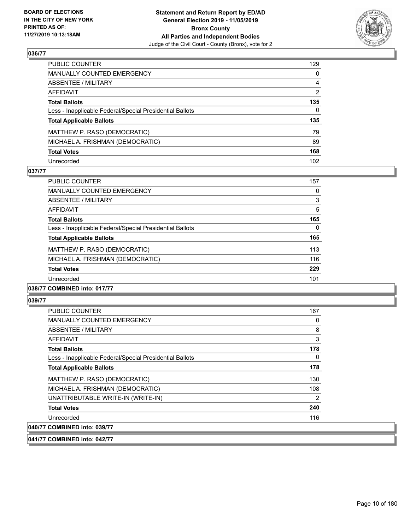

| PUBLIC COUNTER                                           | 129              |
|----------------------------------------------------------|------------------|
| <b>MANUALLY COUNTED EMERGENCY</b>                        | $\mathbf{0}$     |
| ABSENTEE / MILITARY                                      | $\overline{4}$   |
| AFFIDAVIT                                                | $\overline{2}$   |
| <b>Total Ballots</b>                                     | 135              |
| Less - Inapplicable Federal/Special Presidential Ballots | $\mathbf{0}$     |
| <b>Total Applicable Ballots</b>                          | 135              |
| MATTHEW P. RASO (DEMOCRATIC)                             | 79               |
| MICHAEL A. FRISHMAN (DEMOCRATIC)                         | 89               |
| <b>Total Votes</b>                                       | 168              |
| Unrecorded                                               | 102 <sub>2</sub> |

### **037/77**

| <b>PUBLIC COUNTER</b>                                    | 157      |
|----------------------------------------------------------|----------|
| <b>MANUALLY COUNTED EMERGENCY</b>                        | 0        |
| ABSENTEE / MILITARY                                      | 3        |
| AFFIDAVIT                                                | 5        |
| <b>Total Ballots</b>                                     | 165      |
| Less - Inapplicable Federal/Special Presidential Ballots | $\Omega$ |
| <b>Total Applicable Ballots</b>                          | 165      |
| MATTHEW P. RASO (DEMOCRATIC)                             | 113      |
| MICHAEL A. FRISHMAN (DEMOCRATIC)                         | 116      |
| <b>Total Votes</b>                                       | 229      |
| Unrecorded                                               | 101      |
|                                                          |          |

#### **038/77 COMBINED into: 017/77**

#### **039/77**

| <b>PUBLIC COUNTER</b>                                    | 167 |
|----------------------------------------------------------|-----|
| <b>MANUALLY COUNTED EMERGENCY</b>                        | 0   |
| <b>ABSENTEE / MILITARY</b>                               | 8   |
| AFFIDAVIT                                                | 3   |
| <b>Total Ballots</b>                                     | 178 |
| Less - Inapplicable Federal/Special Presidential Ballots | 0   |
| <b>Total Applicable Ballots</b>                          | 178 |
| MATTHEW P. RASO (DEMOCRATIC)                             | 130 |
| MICHAEL A. FRISHMAN (DEMOCRATIC)                         | 108 |
| UNATTRIBUTABLE WRITE-IN (WRITE-IN)                       | 2   |
| <b>Total Votes</b>                                       | 240 |
| Unrecorded                                               | 116 |
| 040/77 COMBINED into: 039/77                             |     |

**041/77 COMBINED into: 042/77**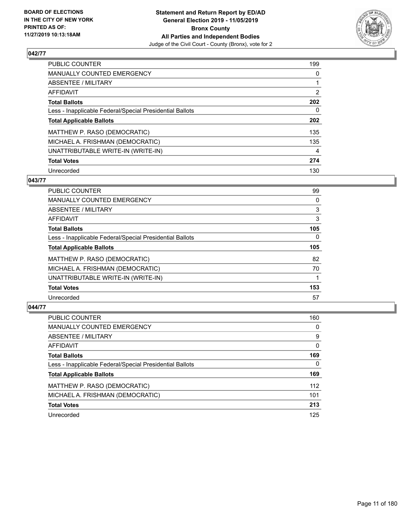

| <b>PUBLIC COUNTER</b>                                    | 199            |
|----------------------------------------------------------|----------------|
| <b>MANUALLY COUNTED EMERGENCY</b>                        | 0              |
| ABSENTEE / MILITARY                                      |                |
| <b>AFFIDAVIT</b>                                         | $\overline{2}$ |
| <b>Total Ballots</b>                                     | 202            |
| Less - Inapplicable Federal/Special Presidential Ballots | 0              |
| <b>Total Applicable Ballots</b>                          | 202            |
| MATTHEW P. RASO (DEMOCRATIC)                             | 135            |
| MICHAEL A. FRISHMAN (DEMOCRATIC)                         | 135            |
| UNATTRIBUTABLE WRITE-IN (WRITE-IN)                       | 4              |
| <b>Total Votes</b>                                       | 274            |
| Unrecorded                                               | 130            |

#### **043/77**

| <b>PUBLIC COUNTER</b>                                    | 99       |
|----------------------------------------------------------|----------|
| <b>MANUALLY COUNTED EMERGENCY</b>                        | 0        |
| ABSENTEE / MILITARY                                      | 3        |
| <b>AFFIDAVIT</b>                                         | 3        |
| <b>Total Ballots</b>                                     | 105      |
| Less - Inapplicable Federal/Special Presidential Ballots | $\Omega$ |
| <b>Total Applicable Ballots</b>                          | 105      |
| MATTHEW P. RASO (DEMOCRATIC)                             | 82       |
| MICHAEL A. FRISHMAN (DEMOCRATIC)                         | 70       |
| UNATTRIBUTABLE WRITE-IN (WRITE-IN)                       |          |
| <b>Total Votes</b>                                       | 153      |
| Unrecorded                                               | 57       |

| <b>PUBLIC COUNTER</b>                                    | 160      |
|----------------------------------------------------------|----------|
| <b>MANUALLY COUNTED EMERGENCY</b>                        | 0        |
| ABSENTEE / MILITARY                                      | 9        |
| AFFIDAVIT                                                | $\Omega$ |
| <b>Total Ballots</b>                                     | 169      |
| Less - Inapplicable Federal/Special Presidential Ballots | $\Omega$ |
| <b>Total Applicable Ballots</b>                          | 169      |
| MATTHEW P. RASO (DEMOCRATIC)                             | 112      |
| MICHAEL A. FRISHMAN (DEMOCRATIC)                         | 101      |
| <b>Total Votes</b>                                       | 213      |
| Unrecorded                                               | 125      |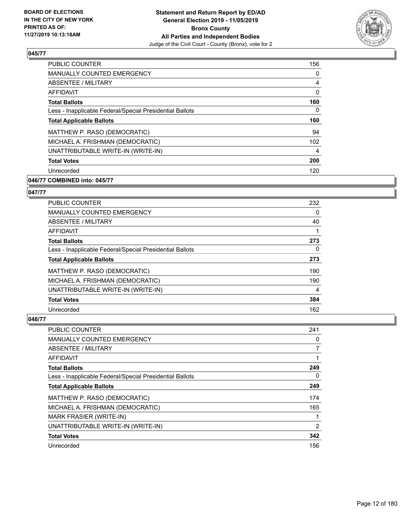

| PUBLIC COUNTER                                           | 156            |
|----------------------------------------------------------|----------------|
| <b>MANUALLY COUNTED EMERGENCY</b>                        | 0              |
| <b>ABSENTEE / MILITARY</b>                               | $\overline{4}$ |
| <b>AFFIDAVIT</b>                                         | 0              |
| <b>Total Ballots</b>                                     | 160            |
| Less - Inapplicable Federal/Special Presidential Ballots | 0              |
| <b>Total Applicable Ballots</b>                          | 160            |
| MATTHEW P. RASO (DEMOCRATIC)                             | 94             |
| MICHAEL A. FRISHMAN (DEMOCRATIC)                         | 102            |
| UNATTRIBUTABLE WRITE-IN (WRITE-IN)                       | 4              |
| <b>Total Votes</b>                                       | 200            |
| Unrecorded                                               | 120            |

### **046/77 COMBINED into: 045/77**

### **047/77**

| <b>PUBLIC COUNTER</b>                                    | 232      |
|----------------------------------------------------------|----------|
| <b>MANUALLY COUNTED EMERGENCY</b>                        | $\Omega$ |
| ABSENTEE / MILITARY                                      | 40       |
| AFFIDAVIT                                                |          |
| <b>Total Ballots</b>                                     | 273      |
| Less - Inapplicable Federal/Special Presidential Ballots | $\Omega$ |
| <b>Total Applicable Ballots</b>                          | 273      |
| MATTHEW P. RASO (DEMOCRATIC)                             | 190      |
| MICHAEL A. FRISHMAN (DEMOCRATIC)                         | 190      |
| UNATTRIBUTABLE WRITE-IN (WRITE-IN)                       | 4        |
| <b>Total Votes</b>                                       | 384      |
| Unrecorded                                               | 162      |

| <b>PUBLIC COUNTER</b>                                    | 241 |
|----------------------------------------------------------|-----|
| MANUALLY COUNTED EMERGENCY                               | 0   |
| ABSENTEE / MILITARY                                      |     |
| AFFIDAVIT                                                |     |
| <b>Total Ballots</b>                                     | 249 |
| Less - Inapplicable Federal/Special Presidential Ballots | 0   |
| <b>Total Applicable Ballots</b>                          | 249 |
| MATTHEW P. RASO (DEMOCRATIC)                             | 174 |
| MICHAEL A. FRISHMAN (DEMOCRATIC)                         | 165 |
| <b>MARK FRASIER (WRITE-IN)</b>                           | 1   |
| UNATTRIBUTABLE WRITE-IN (WRITE-IN)                       | 2   |
| <b>Total Votes</b>                                       | 342 |
| Unrecorded                                               | 156 |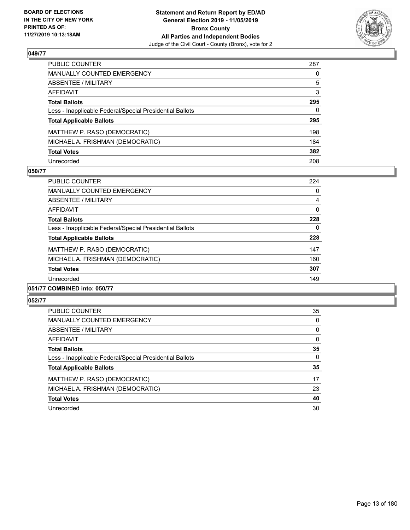

| PUBLIC COUNTER                                           | 287      |
|----------------------------------------------------------|----------|
| MANUALLY COUNTED EMERGENCY                               | 0        |
| ABSENTEE / MILITARY                                      | 5        |
| AFFIDAVIT                                                | 3        |
| Total Ballots                                            | 295      |
| Less - Inapplicable Federal/Special Presidential Ballots | $\Omega$ |
| <b>Total Applicable Ballots</b>                          | 295      |
| MATTHEW P. RASO (DEMOCRATIC)                             | 198      |
| MICHAEL A. FRISHMAN (DEMOCRATIC)                         | 184      |
| <b>Total Votes</b>                                       | 382      |
| Unrecorded                                               | 208      |

#### **050/77**

| PUBLIC COUNTER                                           | 224      |
|----------------------------------------------------------|----------|
| <b>MANUALLY COUNTED EMERGENCY</b>                        | 0        |
| ABSENTEE / MILITARY                                      | 4        |
| AFFIDAVIT                                                | $\Omega$ |
| <b>Total Ballots</b>                                     | 228      |
| Less - Inapplicable Federal/Special Presidential Ballots | 0        |
| <b>Total Applicable Ballots</b>                          | 228      |
| MATTHEW P. RASO (DEMOCRATIC)                             | 147      |
| MICHAEL A. FRISHMAN (DEMOCRATIC)                         | 160      |
| <b>Total Votes</b>                                       | 307      |
| Unrecorded                                               | 149      |
|                                                          |          |

### **051/77 COMBINED into: 050/77**

| <b>PUBLIC COUNTER</b>                                    | 35       |
|----------------------------------------------------------|----------|
| <b>MANUALLY COUNTED EMERGENCY</b>                        | 0        |
| ABSENTEE / MILITARY                                      | 0        |
| AFFIDAVIT                                                | $\Omega$ |
| <b>Total Ballots</b>                                     | 35       |
| Less - Inapplicable Federal/Special Presidential Ballots | $\Omega$ |
| <b>Total Applicable Ballots</b>                          | 35       |
| MATTHEW P. RASO (DEMOCRATIC)                             | 17       |
| MICHAEL A. FRISHMAN (DEMOCRATIC)                         | 23       |
| <b>Total Votes</b>                                       | 40       |
| Unrecorded                                               | 30       |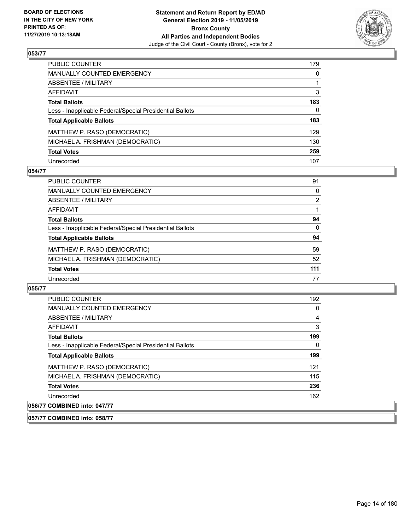

| PUBLIC COUNTER                                           | 179      |
|----------------------------------------------------------|----------|
| MANUALLY COUNTED EMERGENCY                               | 0        |
| ABSENTEE / MILITARY                                      |          |
| AFFIDAVIT                                                | 3        |
| Total Ballots                                            | 183      |
| Less - Inapplicable Federal/Special Presidential Ballots | $\Omega$ |
| <b>Total Applicable Ballots</b>                          | 183      |
| MATTHEW P. RASO (DEMOCRATIC)                             | 129      |
| MICHAEL A. FRISHMAN (DEMOCRATIC)                         | 130      |
| <b>Total Votes</b>                                       | 259      |
| Unrecorded                                               | 107      |

### **054/77**

| <b>PUBLIC COUNTER</b>                                    | 91       |
|----------------------------------------------------------|----------|
| <b>MANUALLY COUNTED EMERGENCY</b>                        | 0        |
| ABSENTEE / MILITARY                                      | 2        |
| AFFIDAVIT                                                |          |
| <b>Total Ballots</b>                                     | 94       |
| Less - Inapplicable Federal/Special Presidential Ballots | $\Omega$ |
| <b>Total Applicable Ballots</b>                          | 94       |
| MATTHEW P. RASO (DEMOCRATIC)                             | 59       |
| MICHAEL A. FRISHMAN (DEMOCRATIC)                         | 52       |
| <b>Total Votes</b>                                       | 111      |
| Unrecorded                                               | 77       |

#### **055/77**

**057/77 COMBINED into: 058/77**

| <b>PUBLIC COUNTER</b>                                    | 192      |
|----------------------------------------------------------|----------|
| <b>MANUALLY COUNTED EMERGENCY</b>                        | 0        |
| ABSENTEE / MILITARY                                      | 4        |
| AFFIDAVIT                                                | 3        |
| <b>Total Ballots</b>                                     | 199      |
| Less - Inapplicable Federal/Special Presidential Ballots | $\Omega$ |
| <b>Total Applicable Ballots</b>                          | 199      |
| MATTHEW P. RASO (DEMOCRATIC)                             | 121      |
| MICHAEL A. FRISHMAN (DEMOCRATIC)                         | 115      |
| <b>Total Votes</b>                                       | 236      |
| Unrecorded                                               | 162      |
| 056/77 COMBINED into: 047/77                             |          |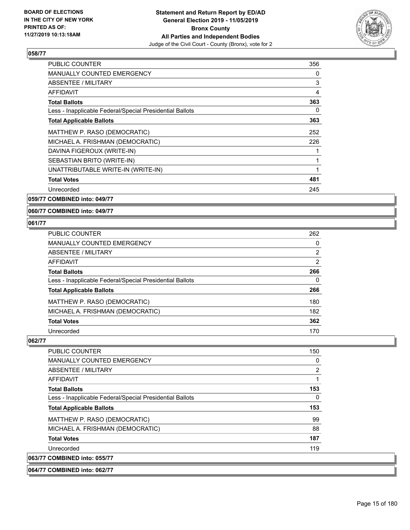

| PUBLIC COUNTER                                           | 356 |
|----------------------------------------------------------|-----|
| MANUALLY COUNTED EMERGENCY                               | 0   |
| <b>ABSENTEE / MILITARY</b>                               | 3   |
| AFFIDAVIT                                                | 4   |
| <b>Total Ballots</b>                                     | 363 |
| Less - Inapplicable Federal/Special Presidential Ballots | 0   |
| <b>Total Applicable Ballots</b>                          | 363 |
| MATTHEW P. RASO (DEMOCRATIC)                             | 252 |
| MICHAEL A. FRISHMAN (DEMOCRATIC)                         | 226 |
| DAVINA FIGEROUX (WRITE-IN)                               |     |
| SEBASTIAN BRITO (WRITE-IN)                               |     |
| UNATTRIBUTABLE WRITE-IN (WRITE-IN)                       |     |
| <b>Total Votes</b>                                       | 481 |
| Unrecorded                                               | 245 |
|                                                          |     |

**059/77 COMBINED into: 049/77**

**060/77 COMBINED into: 049/77**

#### **061/77**

| PUBLIC COUNTER                                           | 262      |
|----------------------------------------------------------|----------|
| <b>MANUALLY COUNTED EMERGENCY</b>                        | 0        |
| ABSENTEE / MILITARY                                      | 2        |
| AFFIDAVIT                                                | 2        |
| <b>Total Ballots</b>                                     | 266      |
| Less - Inapplicable Federal/Special Presidential Ballots | $\Omega$ |
| <b>Total Applicable Ballots</b>                          | 266      |
| MATTHEW P. RASO (DEMOCRATIC)                             | 180      |
| MICHAEL A. FRISHMAN (DEMOCRATIC)                         | 182      |
| <b>Total Votes</b>                                       | 362      |
| Unrecorded                                               | 170      |

| <b>PUBLIC COUNTER</b>                                    | 150 |
|----------------------------------------------------------|-----|
| <b>MANUALLY COUNTED EMERGENCY</b>                        | 0   |
| ABSENTEE / MILITARY                                      | 2   |
| AFFIDAVIT                                                |     |
| <b>Total Ballots</b>                                     | 153 |
| Less - Inapplicable Federal/Special Presidential Ballots | 0   |
| <b>Total Applicable Ballots</b>                          | 153 |
| MATTHEW P. RASO (DEMOCRATIC)                             | 99  |
| MICHAEL A. FRISHMAN (DEMOCRATIC)                         | 88  |
| <b>Total Votes</b>                                       | 187 |
| Unrecorded                                               | 119 |
| 063/77 COMBINED into: 055/77                             |     |
| 064/77 COMBINED into: 062/77                             |     |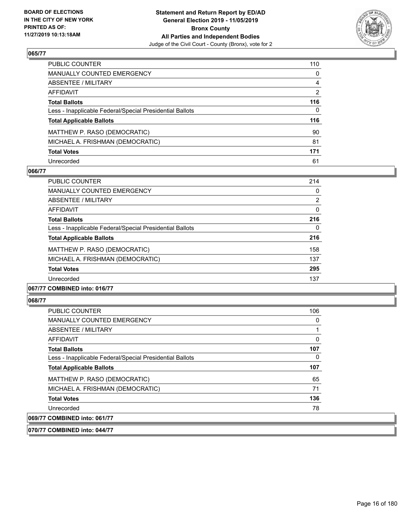

| PUBLIC COUNTER                                           | 110      |
|----------------------------------------------------------|----------|
| MANUALLY COUNTED EMERGENCY                               | 0        |
| ABSENTEE / MILITARY                                      | 4        |
| AFFIDAVIT                                                | 2        |
| Total Ballots                                            | 116      |
| Less - Inapplicable Federal/Special Presidential Ballots | $\Omega$ |
| <b>Total Applicable Ballots</b>                          | 116      |
| MATTHEW P. RASO (DEMOCRATIC)                             | 90       |
| MICHAEL A. FRISHMAN (DEMOCRATIC)                         | 81       |
| <b>Total Votes</b>                                       | 171      |
| Unrecorded                                               | 61       |

### **066/77**

| <b>PUBLIC COUNTER</b>                                    | 214            |
|----------------------------------------------------------|----------------|
| <b>MANUALLY COUNTED EMERGENCY</b>                        | 0              |
| ABSENTEE / MILITARY                                      | $\overline{2}$ |
| <b>AFFIDAVIT</b>                                         | $\Omega$       |
| <b>Total Ballots</b>                                     | 216            |
| Less - Inapplicable Federal/Special Presidential Ballots | 0              |
| <b>Total Applicable Ballots</b>                          | 216            |
| MATTHEW P. RASO (DEMOCRATIC)                             | 158            |
| MICHAEL A. FRISHMAN (DEMOCRATIC)                         | 137            |
| <b>Total Votes</b>                                       | 295            |
| Unrecorded                                               | 137            |
|                                                          |                |

#### **067/77 COMBINED into: 016/77**

#### **068/77**

| <b>PUBLIC COUNTER</b>                                    | 106 |
|----------------------------------------------------------|-----|
| <b>MANUALLY COUNTED EMERGENCY</b>                        | 0   |
| ABSENTEE / MILITARY                                      |     |
| AFFIDAVIT                                                | 0   |
| <b>Total Ballots</b>                                     | 107 |
| Less - Inapplicable Federal/Special Presidential Ballots | 0   |
| <b>Total Applicable Ballots</b>                          | 107 |
| MATTHEW P. RASO (DEMOCRATIC)                             | 65  |
| MICHAEL A. FRISHMAN (DEMOCRATIC)                         | 71  |
| <b>Total Votes</b>                                       | 136 |
| Unrecorded                                               | 78  |
| 069/77 COMBINED into: 061/77                             |     |

**070/77 COMBINED into: 044/77**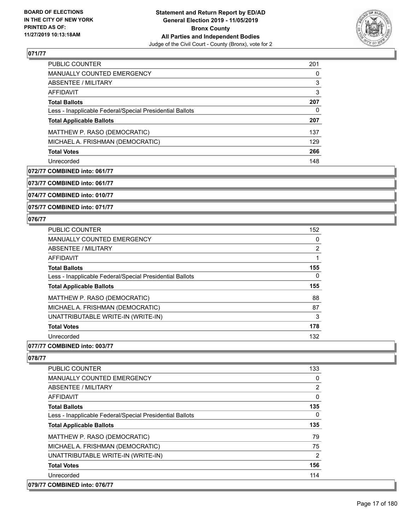

| <b>PUBLIC COUNTER</b>                                    | 201 |
|----------------------------------------------------------|-----|
| <b>MANUALLY COUNTED EMERGENCY</b>                        | 0   |
| ABSENTEE / MILITARY                                      | 3   |
| AFFIDAVIT                                                | 3   |
| <b>Total Ballots</b>                                     | 207 |
| Less - Inapplicable Federal/Special Presidential Ballots | 0   |
| <b>Total Applicable Ballots</b>                          | 207 |
| MATTHEW P. RASO (DEMOCRATIC)                             | 137 |
| MICHAEL A. FRISHMAN (DEMOCRATIC)                         | 129 |
| <b>Total Votes</b>                                       | 266 |
| Unrecorded                                               | 148 |

### **072/77 COMBINED into: 061/77**

**073/77 COMBINED into: 061/77**

**074/77 COMBINED into: 010/77**

**075/77 COMBINED into: 071/77**

### **076/77**

| <b>PUBLIC COUNTER</b>                                    | 152 |
|----------------------------------------------------------|-----|
| <b>MANUALLY COUNTED EMERGENCY</b>                        | 0   |
| ABSENTEE / MILITARY                                      | 2   |
| AFFIDAVIT                                                |     |
| <b>Total Ballots</b>                                     | 155 |
| Less - Inapplicable Federal/Special Presidential Ballots | 0   |
| <b>Total Applicable Ballots</b>                          | 155 |
| MATTHEW P. RASO (DEMOCRATIC)                             | 88  |
| MICHAEL A. FRISHMAN (DEMOCRATIC)                         | 87  |
| UNATTRIBUTABLE WRITE-IN (WRITE-IN)                       | 3   |
| <b>Total Votes</b>                                       | 178 |
| Unrecorded                                               | 132 |
|                                                          |     |

### **077/77 COMBINED into: 003/77**

| <b>PUBLIC COUNTER</b>                                    | 133      |
|----------------------------------------------------------|----------|
| <b>MANUALLY COUNTED EMERGENCY</b>                        | 0        |
| ABSENTEE / MILITARY                                      | 2        |
| AFFIDAVIT                                                | $\Omega$ |
| <b>Total Ballots</b>                                     | 135      |
| Less - Inapplicable Federal/Special Presidential Ballots | 0        |
| <b>Total Applicable Ballots</b>                          | 135      |
| MATTHEW P. RASO (DEMOCRATIC)                             | 79       |
| MICHAEL A. FRISHMAN (DEMOCRATIC)                         | 75       |
| UNATTRIBUTABLE WRITE-IN (WRITE-IN)                       | 2        |
| <b>Total Votes</b>                                       | 156      |
| Unrecorded                                               | 114      |
| 079/77 COMBINED into: 076/77                             |          |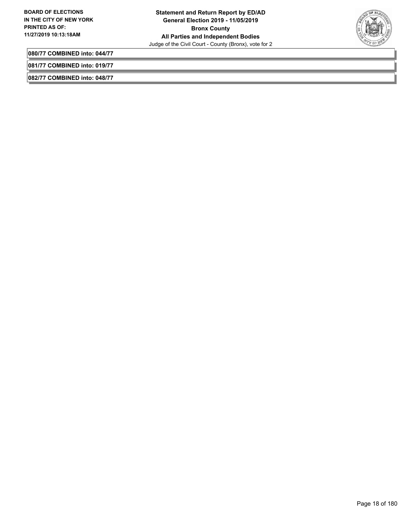

**080/77 COMBINED into: 044/77**

**081/77 COMBINED into: 019/77**

**082/77 COMBINED into: 048/77**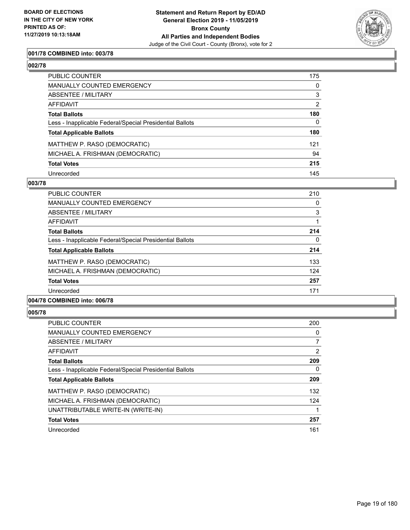

### **001/78 COMBINED into: 003/78**

| ۰.<br>۰.<br>۰, |  |
|----------------|--|
|----------------|--|

| PUBLIC COUNTER                                           | 175            |
|----------------------------------------------------------|----------------|
| MANUALLY COUNTED EMERGENCY                               | $\mathbf{0}$   |
| ABSENTEE / MILITARY                                      | 3              |
| AFFIDAVIT                                                | $\overline{2}$ |
| Total Ballots                                            | 180            |
| Less - Inapplicable Federal/Special Presidential Ballots | $\mathbf{0}$   |
| <b>Total Applicable Ballots</b>                          | 180            |
| MATTHEW P. RASO (DEMOCRATIC)                             | 121            |
| MICHAEL A. FRISHMAN (DEMOCRATIC)                         | 94             |
| <b>Total Votes</b>                                       | 215            |
| Unrecorded                                               | 145            |

#### **003/78**

| <b>PUBLIC COUNTER</b>                                    | 210      |
|----------------------------------------------------------|----------|
| <b>MANUALLY COUNTED EMERGENCY</b>                        | 0        |
| ABSENTEE / MILITARY                                      | 3        |
| AFFIDAVIT                                                |          |
| <b>Total Ballots</b>                                     | 214      |
| Less - Inapplicable Federal/Special Presidential Ballots | $\Omega$ |
| <b>Total Applicable Ballots</b>                          | 214      |
| MATTHEW P. RASO (DEMOCRATIC)                             | 133      |
| MICHAEL A. FRISHMAN (DEMOCRATIC)                         | 124      |
| <b>Total Votes</b>                                       | 257      |
| Unrecorded                                               | 171      |
| 004/78 COMBINED into: 006/78                             |          |

| PUBLIC COUNTER                                           | 200 |
|----------------------------------------------------------|-----|
| <b>MANUALLY COUNTED EMERGENCY</b>                        | 0   |
| ABSENTEE / MILITARY                                      | 7   |
| AFFIDAVIT                                                | 2   |
| <b>Total Ballots</b>                                     | 209 |
| Less - Inapplicable Federal/Special Presidential Ballots | 0   |
| <b>Total Applicable Ballots</b>                          | 209 |
| MATTHEW P. RASO (DEMOCRATIC)                             | 132 |
| MICHAEL A. FRISHMAN (DEMOCRATIC)                         | 124 |
| UNATTRIBUTABLE WRITE-IN (WRITE-IN)                       | 1   |
| <b>Total Votes</b>                                       | 257 |
| Unrecorded                                               | 161 |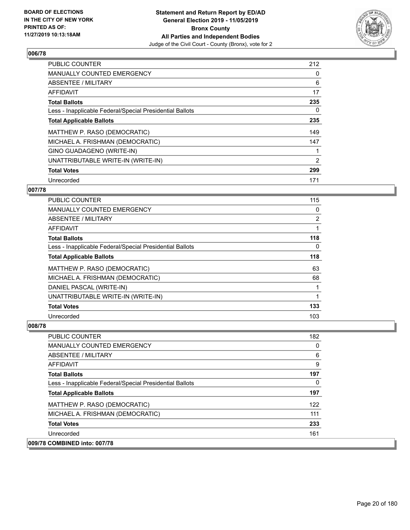

| <b>PUBLIC COUNTER</b>                                    | 212 |
|----------------------------------------------------------|-----|
| <b>MANUALLY COUNTED EMERGENCY</b>                        | 0   |
| ABSENTEE / MILITARY                                      | 6   |
| AFFIDAVIT                                                | 17  |
| <b>Total Ballots</b>                                     | 235 |
| Less - Inapplicable Federal/Special Presidential Ballots | 0   |
| <b>Total Applicable Ballots</b>                          | 235 |
| MATTHEW P. RASO (DEMOCRATIC)                             | 149 |
| MICHAEL A. FRISHMAN (DEMOCRATIC)                         | 147 |
| GINO GUADAGENO (WRITE-IN)                                |     |
| UNATTRIBUTABLE WRITE-IN (WRITE-IN)                       | 2   |
| <b>Total Votes</b>                                       | 299 |
| Unrecorded                                               | 171 |

### **007/78**

| <b>PUBLIC COUNTER</b>                                    | 115            |
|----------------------------------------------------------|----------------|
| <b>MANUALLY COUNTED EMERGENCY</b>                        | 0              |
| ABSENTEE / MILITARY                                      | $\overline{2}$ |
| AFFIDAVIT                                                |                |
| <b>Total Ballots</b>                                     | 118            |
| Less - Inapplicable Federal/Special Presidential Ballots | 0              |
| <b>Total Applicable Ballots</b>                          | 118            |
| MATTHEW P. RASO (DEMOCRATIC)                             | 63             |
| MICHAEL A. FRISHMAN (DEMOCRATIC)                         | 68             |
| DANIEL PASCAL (WRITE-IN)                                 |                |
| UNATTRIBUTABLE WRITE-IN (WRITE-IN)                       |                |
| <b>Total Votes</b>                                       | 133            |
| Unrecorded                                               | 103            |

| <b>PUBLIC COUNTER</b>                                    | 182 |
|----------------------------------------------------------|-----|
| MANUALLY COUNTED EMERGENCY                               | 0   |
| ABSENTEE / MILITARY                                      | 6   |
| AFFIDAVIT                                                | 9   |
| <b>Total Ballots</b>                                     | 197 |
| Less - Inapplicable Federal/Special Presidential Ballots | 0   |
| <b>Total Applicable Ballots</b>                          | 197 |
| MATTHEW P. RASO (DEMOCRATIC)                             | 122 |
| MICHAEL A. FRISHMAN (DEMOCRATIC)                         | 111 |
| <b>Total Votes</b>                                       | 233 |
| Unrecorded                                               | 161 |
| 009/78 COMBINED into: 007/78                             |     |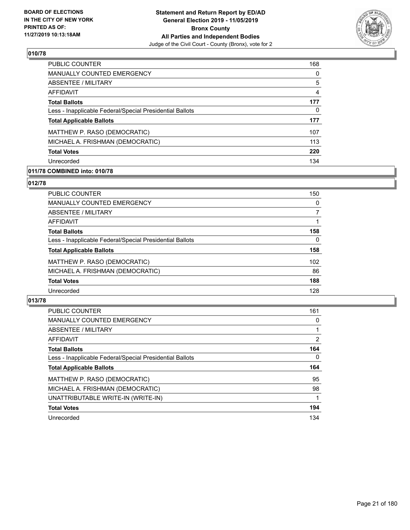

| PUBLIC COUNTER                                           | 168 |
|----------------------------------------------------------|-----|
| <b>MANUALLY COUNTED EMERGENCY</b>                        | 0   |
| ABSENTEE / MILITARY                                      | 5   |
| AFFIDAVIT                                                | 4   |
| <b>Total Ballots</b>                                     | 177 |
| Less - Inapplicable Federal/Special Presidential Ballots | 0   |
| <b>Total Applicable Ballots</b>                          | 177 |
| MATTHEW P. RASO (DEMOCRATIC)                             | 107 |
| MICHAEL A. FRISHMAN (DEMOCRATIC)                         | 113 |
| <b>Total Votes</b>                                       | 220 |
| Unrecorded                                               | 134 |

### **011/78 COMBINED into: 010/78**

### **012/78**

| <b>PUBLIC COUNTER</b>                                    | 150              |
|----------------------------------------------------------|------------------|
| <b>MANUALLY COUNTED EMERGENCY</b>                        | 0                |
| <b>ABSENTEE / MILITARY</b>                               | 7                |
| <b>AFFIDAVIT</b>                                         |                  |
| <b>Total Ballots</b>                                     | 158              |
| Less - Inapplicable Federal/Special Presidential Ballots | $\Omega$         |
| <b>Total Applicable Ballots</b>                          | 158              |
| MATTHEW P. RASO (DEMOCRATIC)                             | 102 <sub>2</sub> |
| MICHAEL A. FRISHMAN (DEMOCRATIC)                         | 86               |
| <b>Total Votes</b>                                       | 188              |
| Unrecorded                                               | 128              |
|                                                          |                  |

| <b>PUBLIC COUNTER</b>                                    | 161      |
|----------------------------------------------------------|----------|
| MANUALLY COUNTED EMERGENCY                               | $\Omega$ |
| <b>ABSENTEE / MILITARY</b>                               |          |
| AFFIDAVIT                                                | 2        |
| <b>Total Ballots</b>                                     | 164      |
| Less - Inapplicable Federal/Special Presidential Ballots | 0        |
| <b>Total Applicable Ballots</b>                          | 164      |
|                                                          | 95       |
| MATTHEW P. RASO (DEMOCRATIC)                             |          |
| MICHAEL A. FRISHMAN (DEMOCRATIC)                         | 98       |
| UNATTRIBUTABLE WRITE-IN (WRITE-IN)                       |          |
| <b>Total Votes</b>                                       | 194      |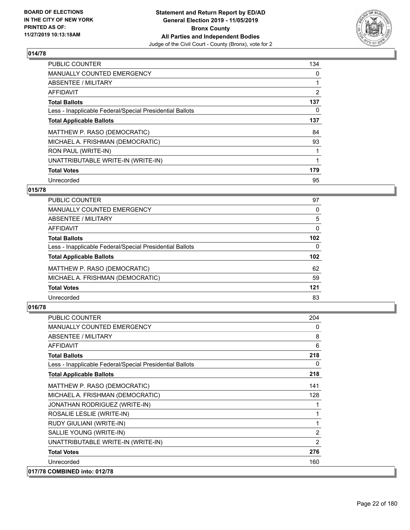

| <b>PUBLIC COUNTER</b>                                    | 134            |
|----------------------------------------------------------|----------------|
| <b>MANUALLY COUNTED EMERGENCY</b>                        | 0              |
| ABSENTEE / MILITARY                                      |                |
| AFFIDAVIT                                                | $\overline{2}$ |
| <b>Total Ballots</b>                                     | 137            |
| Less - Inapplicable Federal/Special Presidential Ballots | 0              |
| <b>Total Applicable Ballots</b>                          | 137            |
| MATTHEW P. RASO (DEMOCRATIC)                             | 84             |
| MICHAEL A. FRISHMAN (DEMOCRATIC)                         | 93             |
| RON PAUL (WRITE-IN)                                      |                |
| UNATTRIBUTABLE WRITE-IN (WRITE-IN)                       |                |
| <b>Total Votes</b>                                       | 179            |
| Unrecorded                                               | 95             |

### **015/78**

| PUBLIC COUNTER                                           | 97               |
|----------------------------------------------------------|------------------|
| MANUALLY COUNTED EMERGENCY                               | $\Omega$         |
| ABSENTEE / MILITARY                                      | 5                |
| AFFIDAVIT                                                | 0                |
| <b>Total Ballots</b>                                     | 102 <sub>2</sub> |
| Less - Inapplicable Federal/Special Presidential Ballots | 0                |
| <b>Total Applicable Ballots</b>                          | 102 <sub>2</sub> |
| MATTHEW P. RASO (DEMOCRATIC)                             | 62               |
| MICHAEL A. FRISHMAN (DEMOCRATIC)                         | 59               |
| <b>Total Votes</b>                                       | 121              |
| Unrecorded                                               | 83               |
|                                                          |                  |

| <b>PUBLIC COUNTER</b>                                    | 204            |
|----------------------------------------------------------|----------------|
| <b>MANUALLY COUNTED EMERGENCY</b>                        | $\Omega$       |
| ABSENTEE / MILITARY                                      | 8              |
| <b>AFFIDAVIT</b>                                         | 6              |
| <b>Total Ballots</b>                                     | 218            |
| Less - Inapplicable Federal/Special Presidential Ballots | 0              |
| <b>Total Applicable Ballots</b>                          | 218            |
| MATTHEW P. RASO (DEMOCRATIC)                             | 141            |
| MICHAEL A. FRISHMAN (DEMOCRATIC)                         | 128            |
| JONATHAN RODRIGUEZ (WRITE-IN)                            |                |
| ROSALIE LESLIE (WRITE-IN)                                | 1              |
| RUDY GIULIANI (WRITE-IN)                                 | 1              |
| SALLIE YOUNG (WRITE-IN)                                  | $\overline{2}$ |
| UNATTRIBUTABLE WRITE-IN (WRITE-IN)                       | $\overline{2}$ |
| <b>Total Votes</b>                                       | 276            |
| Unrecorded                                               | 160            |
| 017/78 COMBINED into: 012/78                             |                |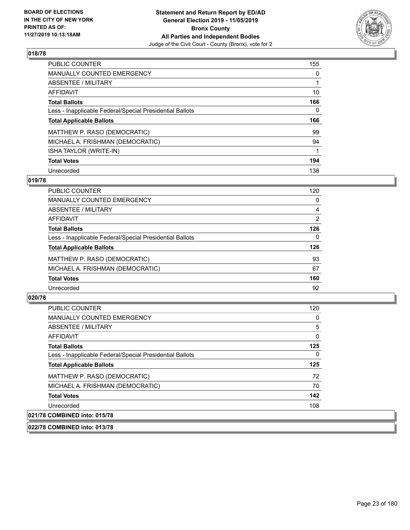

| <b>PUBLIC COUNTER</b>                                    | 155      |
|----------------------------------------------------------|----------|
| <b>MANUALLY COUNTED EMERGENCY</b>                        | $\Omega$ |
| ABSENTEE / MILITARY                                      |          |
| AFFIDAVIT                                                | 10       |
| <b>Total Ballots</b>                                     | 166      |
| Less - Inapplicable Federal/Special Presidential Ballots | 0        |
| <b>Total Applicable Ballots</b>                          | 166      |
|                                                          |          |
| MATTHEW P. RASO (DEMOCRATIC)                             | 99       |
| MICHAEL A. FRISHMAN (DEMOCRATIC)                         | 94       |
| ISHA TAYLOR (WRITE-IN)                                   |          |
| <b>Total Votes</b>                                       | 194      |

#### **019/78**

| <b>PUBLIC COUNTER</b>                                    | 120      |
|----------------------------------------------------------|----------|
| MANUALLY COUNTED EMERGENCY                               | 0        |
| ABSENTEE / MILITARY                                      | 4        |
| <b>AFFIDAVIT</b>                                         | 2        |
| <b>Total Ballots</b>                                     | 126      |
| Less - Inapplicable Federal/Special Presidential Ballots | $\Omega$ |
| <b>Total Applicable Ballots</b>                          | 126      |
| MATTHEW P. RASO (DEMOCRATIC)                             | 93       |
| MICHAEL A. FRISHMAN (DEMOCRATIC)                         | 67       |
| <b>Total Votes</b>                                       | 160      |
| Unrecorded                                               | 92       |

### **020/78**

| PUBLIC COUNTER                                           | 120 |
|----------------------------------------------------------|-----|
| <b>MANUALLY COUNTED EMERGENCY</b>                        | 0   |
| ABSENTEE / MILITARY                                      | 5   |
| <b>AFFIDAVIT</b>                                         | 0   |
| <b>Total Ballots</b>                                     | 125 |
| Less - Inapplicable Federal/Special Presidential Ballots | 0   |
| <b>Total Applicable Ballots</b>                          | 125 |
| MATTHEW P. RASO (DEMOCRATIC)                             | 72  |
| MICHAEL A. FRISHMAN (DEMOCRATIC)                         | 70  |
| <b>Total Votes</b>                                       | 142 |
| Unrecorded                                               | 108 |
| 021/78 COMBINED into: 015/78                             |     |

#### **022/78 COMBINED into: 013/78**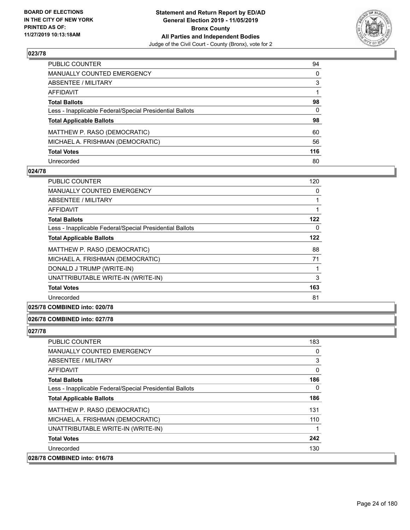

| PUBLIC COUNTER                                           | 94           |
|----------------------------------------------------------|--------------|
| MANUALLY COUNTED EMERGENCY                               | $\mathbf{0}$ |
| ABSENTEE / MILITARY                                      | 3            |
| AFFIDAVIT                                                |              |
| Total Ballots                                            | 98           |
| Less - Inapplicable Federal/Special Presidential Ballots | $\mathbf{0}$ |
| <b>Total Applicable Ballots</b>                          | 98           |
| MATTHEW P. RASO (DEMOCRATIC)                             | 60           |
| MICHAEL A. FRISHMAN (DEMOCRATIC)                         | 56           |
| <b>Total Votes</b>                                       | 116          |
| Unrecorded                                               | 80           |

#### **024/78**

| 120 |
|-----|
| 0   |
|     |
|     |
| 122 |
| 0   |
| 122 |
| 88  |
| 71  |
|     |
| 3   |
| 163 |
| 81  |
|     |

### **025/78 COMBINED into: 020/78**

### **026/78 COMBINED into: 027/78**

| <b>PUBLIC COUNTER</b>                                    | 183 |
|----------------------------------------------------------|-----|
| <b>MANUALLY COUNTED EMERGENCY</b>                        | 0   |
| ABSENTEE / MILITARY                                      | 3   |
| <b>AFFIDAVIT</b>                                         | 0   |
| <b>Total Ballots</b>                                     | 186 |
| Less - Inapplicable Federal/Special Presidential Ballots | 0   |
| <b>Total Applicable Ballots</b>                          | 186 |
| MATTHEW P. RASO (DEMOCRATIC)                             | 131 |
| MICHAEL A. FRISHMAN (DEMOCRATIC)                         | 110 |
| UNATTRIBUTABLE WRITE-IN (WRITE-IN)                       | 1   |
| <b>Total Votes</b>                                       | 242 |
| Unrecorded                                               | 130 |
| 028/78 COMBINED into: 016/78                             |     |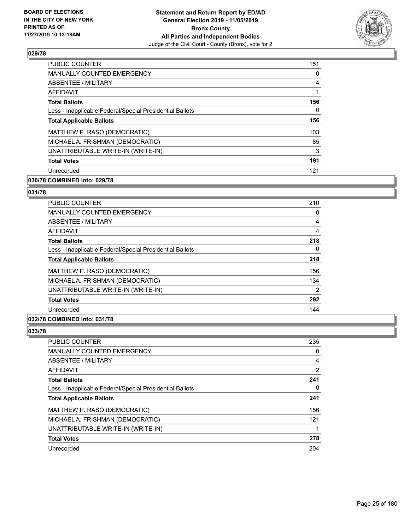

| <b>PUBLIC COUNTER</b>                                    | 151            |
|----------------------------------------------------------|----------------|
| <b>MANUALLY COUNTED EMERGENCY</b>                        | 0              |
| ABSENTEE / MILITARY                                      | $\overline{4}$ |
| <b>AFFIDAVIT</b>                                         |                |
| <b>Total Ballots</b>                                     | 156            |
| Less - Inapplicable Federal/Special Presidential Ballots | 0              |
| <b>Total Applicable Ballots</b>                          | 156            |
| MATTHEW P. RASO (DEMOCRATIC)                             | 103            |
| MICHAEL A. FRISHMAN (DEMOCRATIC)                         | 85             |
| UNATTRIBUTABLE WRITE-IN (WRITE-IN)                       | 3              |
| <b>Total Votes</b>                                       | 191            |
| Unrecorded                                               | 121            |

### **030/78 COMBINED into: 029/78**

### **031/78**

| PUBLIC COUNTER                                           | 210            |
|----------------------------------------------------------|----------------|
| <b>MANUALLY COUNTED EMERGENCY</b>                        | 0              |
| ABSENTEE / MILITARY                                      | 4              |
| <b>AFFIDAVIT</b>                                         | 4              |
| <b>Total Ballots</b>                                     | 218            |
| Less - Inapplicable Federal/Special Presidential Ballots | 0              |
| <b>Total Applicable Ballots</b>                          | 218            |
| MATTHEW P. RASO (DEMOCRATIC)                             | 156            |
| MICHAEL A. FRISHMAN (DEMOCRATIC)                         | 134            |
| UNATTRIBUTABLE WRITE-IN (WRITE-IN)                       | $\overline{2}$ |
| <b>Total Votes</b>                                       | 292            |
| Unrecorded                                               | 144            |
|                                                          |                |

#### **032/78 COMBINED into: 031/78**

| PUBLIC COUNTER                                           | 235            |
|----------------------------------------------------------|----------------|
| <b>MANUALLY COUNTED EMERGENCY</b>                        | 0              |
| <b>ABSENTEE / MILITARY</b>                               | 4              |
| AFFIDAVIT                                                | $\overline{2}$ |
| <b>Total Ballots</b>                                     | 241            |
| Less - Inapplicable Federal/Special Presidential Ballots | 0              |
| <b>Total Applicable Ballots</b>                          | 241            |
| MATTHEW P. RASO (DEMOCRATIC)                             | 156            |
| MICHAEL A. FRISHMAN (DEMOCRATIC)                         | 121            |
| UNATTRIBUTABLE WRITE-IN (WRITE-IN)                       |                |
| <b>Total Votes</b>                                       | 278            |
| Unrecorded                                               | 204            |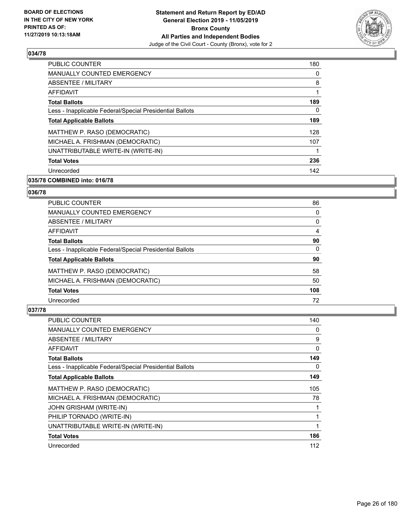

| PUBLIC COUNTER                                           | 180 |
|----------------------------------------------------------|-----|
| <b>MANUALLY COUNTED EMERGENCY</b>                        | 0   |
| ABSENTEE / MILITARY                                      | 8   |
| <b>AFFIDAVIT</b>                                         |     |
| <b>Total Ballots</b>                                     | 189 |
| Less - Inapplicable Federal/Special Presidential Ballots | 0   |
| <b>Total Applicable Ballots</b>                          | 189 |
| MATTHEW P. RASO (DEMOCRATIC)                             | 128 |
| MICHAEL A. FRISHMAN (DEMOCRATIC)                         | 107 |
| UNATTRIBUTABLE WRITE-IN (WRITE-IN)                       |     |
| <b>Total Votes</b>                                       | 236 |
| Unrecorded                                               | 142 |

### **035/78 COMBINED into: 016/78**

#### **036/78**

| <b>PUBLIC COUNTER</b>                                    | 86       |
|----------------------------------------------------------|----------|
| <b>MANUALLY COUNTED EMERGENCY</b>                        | $\Omega$ |
| ABSENTEE / MILITARY                                      | 0        |
| AFFIDAVIT                                                | 4        |
| <b>Total Ballots</b>                                     | 90       |
| Less - Inapplicable Federal/Special Presidential Ballots | $\Omega$ |
| <b>Total Applicable Ballots</b>                          | 90       |
| MATTHEW P. RASO (DEMOCRATIC)                             | 58       |
| MICHAEL A. FRISHMAN (DEMOCRATIC)                         | 50       |
| <b>Total Votes</b>                                       | 108      |
| Unrecorded                                               | 72       |

| <b>PUBLIC COUNTER</b>                                    | 140 |
|----------------------------------------------------------|-----|
| MANUALLY COUNTED EMERGENCY                               | 0   |
| ABSENTEE / MILITARY                                      | 9   |
| AFFIDAVIT                                                | 0   |
| <b>Total Ballots</b>                                     | 149 |
| Less - Inapplicable Federal/Special Presidential Ballots | 0   |
| <b>Total Applicable Ballots</b>                          | 149 |
| MATTHEW P. RASO (DEMOCRATIC)                             | 105 |
| MICHAEL A. FRISHMAN (DEMOCRATIC)                         | 78  |
| JOHN GRISHAM (WRITE-IN)                                  |     |
| PHILIP TORNADO (WRITE-IN)                                | 1   |
| UNATTRIBUTABLE WRITE-IN (WRITE-IN)                       | 1   |
| <b>Total Votes</b>                                       | 186 |
| Unrecorded                                               | 112 |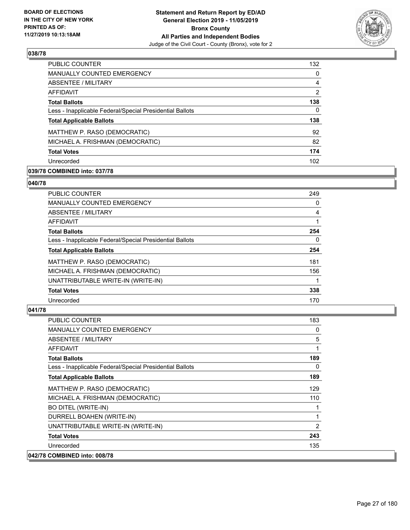

| PUBLIC COUNTER                                           | 132 |
|----------------------------------------------------------|-----|
| <b>MANUALLY COUNTED EMERGENCY</b>                        | 0   |
| ABSENTEE / MILITARY                                      | 4   |
| AFFIDAVIT                                                | 2   |
| <b>Total Ballots</b>                                     | 138 |
| Less - Inapplicable Federal/Special Presidential Ballots | 0   |
| <b>Total Applicable Ballots</b>                          | 138 |
| MATTHEW P. RASO (DEMOCRATIC)                             | 92  |
| MICHAEL A. FRISHMAN (DEMOCRATIC)                         | 82  |
| <b>Total Votes</b>                                       | 174 |
| Unrecorded                                               | 102 |

### **039/78 COMBINED into: 037/78**

#### **040/78**

| 249      |
|----------|
| $\Omega$ |
| 4        |
|          |
| 254      |
| 0        |
| 254      |
| 181      |
| 156      |
|          |
| 338      |
| 170      |
|          |

| <b>PUBLIC COUNTER</b>                                    | 183          |
|----------------------------------------------------------|--------------|
| <b>MANUALLY COUNTED EMERGENCY</b>                        | 0            |
| <b>ABSENTEE / MILITARY</b>                               | 5            |
| AFFIDAVIT                                                | $\mathbf{1}$ |
| <b>Total Ballots</b>                                     | 189          |
| Less - Inapplicable Federal/Special Presidential Ballots | 0            |
| <b>Total Applicable Ballots</b>                          | 189          |
| MATTHEW P. RASO (DEMOCRATIC)                             | 129          |
| MICHAEL A. FRISHMAN (DEMOCRATIC)                         | 110          |
| <b>BO DITEL (WRITE-IN)</b>                               | 1            |
| DURRELL BOAHEN (WRITE-IN)                                | 1            |
| UNATTRIBUTABLE WRITE-IN (WRITE-IN)                       | 2            |
| <b>Total Votes</b>                                       | 243          |
| Unrecorded                                               | 135          |
| 042/78 COMBINED into: 008/78                             |              |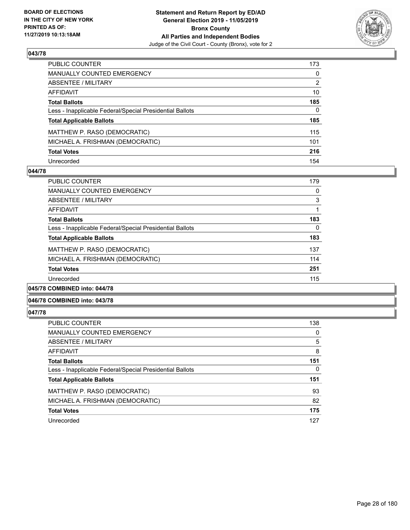

| PUBLIC COUNTER                                           | 173          |
|----------------------------------------------------------|--------------|
| <b>MANUALLY COUNTED EMERGENCY</b>                        | $\mathbf{0}$ |
| <b>ABSENTEE / MILITARY</b>                               | 2            |
| <b>AFFIDAVIT</b>                                         | 10           |
| <b>Total Ballots</b>                                     | 185          |
| Less - Inapplicable Federal/Special Presidential Ballots | $\Omega$     |
| <b>Total Applicable Ballots</b>                          | 185          |
| MATTHEW P. RASO (DEMOCRATIC)                             | 115          |
| MICHAEL A. FRISHMAN (DEMOCRATIC)                         | 101          |
| <b>Total Votes</b>                                       | 216          |
| Unrecorded                                               | 154          |

#### **044/78**

| 0        |
|----------|
| 3        |
|          |
| 183      |
| $\Omega$ |
| 183      |
| 137      |
| 114      |
| 251      |
| 115      |
|          |

### **045/78 COMBINED into: 044/78**

#### **046/78 COMBINED into: 043/78**

| <b>PUBLIC COUNTER</b>                                    | 138 |
|----------------------------------------------------------|-----|
| <b>MANUALLY COUNTED EMERGENCY</b>                        | 0   |
| ABSENTEE / MILITARY                                      | 5   |
| AFFIDAVIT                                                | 8   |
| <b>Total Ballots</b>                                     | 151 |
| Less - Inapplicable Federal/Special Presidential Ballots | 0   |
| <b>Total Applicable Ballots</b>                          | 151 |
| MATTHEW P. RASO (DEMOCRATIC)                             | 93  |
| MICHAEL A. FRISHMAN (DEMOCRATIC)                         | 82  |
| <b>Total Votes</b>                                       | 175 |
| Unrecorded                                               | 127 |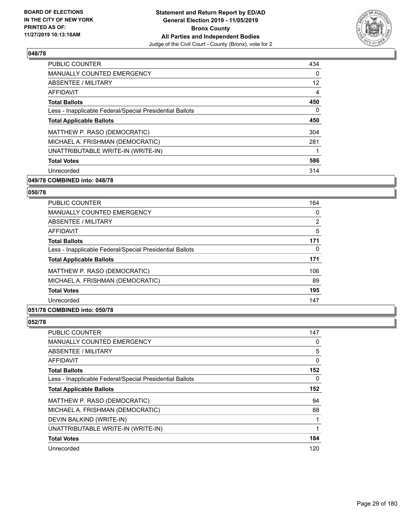

| <b>PUBLIC COUNTER</b>                                    | 434               |
|----------------------------------------------------------|-------------------|
| <b>MANUALLY COUNTED EMERGENCY</b>                        | 0                 |
| ABSENTEE / MILITARY                                      | $12 \overline{ }$ |
| <b>AFFIDAVIT</b>                                         | 4                 |
| <b>Total Ballots</b>                                     | 450               |
| Less - Inapplicable Federal/Special Presidential Ballots | 0                 |
| <b>Total Applicable Ballots</b>                          | 450               |
| MATTHEW P. RASO (DEMOCRATIC)                             | 304               |
| MICHAEL A. FRISHMAN (DEMOCRATIC)                         | 281               |
| UNATTRIBUTABLE WRITE-IN (WRITE-IN)                       |                   |
| <b>Total Votes</b>                                       | 586               |
| Unrecorded                                               | 314               |

### **049/78 COMBINED into: 048/78**

#### **050/78**

| <b>PUBLIC COUNTER</b>                                    | 164 |
|----------------------------------------------------------|-----|
| <b>MANUALLY COUNTED EMERGENCY</b>                        | 0   |
| <b>ABSENTEE / MILITARY</b>                               | 2   |
| AFFIDAVIT                                                | 5   |
| <b>Total Ballots</b>                                     | 171 |
| Less - Inapplicable Federal/Special Presidential Ballots | 0   |
| <b>Total Applicable Ballots</b>                          | 171 |
| MATTHEW P. RASO (DEMOCRATIC)                             | 106 |
| MICHAEL A. FRISHMAN (DEMOCRATIC)                         | 89  |
| <b>Total Votes</b>                                       | 195 |
| Unrecorded                                               | 147 |
|                                                          |     |

### **051/78 COMBINED into: 050/78**

| PUBLIC COUNTER                                           | 147 |
|----------------------------------------------------------|-----|
| <b>MANUALLY COUNTED EMERGENCY</b>                        | 0   |
| ABSENTEE / MILITARY                                      | 5   |
| AFFIDAVIT                                                | 0   |
| <b>Total Ballots</b>                                     | 152 |
| Less - Inapplicable Federal/Special Presidential Ballots | 0   |
| <b>Total Applicable Ballots</b>                          | 152 |
| MATTHEW P. RASO (DEMOCRATIC)                             | 94  |
| MICHAEL A. FRISHMAN (DEMOCRATIC)                         | 88  |
| DEVIN BALKIND (WRITE-IN)                                 |     |
| UNATTRIBUTABLE WRITE-IN (WRITE-IN)                       |     |
| <b>Total Votes</b>                                       | 184 |
| Unrecorded                                               | 120 |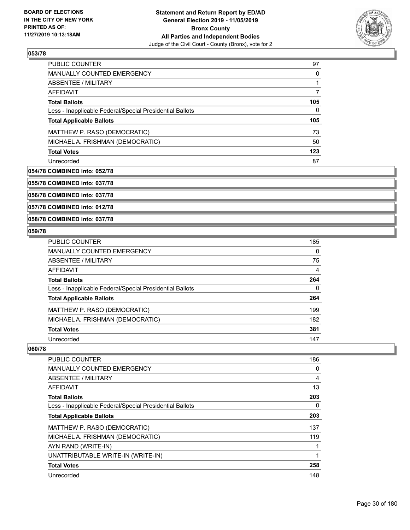

| <b>PUBLIC COUNTER</b>                                    | 97  |
|----------------------------------------------------------|-----|
| <b>MANUALLY COUNTED EMERGENCY</b>                        | 0   |
| ABSENTEE / MILITARY                                      |     |
| AFFIDAVIT                                                |     |
| <b>Total Ballots</b>                                     | 105 |
| Less - Inapplicable Federal/Special Presidential Ballots | 0   |
| <b>Total Applicable Ballots</b>                          | 105 |
| MATTHEW P. RASO (DEMOCRATIC)                             | 73  |
| MICHAEL A. FRISHMAN (DEMOCRATIC)                         | 50  |
| <b>Total Votes</b>                                       | 123 |
| Unrecorded                                               | 87  |

#### **054/78 COMBINED into: 052/78**

**055/78 COMBINED into: 037/78**

**056/78 COMBINED into: 037/78**

**057/78 COMBINED into: 012/78**

**058/78 COMBINED into: 037/78**

### **059/78**

| <b>PUBLIC COUNTER</b>                                    | 185 |
|----------------------------------------------------------|-----|
| <b>MANUALLY COUNTED EMERGENCY</b>                        | 0   |
| <b>ABSENTEE / MILITARY</b>                               | 75  |
| AFFIDAVIT                                                | 4   |
| <b>Total Ballots</b>                                     | 264 |
| Less - Inapplicable Federal/Special Presidential Ballots | 0   |
| <b>Total Applicable Ballots</b>                          | 264 |
| MATTHEW P. RASO (DEMOCRATIC)                             | 199 |
| MICHAEL A. FRISHMAN (DEMOCRATIC)                         | 182 |
| <b>Total Votes</b>                                       | 381 |
| Unrecorded                                               | 147 |

| <b>PUBLIC COUNTER</b>                                    | 186 |
|----------------------------------------------------------|-----|
| <b>MANUALLY COUNTED EMERGENCY</b>                        | 0   |
| ABSENTEE / MILITARY                                      | 4   |
| AFFIDAVIT                                                | 13  |
| <b>Total Ballots</b>                                     | 203 |
| Less - Inapplicable Federal/Special Presidential Ballots | 0   |
| <b>Total Applicable Ballots</b>                          | 203 |
| MATTHEW P. RASO (DEMOCRATIC)                             | 137 |
| MICHAEL A. FRISHMAN (DEMOCRATIC)                         | 119 |
| AYN RAND (WRITE-IN)                                      |     |
| UNATTRIBUTABLE WRITE-IN (WRITE-IN)                       | 1   |
| <b>Total Votes</b>                                       | 258 |
| Unrecorded                                               | 148 |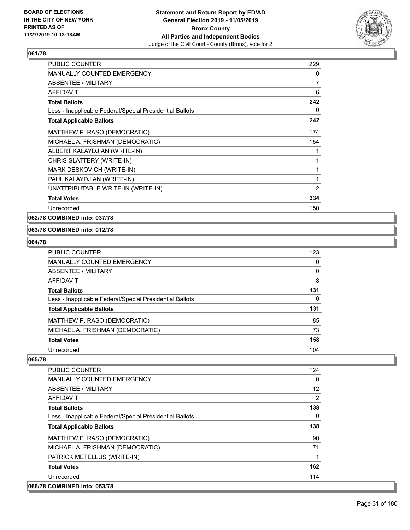

| <b>PUBLIC COUNTER</b>                                    | 229            |
|----------------------------------------------------------|----------------|
| <b>MANUALLY COUNTED EMERGENCY</b>                        | 0              |
| ABSENTEE / MILITARY                                      | $\overline{7}$ |
| <b>AFFIDAVIT</b>                                         | 6              |
| <b>Total Ballots</b>                                     | 242            |
| Less - Inapplicable Federal/Special Presidential Ballots | 0              |
| <b>Total Applicable Ballots</b>                          | 242            |
| MATTHEW P. RASO (DEMOCRATIC)                             | 174            |
| MICHAEL A. FRISHMAN (DEMOCRATIC)                         | 154            |
| ALBERT KALAYDJIAN (WRITE-IN)                             | 1              |
| CHRIS SLATTERY (WRITE-IN)                                | 1              |
| MARK DESKOVICH (WRITE-IN)                                | 1              |
| PAUL KALAYDJIAN (WRITE-IN)                               | 1              |
| UNATTRIBUTABLE WRITE-IN (WRITE-IN)                       | 2              |
| <b>Total Votes</b>                                       | 334            |
| Unrecorded                                               | 150            |

### **062/78 COMBINED into: 037/78**

#### **063/78 COMBINED into: 012/78**

#### **064/78**

| <b>PUBLIC COUNTER</b>                                    | 123 |
|----------------------------------------------------------|-----|
| MANUALLY COUNTED EMERGENCY                               | 0   |
| ABSENTEE / MILITARY                                      | 0   |
| AFFIDAVIT                                                | 8   |
| <b>Total Ballots</b>                                     | 131 |
| Less - Inapplicable Federal/Special Presidential Ballots | 0   |
| <b>Total Applicable Ballots</b>                          | 131 |
| MATTHEW P. RASO (DEMOCRATIC)                             | 85  |
| MICHAEL A. FRISHMAN (DEMOCRATIC)                         | 73  |
| <b>Total Votes</b>                                       | 158 |
| Unrecorded                                               | 104 |

| <b>PUBLIC COUNTER</b>                                    | 124               |
|----------------------------------------------------------|-------------------|
| <b>MANUALLY COUNTED EMERGENCY</b>                        | 0                 |
| ABSENTEE / MILITARY                                      | $12 \overline{ }$ |
| AFFIDAVIT                                                | 2                 |
| <b>Total Ballots</b>                                     | 138               |
| Less - Inapplicable Federal/Special Presidential Ballots | $\Omega$          |
| <b>Total Applicable Ballots</b>                          | 138               |
| MATTHEW P. RASO (DEMOCRATIC)                             | 90                |
| MICHAEL A. FRISHMAN (DEMOCRATIC)                         | 71                |
| PATRICK METELLUS (WRITE-IN)                              | 1                 |
| <b>Total Votes</b>                                       | 162               |
| Unrecorded                                               | 114               |
| 066/78 COMBINED into: 053/78                             |                   |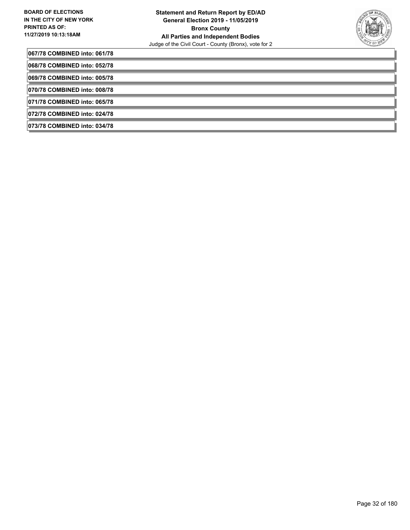

**067/78 COMBINED into: 061/78**

**068/78 COMBINED into: 052/78**

**069/78 COMBINED into: 005/78**

**070/78 COMBINED into: 008/78**

**071/78 COMBINED into: 065/78**

**072/78 COMBINED into: 024/78**

**073/78 COMBINED into: 034/78**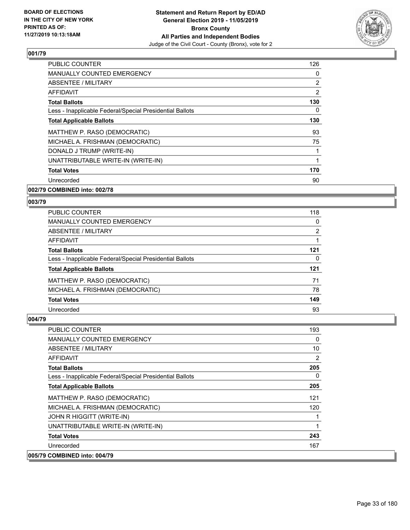

| <b>PUBLIC COUNTER</b>                                    | 126 |
|----------------------------------------------------------|-----|
| <b>MANUALLY COUNTED EMERGENCY</b>                        | 0   |
| ABSENTEE / MILITARY                                      | 2   |
| AFFIDAVIT                                                | 2   |
| <b>Total Ballots</b>                                     | 130 |
| Less - Inapplicable Federal/Special Presidential Ballots | 0   |
| <b>Total Applicable Ballots</b>                          | 130 |
| MATTHEW P. RASO (DEMOCRATIC)                             | 93  |
| MICHAEL A. FRISHMAN (DEMOCRATIC)                         | 75  |
| DONALD J TRUMP (WRITE-IN)                                | 1   |
| UNATTRIBUTABLE WRITE-IN (WRITE-IN)                       | 1   |
| <b>Total Votes</b>                                       | 170 |
| Unrecorded                                               | 90  |
|                                                          |     |

# **002/79 COMBINED into: 002/78**

#### **003/79**

| PUBLIC COUNTER                                           | 118            |
|----------------------------------------------------------|----------------|
| MANUALLY COUNTED EMERGENCY                               | $\Omega$       |
| ABSENTEE / MILITARY                                      | $\overline{2}$ |
| AFFIDAVIT                                                |                |
| <b>Total Ballots</b>                                     | 121            |
| Less - Inapplicable Federal/Special Presidential Ballots | 0              |
| <b>Total Applicable Ballots</b>                          | 121            |
| MATTHEW P. RASO (DEMOCRATIC)                             | 71             |
| MICHAEL A. FRISHMAN (DEMOCRATIC)                         | 78             |
| <b>Total Votes</b>                                       | 149            |
| Unrecorded                                               | 93             |

| PUBLIC COUNTER                                           | 193 |
|----------------------------------------------------------|-----|
| <b>MANUALLY COUNTED EMERGENCY</b>                        | 0   |
| ABSENTEE / MILITARY                                      | 10  |
| AFFIDAVIT                                                | 2   |
| <b>Total Ballots</b>                                     | 205 |
| Less - Inapplicable Federal/Special Presidential Ballots | 0   |
| <b>Total Applicable Ballots</b>                          | 205 |
| MATTHEW P. RASO (DEMOCRATIC)                             | 121 |
| MICHAEL A. FRISHMAN (DEMOCRATIC)                         | 120 |
| JOHN R HIGGITT (WRITE-IN)                                | 1   |
| UNATTRIBUTABLE WRITE-IN (WRITE-IN)                       | 1   |
| <b>Total Votes</b>                                       | 243 |
| Unrecorded                                               | 167 |
| 005/79 COMBINED into: 004/79                             |     |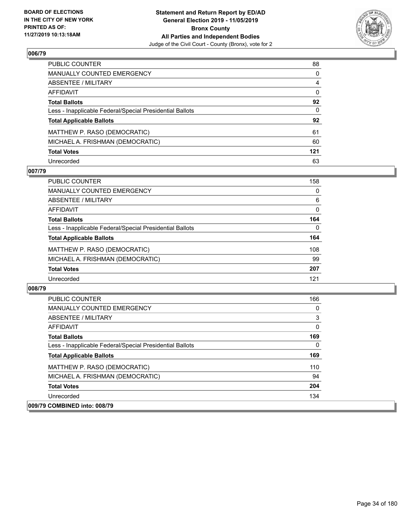

| PUBLIC COUNTER                                           | 88           |
|----------------------------------------------------------|--------------|
| <b>MANUALLY COUNTED EMERGENCY</b>                        | $\Omega$     |
| <b>ABSENTEE / MILITARY</b>                               | 4            |
| <b>AFFIDAVIT</b>                                         | $\mathbf{0}$ |
| <b>Total Ballots</b>                                     | 92           |
| Less - Inapplicable Federal/Special Presidential Ballots | $\mathbf{0}$ |
| <b>Total Applicable Ballots</b>                          | 92           |
| MATTHEW P. RASO (DEMOCRATIC)                             | 61           |
| MICHAEL A. FRISHMAN (DEMOCRATIC)                         | 60           |
| <b>Total Votes</b>                                       | 121          |
| Unrecorded                                               | 63           |

### **007/79**

| <b>PUBLIC COUNTER</b>                                    | 158      |
|----------------------------------------------------------|----------|
| MANUALLY COUNTED EMERGENCY                               | $\Omega$ |
| ABSENTEE / MILITARY                                      | 6        |
| AFFIDAVIT                                                | 0        |
| <b>Total Ballots</b>                                     | 164      |
| Less - Inapplicable Federal/Special Presidential Ballots | 0        |
| <b>Total Applicable Ballots</b>                          | 164      |
| MATTHEW P. RASO (DEMOCRATIC)                             | 108      |
| MICHAEL A. FRISHMAN (DEMOCRATIC)                         | 99       |
| <b>Total Votes</b>                                       | 207      |
| Unrecorded                                               | 121      |

| <b>PUBLIC COUNTER</b>                                    | 166      |
|----------------------------------------------------------|----------|
| <b>MANUALLY COUNTED EMERGENCY</b>                        | $\Omega$ |
| ABSENTEE / MILITARY                                      | 3        |
| AFFIDAVIT                                                | $\Omega$ |
| <b>Total Ballots</b>                                     | 169      |
| Less - Inapplicable Federal/Special Presidential Ballots | $\Omega$ |
| <b>Total Applicable Ballots</b>                          | 169      |
| MATTHEW P. RASO (DEMOCRATIC)                             | 110      |
| MICHAEL A. FRISHMAN (DEMOCRATIC)                         | 94       |
| <b>Total Votes</b>                                       | 204      |
| Unrecorded                                               | 134      |
| 009/79 COMBINED into: 008/79                             |          |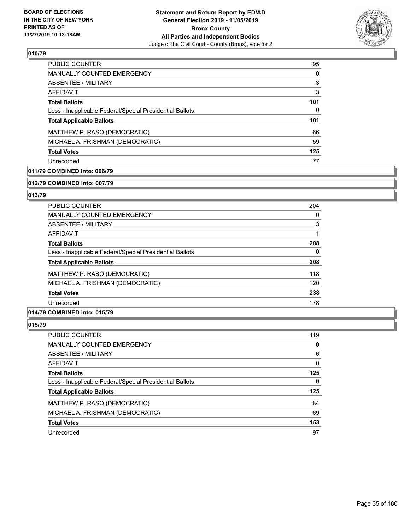

| PUBLIC COUNTER                                           | 95  |
|----------------------------------------------------------|-----|
| <b>MANUALLY COUNTED EMERGENCY</b>                        | 0   |
| ABSENTEE / MILITARY                                      | 3   |
| AFFIDAVIT                                                | 3   |
| <b>Total Ballots</b>                                     | 101 |
| Less - Inapplicable Federal/Special Presidential Ballots | 0   |
| <b>Total Applicable Ballots</b>                          | 101 |
| MATTHEW P. RASO (DEMOCRATIC)                             | 66  |
| MICHAEL A. FRISHMAN (DEMOCRATIC)                         | 59  |
| <b>Total Votes</b>                                       | 125 |
| Unrecorded                                               | 77  |

### **011/79 COMBINED into: 006/79**

#### **012/79 COMBINED into: 007/79**

### **013/79**

| 204 |
|-----|
| 0   |
| 3   |
|     |
| 208 |
| 0   |
| 208 |
| 118 |
| 120 |
| 238 |
| 178 |
|     |

### **014/79 COMBINED into: 015/79**

| PUBLIC COUNTER                                           | 119 |
|----------------------------------------------------------|-----|
| MANUALLY COUNTED EMERGENCY                               | 0   |
| ABSENTEE / MILITARY                                      | 6   |
| AFFIDAVIT                                                | 0   |
| <b>Total Ballots</b>                                     | 125 |
| Less - Inapplicable Federal/Special Presidential Ballots | 0   |
| <b>Total Applicable Ballots</b>                          | 125 |
| MATTHEW P. RASO (DEMOCRATIC)                             | 84  |
| MICHAEL A. FRISHMAN (DEMOCRATIC)                         | 69  |
| <b>Total Votes</b>                                       | 153 |
| Unrecorded                                               | 97  |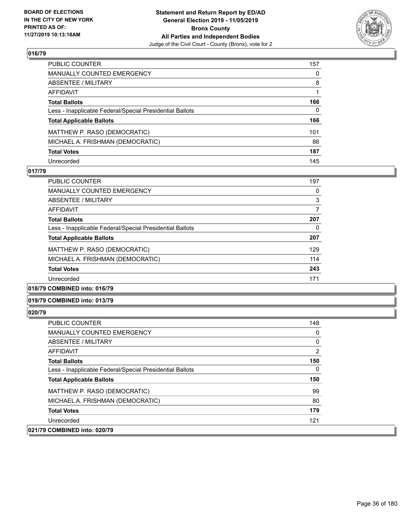

| PUBLIC COUNTER                                           | 157 |
|----------------------------------------------------------|-----|
| <b>MANUALLY COUNTED EMERGENCY</b>                        | 0   |
| <b>ABSENTEE / MILITARY</b>                               | 8   |
| <b>AFFIDAVIT</b>                                         |     |
| <b>Total Ballots</b>                                     | 166 |
| Less - Inapplicable Federal/Special Presidential Ballots | 0   |
| <b>Total Applicable Ballots</b>                          | 166 |
| MATTHEW P. RASO (DEMOCRATIC)                             | 101 |
| MICHAEL A. FRISHMAN (DEMOCRATIC)                         | 86  |
| <b>Total Votes</b>                                       | 187 |
| Unrecorded                                               | 145 |

### **017/79**

| <b>PUBLIC COUNTER</b>                                    | 197 |
|----------------------------------------------------------|-----|
| MANUALLY COUNTED EMERGENCY                               | 0   |
| ABSENTEE / MILITARY                                      | 3   |
| AFFIDAVIT                                                |     |
| <b>Total Ballots</b>                                     | 207 |
| Less - Inapplicable Federal/Special Presidential Ballots | 0   |
| <b>Total Applicable Ballots</b>                          | 207 |
| MATTHEW P. RASO (DEMOCRATIC)                             | 129 |
| MICHAEL A. FRISHMAN (DEMOCRATIC)                         | 114 |
| <b>Total Votes</b>                                       | 243 |
| Unrecorded                                               | 171 |
|                                                          |     |

#### **018/79 COMBINED into: 016/79**

#### **019/79 COMBINED into: 013/79**

| <b>PUBLIC COUNTER</b>                                    | 148            |
|----------------------------------------------------------|----------------|
| <b>MANUALLY COUNTED EMERGENCY</b>                        | 0              |
| ABSENTEE / MILITARY                                      | 0              |
| AFFIDAVIT                                                | $\overline{2}$ |
| <b>Total Ballots</b>                                     | 150            |
| Less - Inapplicable Federal/Special Presidential Ballots | 0              |
| <b>Total Applicable Ballots</b>                          | 150            |
| MATTHEW P. RASO (DEMOCRATIC)                             | 99             |
| MICHAEL A. FRISHMAN (DEMOCRATIC)                         | 80             |
| <b>Total Votes</b>                                       | 179            |
| Unrecorded                                               | 121            |
| 021/79 COMBINED into: 020/79                             |                |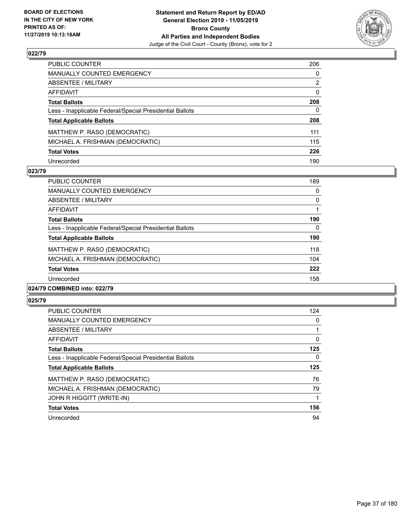

| PUBLIC COUNTER                                           | 206          |
|----------------------------------------------------------|--------------|
| MANUALLY COUNTED EMERGENCY                               | $\mathbf{0}$ |
| ABSENTEE / MILITARY                                      | 2            |
| AFFIDAVIT                                                | $\mathbf{0}$ |
| Total Ballots                                            | 208          |
| Less - Inapplicable Federal/Special Presidential Ballots | $\Omega$     |
| <b>Total Applicable Ballots</b>                          | 208          |
| MATTHEW P. RASO (DEMOCRATIC)                             | 111          |
| MICHAEL A. FRISHMAN (DEMOCRATIC)                         | 115          |
| <b>Total Votes</b>                                       | 226          |
| Unrecorded                                               | 190          |

### **023/79**

| PUBLIC COUNTER                                           | 189      |
|----------------------------------------------------------|----------|
| <b>MANUALLY COUNTED EMERGENCY</b>                        | 0        |
| ABSENTEE / MILITARY                                      | 0        |
| <b>AFFIDAVIT</b>                                         |          |
| <b>Total Ballots</b>                                     | 190      |
| Less - Inapplicable Federal/Special Presidential Ballots | $\Omega$ |
| <b>Total Applicable Ballots</b>                          | 190      |
| MATTHEW P. RASO (DEMOCRATIC)                             | 118      |
| MICHAEL A. FRISHMAN (DEMOCRATIC)                         | 104      |
| <b>Total Votes</b>                                       | 222      |
| Unrecorded                                               | 158      |
|                                                          |          |

### **024/79 COMBINED into: 022/79**

| <b>PUBLIC COUNTER</b>                                    | 124      |
|----------------------------------------------------------|----------|
| <b>MANUALLY COUNTED EMERGENCY</b>                        | $\Omega$ |
| ABSENTEE / MILITARY                                      |          |
| <b>AFFIDAVIT</b>                                         | $\Omega$ |
| <b>Total Ballots</b>                                     | 125      |
| Less - Inapplicable Federal/Special Presidential Ballots | $\Omega$ |
| <b>Total Applicable Ballots</b>                          | 125      |
| MATTHEW P. RASO (DEMOCRATIC)                             | 76       |
| MICHAEL A. FRISHMAN (DEMOCRATIC)                         | 79       |
| JOHN R HIGGITT (WRITE-IN)                                | 1        |
| <b>Total Votes</b>                                       | 156      |
|                                                          |          |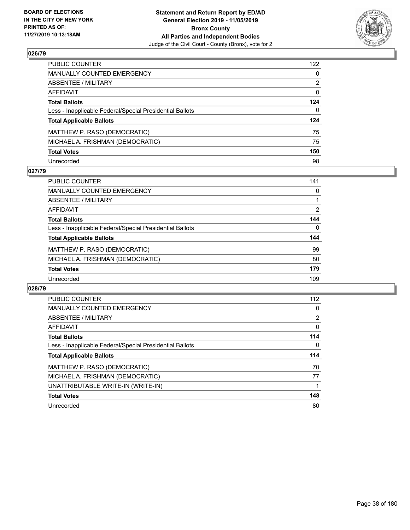

| PUBLIC COUNTER                                           | 122          |
|----------------------------------------------------------|--------------|
| MANUALLY COUNTED EMERGENCY                               | $\mathbf{0}$ |
| ABSENTEE / MILITARY                                      | 2            |
| <b>AFFIDAVIT</b>                                         | $\mathbf{0}$ |
| <b>Total Ballots</b>                                     | 124          |
| Less - Inapplicable Federal/Special Presidential Ballots | $\mathbf{0}$ |
| <b>Total Applicable Ballots</b>                          | 124          |
| MATTHEW P. RASO (DEMOCRATIC)                             | 75           |
| MICHAEL A. FRISHMAN (DEMOCRATIC)                         | 75           |
| <b>Total Votes</b>                                       | 150          |
| Unrecorded                                               | 98           |

## **027/79**

| PUBLIC COUNTER                                           | 141      |
|----------------------------------------------------------|----------|
| <b>MANUALLY COUNTED EMERGENCY</b>                        | 0        |
| ABSENTEE / MILITARY                                      |          |
| AFFIDAVIT                                                | 2        |
| <b>Total Ballots</b>                                     | 144      |
| Less - Inapplicable Federal/Special Presidential Ballots | $\Omega$ |
| <b>Total Applicable Ballots</b>                          | 144      |
| MATTHEW P. RASO (DEMOCRATIC)                             | 99       |
| MICHAEL A. FRISHMAN (DEMOCRATIC)                         | 80       |
| <b>Total Votes</b>                                       | 179      |
| Unrecorded                                               | 109      |

| <b>PUBLIC COUNTER</b>                                    | 112      |
|----------------------------------------------------------|----------|
| MANUALLY COUNTED EMERGENCY                               | 0        |
| ABSENTEE / MILITARY                                      | 2        |
| AFFIDAVIT                                                | $\Omega$ |
| <b>Total Ballots</b>                                     | 114      |
| Less - Inapplicable Federal/Special Presidential Ballots | 0        |
|                                                          |          |
| <b>Total Applicable Ballots</b>                          | 114      |
| MATTHEW P. RASO (DEMOCRATIC)                             | 70       |
| MICHAEL A. FRISHMAN (DEMOCRATIC)                         | 77       |
| UNATTRIBUTABLE WRITE-IN (WRITE-IN)                       |          |
| <b>Total Votes</b>                                       | 148      |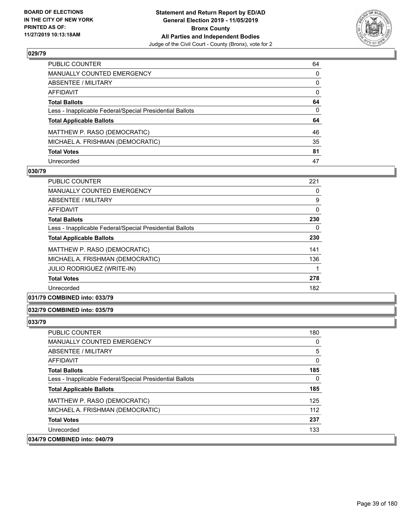

| PUBLIC COUNTER                                           | 64           |
|----------------------------------------------------------|--------------|
| MANUALLY COUNTED EMERGENCY                               | 0            |
| ABSENTEE / MILITARY                                      | 0            |
| AFFIDAVIT                                                | 0            |
| Total Ballots                                            | 64           |
| Less - Inapplicable Federal/Special Presidential Ballots | $\mathbf{0}$ |
| <b>Total Applicable Ballots</b>                          | 64           |
| MATTHEW P. RASO (DEMOCRATIC)                             | 46           |
| MICHAEL A. FRISHMAN (DEMOCRATIC)                         | 35           |
| <b>Total Votes</b>                                       | 81           |
| Unrecorded                                               | 47           |

### **030/79**

| <b>PUBLIC COUNTER</b>                                    | 221 |
|----------------------------------------------------------|-----|
| <b>MANUALLY COUNTED EMERGENCY</b>                        | 0   |
| ABSENTEE / MILITARY                                      | 9   |
| AFFIDAVIT                                                | 0   |
| <b>Total Ballots</b>                                     | 230 |
| Less - Inapplicable Federal/Special Presidential Ballots | 0   |
| <b>Total Applicable Ballots</b>                          | 230 |
| MATTHEW P. RASO (DEMOCRATIC)                             | 141 |
| MICHAEL A. FRISHMAN (DEMOCRATIC)                         | 136 |
| <b>JULIO RODRIGUEZ (WRITE-IN)</b>                        |     |
| <b>Total Votes</b>                                       | 278 |
| Unrecorded                                               | 182 |
|                                                          |     |

# **031/79 COMBINED into: 033/79**

## **032/79 COMBINED into: 035/79**

| <b>PUBLIC COUNTER</b>                                    | 180 |
|----------------------------------------------------------|-----|
| <b>MANUALLY COUNTED EMERGENCY</b>                        | 0   |
| ABSENTEE / MILITARY                                      | 5   |
| AFFIDAVIT                                                | 0   |
| <b>Total Ballots</b>                                     | 185 |
| Less - Inapplicable Federal/Special Presidential Ballots | 0   |
| <b>Total Applicable Ballots</b>                          | 185 |
| MATTHEW P. RASO (DEMOCRATIC)                             | 125 |
| MICHAEL A. FRISHMAN (DEMOCRATIC)                         | 112 |
| <b>Total Votes</b>                                       | 237 |
| Unrecorded                                               | 133 |
| 034/79 COMBINED into: 040/79                             |     |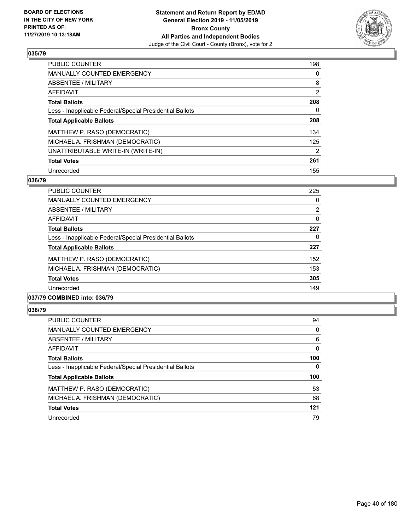

| PUBLIC COUNTER                                           | 198            |
|----------------------------------------------------------|----------------|
| <b>MANUALLY COUNTED EMERGENCY</b>                        | 0              |
| ABSENTEE / MILITARY                                      | 8              |
| <b>AFFIDAVIT</b>                                         | $\overline{2}$ |
| <b>Total Ballots</b>                                     | 208            |
| Less - Inapplicable Federal/Special Presidential Ballots | 0              |
| <b>Total Applicable Ballots</b>                          | 208            |
| MATTHEW P. RASO (DEMOCRATIC)                             | 134            |
| MICHAEL A. FRISHMAN (DEMOCRATIC)                         | 125            |
| UNATTRIBUTABLE WRITE-IN (WRITE-IN)                       | 2              |
| <b>Total Votes</b>                                       | 261            |
| Unrecorded                                               | 155            |

## **036/79**

| <b>PUBLIC COUNTER</b>                                    | 225 |
|----------------------------------------------------------|-----|
| <b>MANUALLY COUNTED EMERGENCY</b>                        | 0   |
| ABSENTEE / MILITARY                                      | 2   |
| AFFIDAVIT                                                | 0   |
| <b>Total Ballots</b>                                     | 227 |
| Less - Inapplicable Federal/Special Presidential Ballots | 0   |
| <b>Total Applicable Ballots</b>                          | 227 |
| MATTHEW P. RASO (DEMOCRATIC)                             | 152 |
| MICHAEL A. FRISHMAN (DEMOCRATIC)                         | 153 |
| <b>Total Votes</b>                                       | 305 |
| Unrecorded                                               | 149 |
|                                                          |     |

# **037/79 COMBINED into: 036/79**

| <b>PUBLIC COUNTER</b>                                    | 94       |
|----------------------------------------------------------|----------|
| <b>MANUALLY COUNTED EMERGENCY</b>                        | 0        |
| ABSENTEE / MILITARY                                      | 6        |
| AFFIDAVIT                                                | $\Omega$ |
| <b>Total Ballots</b>                                     | 100      |
| Less - Inapplicable Federal/Special Presidential Ballots | 0        |
| <b>Total Applicable Ballots</b>                          | 100      |
| MATTHEW P. RASO (DEMOCRATIC)                             | 53       |
| MICHAEL A. FRISHMAN (DEMOCRATIC)                         | 68       |
| <b>Total Votes</b>                                       | 121      |
|                                                          |          |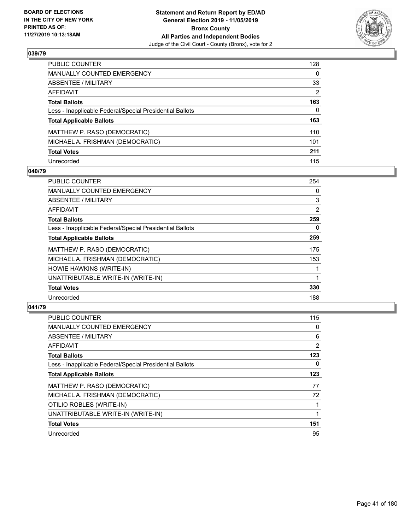

| PUBLIC COUNTER                                           | 128          |
|----------------------------------------------------------|--------------|
| MANUALLY COUNTED EMERGENCY                               | $\mathbf{0}$ |
| ABSENTEE / MILITARY                                      | 33           |
| <b>AFFIDAVIT</b>                                         | 2            |
| <b>Total Ballots</b>                                     | 163          |
| Less - Inapplicable Federal/Special Presidential Ballots | 0            |
| <b>Total Applicable Ballots</b>                          | 163          |
| MATTHEW P. RASO (DEMOCRATIC)                             | 110          |
| MICHAEL A. FRISHMAN (DEMOCRATIC)                         | 101          |
| <b>Total Votes</b>                                       | 211          |
| Unrecorded                                               | 115          |

## **040/79**

| <b>PUBLIC COUNTER</b>                                    | 254            |
|----------------------------------------------------------|----------------|
| <b>MANUALLY COUNTED EMERGENCY</b>                        | $\Omega$       |
| ABSENTEE / MILITARY                                      | 3              |
| AFFIDAVIT                                                | $\overline{2}$ |
| <b>Total Ballots</b>                                     | 259            |
| Less - Inapplicable Federal/Special Presidential Ballots | 0              |
| <b>Total Applicable Ballots</b>                          | 259            |
| MATTHEW P. RASO (DEMOCRATIC)                             | 175            |
| MICHAEL A. FRISHMAN (DEMOCRATIC)                         | 153            |
| HOWIE HAWKINS (WRITE-IN)                                 |                |
| UNATTRIBUTABLE WRITE-IN (WRITE-IN)                       |                |
| <b>Total Votes</b>                                       | 330            |
| Unrecorded                                               | 188            |

| PUBLIC COUNTER                                           | 115 |
|----------------------------------------------------------|-----|
| <b>MANUALLY COUNTED EMERGENCY</b>                        | 0   |
| ABSENTEE / MILITARY                                      | 6   |
| AFFIDAVIT                                                | 2   |
| <b>Total Ballots</b>                                     | 123 |
| Less - Inapplicable Federal/Special Presidential Ballots | 0   |
| <b>Total Applicable Ballots</b>                          | 123 |
| MATTHEW P. RASO (DEMOCRATIC)                             | 77  |
| MICHAEL A. FRISHMAN (DEMOCRATIC)                         | 72  |
| OTILIO ROBLES (WRITE-IN)                                 |     |
| UNATTRIBUTABLE WRITE-IN (WRITE-IN)                       |     |
| <b>Total Votes</b>                                       | 151 |
| Unrecorded                                               | 95  |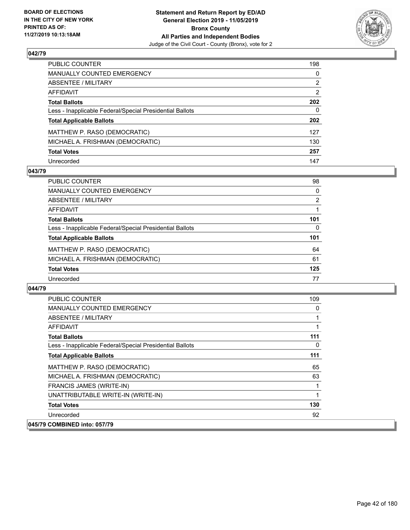

| PUBLIC COUNTER                                           | 198            |
|----------------------------------------------------------|----------------|
| MANUALLY COUNTED EMERGENCY                               | 0              |
| ABSENTEE / MILITARY                                      | 2              |
| AFFIDAVIT                                                | $\overline{2}$ |
| Total Ballots                                            | 202            |
| Less - Inapplicable Federal/Special Presidential Ballots | $\Omega$       |
| <b>Total Applicable Ballots</b>                          | 202            |
| MATTHEW P. RASO (DEMOCRATIC)                             | 127            |
| MICHAEL A. FRISHMAN (DEMOCRATIC)                         | 130            |
| <b>Total Votes</b>                                       | 257            |
| Unrecorded                                               | 147            |

## **043/79**

| PUBLIC COUNTER                                           | 98       |
|----------------------------------------------------------|----------|
| <b>MANUALLY COUNTED EMERGENCY</b>                        | $\Omega$ |
| ABSENTEE / MILITARY                                      | 2        |
| AFFIDAVIT                                                |          |
| <b>Total Ballots</b>                                     | 101      |
| Less - Inapplicable Federal/Special Presidential Ballots | 0        |
| <b>Total Applicable Ballots</b>                          | 101      |
| MATTHEW P. RASO (DEMOCRATIC)                             | 64       |
| MICHAEL A. FRISHMAN (DEMOCRATIC)                         | 61       |
| <b>Total Votes</b>                                       | 125      |
| Unrecorded                                               | 77       |

| PUBLIC COUNTER                                           | 109 |
|----------------------------------------------------------|-----|
| <b>MANUALLY COUNTED EMERGENCY</b>                        | 0   |
| ABSENTEE / MILITARY                                      |     |
| AFFIDAVIT                                                |     |
| <b>Total Ballots</b>                                     | 111 |
| Less - Inapplicable Federal/Special Presidential Ballots | 0   |
| <b>Total Applicable Ballots</b>                          | 111 |
| MATTHEW P. RASO (DEMOCRATIC)                             | 65  |
| MICHAEL A. FRISHMAN (DEMOCRATIC)                         | 63  |
| <b>FRANCIS JAMES (WRITE-IN)</b>                          |     |
| UNATTRIBUTABLE WRITE-IN (WRITE-IN)                       | 1   |
| <b>Total Votes</b>                                       | 130 |
| Unrecorded                                               | 92  |
| 045/79 COMBINED into: 057/79                             |     |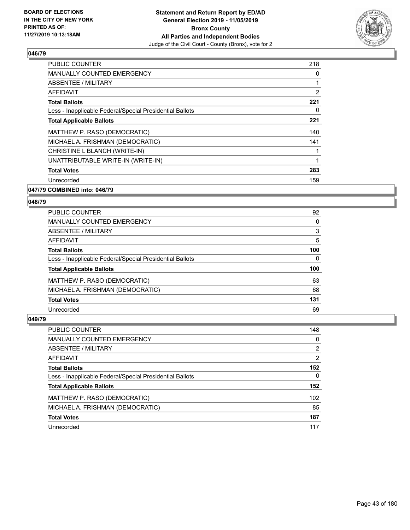

| <b>PUBLIC COUNTER</b>                                    | 218 |
|----------------------------------------------------------|-----|
| <b>MANUALLY COUNTED EMERGENCY</b>                        | 0   |
| ABSENTEE / MILITARY                                      |     |
| AFFIDAVIT                                                | 2   |
| <b>Total Ballots</b>                                     | 221 |
| Less - Inapplicable Federal/Special Presidential Ballots | 0   |
| <b>Total Applicable Ballots</b>                          | 221 |
| MATTHEW P. RASO (DEMOCRATIC)                             | 140 |
| MICHAEL A. FRISHMAN (DEMOCRATIC)                         | 141 |
| CHRISTINE L BLANCH (WRITE-IN)                            |     |
| UNATTRIBUTABLE WRITE-IN (WRITE-IN)                       | 1   |
| <b>Total Votes</b>                                       | 283 |
| Unrecorded                                               | 159 |
|                                                          |     |

### **047/79 COMBINED into: 046/79**

#### **048/79**

| PUBLIC COUNTER                                           | 92  |
|----------------------------------------------------------|-----|
| <b>MANUALLY COUNTED EMERGENCY</b>                        | 0   |
| ABSENTEE / MILITARY                                      | 3   |
| AFFIDAVIT                                                | 5   |
| <b>Total Ballots</b>                                     | 100 |
| Less - Inapplicable Federal/Special Presidential Ballots | 0   |
| <b>Total Applicable Ballots</b>                          | 100 |
| MATTHEW P. RASO (DEMOCRATIC)                             | 63  |
| MICHAEL A. FRISHMAN (DEMOCRATIC)                         | 68  |
| <b>Total Votes</b>                                       | 131 |
| Unrecorded                                               | 69  |

| PUBLIC COUNTER                                           | 148 |
|----------------------------------------------------------|-----|
| MANUALLY COUNTED EMERGENCY                               | 0   |
| ABSENTEE / MILITARY                                      | 2   |
| AFFIDAVIT                                                | 2   |
| <b>Total Ballots</b>                                     | 152 |
| Less - Inapplicable Federal/Special Presidential Ballots | 0   |
| <b>Total Applicable Ballots</b>                          | 152 |
| MATTHEW P. RASO (DEMOCRATIC)                             | 102 |
| MICHAEL A. FRISHMAN (DEMOCRATIC)                         | 85  |
| <b>Total Votes</b>                                       | 187 |
| Unrecorded                                               | 117 |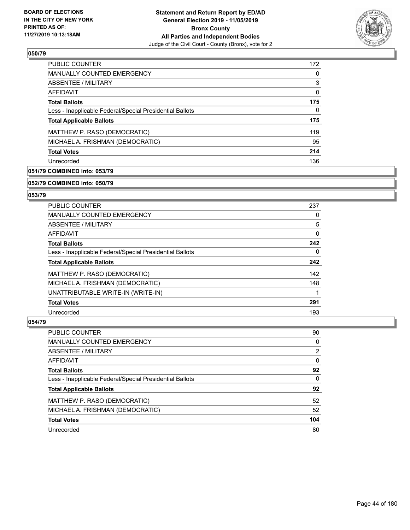

| PUBLIC COUNTER                                           | 172      |
|----------------------------------------------------------|----------|
| <b>MANUALLY COUNTED EMERGENCY</b>                        | $\Omega$ |
| ABSENTEE / MILITARY                                      | 3        |
| AFFIDAVIT                                                | 0        |
| <b>Total Ballots</b>                                     | 175      |
| Less - Inapplicable Federal/Special Presidential Ballots | 0        |
| <b>Total Applicable Ballots</b>                          | 175      |
| MATTHEW P. RASO (DEMOCRATIC)                             | 119      |
| MICHAEL A. FRISHMAN (DEMOCRATIC)                         | 95       |
| <b>Total Votes</b>                                       | 214      |
| Unrecorded                                               | 136      |

# **051/79 COMBINED into: 053/79**

#### **052/79 COMBINED into: 050/79**

## **053/79**

| <b>PUBLIC COUNTER</b>                                    | 237      |
|----------------------------------------------------------|----------|
| <b>MANUALLY COUNTED EMERGENCY</b>                        | $\Omega$ |
| <b>ABSENTEE / MILITARY</b>                               | 5        |
| <b>AFFIDAVIT</b>                                         | $\Omega$ |
| <b>Total Ballots</b>                                     | 242      |
| Less - Inapplicable Federal/Special Presidential Ballots | $\Omega$ |
| <b>Total Applicable Ballots</b>                          | 242      |
| MATTHEW P. RASO (DEMOCRATIC)                             | 142      |
| MICHAEL A. FRISHMAN (DEMOCRATIC)                         | 148      |
| UNATTRIBUTABLE WRITE-IN (WRITE-IN)                       |          |
| <b>Total Votes</b>                                       | 291      |
| Unrecorded                                               | 193      |

| <b>PUBLIC COUNTER</b>                                    | 90       |
|----------------------------------------------------------|----------|
| MANUALLY COUNTED EMERGENCY                               | 0        |
| ABSENTEE / MILITARY                                      | 2        |
| AFFIDAVIT                                                | $\Omega$ |
| <b>Total Ballots</b>                                     | 92       |
| Less - Inapplicable Federal/Special Presidential Ballots | $\Omega$ |
| <b>Total Applicable Ballots</b>                          | 92       |
| MATTHEW P. RASO (DEMOCRATIC)                             | 52       |
| MICHAEL A. FRISHMAN (DEMOCRATIC)                         | 52       |
| <b>Total Votes</b>                                       | 104      |
| Unrecorded                                               | 80       |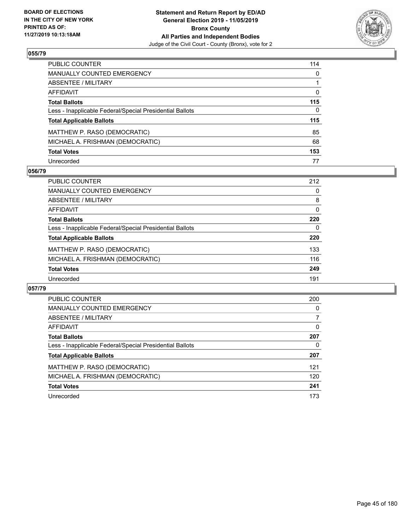

| PUBLIC COUNTER                                           | 114          |
|----------------------------------------------------------|--------------|
| <b>MANUALLY COUNTED EMERGENCY</b>                        | $\mathbf{0}$ |
| <b>ABSENTEE / MILITARY</b>                               |              |
| <b>AFFIDAVIT</b>                                         | $\Omega$     |
| <b>Total Ballots</b>                                     | 115          |
| Less - Inapplicable Federal/Special Presidential Ballots | $\mathbf{0}$ |
| <b>Total Applicable Ballots</b>                          | 115          |
| MATTHEW P. RASO (DEMOCRATIC)                             | 85           |
| MICHAEL A. FRISHMAN (DEMOCRATIC)                         | 68           |
| <b>Total Votes</b>                                       | 153          |
| Unrecorded                                               | 77           |

## **056/79**

| PUBLIC COUNTER                                           | 212      |
|----------------------------------------------------------|----------|
| <b>MANUALLY COUNTED EMERGENCY</b>                        | 0        |
| ABSENTEE / MILITARY                                      | 8        |
| AFFIDAVIT                                                | $\Omega$ |
| <b>Total Ballots</b>                                     | 220      |
| Less - Inapplicable Federal/Special Presidential Ballots | 0        |
| <b>Total Applicable Ballots</b>                          | 220      |
| MATTHEW P. RASO (DEMOCRATIC)                             | 133      |
| MICHAEL A. FRISHMAN (DEMOCRATIC)                         | 116      |
| <b>Total Votes</b>                                       | 249      |
| Unrecorded                                               | 191      |

| <b>PUBLIC COUNTER</b>                                    | 200      |
|----------------------------------------------------------|----------|
| <b>MANUALLY COUNTED EMERGENCY</b>                        | 0        |
| ABSENTEE / MILITARY                                      | 7        |
| <b>AFFIDAVIT</b>                                         | $\Omega$ |
| <b>Total Ballots</b>                                     | 207      |
| Less - Inapplicable Federal/Special Presidential Ballots | 0        |
| <b>Total Applicable Ballots</b>                          | 207      |
| MATTHEW P. RASO (DEMOCRATIC)                             | 121      |
| MICHAEL A. FRISHMAN (DEMOCRATIC)                         | 120      |
| <b>Total Votes</b>                                       | 241      |
| Unrecorded                                               | 173      |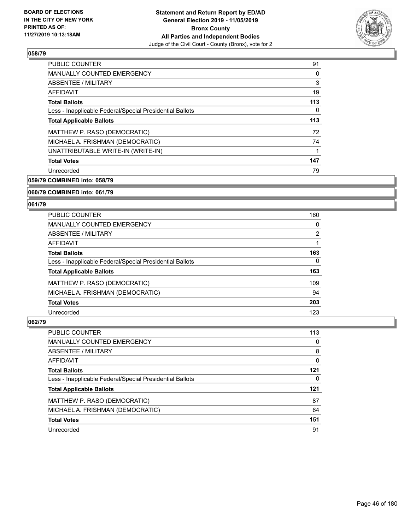

| PUBLIC COUNTER                                           | 91  |
|----------------------------------------------------------|-----|
| <b>MANUALLY COUNTED EMERGENCY</b>                        | 0   |
| ABSENTEE / MILITARY                                      | 3   |
| AFFIDAVIT                                                | 19  |
| <b>Total Ballots</b>                                     | 113 |
| Less - Inapplicable Federal/Special Presidential Ballots | 0   |
| <b>Total Applicable Ballots</b>                          | 113 |
| MATTHEW P. RASO (DEMOCRATIC)                             | 72  |
| MICHAEL A. FRISHMAN (DEMOCRATIC)                         | 74  |
| UNATTRIBUTABLE WRITE-IN (WRITE-IN)                       | 1   |
| <b>Total Votes</b>                                       | 147 |
| Unrecorded                                               | 79  |

**059/79 COMBINED into: 058/79**

### **060/79 COMBINED into: 061/79**

#### **061/79**

| <b>PUBLIC COUNTER</b>                                    | 160      |
|----------------------------------------------------------|----------|
| <b>MANUALLY COUNTED EMERGENCY</b>                        | $\Omega$ |
| <b>ABSENTEE / MILITARY</b>                               | 2        |
| AFFIDAVIT                                                |          |
| <b>Total Ballots</b>                                     | 163      |
| Less - Inapplicable Federal/Special Presidential Ballots | $\Omega$ |
| <b>Total Applicable Ballots</b>                          | 163      |
| MATTHEW P. RASO (DEMOCRATIC)                             | 109      |
| MICHAEL A. FRISHMAN (DEMOCRATIC)                         | 94       |
| <b>Total Votes</b>                                       | 203      |
| Unrecorded                                               | 123      |

| PUBLIC COUNTER                                           | 113 |
|----------------------------------------------------------|-----|
| MANUALLY COUNTED EMERGENCY                               | 0   |
| ABSENTEE / MILITARY                                      | 8   |
| AFFIDAVIT                                                | 0   |
| <b>Total Ballots</b>                                     | 121 |
| Less - Inapplicable Federal/Special Presidential Ballots | 0   |
| <b>Total Applicable Ballots</b>                          | 121 |
| MATTHEW P. RASO (DEMOCRATIC)                             | 87  |
| MICHAEL A. FRISHMAN (DEMOCRATIC)                         | 64  |
| <b>Total Votes</b>                                       | 151 |
| Unrecorded                                               | 91  |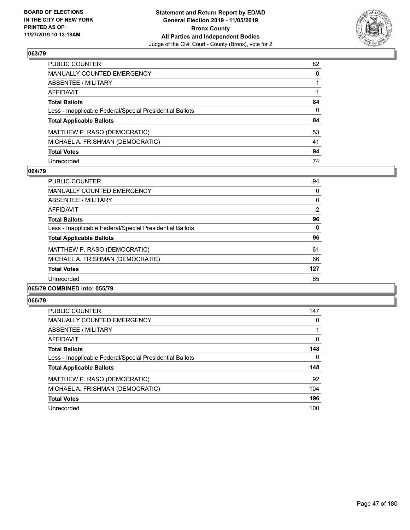

| PUBLIC COUNTER                                           | 82           |
|----------------------------------------------------------|--------------|
| <b>MANUALLY COUNTED EMERGENCY</b>                        | $\mathbf{0}$ |
| ABSENTEE / MILITARY                                      |              |
| <b>AFFIDAVIT</b>                                         |              |
| <b>Total Ballots</b>                                     | 84           |
| Less - Inapplicable Federal/Special Presidential Ballots | $\mathbf{0}$ |
| <b>Total Applicable Ballots</b>                          | 84           |
| MATTHEW P. RASO (DEMOCRATIC)                             | 53           |
| MICHAEL A. FRISHMAN (DEMOCRATIC)                         | 41           |
| <b>Total Votes</b>                                       | 94           |
| Unrecorded                                               | 74           |

### **064/79**

| PUBLIC COUNTER                                           | 94  |
|----------------------------------------------------------|-----|
| <b>MANUALLY COUNTED EMERGENCY</b>                        | 0   |
| ABSENTEE / MILITARY                                      | 0   |
| AFFIDAVIT                                                | 2   |
| <b>Total Ballots</b>                                     | 96  |
| Less - Inapplicable Federal/Special Presidential Ballots | 0   |
| <b>Total Applicable Ballots</b>                          | 96  |
| MATTHEW P. RASO (DEMOCRATIC)                             | 61  |
| MICHAEL A. FRISHMAN (DEMOCRATIC)                         | 66  |
| <b>Total Votes</b>                                       | 127 |
| Unrecorded                                               | 65  |
|                                                          |     |

### **065/79 COMBINED into: 055/79**

| <b>PUBLIC COUNTER</b>                                    | 147      |
|----------------------------------------------------------|----------|
| <b>MANUALLY COUNTED EMERGENCY</b>                        | 0        |
| ABSENTEE / MILITARY                                      |          |
| AFFIDAVIT                                                | $\Omega$ |
| <b>Total Ballots</b>                                     | 148      |
| Less - Inapplicable Federal/Special Presidential Ballots | 0        |
| <b>Total Applicable Ballots</b>                          | 148      |
| MATTHEW P. RASO (DEMOCRATIC)                             | 92       |
| MICHAEL A. FRISHMAN (DEMOCRATIC)                         | 104      |
| <b>Total Votes</b>                                       | 196      |
| Unrecorded                                               | 100      |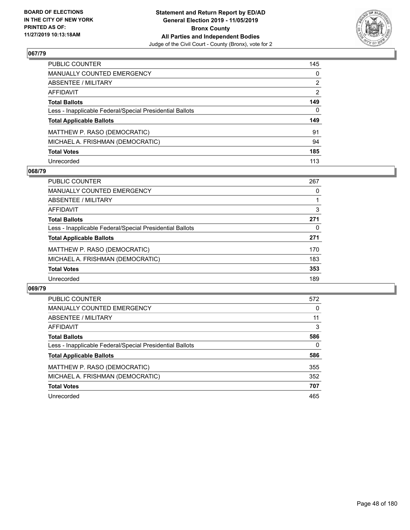

| PUBLIC COUNTER                                           | 145          |
|----------------------------------------------------------|--------------|
| <b>MANUALLY COUNTED EMERGENCY</b>                        | $\mathbf{0}$ |
| <b>ABSENTEE / MILITARY</b>                               | 2            |
| <b>AFFIDAVIT</b>                                         | 2            |
| <b>Total Ballots</b>                                     | 149          |
| Less - Inapplicable Federal/Special Presidential Ballots | 0            |
| <b>Total Applicable Ballots</b>                          | 149          |
| MATTHEW P. RASO (DEMOCRATIC)                             | 91           |
| MICHAEL A. FRISHMAN (DEMOCRATIC)                         | 94           |
| <b>Total Votes</b>                                       | 185          |
| Unrecorded                                               | 113          |

### **068/79**

| <b>PUBLIC COUNTER</b>                                    | 267 |
|----------------------------------------------------------|-----|
| <b>MANUALLY COUNTED EMERGENCY</b>                        | 0   |
| ABSENTEE / MILITARY                                      |     |
| AFFIDAVIT                                                | 3   |
| <b>Total Ballots</b>                                     | 271 |
| Less - Inapplicable Federal/Special Presidential Ballots | 0   |
| <b>Total Applicable Ballots</b>                          | 271 |
| MATTHEW P. RASO (DEMOCRATIC)                             | 170 |
| MICHAEL A. FRISHMAN (DEMOCRATIC)                         | 183 |
| <b>Total Votes</b>                                       | 353 |
| Unrecorded                                               | 189 |

| <b>PUBLIC COUNTER</b>                                    | 572 |
|----------------------------------------------------------|-----|
| <b>MANUALLY COUNTED EMERGENCY</b>                        | 0   |
| ABSENTEE / MILITARY                                      | 11  |
| AFFIDAVIT                                                | 3   |
| <b>Total Ballots</b>                                     | 586 |
| Less - Inapplicable Federal/Special Presidential Ballots | 0   |
| <b>Total Applicable Ballots</b>                          | 586 |
| MATTHEW P. RASO (DEMOCRATIC)                             | 355 |
| MICHAEL A. FRISHMAN (DEMOCRATIC)                         | 352 |
| <b>Total Votes</b>                                       | 707 |
| Unrecorded                                               | 465 |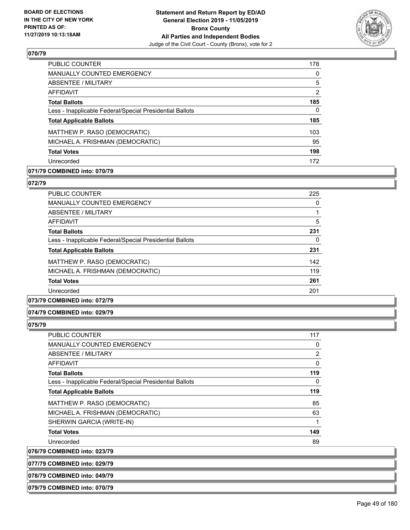

| <b>PUBLIC COUNTER</b>                                    | 178            |
|----------------------------------------------------------|----------------|
| MANUALLY COUNTED EMERGENCY                               | $\Omega$       |
| ABSENTEE / MILITARY                                      | 5              |
| AFFIDAVIT                                                | $\overline{2}$ |
| <b>Total Ballots</b>                                     | 185            |
| Less - Inapplicable Federal/Special Presidential Ballots | 0              |
| <b>Total Applicable Ballots</b>                          | 185            |
| MATTHEW P. RASO (DEMOCRATIC)                             | 103            |
| MICHAEL A. FRISHMAN (DEMOCRATIC)                         | 95             |
| <b>Total Votes</b>                                       | 198            |
| Unrecorded                                               | 172            |

# **071/79 COMBINED into: 070/79**

### **072/79**

| <b>PUBLIC COUNTER</b>                                    | 225 |
|----------------------------------------------------------|-----|
| MANUALLY COUNTED EMERGENCY                               | 0   |
| ABSENTEE / MILITARY                                      | 1   |
| AFFIDAVIT                                                | 5   |
| <b>Total Ballots</b>                                     | 231 |
| Less - Inapplicable Federal/Special Presidential Ballots | 0   |
| <b>Total Applicable Ballots</b>                          | 231 |
| MATTHEW P. RASO (DEMOCRATIC)                             | 142 |
| MICHAEL A. FRISHMAN (DEMOCRATIC)                         | 119 |
| <b>Total Votes</b>                                       | 261 |
| Unrecorded                                               | 201 |
|                                                          |     |

## **073/79 COMBINED into: 072/79**

### **074/79 COMBINED into: 029/79**

#### **075/79**

| <b>PUBLIC COUNTER</b>                                    | 117 |
|----------------------------------------------------------|-----|
| <b>MANUALLY COUNTED EMERGENCY</b>                        | 0   |
| ABSENTEE / MILITARY                                      | 2   |
| AFFIDAVIT                                                | 0   |
| <b>Total Ballots</b>                                     | 119 |
| Less - Inapplicable Federal/Special Presidential Ballots | 0   |
| <b>Total Applicable Ballots</b>                          | 119 |
| MATTHEW P. RASO (DEMOCRATIC)                             | 85  |
| MICHAEL A. FRISHMAN (DEMOCRATIC)                         | 63  |
| SHERWIN GARCIA (WRITE-IN)                                |     |
| <b>Total Votes</b>                                       | 149 |
| Unrecorded                                               | 89  |

**076/79 COMBINED into: 023/79**

**077/79 COMBINED into: 029/79**

**078/79 COMBINED into: 049/79**

**079/79 COMBINED into: 070/79**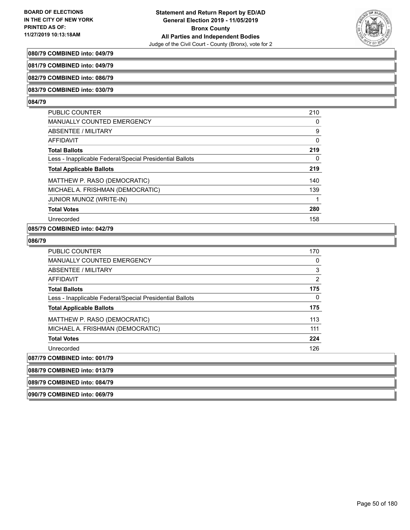

### **080/79 COMBINED into: 049/79**

**081/79 COMBINED into: 049/79**

**082/79 COMBINED into: 086/79**

#### **083/79 COMBINED into: 030/79**

#### **084/79**

| PUBLIC COUNTER                                           | 210 |
|----------------------------------------------------------|-----|
| <b>MANUALLY COUNTED EMERGENCY</b>                        | 0   |
| ABSENTEE / MILITARY                                      | 9   |
| AFFIDAVIT                                                | 0   |
| <b>Total Ballots</b>                                     | 219 |
| Less - Inapplicable Federal/Special Presidential Ballots | 0   |
| <b>Total Applicable Ballots</b>                          | 219 |
| MATTHEW P. RASO (DEMOCRATIC)                             | 140 |
| MICHAEL A. FRISHMAN (DEMOCRATIC)                         | 139 |
| <b>JUNIOR MUNOZ (WRITE-IN)</b>                           | 1   |
| <b>Total Votes</b>                                       | 280 |
| Unrecorded                                               | 158 |
|                                                          |     |

# **085/79 COMBINED into: 042/79**

## **086/79**

| PUBLIC COUNTER                                           | 170            |
|----------------------------------------------------------|----------------|
| MANUALLY COUNTED EMERGENCY                               | 0              |
| ABSENTEE / MILITARY                                      | 3              |
| AFFIDAVIT                                                | $\overline{2}$ |
| <b>Total Ballots</b>                                     | 175            |
| Less - Inapplicable Federal/Special Presidential Ballots | 0              |
| <b>Total Applicable Ballots</b>                          | 175            |
| MATTHEW P. RASO (DEMOCRATIC)                             | 113            |
| MICHAEL A. FRISHMAN (DEMOCRATIC)                         | 111            |
| <b>Total Votes</b>                                       | 224            |
| Unrecorded                                               | 126            |
| 087/79 COMBINED into: 001/79                             |                |
| 088/79 COMBINED into: 013/79                             |                |
|                                                          |                |

**089/79 COMBINED into: 084/79 090/79 COMBINED into: 069/79**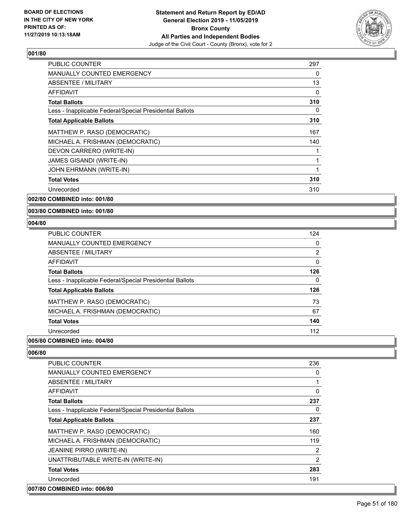

| <b>PUBLIC COUNTER</b>                                    | 297 |
|----------------------------------------------------------|-----|
| <b>MANUALLY COUNTED EMERGENCY</b>                        | 0   |
| ABSENTEE / MILITARY                                      | 13  |
| <b>AFFIDAVIT</b>                                         | 0   |
| <b>Total Ballots</b>                                     | 310 |
| Less - Inapplicable Federal/Special Presidential Ballots | 0   |
| <b>Total Applicable Ballots</b>                          | 310 |
| MATTHEW P. RASO (DEMOCRATIC)                             | 167 |
| MICHAEL A. FRISHMAN (DEMOCRATIC)                         | 140 |
| DEVON CARRERO (WRITE-IN)                                 | 1   |
| JAMES GISANDI (WRITE-IN)                                 | 1   |
| JOHN EHRMANN (WRITE-IN)                                  | 1   |
| <b>Total Votes</b>                                       | 310 |
| Unrecorded                                               | 310 |
|                                                          |     |

**002/80 COMBINED into: 001/80**

**003/80 COMBINED into: 001/80**

#### **004/80**

| <b>PUBLIC COUNTER</b>                                    | 124 |
|----------------------------------------------------------|-----|
| <b>MANUALLY COUNTED EMERGENCY</b>                        | 0   |
| <b>ABSENTEE / MILITARY</b>                               | 2   |
| <b>AFFIDAVIT</b>                                         | 0   |
| <b>Total Ballots</b>                                     | 126 |
| Less - Inapplicable Federal/Special Presidential Ballots | 0   |
| <b>Total Applicable Ballots</b>                          | 126 |
| MATTHEW P. RASO (DEMOCRATIC)                             | 73  |
| MICHAEL A. FRISHMAN (DEMOCRATIC)                         | 67  |
| <b>Total Votes</b>                                       | 140 |
| Unrecorded                                               | 112 |
|                                                          |     |

## **005/80 COMBINED into: 004/80**

| PUBLIC COUNTER                                           | 236            |
|----------------------------------------------------------|----------------|
| MANUALLY COUNTED EMERGENCY                               | 0              |
| ABSENTEE / MILITARY                                      | 1              |
| AFFIDAVIT                                                | 0              |
| <b>Total Ballots</b>                                     | 237            |
| Less - Inapplicable Federal/Special Presidential Ballots | 0              |
| <b>Total Applicable Ballots</b>                          | 237            |
| MATTHEW P. RASO (DEMOCRATIC)                             | 160            |
| MICHAEL A. FRISHMAN (DEMOCRATIC)                         | 119            |
| JEANINE PIRRO (WRITE-IN)                                 | 2              |
| UNATTRIBUTABLE WRITE-IN (WRITE-IN)                       | $\overline{2}$ |
| <b>Total Votes</b>                                       | 283            |
| Unrecorded                                               | 191            |
| 007/80 COMBINED into: 006/80                             |                |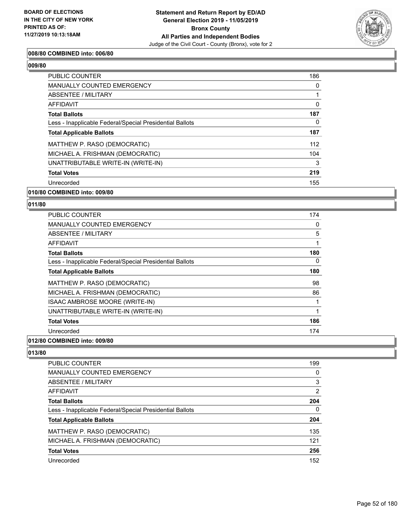

## **008/80 COMBINED into: 006/80**

| <b>PUBLIC COUNTER</b>                                    | 186      |
|----------------------------------------------------------|----------|
| <b>MANUALLY COUNTED EMERGENCY</b>                        | $\Omega$ |
| ABSENTEE / MILITARY                                      |          |
| <b>AFFIDAVIT</b>                                         | 0        |
| <b>Total Ballots</b>                                     | 187      |
| Less - Inapplicable Federal/Special Presidential Ballots | 0        |
| <b>Total Applicable Ballots</b>                          | 187      |
| MATTHEW P. RASO (DEMOCRATIC)                             | 112      |
| MICHAEL A. FRISHMAN (DEMOCRATIC)                         | 104      |
| UNATTRIBUTABLE WRITE-IN (WRITE-IN)                       | 3        |
| <b>Total Votes</b>                                       | 219      |
| Unrecorded                                               | 155      |
|                                                          |          |

## **010/80 COMBINED into: 009/80**

#### **011/80**

| <b>PUBLIC COUNTER</b>                                                                                                                                                                                                                                                                                                                                                                                                  | 174 |
|------------------------------------------------------------------------------------------------------------------------------------------------------------------------------------------------------------------------------------------------------------------------------------------------------------------------------------------------------------------------------------------------------------------------|-----|
| MANUALLY COUNTED EMERGENCY                                                                                                                                                                                                                                                                                                                                                                                             | 0   |
| ABSENTEE / MILITARY                                                                                                                                                                                                                                                                                                                                                                                                    | 5   |
| AFFIDAVIT                                                                                                                                                                                                                                                                                                                                                                                                              | 1   |
| <b>Total Ballots</b>                                                                                                                                                                                                                                                                                                                                                                                                   | 180 |
| Less - Inapplicable Federal/Special Presidential Ballots                                                                                                                                                                                                                                                                                                                                                               | 0   |
| <b>Total Applicable Ballots</b>                                                                                                                                                                                                                                                                                                                                                                                        | 180 |
| MATTHEW P. RASO (DEMOCRATIC)                                                                                                                                                                                                                                                                                                                                                                                           | 98  |
| MICHAEL A. FRISHMAN (DEMOCRATIC)                                                                                                                                                                                                                                                                                                                                                                                       | 86  |
| ISAAC AMBROSE MOORE (WRITE-IN)                                                                                                                                                                                                                                                                                                                                                                                         |     |
| UNATTRIBUTABLE WRITE-IN (WRITE-IN)                                                                                                                                                                                                                                                                                                                                                                                     | 1   |
| <b>Total Votes</b>                                                                                                                                                                                                                                                                                                                                                                                                     | 186 |
| Unrecorded                                                                                                                                                                                                                                                                                                                                                                                                             | 174 |
| $\mathbf{A} \mathbf{A} \mathbf{B} \mathbf{B} \mathbf{B} \mathbf{B} \mathbf{B} \mathbf{A} \mathbf{A} \mathbf{A} \mathbf{A} \mathbf{A} \mathbf{A} \mathbf{A} \mathbf{A} \mathbf{A} \mathbf{A} \mathbf{A} \mathbf{A} \mathbf{A} \mathbf{A} \mathbf{A} \mathbf{A} \mathbf{A} \mathbf{A} \mathbf{A} \mathbf{A} \mathbf{A} \mathbf{A} \mathbf{A} \mathbf{A} \mathbf{A} \mathbf{A} \mathbf{A} \mathbf{A} \mathbf{A} \mathbf{$ |     |

#### **012/80 COMBINED into: 009/80**

| PUBLIC COUNTER                                           | 199 |
|----------------------------------------------------------|-----|
| MANUALLY COUNTED EMERGENCY                               | 0   |
| ABSENTEE / MILITARY                                      | 3   |
| AFFIDAVIT                                                | 2   |
| <b>Total Ballots</b>                                     | 204 |
| Less - Inapplicable Federal/Special Presidential Ballots | 0   |
| <b>Total Applicable Ballots</b>                          | 204 |
| MATTHEW P. RASO (DEMOCRATIC)                             | 135 |
| MICHAEL A. FRISHMAN (DEMOCRATIC)                         | 121 |
| <b>Total Votes</b>                                       | 256 |
| Unrecorded                                               | 152 |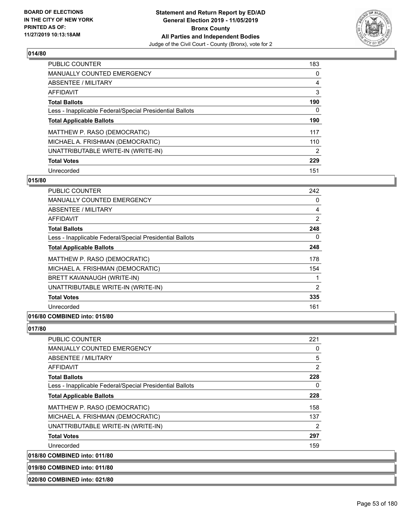

| <b>PUBLIC COUNTER</b>                                    | 183      |
|----------------------------------------------------------|----------|
| <b>MANUALLY COUNTED EMERGENCY</b>                        | 0        |
| ABSENTEE / MILITARY                                      | 4        |
| AFFIDAVIT                                                | 3        |
| <b>Total Ballots</b>                                     | 190      |
| Less - Inapplicable Federal/Special Presidential Ballots | $\Omega$ |
| <b>Total Applicable Ballots</b>                          | 190      |
| MATTHEW P. RASO (DEMOCRATIC)                             | 117      |
| MICHAEL A. FRISHMAN (DEMOCRATIC)                         | 110      |
| UNATTRIBUTABLE WRITE-IN (WRITE-IN)                       | 2        |
| <b>Total Votes</b>                                       | 229      |
| Unrecorded                                               | 151      |

## **015/80**

| PUBLIC COUNTER                                           | 242            |
|----------------------------------------------------------|----------------|
| <b>MANUALLY COUNTED EMERGENCY</b>                        | 0              |
| ABSENTEE / MILITARY                                      | 4              |
| AFFIDAVIT                                                | $\overline{2}$ |
| <b>Total Ballots</b>                                     | 248            |
| Less - Inapplicable Federal/Special Presidential Ballots | 0              |
| <b>Total Applicable Ballots</b>                          | 248            |
| MATTHEW P. RASO (DEMOCRATIC)                             | 178            |
| MICHAEL A. FRISHMAN (DEMOCRATIC)                         | 154            |
| BRETT KAVANAUGH (WRITE-IN)                               |                |
| UNATTRIBUTABLE WRITE-IN (WRITE-IN)                       | 2              |
| <b>Total Votes</b>                                       | 335            |
| Unrecorded                                               | 161            |

## **016/80 COMBINED into: 015/80**

## **017/80**

| <b>PUBLIC COUNTER</b>                                    | 221            |
|----------------------------------------------------------|----------------|
| <b>MANUALLY COUNTED EMERGENCY</b>                        | 0              |
| ABSENTEE / MILITARY                                      | 5              |
| <b>AFFIDAVIT</b>                                         | $\overline{2}$ |
| <b>Total Ballots</b>                                     | 228            |
| Less - Inapplicable Federal/Special Presidential Ballots | 0              |
| <b>Total Applicable Ballots</b>                          | 228            |
| MATTHEW P. RASO (DEMOCRATIC)                             | 158            |
| MICHAEL A. FRISHMAN (DEMOCRATIC)                         | 137            |
| UNATTRIBUTABLE WRITE-IN (WRITE-IN)                       | $\overline{2}$ |
| <b>Total Votes</b>                                       | 297            |
| Unrecorded                                               | 159            |
| OMININEN: 1.4.0.044100                                   |                |

**018/80 COMBINED into: 011/80**

**019/80 COMBINED into: 011/80**

**020/80 COMBINED into: 021/80**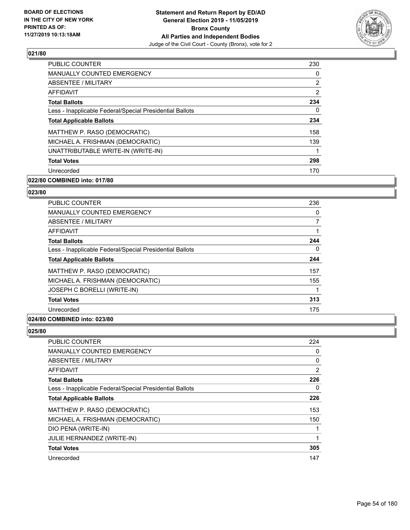

| <b>PUBLIC COUNTER</b>                                    | 230 |
|----------------------------------------------------------|-----|
| <b>MANUALLY COUNTED EMERGENCY</b>                        | 0   |
| ABSENTEE / MILITARY                                      | 2   |
| <b>AFFIDAVIT</b>                                         | 2   |
| <b>Total Ballots</b>                                     | 234 |
| Less - Inapplicable Federal/Special Presidential Ballots | 0   |
| <b>Total Applicable Ballots</b>                          | 234 |
| MATTHEW P. RASO (DEMOCRATIC)                             | 158 |
| MICHAEL A. FRISHMAN (DEMOCRATIC)                         | 139 |
| UNATTRIBUTABLE WRITE-IN (WRITE-IN)                       |     |
| <b>Total Votes</b>                                       | 298 |
| Unrecorded                                               | 170 |

# **022/80 COMBINED into: 017/80**

#### **023/80**

| <b>PUBLIC COUNTER</b>                                    | 236 |
|----------------------------------------------------------|-----|
| <b>MANUALLY COUNTED EMERGENCY</b>                        | 0   |
| ABSENTEE / MILITARY                                      | 7   |
| <b>AFFIDAVIT</b>                                         | 1   |
| <b>Total Ballots</b>                                     | 244 |
| Less - Inapplicable Federal/Special Presidential Ballots | 0   |
| <b>Total Applicable Ballots</b>                          | 244 |
| MATTHEW P. RASO (DEMOCRATIC)                             | 157 |
| MICHAEL A. FRISHMAN (DEMOCRATIC)                         | 155 |
| JOSEPH C BORELLI (WRITE-IN)                              |     |
| <b>Total Votes</b>                                       | 313 |
| Unrecorded                                               | 175 |
|                                                          |     |

### **024/80 COMBINED into: 023/80**

| PUBLIC COUNTER                                           | 224 |
|----------------------------------------------------------|-----|
| <b>MANUALLY COUNTED EMERGENCY</b>                        | 0   |
| ABSENTEE / MILITARY                                      | 0   |
| AFFIDAVIT                                                | 2   |
| <b>Total Ballots</b>                                     | 226 |
| Less - Inapplicable Federal/Special Presidential Ballots | 0   |
| <b>Total Applicable Ballots</b>                          | 226 |
| MATTHEW P. RASO (DEMOCRATIC)                             | 153 |
| MICHAEL A. FRISHMAN (DEMOCRATIC)                         | 150 |
| DIO PENA (WRITE-IN)                                      |     |
| JULIE HERNANDEZ (WRITE-IN)                               | 1   |
| <b>Total Votes</b>                                       | 305 |
| Unrecorded                                               | 147 |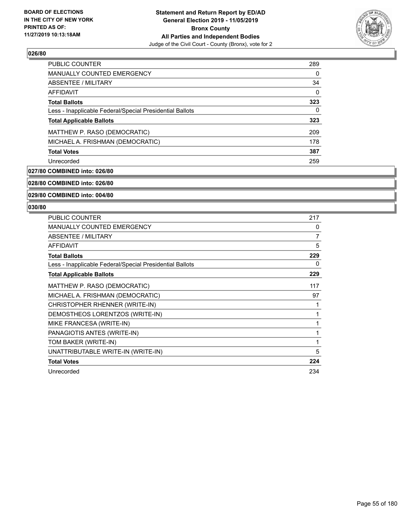

| PUBLIC COUNTER                                           | 289 |
|----------------------------------------------------------|-----|
| MANUALLY COUNTED EMERGENCY                               | 0   |
| ABSENTEE / MILITARY                                      | 34  |
| AFFIDAVIT                                                | 0   |
| <b>Total Ballots</b>                                     | 323 |
| Less - Inapplicable Federal/Special Presidential Ballots | 0   |
| <b>Total Applicable Ballots</b>                          | 323 |
| MATTHEW P. RASO (DEMOCRATIC)                             | 209 |
| MICHAEL A. FRISHMAN (DEMOCRATIC)                         | 178 |
| <b>Total Votes</b>                                       | 387 |
| Unrecorded                                               | 259 |

## **027/80 COMBINED into: 026/80**

**028/80 COMBINED into: 026/80**

**029/80 COMBINED into: 004/80**

| <b>PUBLIC COUNTER</b>                                    | 217 |
|----------------------------------------------------------|-----|
| MANUALLY COUNTED EMERGENCY                               | 0   |
| <b>ABSENTEE / MILITARY</b>                               | 7   |
| <b>AFFIDAVIT</b>                                         | 5   |
| <b>Total Ballots</b>                                     | 229 |
| Less - Inapplicable Federal/Special Presidential Ballots | 0   |
| <b>Total Applicable Ballots</b>                          | 229 |
| MATTHEW P. RASO (DEMOCRATIC)                             | 117 |
| MICHAEL A. FRISHMAN (DEMOCRATIC)                         | 97  |
| CHRISTOPHER RHENNER (WRITE-IN)                           | 1   |
| DEMOSTHEOS LORENTZOS (WRITE-IN)                          | 1   |
| MIKE FRANCESA (WRITE-IN)                                 | 1   |
| PANAGIOTIS ANTES (WRITE-IN)                              | 1   |
| TOM BAKER (WRITE-IN)                                     | 1   |
| UNATTRIBUTABLE WRITE-IN (WRITE-IN)                       | 5   |
| <b>Total Votes</b>                                       | 224 |
| Unrecorded                                               | 234 |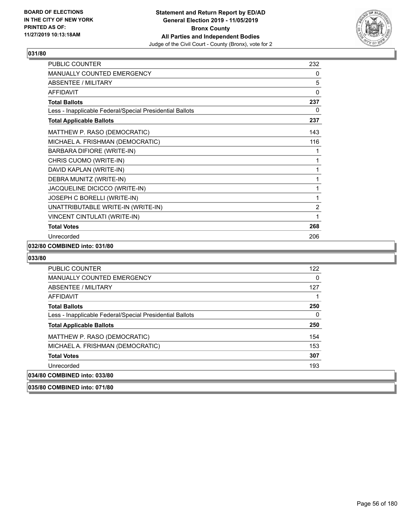

| <b>PUBLIC COUNTER</b>                                    | 232            |
|----------------------------------------------------------|----------------|
| <b>MANUALLY COUNTED EMERGENCY</b>                        | 0              |
| <b>ABSENTEE / MILITARY</b>                               | 5              |
| <b>AFFIDAVIT</b>                                         | $\mathbf{0}$   |
| <b>Total Ballots</b>                                     | 237            |
| Less - Inapplicable Federal/Special Presidential Ballots | 0              |
| <b>Total Applicable Ballots</b>                          | 237            |
| MATTHEW P. RASO (DEMOCRATIC)                             | 143            |
| MICHAEL A. FRISHMAN (DEMOCRATIC)                         | 116            |
| BARBARA DIFIORE (WRITE-IN)                               | 1              |
| CHRIS CUOMO (WRITE-IN)                                   | 1              |
| DAVID KAPLAN (WRITE-IN)                                  | 1              |
| DEBRA MUNITZ (WRITE-IN)                                  | 1              |
| JACQUELINE DICICCO (WRITE-IN)                            | 1              |
| JOSEPH C BORELLI (WRITE-IN)                              | 1              |
| UNATTRIBUTABLE WRITE-IN (WRITE-IN)                       | $\overline{2}$ |
| VINCENT CINTULATI (WRITE-IN)                             | 1              |
| <b>Total Votes</b>                                       | 268            |
| Unrecorded                                               | 206            |

### **032/80 COMBINED into: 031/80**

| 035/80 COMBINED into: 071/80                             |     |
|----------------------------------------------------------|-----|
| 034/80 COMBINED into: 033/80                             |     |
| Unrecorded                                               | 193 |
| <b>Total Votes</b>                                       | 307 |
| MICHAEL A. FRISHMAN (DEMOCRATIC)                         | 153 |
| MATTHEW P. RASO (DEMOCRATIC)                             | 154 |
| <b>Total Applicable Ballots</b>                          | 250 |
| Less - Inapplicable Federal/Special Presidential Ballots | 0   |
| <b>Total Ballots</b>                                     | 250 |
| AFFIDAVIT                                                |     |
| ABSENTEE / MILITARY                                      | 127 |
| <b>MANUALLY COUNTED EMERGENCY</b>                        | 0   |
| <b>PUBLIC COUNTER</b>                                    | 122 |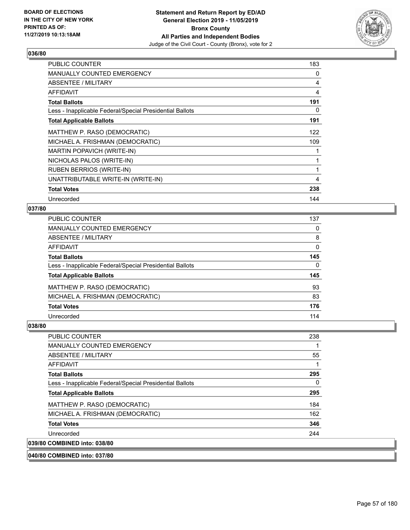

| <b>PUBLIC COUNTER</b>                                    | 183 |
|----------------------------------------------------------|-----|
| <b>MANUALLY COUNTED EMERGENCY</b>                        | 0   |
| ABSENTEE / MILITARY                                      | 4   |
| AFFIDAVIT                                                | 4   |
| <b>Total Ballots</b>                                     | 191 |
| Less - Inapplicable Federal/Special Presidential Ballots | 0   |
| <b>Total Applicable Ballots</b>                          | 191 |
| MATTHEW P. RASO (DEMOCRATIC)                             | 122 |
| MICHAEL A. FRISHMAN (DEMOCRATIC)                         | 109 |
| MARTIN POPAVICH (WRITE-IN)                               |     |
| NICHOLAS PALOS (WRITE-IN)                                |     |
| <b>RUBEN BERRIOS (WRITE-IN)</b>                          | 1   |
| UNATTRIBUTABLE WRITE-IN (WRITE-IN)                       | 4   |
| <b>Total Votes</b>                                       | 238 |
| Unrecorded                                               | 144 |

## **037/80**

| PUBLIC COUNTER                                           | 137          |
|----------------------------------------------------------|--------------|
| <b>MANUALLY COUNTED EMERGENCY</b>                        | $\Omega$     |
| <b>ABSENTEE / MILITARY</b>                               | 8            |
| <b>AFFIDAVIT</b>                                         | 0            |
| <b>Total Ballots</b>                                     | 145          |
| Less - Inapplicable Federal/Special Presidential Ballots | $\mathbf{0}$ |
| <b>Total Applicable Ballots</b>                          | 145          |
| MATTHEW P. RASO (DEMOCRATIC)                             | 93           |
| MICHAEL A. FRISHMAN (DEMOCRATIC)                         | 83           |
| <b>Total Votes</b>                                       | 176          |
| Unrecorded                                               | 114          |
|                                                          |              |

## **038/80**

| PUBLIC COUNTER                                           | 238 |
|----------------------------------------------------------|-----|
| <b>MANUALLY COUNTED EMERGENCY</b>                        |     |
| ABSENTEE / MILITARY                                      | 55  |
| AFFIDAVIT                                                | 1   |
| <b>Total Ballots</b>                                     | 295 |
| Less - Inapplicable Federal/Special Presidential Ballots | 0   |
| <b>Total Applicable Ballots</b>                          | 295 |
| MATTHEW P. RASO (DEMOCRATIC)                             | 184 |
| MICHAEL A. FRISHMAN (DEMOCRATIC)                         | 162 |
| <b>Total Votes</b>                                       | 346 |
| Unrecorded                                               | 244 |
| 039/80 COMBINED into: 038/80                             |     |

**040/80 COMBINED into: 037/80**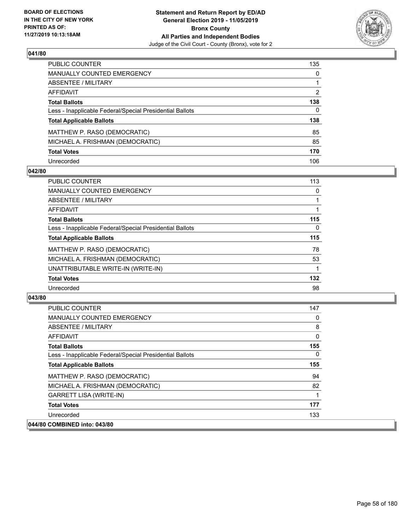

| PUBLIC COUNTER                                           | 135           |
|----------------------------------------------------------|---------------|
| <b>MANUALLY COUNTED EMERGENCY</b>                        | $\Omega$      |
| <b>ABSENTEE / MILITARY</b>                               | 1             |
| <b>AFFIDAVIT</b>                                         | $\mathcal{P}$ |
| <b>Total Ballots</b>                                     | 138           |
| Less - Inapplicable Federal/Special Presidential Ballots | 0             |
| <b>Total Applicable Ballots</b>                          | 138           |
| MATTHEW P. RASO (DEMOCRATIC)                             | 85            |
| MICHAEL A. FRISHMAN (DEMOCRATIC)                         | 85            |
| <b>Total Votes</b>                                       | 170           |
| Unrecorded                                               | 106           |

### **042/80**

| <b>PUBLIC COUNTER</b>                                    | 113      |
|----------------------------------------------------------|----------|
| MANUALLY COUNTED EMERGENCY                               | $\Omega$ |
| ABSENTEE / MILITARY                                      |          |
| AFFIDAVIT                                                |          |
| <b>Total Ballots</b>                                     | 115      |
| Less - Inapplicable Federal/Special Presidential Ballots | 0        |
| <b>Total Applicable Ballots</b>                          | 115      |
| MATTHEW P. RASO (DEMOCRATIC)                             | 78       |
| MICHAEL A. FRISHMAN (DEMOCRATIC)                         | 53       |
| UNATTRIBUTABLE WRITE-IN (WRITE-IN)                       |          |
| <b>Total Votes</b>                                       | 132      |
| Unrecorded                                               | 98       |

| PUBLIC COUNTER                                           | 147      |
|----------------------------------------------------------|----------|
| <b>MANUALLY COUNTED EMERGENCY</b>                        | 0        |
| ABSENTEE / MILITARY                                      | 8        |
| <b>AFFIDAVIT</b>                                         | 0        |
| <b>Total Ballots</b>                                     | 155      |
| Less - Inapplicable Federal/Special Presidential Ballots | $\Omega$ |
| <b>Total Applicable Ballots</b>                          | 155      |
| MATTHEW P. RASO (DEMOCRATIC)                             | 94       |
| MICHAEL A. FRISHMAN (DEMOCRATIC)                         | 82       |
| <b>GARRETT LISA (WRITE-IN)</b>                           | 1        |
| <b>Total Votes</b>                                       | 177      |
| Unrecorded                                               | 133      |
| 044/80 COMBINED into: 043/80                             |          |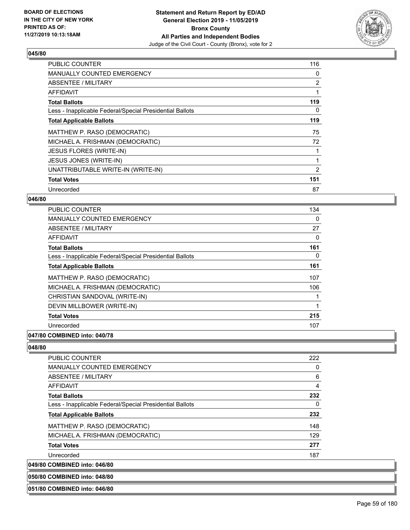

| <b>PUBLIC COUNTER</b>                                    | 116            |
|----------------------------------------------------------|----------------|
| <b>MANUALLY COUNTED EMERGENCY</b>                        | 0              |
| <b>ABSENTEE / MILITARY</b>                               | $\overline{2}$ |
| AFFIDAVIT                                                |                |
| <b>Total Ballots</b>                                     | 119            |
| Less - Inapplicable Federal/Special Presidential Ballots | 0              |
| <b>Total Applicable Ballots</b>                          | 119            |
| MATTHEW P. RASO (DEMOCRATIC)                             | 75             |
| MICHAEL A. FRISHMAN (DEMOCRATIC)                         | 72             |
| <b>JESUS FLORES (WRITE-IN)</b>                           |                |
| JESUS JONES (WRITE-IN)                                   |                |
| UNATTRIBUTABLE WRITE-IN (WRITE-IN)                       | 2              |
| <b>Total Votes</b>                                       | 151            |
| Unrecorded                                               | 87             |

## **046/80**

| <b>PUBLIC COUNTER</b>                                    | 134      |
|----------------------------------------------------------|----------|
| <b>MANUALLY COUNTED EMERGENCY</b>                        | $\Omega$ |
| ABSENTEE / MILITARY                                      | 27       |
| AFFIDAVIT                                                | 0        |
| <b>Total Ballots</b>                                     | 161      |
| Less - Inapplicable Federal/Special Presidential Ballots | 0        |
| <b>Total Applicable Ballots</b>                          | 161      |
| MATTHEW P. RASO (DEMOCRATIC)                             | 107      |
| MICHAEL A. FRISHMAN (DEMOCRATIC)                         | 106      |
| CHRISTIAN SANDOVAL (WRITE-IN)                            |          |
| DEVIN MILLBOWER (WRITE-IN)                               | 1        |
| <b>Total Votes</b>                                       | 215      |
| Unrecorded                                               | 107      |
| A                                                        |          |

# **047/80 COMBINED into: 040/78**

### **048/80**

| <b>PUBLIC COUNTER</b>                                    | 222            |
|----------------------------------------------------------|----------------|
| <b>MANUALLY COUNTED EMERGENCY</b>                        | $\Omega$       |
| ABSENTEE / MILITARY                                      | 6              |
| AFFIDAVIT                                                | $\overline{4}$ |
| <b>Total Ballots</b>                                     | 232            |
| Less - Inapplicable Federal/Special Presidential Ballots | 0              |
| <b>Total Applicable Ballots</b>                          | 232            |
| MATTHEW P. RASO (DEMOCRATIC)                             | 148            |
| MICHAEL A. FRISHMAN (DEMOCRATIC)                         | 129            |
| <b>Total Votes</b>                                       | 277            |
| Unrecorded                                               | 187            |
| 049/80 COMBINED into: 046/80                             |                |

## **050/80 COMBINED into: 048/80**

#### **051/80 COMBINED into: 046/80**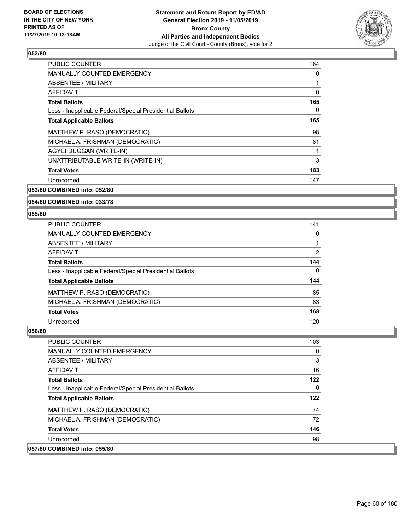

| <b>PUBLIC COUNTER</b>                                    | 164      |
|----------------------------------------------------------|----------|
| <b>MANUALLY COUNTED EMERGENCY</b>                        | 0        |
| ABSENTEE / MILITARY                                      | 1        |
| <b>AFFIDAVIT</b>                                         | $\Omega$ |
| <b>Total Ballots</b>                                     | 165      |
| Less - Inapplicable Federal/Special Presidential Ballots | 0        |
| <b>Total Applicable Ballots</b>                          | 165      |
| MATTHEW P. RASO (DEMOCRATIC)                             | 98       |
| MICHAEL A. FRISHMAN (DEMOCRATIC)                         | 81       |
| AGYEI DUGGAN (WRITE-IN)                                  | 1        |
| UNATTRIBUTABLE WRITE-IN (WRITE-IN)                       | 3        |
| <b>Total Votes</b>                                       | 183      |
| Unrecorded                                               | 147      |
|                                                          |          |

**053/80 COMBINED into: 052/80**

**054/80 COMBINED into: 033/78**

**055/80** 

| PUBLIC COUNTER                                           | 141 |
|----------------------------------------------------------|-----|
| <b>MANUALLY COUNTED EMERGENCY</b>                        | 0   |
| ABSENTEE / MILITARY                                      |     |
| AFFIDAVIT                                                | 2   |
| <b>Total Ballots</b>                                     | 144 |
| Less - Inapplicable Federal/Special Presidential Ballots | 0   |
| <b>Total Applicable Ballots</b>                          | 144 |
| MATTHEW P. RASO (DEMOCRATIC)                             | 85  |
| MICHAEL A. FRISHMAN (DEMOCRATIC)                         | 83  |
| <b>Total Votes</b>                                       | 168 |
| Unrecorded                                               | 120 |

| <b>PUBLIC COUNTER</b>                                    | 103          |
|----------------------------------------------------------|--------------|
| <b>MANUALLY COUNTED EMERGENCY</b>                        | $\Omega$     |
| ABSENTEE / MILITARY                                      | 3            |
| <b>AFFIDAVIT</b>                                         | 16           |
| <b>Total Ballots</b>                                     | 122          |
| Less - Inapplicable Federal/Special Presidential Ballots | $\mathbf{0}$ |
| <b>Total Applicable Ballots</b>                          | 122          |
| MATTHEW P. RASO (DEMOCRATIC)                             | 74           |
| MICHAEL A. FRISHMAN (DEMOCRATIC)                         | 72           |
| <b>Total Votes</b>                                       | 146          |
| Unrecorded                                               | 98           |
| 057/80 COMBINED into: 055/80                             |              |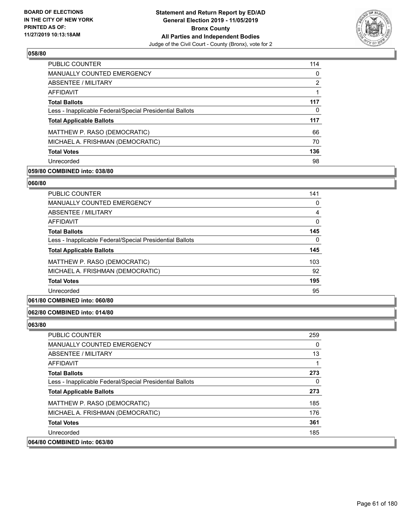

| PUBLIC COUNTER                                           | 114 |
|----------------------------------------------------------|-----|
| MANUALLY COUNTED EMERGENCY                               | 0   |
| ABSENTEE / MILITARY                                      | 2   |
| AFFIDAVIT                                                |     |
| <b>Total Ballots</b>                                     | 117 |
| Less - Inapplicable Federal/Special Presidential Ballots | 0   |
| <b>Total Applicable Ballots</b>                          | 117 |
| MATTHEW P. RASO (DEMOCRATIC)                             | 66  |
| MICHAEL A. FRISHMAN (DEMOCRATIC)                         | 70  |
| <b>Total Votes</b>                                       | 136 |
| Unrecorded                                               | 98  |

## **059/80 COMBINED into: 038/80**

#### **060/80**

| PUBLIC COUNTER                                           | 141 |
|----------------------------------------------------------|-----|
| <b>MANUALLY COUNTED EMERGENCY</b>                        | 0   |
| ABSENTEE / MILITARY                                      | 4   |
| <b>AFFIDAVIT</b>                                         | 0   |
| <b>Total Ballots</b>                                     | 145 |
| Less - Inapplicable Federal/Special Presidential Ballots | 0   |
| <b>Total Applicable Ballots</b>                          | 145 |
| MATTHEW P. RASO (DEMOCRATIC)                             | 103 |
| MICHAEL A. FRISHMAN (DEMOCRATIC)                         | 92  |
| <b>Total Votes</b>                                       | 195 |
| Unrecorded                                               | 95  |
|                                                          |     |

# **061/80 COMBINED into: 060/80**

#### **062/80 COMBINED into: 014/80**

| PUBLIC COUNTER                                           | 259 |
|----------------------------------------------------------|-----|
| MANUALLY COUNTED EMERGENCY                               | 0   |
| ABSENTEE / MILITARY                                      | 13  |
| AFFIDAVIT                                                |     |
| <b>Total Ballots</b>                                     | 273 |
| Less - Inapplicable Federal/Special Presidential Ballots | 0   |
| <b>Total Applicable Ballots</b>                          | 273 |
| MATTHEW P. RASO (DEMOCRATIC)                             | 185 |
| MICHAEL A. FRISHMAN (DEMOCRATIC)                         | 176 |
| <b>Total Votes</b>                                       | 361 |
| Unrecorded                                               | 185 |
| 064/80 COMBINED into: 063/80                             |     |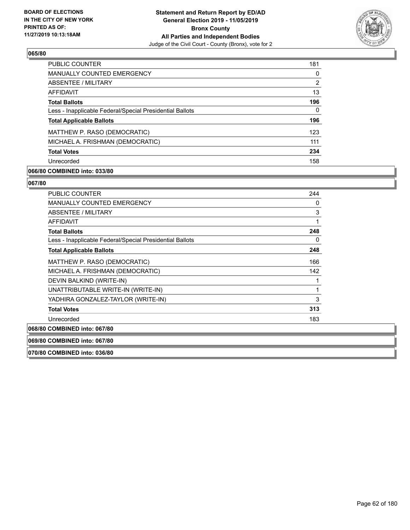

| <b>PUBLIC COUNTER</b>                                    | 181 |
|----------------------------------------------------------|-----|
| <b>MANUALLY COUNTED EMERGENCY</b>                        | 0   |
| ABSENTEE / MILITARY                                      | 2   |
| AFFIDAVIT                                                | 13  |
| <b>Total Ballots</b>                                     | 196 |
| Less - Inapplicable Federal/Special Presidential Ballots | 0   |
| <b>Total Applicable Ballots</b>                          | 196 |
| MATTHEW P. RASO (DEMOCRATIC)                             | 123 |
| MICHAEL A. FRISHMAN (DEMOCRATIC)                         | 111 |
| <b>Total Votes</b>                                       | 234 |
| Unrecorded                                               | 158 |

## **066/80 COMBINED into: 033/80**

#### **067/80**

| <b>PUBLIC COUNTER</b>                                    | 244 |
|----------------------------------------------------------|-----|
| <b>MANUALLY COUNTED EMERGENCY</b>                        | 0   |
| ABSENTEE / MILITARY                                      | 3   |
| AFFIDAVIT                                                | 1   |
| <b>Total Ballots</b>                                     | 248 |
| Less - Inapplicable Federal/Special Presidential Ballots | 0   |
| <b>Total Applicable Ballots</b>                          | 248 |
| MATTHEW P. RASO (DEMOCRATIC)                             | 166 |
| MICHAEL A. FRISHMAN (DEMOCRATIC)                         | 142 |
| DEVIN BALKIND (WRITE-IN)                                 |     |
| UNATTRIBUTABLE WRITE-IN (WRITE-IN)                       | 1   |
| YADHIRA GONZALEZ-TAYLOR (WRITE-IN)                       | 3   |
| <b>Total Votes</b>                                       | 313 |
| Unrecorded                                               | 183 |
| 068/80 COMBINED into: 067/80                             |     |

**069/80 COMBINED into: 067/80**

**070/80 COMBINED into: 036/80**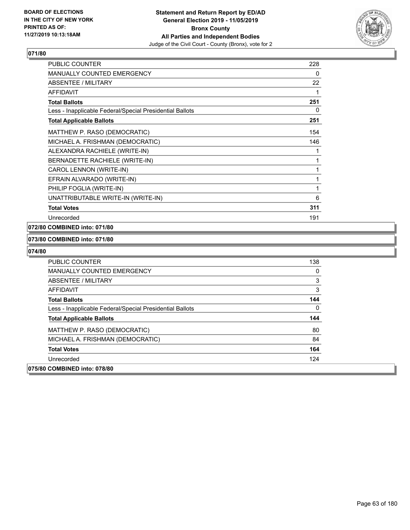

| <b>PUBLIC COUNTER</b>                                    | 228 |
|----------------------------------------------------------|-----|
| MANUALLY COUNTED EMERGENCY                               | 0   |
| <b>ABSENTEE / MILITARY</b>                               | 22  |
| <b>AFFIDAVIT</b>                                         | 1   |
| <b>Total Ballots</b>                                     | 251 |
| Less - Inapplicable Federal/Special Presidential Ballots | 0   |
| <b>Total Applicable Ballots</b>                          | 251 |
| MATTHEW P. RASO (DEMOCRATIC)                             | 154 |
| MICHAEL A. FRISHMAN (DEMOCRATIC)                         | 146 |
| ALEXANDRA RACHIELE (WRITE-IN)                            | 1   |
| BERNADETTE RACHIELE (WRITE-IN)                           | 1   |
| CAROL LENNON (WRITE-IN)                                  | 1   |
| EFRAIN ALVARADO (WRITE-IN)                               | 1   |
| PHILIP FOGLIA (WRITE-IN)                                 | 1   |
| UNATTRIBUTABLE WRITE-IN (WRITE-IN)                       | 6   |
| <b>Total Votes</b>                                       | 311 |
| Unrecorded                                               | 191 |

## **072/80 COMBINED into: 071/80**

## **073/80 COMBINED into: 071/80**

| <b>PUBLIC COUNTER</b>                                    | 138 |
|----------------------------------------------------------|-----|
| MANUALLY COUNTED EMERGENCY                               | 0   |
| ABSENTEE / MILITARY                                      | 3   |
| AFFIDAVIT                                                | 3   |
| <b>Total Ballots</b>                                     | 144 |
| Less - Inapplicable Federal/Special Presidential Ballots | 0   |
| <b>Total Applicable Ballots</b>                          | 144 |
| MATTHEW P. RASO (DEMOCRATIC)                             | 80  |
| MICHAEL A. FRISHMAN (DEMOCRATIC)                         | 84  |
| <b>Total Votes</b>                                       | 164 |
| Unrecorded                                               | 124 |
| 075/80 COMBINED into: 078/80                             |     |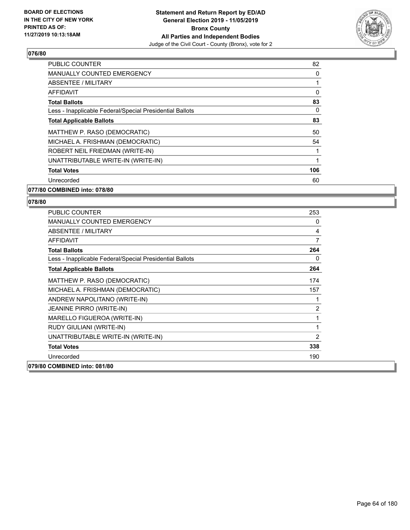

| <b>PUBLIC COUNTER</b>                                    | 82  |
|----------------------------------------------------------|-----|
| <b>MANUALLY COUNTED EMERGENCY</b>                        | 0   |
| ABSENTEE / MILITARY                                      |     |
| AFFIDAVIT                                                | 0   |
| <b>Total Ballots</b>                                     | 83  |
| Less - Inapplicable Federal/Special Presidential Ballots | 0   |
| <b>Total Applicable Ballots</b>                          | 83  |
| MATTHEW P. RASO (DEMOCRATIC)                             | 50  |
| MICHAEL A. FRISHMAN (DEMOCRATIC)                         | 54  |
| ROBERT NEIL FRIEDMAN (WRITE-IN)                          | 1   |
| UNATTRIBUTABLE WRITE-IN (WRITE-IN)                       | 1   |
| <b>Total Votes</b>                                       | 106 |
| Unrecorded                                               | 60  |
|                                                          |     |

### **077/80 COMBINED into: 078/80**

| <b>PUBLIC COUNTER</b>                                    | 253            |
|----------------------------------------------------------|----------------|
| <b>MANUALLY COUNTED EMERGENCY</b>                        | 0              |
| ABSENTEE / MILITARY                                      | 4              |
| <b>AFFIDAVIT</b>                                         | $\overline{7}$ |
| <b>Total Ballots</b>                                     | 264            |
| Less - Inapplicable Federal/Special Presidential Ballots | 0              |
| <b>Total Applicable Ballots</b>                          | 264            |
| MATTHEW P. RASO (DEMOCRATIC)                             | 174            |
| MICHAEL A. FRISHMAN (DEMOCRATIC)                         | 157            |
| ANDREW NAPOLITANO (WRITE-IN)                             | 1              |
| <b>JEANINE PIRRO (WRITE-IN)</b>                          | 2              |
| MARELLO FIGUEROA (WRITE-IN)                              | 1              |
| RUDY GIULIANI (WRITE-IN)                                 | 1              |
| UNATTRIBUTABLE WRITE-IN (WRITE-IN)                       | 2              |
| <b>Total Votes</b>                                       | 338            |
| Unrecorded                                               | 190            |
| 079/80 COMBINED into: 081/80                             |                |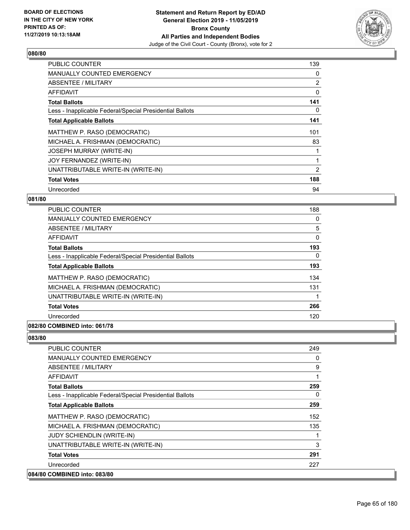

| <b>PUBLIC COUNTER</b>                                    | 139            |
|----------------------------------------------------------|----------------|
| <b>MANUALLY COUNTED EMERGENCY</b>                        | 0              |
| <b>ABSENTEE / MILITARY</b>                               | 2              |
| <b>AFFIDAVIT</b>                                         | 0              |
| <b>Total Ballots</b>                                     | 141            |
| Less - Inapplicable Federal/Special Presidential Ballots | 0              |
| <b>Total Applicable Ballots</b>                          | 141            |
| MATTHEW P. RASO (DEMOCRATIC)                             | 101            |
| MICHAEL A. FRISHMAN (DEMOCRATIC)                         | 83             |
| <b>JOSEPH MURRAY (WRITE-IN)</b>                          |                |
| JOY FERNANDEZ (WRITE-IN)                                 |                |
| UNATTRIBUTABLE WRITE-IN (WRITE-IN)                       | $\overline{2}$ |
| <b>Total Votes</b>                                       | 188            |
| Unrecorded                                               | 94             |

## **081/80**

| <b>PUBLIC COUNTER</b>                                    | 188      |
|----------------------------------------------------------|----------|
| <b>MANUALLY COUNTED EMERGENCY</b>                        | 0        |
| ABSENTEE / MILITARY                                      | 5        |
| AFFIDAVIT                                                | $\Omega$ |
| <b>Total Ballots</b>                                     | 193      |
| Less - Inapplicable Federal/Special Presidential Ballots | 0        |
| <b>Total Applicable Ballots</b>                          | 193      |
| MATTHEW P. RASO (DEMOCRATIC)                             | 134      |
| MICHAEL A. FRISHMAN (DEMOCRATIC)                         | 131      |
| UNATTRIBUTABLE WRITE-IN (WRITE-IN)                       |          |
| <b>Total Votes</b>                                       | 266      |
| Unrecorded                                               | 120      |
|                                                          |          |

## **082/80 COMBINED into: 061/78**

| PUBLIC COUNTER                                           | 249      |
|----------------------------------------------------------|----------|
| <b>MANUALLY COUNTED EMERGENCY</b>                        | $\Omega$ |
| ABSENTEE / MILITARY                                      | 9        |
| AFFIDAVIT                                                |          |
| <b>Total Ballots</b>                                     | 259      |
| Less - Inapplicable Federal/Special Presidential Ballots | $\Omega$ |
| <b>Total Applicable Ballots</b>                          | 259      |
| MATTHEW P. RASO (DEMOCRATIC)                             | 152      |
| MICHAEL A. FRISHMAN (DEMOCRATIC)                         | 135      |
| <b>JUDY SCHIENDLIN (WRITE-IN)</b>                        |          |
| UNATTRIBUTABLE WRITE-IN (WRITE-IN)                       | 3        |
| <b>Total Votes</b>                                       | 291      |
| Unrecorded                                               | 227      |
| 084/80 COMBINED into: 083/80                             |          |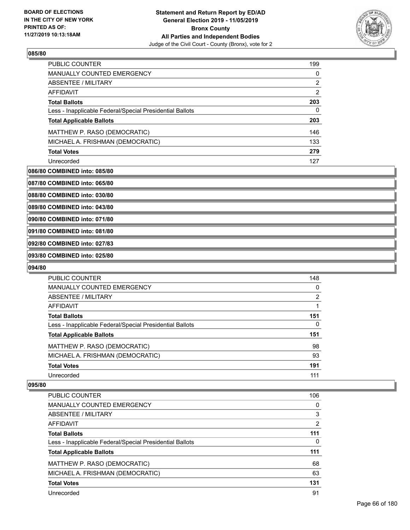

| <b>PUBLIC COUNTER</b>                                    | 199 |
|----------------------------------------------------------|-----|
| <b>MANUALLY COUNTED EMERGENCY</b>                        | 0   |
| ABSENTEE / MILITARY                                      | 2   |
| AFFIDAVIT                                                | 2   |
| <b>Total Ballots</b>                                     | 203 |
| Less - Inapplicable Federal/Special Presidential Ballots | 0   |
| <b>Total Applicable Ballots</b>                          | 203 |
| MATTHEW P. RASO (DEMOCRATIC)                             | 146 |
| MICHAEL A. FRISHMAN (DEMOCRATIC)                         | 133 |
| <b>Total Votes</b>                                       | 279 |
| Unrecorded                                               | 127 |

#### **086/80 COMBINED into: 085/80**

**087/80 COMBINED into: 065/80**

**088/80 COMBINED into: 030/80**

**089/80 COMBINED into: 043/80**

**090/80 COMBINED into: 071/80**

**091/80 COMBINED into: 081/80**

**092/80 COMBINED into: 027/83**

**093/80 COMBINED into: 025/80**

#### **094/80**

| <b>PUBLIC COUNTER</b>                                    | 148 |
|----------------------------------------------------------|-----|
| <b>MANUALLY COUNTED EMERGENCY</b>                        | 0   |
| ABSENTEE / MILITARY                                      | 2   |
| <b>AFFIDAVIT</b>                                         |     |
| <b>Total Ballots</b>                                     | 151 |
| Less - Inapplicable Federal/Special Presidential Ballots | 0   |
| <b>Total Applicable Ballots</b>                          | 151 |
| MATTHEW P. RASO (DEMOCRATIC)                             | 98  |
| MICHAEL A. FRISHMAN (DEMOCRATIC)                         | 93  |
| <b>Total Votes</b>                                       | 191 |
| Unrecorded                                               | 111 |

| PUBLIC COUNTER                                           | 106 |
|----------------------------------------------------------|-----|
| <b>MANUALLY COUNTED EMERGENCY</b>                        | 0   |
| ABSENTEE / MILITARY                                      | 3   |
| AFFIDAVIT                                                | 2   |
| <b>Total Ballots</b>                                     | 111 |
| Less - Inapplicable Federal/Special Presidential Ballots | 0   |
| <b>Total Applicable Ballots</b>                          | 111 |
| MATTHEW P. RASO (DEMOCRATIC)                             | 68  |
| MICHAEL A. FRISHMAN (DEMOCRATIC)                         | 63  |
| <b>Total Votes</b>                                       | 131 |
| Unrecorded                                               | 91  |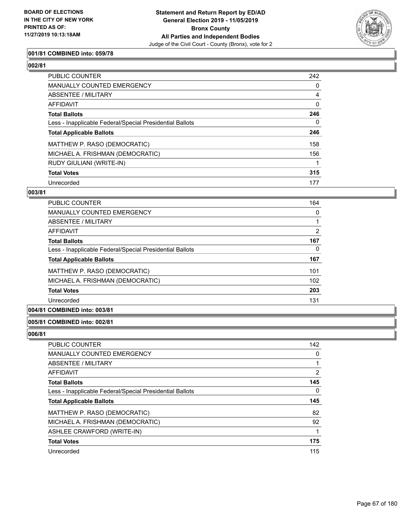

## **001/81 COMBINED into: 059/78**

| <b>PUBLIC COUNTER</b>                                    | 242      |
|----------------------------------------------------------|----------|
| MANUALLY COUNTED EMERGENCY                               | 0        |
| ABSENTEE / MILITARY                                      | 4        |
| AFFIDAVIT                                                | $\Omega$ |
| <b>Total Ballots</b>                                     | 246      |
| Less - Inapplicable Federal/Special Presidential Ballots | 0        |
| <b>Total Applicable Ballots</b>                          | 246      |
| MATTHEW P. RASO (DEMOCRATIC)                             | 158      |
| MICHAEL A. FRISHMAN (DEMOCRATIC)                         | 156      |
| RUDY GIULIANI (WRITE-IN)                                 |          |
| <b>Total Votes</b>                                       | 315      |
| Unrecorded                                               | 177      |

# **003/81**

| <b>PUBLIC COUNTER</b>                                    | 164 |
|----------------------------------------------------------|-----|
| <b>MANUALLY COUNTED EMERGENCY</b>                        | 0   |
| ABSENTEE / MILITARY                                      |     |
| AFFIDAVIT                                                | 2   |
| <b>Total Ballots</b>                                     | 167 |
| Less - Inapplicable Federal/Special Presidential Ballots | 0   |
| <b>Total Applicable Ballots</b>                          | 167 |
| MATTHEW P. RASO (DEMOCRATIC)                             | 101 |
| MICHAEL A. FRISHMAN (DEMOCRATIC)                         | 102 |
| <b>Total Votes</b>                                       | 203 |
| Unrecorded                                               | 131 |
|                                                          |     |

## **004/81 COMBINED into: 003/81**

### **005/81 COMBINED into: 002/81**

| PUBLIC COUNTER                                           | 142            |
|----------------------------------------------------------|----------------|
| <b>MANUALLY COUNTED EMERGENCY</b>                        | 0              |
| ABSENTEE / MILITARY                                      |                |
| AFFIDAVIT                                                | $\overline{2}$ |
| <b>Total Ballots</b>                                     | 145            |
| Less - Inapplicable Federal/Special Presidential Ballots | 0              |
| <b>Total Applicable Ballots</b>                          | 145            |
| MATTHEW P. RASO (DEMOCRATIC)                             | 82             |
| MICHAEL A. FRISHMAN (DEMOCRATIC)                         | 92             |
| ASHLEE CRAWFORD (WRITE-IN)                               | 1              |
| <b>Total Votes</b>                                       | 175            |
| Unrecorded                                               | 115            |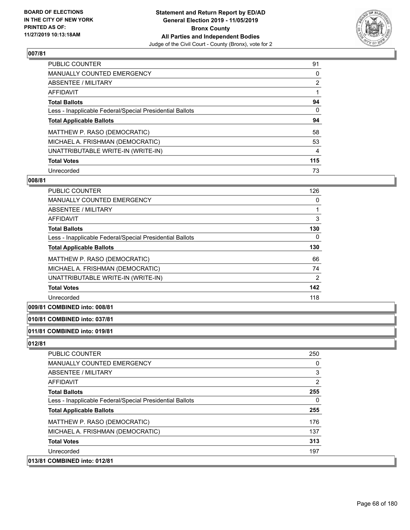

| <b>PUBLIC COUNTER</b>                                    | 91             |
|----------------------------------------------------------|----------------|
| <b>MANUALLY COUNTED EMERGENCY</b>                        | 0              |
| ABSENTEE / MILITARY                                      | $\overline{2}$ |
| AFFIDAVIT                                                |                |
| <b>Total Ballots</b>                                     | 94             |
| Less - Inapplicable Federal/Special Presidential Ballots | 0              |
| <b>Total Applicable Ballots</b>                          | 94             |
| MATTHEW P. RASO (DEMOCRATIC)                             | 58             |
| MICHAEL A. FRISHMAN (DEMOCRATIC)                         | 53             |
| UNATTRIBUTABLE WRITE-IN (WRITE-IN)                       | 4              |
| <b>Total Votes</b>                                       | 115            |
| Unrecorded                                               | 73             |

### **008/81**

| <b>PUBLIC COUNTER</b>                                    | 126            |
|----------------------------------------------------------|----------------|
| <b>MANUALLY COUNTED EMERGENCY</b>                        | 0              |
| ABSENTEE / MILITARY                                      |                |
| AFFIDAVIT                                                | 3              |
| <b>Total Ballots</b>                                     | 130            |
| Less - Inapplicable Federal/Special Presidential Ballots | $\Omega$       |
| <b>Total Applicable Ballots</b>                          | 130            |
| MATTHEW P. RASO (DEMOCRATIC)                             | 66             |
| MICHAEL A. FRISHMAN (DEMOCRATIC)                         | 74             |
| UNATTRIBUTABLE WRITE-IN (WRITE-IN)                       | $\overline{2}$ |
| <b>Total Votes</b>                                       | 142            |
| Unrecorded                                               | 118            |

## **009/81 COMBINED into: 008/81**

#### **010/81 COMBINED into: 037/81**

# **011/81 COMBINED into: 019/81**

| <b>PUBLIC COUNTER</b>                                    | 250 |
|----------------------------------------------------------|-----|
| MANUALLY COUNTED EMERGENCY                               | 0   |
| ABSENTEE / MILITARY                                      | 3   |
| AFFIDAVIT                                                | 2   |
| <b>Total Ballots</b>                                     | 255 |
| Less - Inapplicable Federal/Special Presidential Ballots | 0   |
| <b>Total Applicable Ballots</b>                          | 255 |
| MATTHEW P. RASO (DEMOCRATIC)                             | 176 |
| MICHAEL A. FRISHMAN (DEMOCRATIC)                         | 137 |
| <b>Total Votes</b>                                       | 313 |
| Unrecorded                                               | 197 |
| 013/81 COMBINED into: 012/81                             |     |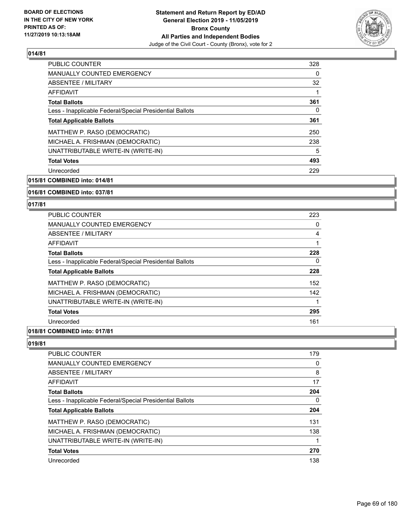

| <b>PUBLIC COUNTER</b>                                    | 328 |
|----------------------------------------------------------|-----|
| <b>MANUALLY COUNTED EMERGENCY</b>                        | 0   |
| ABSENTEE / MILITARY                                      | 32  |
| AFFIDAVIT                                                |     |
| <b>Total Ballots</b>                                     | 361 |
| Less - Inapplicable Federal/Special Presidential Ballots | 0   |
| <b>Total Applicable Ballots</b>                          | 361 |
| MATTHEW P. RASO (DEMOCRATIC)                             | 250 |
| MICHAEL A. FRISHMAN (DEMOCRATIC)                         | 238 |
| UNATTRIBUTABLE WRITE-IN (WRITE-IN)                       | 5   |
| <b>Total Votes</b>                                       | 493 |
| Unrecorded                                               | 229 |

**015/81 COMBINED into: 014/81**

### **016/81 COMBINED into: 037/81**

### **017/81**

| <b>PUBLIC COUNTER</b>                                    | 223 |
|----------------------------------------------------------|-----|
| MANUALLY COUNTED EMERGENCY                               | 0   |
| ABSENTEE / MILITARY                                      | 4   |
| <b>AFFIDAVIT</b>                                         | 1   |
| <b>Total Ballots</b>                                     | 228 |
| Less - Inapplicable Federal/Special Presidential Ballots | 0   |
| <b>Total Applicable Ballots</b>                          | 228 |
| MATTHEW P. RASO (DEMOCRATIC)                             | 152 |
| MICHAEL A. FRISHMAN (DEMOCRATIC)                         | 142 |
| UNATTRIBUTABLE WRITE-IN (WRITE-IN)                       |     |
| <b>Total Votes</b>                                       | 295 |
| Unrecorded                                               | 161 |
|                                                          |     |

# **018/81 COMBINED into: 017/81**

| PUBLIC COUNTER                                           | 179 |
|----------------------------------------------------------|-----|
| <b>MANUALLY COUNTED EMERGENCY</b>                        | 0   |
| ABSENTEE / MILITARY                                      | 8   |
| AFFIDAVIT                                                | 17  |
| <b>Total Ballots</b>                                     | 204 |
| Less - Inapplicable Federal/Special Presidential Ballots | 0   |
| <b>Total Applicable Ballots</b>                          | 204 |
| MATTHEW P. RASO (DEMOCRATIC)                             | 131 |
| MICHAEL A. FRISHMAN (DEMOCRATIC)                         | 138 |
| UNATTRIBUTABLE WRITE-IN (WRITE-IN)                       |     |
| <b>Total Votes</b>                                       | 270 |
| Unrecorded                                               | 138 |
|                                                          |     |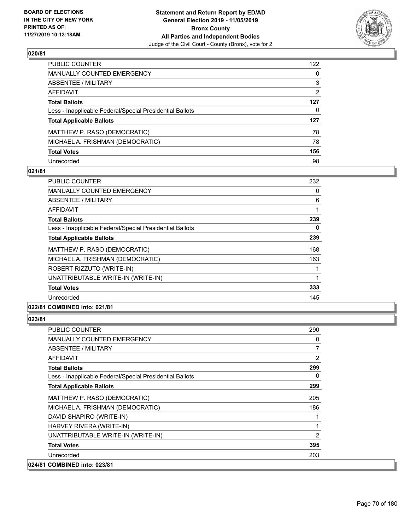

| PUBLIC COUNTER                                           | 122 |
|----------------------------------------------------------|-----|
| <b>MANUALLY COUNTED EMERGENCY</b>                        | 0   |
| ABSENTEE / MILITARY                                      | 3   |
| AFFIDAVIT                                                | 2   |
| <b>Total Ballots</b>                                     | 127 |
| Less - Inapplicable Federal/Special Presidential Ballots | 0   |
| <b>Total Applicable Ballots</b>                          | 127 |
| MATTHEW P. RASO (DEMOCRATIC)                             | 78  |
| MICHAEL A. FRISHMAN (DEMOCRATIC)                         | 78  |
| <b>Total Votes</b>                                       | 156 |
| Unrecorded                                               | 98  |

## **021/81**

| <b>PUBLIC COUNTER</b>                                    | 232      |
|----------------------------------------------------------|----------|
| MANUALLY COUNTED EMERGENCY                               | 0        |
| ABSENTEE / MILITARY                                      | 6        |
| AFFIDAVIT                                                |          |
| <b>Total Ballots</b>                                     | 239      |
| Less - Inapplicable Federal/Special Presidential Ballots | $\Omega$ |
| <b>Total Applicable Ballots</b>                          | 239      |
| MATTHEW P. RASO (DEMOCRATIC)                             | 168      |
| MICHAEL A. FRISHMAN (DEMOCRATIC)                         | 163      |
| ROBERT RIZZUTO (WRITE-IN)                                |          |
| UNATTRIBUTABLE WRITE-IN (WRITE-IN)                       |          |
| <b>Total Votes</b>                                       | 333      |
| Unrecorded                                               | 145      |
| 022/81 COMBINED into: 021/81                             |          |

| <b>PUBLIC COUNTER</b>                                    | 290            |
|----------------------------------------------------------|----------------|
| <b>MANUALLY COUNTED EMERGENCY</b>                        | 0              |
| ABSENTEE / MILITARY                                      | 7              |
| AFFIDAVIT                                                | $\overline{2}$ |
| <b>Total Ballots</b>                                     | 299            |
| Less - Inapplicable Federal/Special Presidential Ballots | 0              |
| <b>Total Applicable Ballots</b>                          | 299            |
| MATTHEW P. RASO (DEMOCRATIC)                             | 205            |
| MICHAEL A. FRISHMAN (DEMOCRATIC)                         | 186            |
| DAVID SHAPIRO (WRITE-IN)                                 | 1              |
| HARVEY RIVERA (WRITE-IN)                                 | 1              |
| UNATTRIBUTABLE WRITE-IN (WRITE-IN)                       | $\overline{2}$ |
| <b>Total Votes</b>                                       | 395            |
| Unrecorded                                               | 203            |
| 024/81 COMBINED into: 023/81                             |                |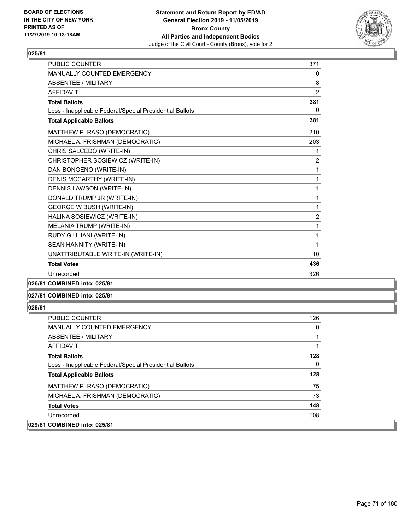

| PUBLIC COUNTER                                           | 371            |
|----------------------------------------------------------|----------------|
| <b>MANUALLY COUNTED EMERGENCY</b>                        | 0              |
| ABSENTEE / MILITARY                                      | 8              |
| AFFIDAVIT                                                | $\overline{2}$ |
| <b>Total Ballots</b>                                     | 381            |
| Less - Inapplicable Federal/Special Presidential Ballots | 0              |
| <b>Total Applicable Ballots</b>                          | 381            |
| MATTHEW P. RASO (DEMOCRATIC)                             | 210            |
| MICHAEL A. FRISHMAN (DEMOCRATIC)                         | 203            |
| CHRIS SALCEDO (WRITE-IN)                                 | 1              |
| CHRISTOPHER SOSIEWICZ (WRITE-IN)                         | $\overline{2}$ |
| DAN BONGENO (WRITE-IN)                                   | 1              |
| DENIS MCCARTHY (WRITE-IN)                                | 1              |
| DENNIS LAWSON (WRITE-IN)                                 | $\mathbf{1}$   |
| DONALD TRUMP JR (WRITE-IN)                               | 1              |
| <b>GEORGE W BUSH (WRITE-IN)</b>                          | $\mathbf{1}$   |
| HALINA SOSIEWICZ (WRITE-IN)                              | $\overline{2}$ |
| MELANIA TRUMP (WRITE-IN)                                 | 1              |
| RUDY GIULIANI (WRITE-IN)                                 | $\mathbf{1}$   |
| SEAN HANNITY (WRITE-IN)                                  | 1              |
| UNATTRIBUTABLE WRITE-IN (WRITE-IN)                       | 10             |
| <b>Total Votes</b>                                       | 436            |
| Unrecorded                                               | 326            |
|                                                          |                |

# **026/81 COMBINED into: 025/81**

### **027/81 COMBINED into: 025/81**

| <b>PUBLIC COUNTER</b>                                    | 126      |
|----------------------------------------------------------|----------|
| <b>MANUALLY COUNTED EMERGENCY</b>                        | 0        |
| ABSENTEE / MILITARY                                      |          |
| <b>AFFIDAVIT</b>                                         |          |
| <b>Total Ballots</b>                                     | 128      |
| Less - Inapplicable Federal/Special Presidential Ballots | $\Omega$ |
| <b>Total Applicable Ballots</b>                          | 128      |
| MATTHEW P. RASO (DEMOCRATIC)                             | 75       |
| MICHAEL A. FRISHMAN (DEMOCRATIC)                         | 73       |
| <b>Total Votes</b>                                       | 148      |
| Unrecorded                                               | 108      |
| 029/81 COMBINED into: 025/81                             |          |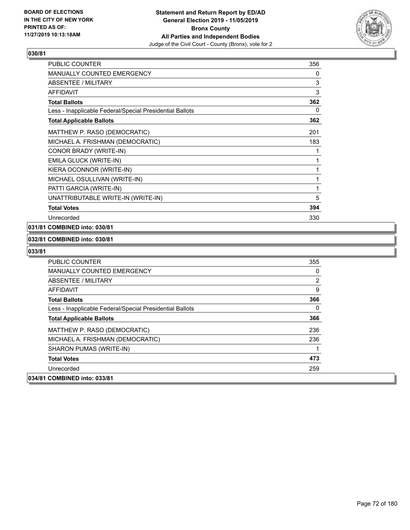

| <b>PUBLIC COUNTER</b>                                    | 356 |
|----------------------------------------------------------|-----|
| <b>MANUALLY COUNTED EMERGENCY</b>                        | 0   |
| ABSENTEE / MILITARY                                      | 3   |
| <b>AFFIDAVIT</b>                                         | 3   |
| <b>Total Ballots</b>                                     | 362 |
| Less - Inapplicable Federal/Special Presidential Ballots | 0   |
| <b>Total Applicable Ballots</b>                          | 362 |
| MATTHEW P. RASO (DEMOCRATIC)                             | 201 |
| MICHAEL A. FRISHMAN (DEMOCRATIC)                         | 183 |
| CONOR BRADY (WRITE-IN)                                   | 1   |
| EMILA GLUCK (WRITE-IN)                                   | 1   |
| KIERA OCONNOR (WRITE-IN)                                 | 1   |
| MICHAEL OSULLIVAN (WRITE-IN)                             | 1   |
| PATTI GARCIA (WRITE-IN)                                  | 1   |
| UNATTRIBUTABLE WRITE-IN (WRITE-IN)                       | 5   |
| <b>Total Votes</b>                                       | 394 |
| Unrecorded                                               | 330 |

## **031/81 COMBINED into: 030/81**

## **032/81 COMBINED into: 030/81**

| 034/81 COMBINED into: 033/81                             |     |
|----------------------------------------------------------|-----|
| Unrecorded                                               | 259 |
| <b>Total Votes</b>                                       | 473 |
| SHARON PUMAS (WRITE-IN)                                  |     |
| MICHAEL A. FRISHMAN (DEMOCRATIC)                         | 236 |
| MATTHEW P. RASO (DEMOCRATIC)                             | 236 |
| <b>Total Applicable Ballots</b>                          | 366 |
| Less - Inapplicable Federal/Special Presidential Ballots | 0   |
| <b>Total Ballots</b>                                     | 366 |
| AFFIDAVIT                                                | 9   |
| ABSENTEE / MILITARY                                      | 2   |
| <b>MANUALLY COUNTED EMERGENCY</b>                        | 0   |
| <b>PUBLIC COUNTER</b>                                    | 355 |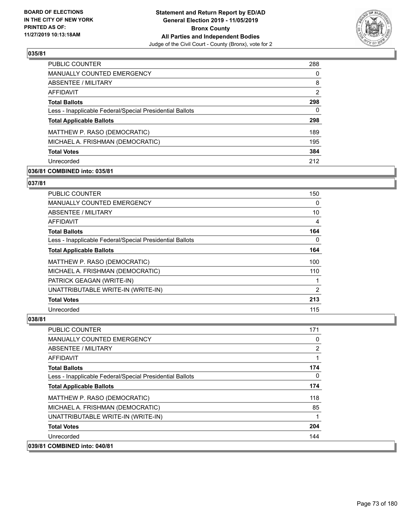

| PUBLIC COUNTER                                           | 288 |
|----------------------------------------------------------|-----|
| MANUALLY COUNTED EMERGENCY                               | 0   |
| ABSENTEE / MILITARY                                      | 8   |
| AFFIDAVIT                                                | 2   |
| <b>Total Ballots</b>                                     | 298 |
| Less - Inapplicable Federal/Special Presidential Ballots | 0   |
| <b>Total Applicable Ballots</b>                          | 298 |
| MATTHEW P. RASO (DEMOCRATIC)                             | 189 |
| MICHAEL A. FRISHMAN (DEMOCRATIC)                         | 195 |
| <b>Total Votes</b>                                       | 384 |
| Unrecorded                                               | 212 |

## **036/81 COMBINED into: 035/81**

#### **037/81**

| <b>PUBLIC COUNTER</b>                                    | 150      |
|----------------------------------------------------------|----------|
| MANUALLY COUNTED EMERGENCY                               | $\Omega$ |
| ABSENTEE / MILITARY                                      | 10       |
| AFFIDAVIT                                                | 4        |
| <b>Total Ballots</b>                                     | 164      |
| Less - Inapplicable Federal/Special Presidential Ballots | 0        |
| <b>Total Applicable Ballots</b>                          | 164      |
| MATTHEW P. RASO (DEMOCRATIC)                             | 100      |
| MICHAEL A. FRISHMAN (DEMOCRATIC)                         | 110      |
| PATRICK GEAGAN (WRITE-IN)                                | 1        |
| UNATTRIBUTABLE WRITE-IN (WRITE-IN)                       | 2        |
| <b>Total Votes</b>                                       | 213      |
| Unrecorded                                               | 115      |

| PUBLIC COUNTER                                           | 171          |
|----------------------------------------------------------|--------------|
| <b>MANUALLY COUNTED EMERGENCY</b>                        | 0            |
| ABSENTEE / MILITARY                                      | 2            |
| <b>AFFIDAVIT</b>                                         |              |
| <b>Total Ballots</b>                                     | 174          |
| Less - Inapplicable Federal/Special Presidential Ballots | $\mathbf{0}$ |
| <b>Total Applicable Ballots</b>                          | 174          |
| MATTHEW P. RASO (DEMOCRATIC)                             | 118          |
| MICHAEL A. FRISHMAN (DEMOCRATIC)                         | 85           |
| UNATTRIBUTABLE WRITE-IN (WRITE-IN)                       |              |
| <b>Total Votes</b>                                       | 204          |
| Unrecorded                                               | 144          |
| 039/81 COMBINED into: 040/81                             |              |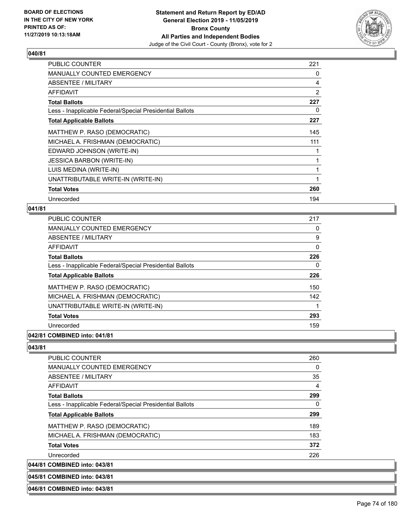

| <b>PUBLIC COUNTER</b>                                    | 221 |
|----------------------------------------------------------|-----|
| MANUALLY COUNTED EMERGENCY                               | 0   |
| ABSENTEE / MILITARY                                      | 4   |
| AFFIDAVIT                                                | 2   |
| <b>Total Ballots</b>                                     | 227 |
| Less - Inapplicable Federal/Special Presidential Ballots | 0   |
| <b>Total Applicable Ballots</b>                          | 227 |
| MATTHEW P. RASO (DEMOCRATIC)                             | 145 |
| MICHAEL A. FRISHMAN (DEMOCRATIC)                         | 111 |
| EDWARD JOHNSON (WRITE-IN)                                |     |
| <b>JESSICA BARBON (WRITE-IN)</b>                         |     |
| LUIS MEDINA (WRITE-IN)                                   |     |
| UNATTRIBUTABLE WRITE-IN (WRITE-IN)                       | 1   |
| <b>Total Votes</b>                                       | 260 |
| Unrecorded                                               | 194 |

## **041/81**

| <b>PUBLIC COUNTER</b>                                    | 217 |
|----------------------------------------------------------|-----|
| <b>MANUALLY COUNTED EMERGENCY</b>                        | 0   |
| ABSENTEE / MILITARY                                      | 9   |
| AFFIDAVIT                                                | 0   |
| <b>Total Ballots</b>                                     | 226 |
| Less - Inapplicable Federal/Special Presidential Ballots | 0   |
| <b>Total Applicable Ballots</b>                          | 226 |
| MATTHEW P. RASO (DEMOCRATIC)                             | 150 |
| MICHAEL A. FRISHMAN (DEMOCRATIC)                         | 142 |
| UNATTRIBUTABLE WRITE-IN (WRITE-IN)                       |     |
| <b>Total Votes</b>                                       | 293 |
| Unrecorded                                               | 159 |
| . <b>.</b>                                               |     |

## **042/81 COMBINED into: 041/81**

**043/81** 

 $|044/81$ 

| <b>PUBLIC COUNTER</b>                                    | 260 |
|----------------------------------------------------------|-----|
| <b>MANUALLY COUNTED EMERGENCY</b>                        | 0   |
| ABSENTEE / MILITARY                                      | 35  |
| AFFIDAVIT                                                | 4   |
| <b>Total Ballots</b>                                     | 299 |
| Less - Inapplicable Federal/Special Presidential Ballots | 0   |
| <b>Total Applicable Ballots</b>                          | 299 |
| MATTHEW P. RASO (DEMOCRATIC)                             | 189 |
| MICHAEL A. FRISHMAN (DEMOCRATIC)                         | 183 |
| <b>Total Votes</b>                                       | 372 |
| Unrecorded                                               | 226 |
| <b>COMBINED into: 043/81</b>                             |     |

#### **045/81 COMBINED into: 043/81**

**046/81 COMBINED into: 043/81**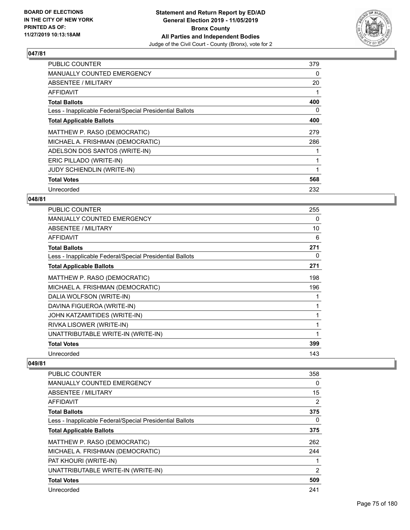

| PUBLIC COUNTER                                           | 379 |
|----------------------------------------------------------|-----|
| <b>MANUALLY COUNTED EMERGENCY</b>                        | 0   |
| ABSENTEE / MILITARY                                      | 20  |
| AFFIDAVIT                                                |     |
| <b>Total Ballots</b>                                     | 400 |
| Less - Inapplicable Federal/Special Presidential Ballots | 0   |
| <b>Total Applicable Ballots</b>                          | 400 |
| MATTHEW P. RASO (DEMOCRATIC)                             | 279 |
| MICHAEL A. FRISHMAN (DEMOCRATIC)                         | 286 |
| ADELSON DOS SANTOS (WRITE-IN)                            |     |
| ERIC PILLADO (WRITE-IN)                                  |     |
| <b>JUDY SCHIENDLIN (WRITE-IN)</b>                        |     |
| <b>Total Votes</b>                                       | 568 |
| Unrecorded                                               | 232 |

## **048/81**

| PUBLIC COUNTER                                           | 255 |
|----------------------------------------------------------|-----|
| <b>MANUALLY COUNTED EMERGENCY</b>                        | 0   |
| ABSENTEE / MILITARY                                      | 10  |
| <b>AFFIDAVIT</b>                                         | 6   |
| <b>Total Ballots</b>                                     | 271 |
| Less - Inapplicable Federal/Special Presidential Ballots | 0   |
| <b>Total Applicable Ballots</b>                          | 271 |
| MATTHEW P. RASO (DEMOCRATIC)                             | 198 |
| MICHAEL A. FRISHMAN (DEMOCRATIC)                         | 196 |
| DALIA WOLFSON (WRITE-IN)                                 |     |
| DAVINA FIGUEROA (WRITE-IN)                               | 1   |
| JOHN KATZAMITIDES (WRITE-IN)                             |     |
| RIVKA LISOWER (WRITE-IN)                                 | 1   |
| UNATTRIBUTABLE WRITE-IN (WRITE-IN)                       | 1   |
| <b>Total Votes</b>                                       | 399 |
| Unrecorded                                               | 143 |

| PUBLIC COUNTER                                           | 358 |
|----------------------------------------------------------|-----|
| <b>MANUALLY COUNTED EMERGENCY</b>                        | 0   |
| ABSENTEE / MILITARY                                      | 15  |
| AFFIDAVIT                                                | 2   |
| <b>Total Ballots</b>                                     | 375 |
| Less - Inapplicable Federal/Special Presidential Ballots | 0   |
| <b>Total Applicable Ballots</b>                          | 375 |
| MATTHEW P. RASO (DEMOCRATIC)                             | 262 |
| MICHAEL A. FRISHMAN (DEMOCRATIC)                         | 244 |
| PAT KHOURI (WRITE-IN)                                    |     |
| UNATTRIBUTABLE WRITE-IN (WRITE-IN)                       | 2   |
| <b>Total Votes</b>                                       | 509 |
| Unrecorded                                               | 241 |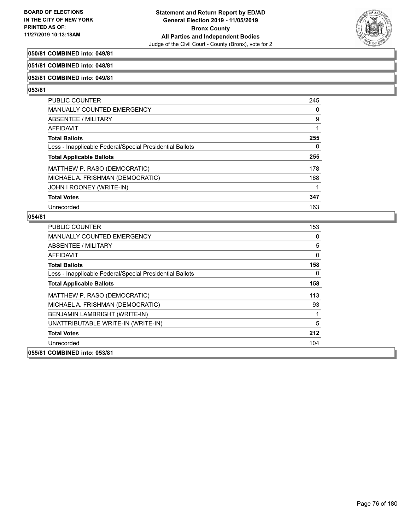

## **050/81 COMBINED into: 049/81**

#### **051/81 COMBINED into: 048/81**

#### **052/81 COMBINED into: 049/81**

#### **053/81**

| <b>PUBLIC COUNTER</b>                                    | 245 |
|----------------------------------------------------------|-----|
| <b>MANUALLY COUNTED EMERGENCY</b>                        | 0   |
| <b>ABSENTEE / MILITARY</b>                               | 9   |
| <b>AFFIDAVIT</b>                                         |     |
| <b>Total Ballots</b>                                     | 255 |
| Less - Inapplicable Federal/Special Presidential Ballots | 0   |
| <b>Total Applicable Ballots</b>                          | 255 |
| MATTHEW P. RASO (DEMOCRATIC)                             | 178 |
| MICHAEL A. FRISHMAN (DEMOCRATIC)                         | 168 |
| JOHN I ROONEY (WRITE-IN)                                 |     |
| <b>Total Votes</b>                                       | 347 |
| Unrecorded                                               | 163 |

| <b>PUBLIC COUNTER</b>                                    | 153 |
|----------------------------------------------------------|-----|
| <b>MANUALLY COUNTED EMERGENCY</b>                        | 0   |
| ABSENTEE / MILITARY                                      | 5   |
| AFFIDAVIT                                                | 0   |
| <b>Total Ballots</b>                                     | 158 |
| Less - Inapplicable Federal/Special Presidential Ballots | 0   |
| <b>Total Applicable Ballots</b>                          | 158 |
| MATTHEW P. RASO (DEMOCRATIC)                             | 113 |
| MICHAEL A. FRISHMAN (DEMOCRATIC)                         | 93  |
| BENJAMIN LAMBRIGHT (WRITE-IN)                            | 1   |
| UNATTRIBUTABLE WRITE-IN (WRITE-IN)                       | 5   |
| <b>Total Votes</b>                                       | 212 |
| Unrecorded                                               | 104 |
| 055/81 COMBINED into: 053/81                             |     |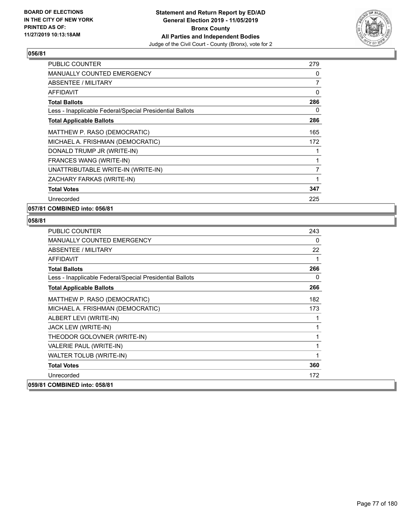

| <b>PUBLIC COUNTER</b>                                    | 279 |
|----------------------------------------------------------|-----|
| <b>MANUALLY COUNTED EMERGENCY</b>                        | 0   |
| ABSENTEE / MILITARY                                      | 7   |
| AFFIDAVIT                                                | 0   |
| <b>Total Ballots</b>                                     | 286 |
| Less - Inapplicable Federal/Special Presidential Ballots | 0   |
| <b>Total Applicable Ballots</b>                          | 286 |
| MATTHEW P. RASO (DEMOCRATIC)                             | 165 |
| MICHAEL A. FRISHMAN (DEMOCRATIC)                         | 172 |
| DONALD TRUMP JR (WRITE-IN)                               | 1   |
| FRANCES WANG (WRITE-IN)                                  | 1   |
| UNATTRIBUTABLE WRITE-IN (WRITE-IN)                       | 7   |
| ZACHARY FARKAS (WRITE-IN)                                | 1   |
| <b>Total Votes</b>                                       | 347 |
| Unrecorded                                               | 225 |

**057/81 COMBINED into: 056/81**

| PUBLIC COUNTER                                           | 243 |
|----------------------------------------------------------|-----|
| <b>MANUALLY COUNTED EMERGENCY</b>                        | 0   |
| ABSENTEE / MILITARY                                      | 22  |
| AFFIDAVIT                                                | 1   |
| <b>Total Ballots</b>                                     | 266 |
| Less - Inapplicable Federal/Special Presidential Ballots | 0   |
| <b>Total Applicable Ballots</b>                          | 266 |
| MATTHEW P. RASO (DEMOCRATIC)                             | 182 |
| MICHAEL A. FRISHMAN (DEMOCRATIC)                         | 173 |
| ALBERT LEVI (WRITE-IN)                                   | 1   |
| JACK LEW (WRITE-IN)                                      | 1   |
| THEODOR GOLOVNER (WRITE-IN)                              | 1   |
| VALERIE PAUL (WRITE-IN)                                  | 1   |
| WALTER TOLUB (WRITE-IN)                                  | 1   |
| <b>Total Votes</b>                                       | 360 |
| Unrecorded                                               | 172 |
| 059/81 COMBINED into: 058/81                             |     |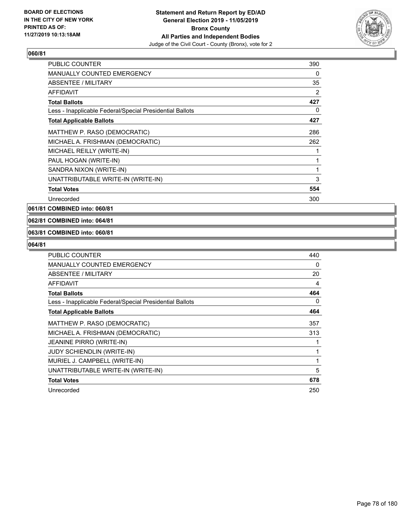

| PUBLIC COUNTER                                           | 390 |
|----------------------------------------------------------|-----|
| <b>MANUALLY COUNTED EMERGENCY</b>                        | 0   |
| <b>ABSENTEE / MILITARY</b>                               | 35  |
| <b>AFFIDAVIT</b>                                         | 2   |
| <b>Total Ballots</b>                                     | 427 |
| Less - Inapplicable Federal/Special Presidential Ballots | 0   |
| <b>Total Applicable Ballots</b>                          | 427 |
| MATTHEW P. RASO (DEMOCRATIC)                             | 286 |
| MICHAEL A. FRISHMAN (DEMOCRATIC)                         | 262 |
| MICHAEL REILLY (WRITE-IN)                                | 1   |
| PAUL HOGAN (WRITE-IN)                                    | 1   |
| SANDRA NIXON (WRITE-IN)                                  | 1   |
| UNATTRIBUTABLE WRITE-IN (WRITE-IN)                       | 3   |
| <b>Total Votes</b>                                       | 554 |
| Unrecorded                                               | 300 |

**061/81 COMBINED into: 060/81**

## **062/81 COMBINED into: 064/81**

#### **063/81 COMBINED into: 060/81**

| <b>PUBLIC COUNTER</b>                                    | 440 |
|----------------------------------------------------------|-----|
| <b>MANUALLY COUNTED EMERGENCY</b>                        | 0   |
| <b>ABSENTEE / MILITARY</b>                               | 20  |
| <b>AFFIDAVIT</b>                                         | 4   |
| <b>Total Ballots</b>                                     | 464 |
| Less - Inapplicable Federal/Special Presidential Ballots | 0   |
| <b>Total Applicable Ballots</b>                          | 464 |
| MATTHEW P. RASO (DEMOCRATIC)                             | 357 |
| MICHAEL A. FRISHMAN (DEMOCRATIC)                         | 313 |
| JEANINE PIRRO (WRITE-IN)                                 |     |
| <b>JUDY SCHIENDLIN (WRITE-IN)</b>                        |     |
| MURIEL J. CAMPBELL (WRITE-IN)                            |     |
| UNATTRIBUTABLE WRITE-IN (WRITE-IN)                       | 5   |
| <b>Total Votes</b>                                       | 678 |
| Unrecorded                                               | 250 |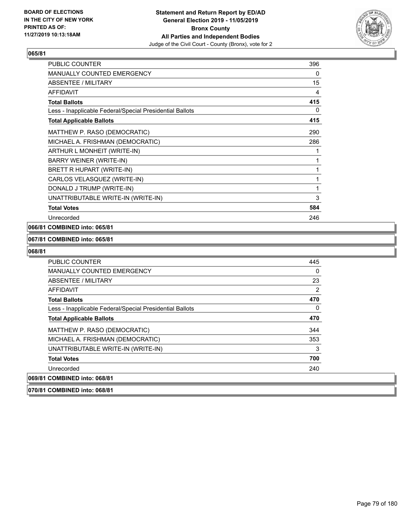

| <b>PUBLIC COUNTER</b>                                    | 396 |
|----------------------------------------------------------|-----|
| MANUALLY COUNTED EMERGENCY                               | 0   |
| <b>ABSENTEE / MILITARY</b>                               | 15  |
| <b>AFFIDAVIT</b>                                         | 4   |
| <b>Total Ballots</b>                                     | 415 |
| Less - Inapplicable Federal/Special Presidential Ballots | 0   |
| <b>Total Applicable Ballots</b>                          | 415 |
| MATTHEW P. RASO (DEMOCRATIC)                             | 290 |
| MICHAEL A. FRISHMAN (DEMOCRATIC)                         | 286 |
| ARTHUR L MONHEIT (WRITE-IN)                              |     |
| BARRY WEINER (WRITE-IN)                                  | 1   |
| BRETT R HUPART (WRITE-IN)                                | 1   |
| CARLOS VELASQUEZ (WRITE-IN)                              | 1   |
| DONALD J TRUMP (WRITE-IN)                                | 1   |
| UNATTRIBUTABLE WRITE-IN (WRITE-IN)                       | 3   |
| <b>Total Votes</b>                                       | 584 |
| Unrecorded                                               | 246 |

## **066/81 COMBINED into: 065/81**

#### **067/81 COMBINED into: 065/81**

#### **068/81**

| <b>PUBLIC COUNTER</b>                                    | 445      |
|----------------------------------------------------------|----------|
| <b>MANUALLY COUNTED EMERGENCY</b>                        | $\Omega$ |
| ABSENTEE / MILITARY                                      | 23       |
| AFFIDAVIT                                                | 2        |
| <b>Total Ballots</b>                                     | 470      |
| Less - Inapplicable Federal/Special Presidential Ballots | 0        |
| <b>Total Applicable Ballots</b>                          | 470      |
| MATTHEW P. RASO (DEMOCRATIC)                             | 344      |
| MICHAEL A. FRISHMAN (DEMOCRATIC)                         | 353      |
| UNATTRIBUTABLE WRITE-IN (WRITE-IN)                       | 3        |
| <b>Total Votes</b>                                       | 700      |
| Unrecorded                                               | 240      |
| 069/81 COMBINED into: 068/81                             |          |
|                                                          |          |

**070/81 COMBINED into: 068/81**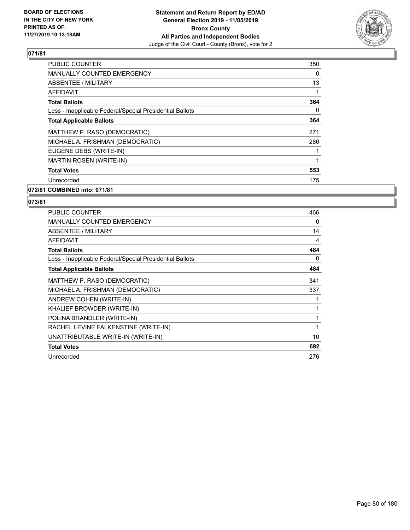

| <b>PUBLIC COUNTER</b>                                    | 350      |
|----------------------------------------------------------|----------|
| <b>MANUALLY COUNTED EMERGENCY</b>                        | $\Omega$ |
| ABSENTEE / MILITARY                                      | 13       |
| <b>AFFIDAVIT</b>                                         |          |
| <b>Total Ballots</b>                                     | 364      |
| Less - Inapplicable Federal/Special Presidential Ballots | $\Omega$ |
| <b>Total Applicable Ballots</b>                          | 364      |
| MATTHEW P. RASO (DEMOCRATIC)                             | 271      |
| MICHAEL A. FRISHMAN (DEMOCRATIC)                         | 280      |
| EUGENE DEBS (WRITE-IN)                                   |          |
| MARTIN ROSEN (WRITE-IN)                                  |          |
| <b>Total Votes</b>                                       | 553      |
| Unrecorded                                               | 175      |
| 072/81 COMBINED into: 071/81                             |          |

| <b>PUBLIC COUNTER</b>                                    | 466 |
|----------------------------------------------------------|-----|
| <b>MANUALLY COUNTED EMERGENCY</b>                        | 0   |
| <b>ABSENTEE / MILITARY</b>                               | 14  |
| <b>AFFIDAVIT</b>                                         | 4   |
| <b>Total Ballots</b>                                     | 484 |
| Less - Inapplicable Federal/Special Presidential Ballots | 0   |
| <b>Total Applicable Ballots</b>                          | 484 |
| MATTHEW P. RASO (DEMOCRATIC)                             | 341 |
| MICHAEL A. FRISHMAN (DEMOCRATIC)                         | 337 |
| ANDREW COHEN (WRITE-IN)                                  |     |
| KHALIEF BROWDER (WRITE-IN)                               |     |
| POLINA BRANDLER (WRITE-IN)                               | 1   |
| RACHEL LEVINE FALKENSTINE (WRITE-IN)                     | 1   |
| UNATTRIBUTABLE WRITE-IN (WRITE-IN)                       | 10  |
| <b>Total Votes</b>                                       | 692 |
| Unrecorded                                               | 276 |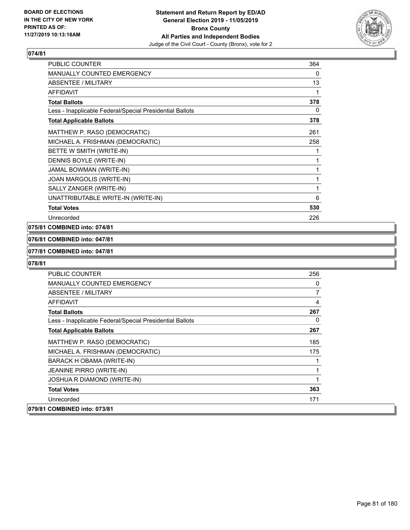

| <b>PUBLIC COUNTER</b>                                    | 364 |
|----------------------------------------------------------|-----|
| MANUALLY COUNTED EMERGENCY                               | 0   |
| ABSENTEE / MILITARY                                      | 13  |
| <b>AFFIDAVIT</b>                                         | 1   |
| <b>Total Ballots</b>                                     | 378 |
| Less - Inapplicable Federal/Special Presidential Ballots | 0   |
| <b>Total Applicable Ballots</b>                          | 378 |
| MATTHEW P. RASO (DEMOCRATIC)                             | 261 |
| MICHAEL A. FRISHMAN (DEMOCRATIC)                         | 258 |
| BETTE W SMITH (WRITE-IN)                                 | 1   |
| DENNIS BOYLE (WRITE-IN)                                  | 1   |
| JAMAL BOWMAN (WRITE-IN)                                  | 1   |
| JOAN MARGOLIS (WRITE-IN)                                 | 1   |
| SALLY ZANGER (WRITE-IN)                                  | 1   |
| UNATTRIBUTABLE WRITE-IN (WRITE-IN)                       | 6   |
| <b>Total Votes</b>                                       | 530 |
| Unrecorded                                               | 226 |

## **075/81 COMBINED into: 074/81**

#### **076/81 COMBINED into: 047/81**

#### **077/81 COMBINED into: 047/81**

| <b>PUBLIC COUNTER</b>                                    | 256 |
|----------------------------------------------------------|-----|
| <b>MANUALLY COUNTED EMERGENCY</b>                        | 0   |
| ABSENTEE / MILITARY                                      | 7   |
| AFFIDAVIT                                                | 4   |
| <b>Total Ballots</b>                                     | 267 |
| Less - Inapplicable Federal/Special Presidential Ballots | 0   |
| <b>Total Applicable Ballots</b>                          | 267 |
| MATTHEW P. RASO (DEMOCRATIC)                             | 185 |
| MICHAEL A. FRISHMAN (DEMOCRATIC)                         | 175 |
| BARACK H OBAMA (WRITE-IN)                                | 1   |
| <b>JEANINE PIRRO (WRITE-IN)</b>                          | 1   |
| <b>JOSHUA R DIAMOND (WRITE-IN)</b>                       | 1   |
| <b>Total Votes</b>                                       | 363 |
| Unrecorded                                               | 171 |
| 079/81 COMBINED into: 073/81                             |     |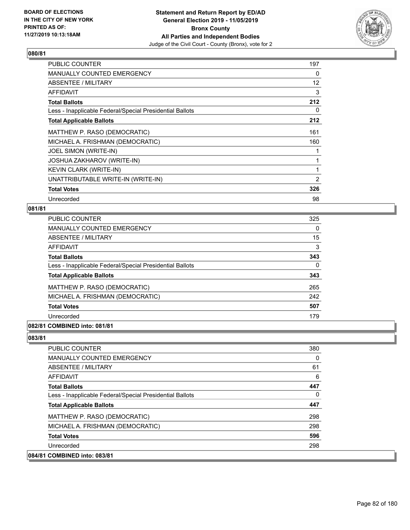

| <b>PUBLIC COUNTER</b>                                    | 197            |
|----------------------------------------------------------|----------------|
| MANUALLY COUNTED EMERGENCY                               | 0              |
| ABSENTEE / MILITARY                                      | 12             |
| <b>AFFIDAVIT</b>                                         | 3              |
| <b>Total Ballots</b>                                     | 212            |
| Less - Inapplicable Federal/Special Presidential Ballots | 0              |
| <b>Total Applicable Ballots</b>                          | 212            |
| MATTHEW P. RASO (DEMOCRATIC)                             | 161            |
| MICHAEL A. FRISHMAN (DEMOCRATIC)                         | 160            |
| JOEL SIMON (WRITE-IN)                                    |                |
| <b>JOSHUA ZAKHAROV (WRITE-IN)</b>                        |                |
| <b>KEVIN CLARK (WRITE-IN)</b>                            | 1              |
| UNATTRIBUTABLE WRITE-IN (WRITE-IN)                       | $\overline{2}$ |
| <b>Total Votes</b>                                       | 326            |
| Unrecorded                                               | 98             |

## **081/81**

| PUBLIC COUNTER                                           | 325      |
|----------------------------------------------------------|----------|
| <b>MANUALLY COUNTED EMERGENCY</b>                        | $\Omega$ |
| ABSENTEE / MILITARY                                      | 15       |
| AFFIDAVIT                                                | 3        |
| <b>Total Ballots</b>                                     | 343      |
| Less - Inapplicable Federal/Special Presidential Ballots | $\Omega$ |
| <b>Total Applicable Ballots</b>                          | 343      |
| MATTHEW P. RASO (DEMOCRATIC)                             | 265      |
| MICHAEL A. FRISHMAN (DEMOCRATIC)                         | 242      |
| <b>Total Votes</b>                                       | 507      |
| Unrecorded                                               | 179      |
| 082/81 COMBINED into: 081/81                             |          |

| PUBLIC COUNTER                                           | 380      |
|----------------------------------------------------------|----------|
| <b>MANUALLY COUNTED EMERGENCY</b>                        | $\Omega$ |
| ABSENTEE / MILITARY                                      | 61       |
| <b>AFFIDAVIT</b>                                         | 6        |
| <b>Total Ballots</b>                                     | 447      |
| Less - Inapplicable Federal/Special Presidential Ballots | $\Omega$ |
| <b>Total Applicable Ballots</b>                          | 447      |
| MATTHEW P. RASO (DEMOCRATIC)                             | 298      |
| MICHAEL A. FRISHMAN (DEMOCRATIC)                         | 298      |
| <b>Total Votes</b>                                       | 596      |
| Unrecorded                                               | 298      |
| 084/81 COMBINED into: 083/81                             |          |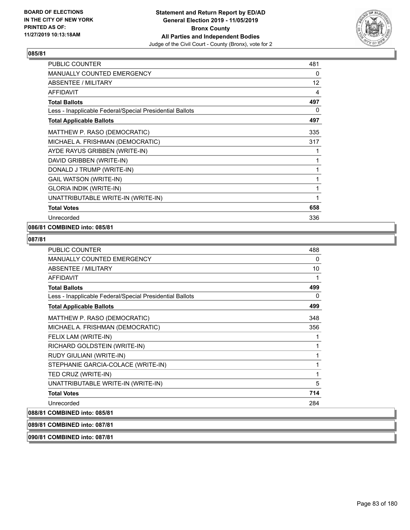

| <b>PUBLIC COUNTER</b>                                    | 481               |
|----------------------------------------------------------|-------------------|
| MANUALLY COUNTED EMERGENCY                               | 0                 |
| <b>ABSENTEE / MILITARY</b>                               | $12 \overline{ }$ |
| <b>AFFIDAVIT</b>                                         | 4                 |
| <b>Total Ballots</b>                                     | 497               |
| Less - Inapplicable Federal/Special Presidential Ballots | 0                 |
| <b>Total Applicable Ballots</b>                          | 497               |
| MATTHEW P. RASO (DEMOCRATIC)                             | 335               |
| MICHAEL A. FRISHMAN (DEMOCRATIC)                         | 317               |
| AYDE RAYUS GRIBBEN (WRITE-IN)                            | 1                 |
| DAVID GRIBBEN (WRITE-IN)                                 | 1                 |
| DONALD J TRUMP (WRITE-IN)                                | 1                 |
| GAIL WATSON (WRITE-IN)                                   | 1                 |
| <b>GLORIA INDIK (WRITE-IN)</b>                           | 1                 |
| UNATTRIBUTABLE WRITE-IN (WRITE-IN)                       | 1                 |
| <b>Total Votes</b>                                       | 658               |
| Unrecorded                                               | 336               |

## **086/81 COMBINED into: 085/81**

## **087/81**

| <b>PUBLIC COUNTER</b>                                    | 488 |
|----------------------------------------------------------|-----|
| <b>MANUALLY COUNTED EMERGENCY</b>                        | 0   |
| <b>ABSENTEE / MILITARY</b>                               | 10  |
| AFFIDAVIT                                                | 1   |
| <b>Total Ballots</b>                                     | 499 |
| Less - Inapplicable Federal/Special Presidential Ballots | 0   |
| <b>Total Applicable Ballots</b>                          | 499 |
| MATTHEW P. RASO (DEMOCRATIC)                             | 348 |
| MICHAEL A. FRISHMAN (DEMOCRATIC)                         | 356 |
| FELIX LAM (WRITE-IN)                                     | 1   |
| RICHARD GOLDSTEIN (WRITE-IN)                             | 1   |
| RUDY GIULIANI (WRITE-IN)                                 | 1   |
| STEPHANIE GARCIA-COLACE (WRITE-IN)                       | 1   |
| TED CRUZ (WRITE-IN)                                      | 1   |
| UNATTRIBUTABLE WRITE-IN (WRITE-IN)                       | 5   |
| <b>Total Votes</b>                                       | 714 |
| Unrecorded                                               | 284 |
| 088/81 COMBINED into: 085/81                             |     |

## **089/81 COMBINED into: 087/81**

**090/81 COMBINED into: 087/81**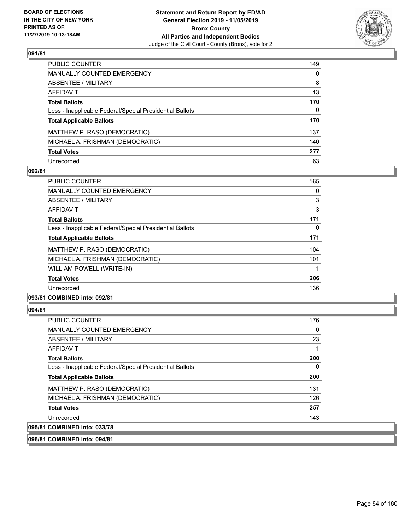

| PUBLIC COUNTER                                           | 149          |
|----------------------------------------------------------|--------------|
| <b>MANUALLY COUNTED EMERGENCY</b>                        | 0            |
| <b>ABSENTEE / MILITARY</b>                               | 8            |
| <b>AFFIDAVIT</b>                                         | 13           |
| <b>Total Ballots</b>                                     | 170          |
| Less - Inapplicable Federal/Special Presidential Ballots | $\mathbf{0}$ |
| <b>Total Applicable Ballots</b>                          | 170          |
| MATTHEW P. RASO (DEMOCRATIC)                             | 137          |
| MICHAEL A. FRISHMAN (DEMOCRATIC)                         | 140          |
| <b>Total Votes</b>                                       | 277          |
| Unrecorded                                               | 63           |

## **092/81**

| PUBLIC COUNTER                                           | 165 |
|----------------------------------------------------------|-----|
| <b>MANUALLY COUNTED EMERGENCY</b>                        | 0   |
| ABSENTEE / MILITARY                                      | 3   |
| <b>AFFIDAVIT</b>                                         | 3   |
| <b>Total Ballots</b>                                     | 171 |
| Less - Inapplicable Federal/Special Presidential Ballots | 0   |
| <b>Total Applicable Ballots</b>                          | 171 |
| MATTHEW P. RASO (DEMOCRATIC)                             | 104 |
| MICHAEL A. FRISHMAN (DEMOCRATIC)                         | 101 |
| WILLIAM POWELL (WRITE-IN)                                |     |
| <b>Total Votes</b>                                       | 206 |
| Unrecorded                                               | 136 |
|                                                          |     |

## **093/81 COMBINED into: 092/81**

## **094/81**

| <b>PUBLIC COUNTER</b>                                    | 176 |
|----------------------------------------------------------|-----|
| MANUALLY COUNTED EMERGENCY                               | 0   |
| ABSENTEE / MILITARY                                      | 23  |
| AFFIDAVIT                                                |     |
| <b>Total Ballots</b>                                     | 200 |
| Less - Inapplicable Federal/Special Presidential Ballots | 0   |
| <b>Total Applicable Ballots</b>                          | 200 |
| MATTHEW P. RASO (DEMOCRATIC)                             | 131 |
| MICHAEL A. FRISHMAN (DEMOCRATIC)                         | 126 |
| <b>Total Votes</b>                                       | 257 |
| Unrecorded                                               | 143 |
| 095/81 COMBINED into: 033/78                             |     |

**096/81 COMBINED into: 094/81**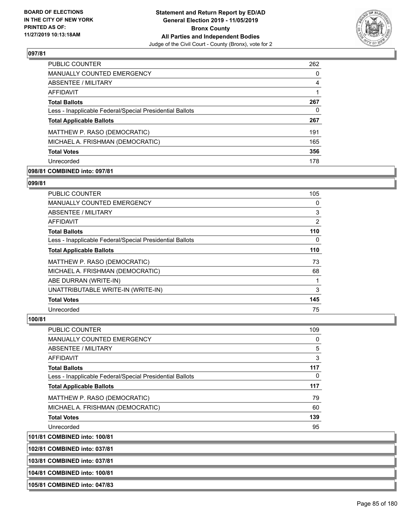

| <b>PUBLIC COUNTER</b>                                    | 262 |
|----------------------------------------------------------|-----|
| MANUALLY COUNTED EMERGENCY                               | 0   |
| ABSENTEE / MILITARY                                      | 4   |
| AFFIDAVIT                                                |     |
| <b>Total Ballots</b>                                     | 267 |
| Less - Inapplicable Federal/Special Presidential Ballots | 0   |
| <b>Total Applicable Ballots</b>                          | 267 |
| MATTHEW P. RASO (DEMOCRATIC)                             | 191 |
| MICHAEL A. FRISHMAN (DEMOCRATIC)                         | 165 |
| <b>Total Votes</b>                                       | 356 |
| Unrecorded                                               | 178 |

## **098/81 COMBINED into: 097/81**

#### **099/81**

| <b>PUBLIC COUNTER</b>                                    | 105 |
|----------------------------------------------------------|-----|
| MANUALLY COUNTED EMERGENCY                               | 0   |
| ABSENTEE / MILITARY                                      | 3   |
| AFFIDAVIT                                                | 2   |
| <b>Total Ballots</b>                                     | 110 |
| Less - Inapplicable Federal/Special Presidential Ballots | 0   |
| <b>Total Applicable Ballots</b>                          | 110 |
| MATTHEW P. RASO (DEMOCRATIC)                             | 73  |
| MICHAEL A. FRISHMAN (DEMOCRATIC)                         | 68  |
| ABE DURRAN (WRITE-IN)                                    |     |
| UNATTRIBUTABLE WRITE-IN (WRITE-IN)                       | 3   |
| <b>Total Votes</b>                                       | 145 |
| Unrecorded                                               | 75  |

## **100/81**

| <b>PUBLIC COUNTER</b>                                    | 109 |
|----------------------------------------------------------|-----|
| <b>MANUALLY COUNTED EMERGENCY</b>                        | 0   |
| ABSENTEE / MILITARY                                      | 5   |
| <b>AFFIDAVIT</b>                                         | 3   |
| <b>Total Ballots</b>                                     | 117 |
| Less - Inapplicable Federal/Special Presidential Ballots | 0   |
| <b>Total Applicable Ballots</b>                          | 117 |
| MATTHEW P. RASO (DEMOCRATIC)                             | 79  |
| MICHAEL A. FRISHMAN (DEMOCRATIC)                         | 60  |
| <b>Total Votes</b>                                       | 139 |
| Unrecorded                                               | 95  |
|                                                          |     |

**101/81 COMBINED into: 100/81**

**102/81 COMBINED into: 037/81**

**103/81 COMBINED into: 037/81**

**104/81 COMBINED into: 100/81**

**105/81 COMBINED into: 047/83**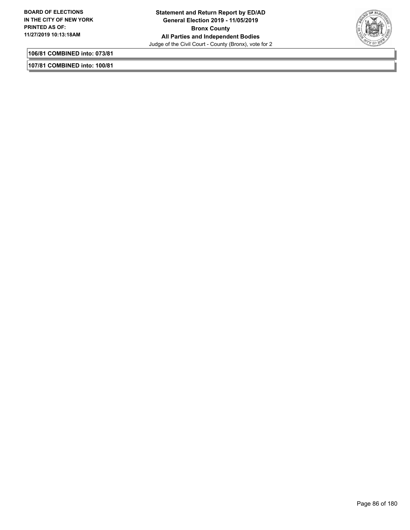

**106/81 COMBINED into: 073/81**

**107/81 COMBINED into: 100/81**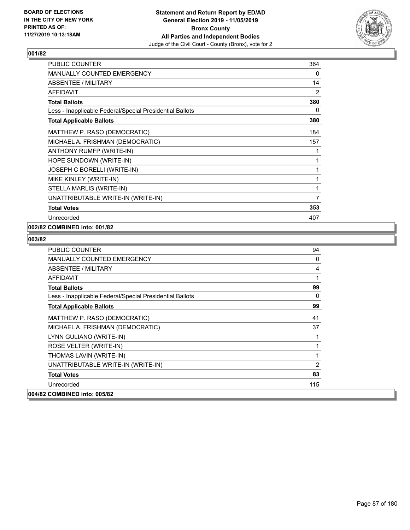

| PUBLIC COUNTER                                           | 364 |
|----------------------------------------------------------|-----|
| MANUALLY COUNTED EMERGENCY                               | 0   |
| <b>ABSENTEE / MILITARY</b>                               | 14  |
| <b>AFFIDAVIT</b>                                         | 2   |
| <b>Total Ballots</b>                                     | 380 |
| Less - Inapplicable Federal/Special Presidential Ballots | 0   |
| <b>Total Applicable Ballots</b>                          | 380 |
| MATTHEW P. RASO (DEMOCRATIC)                             | 184 |
| MICHAEL A. FRISHMAN (DEMOCRATIC)                         | 157 |
| ANTHONY RUMFP (WRITE-IN)                                 | 1   |
| HOPE SUNDOWN (WRITE-IN)                                  | 1   |
| JOSEPH C BORELLI (WRITE-IN)                              | 1   |
| MIKE KINLEY (WRITE-IN)                                   | 1   |
| STELLA MARLIS (WRITE-IN)                                 | 1   |
| UNATTRIBUTABLE WRITE-IN (WRITE-IN)                       | 7   |
| <b>Total Votes</b>                                       | 353 |
| Unrecorded                                               | 407 |

## **002/82 COMBINED into: 001/82**

| <b>PUBLIC COUNTER</b>                                    | 94       |
|----------------------------------------------------------|----------|
| <b>MANUALLY COUNTED EMERGENCY</b>                        | 0        |
| <b>ABSENTEE / MILITARY</b>                               | 4        |
| <b>AFFIDAVIT</b>                                         | 1        |
| <b>Total Ballots</b>                                     | 99       |
| Less - Inapplicable Federal/Special Presidential Ballots | $\Omega$ |
| <b>Total Applicable Ballots</b>                          | 99       |
| MATTHEW P. RASO (DEMOCRATIC)                             | 41       |
| MICHAEL A. FRISHMAN (DEMOCRATIC)                         | 37       |
| LYNN GULIANO (WRITE-IN)                                  |          |
| ROSE VELTER (WRITE-IN)                                   | 1        |
| THOMAS LAVIN (WRITE-IN)                                  | 1        |
| UNATTRIBUTABLE WRITE-IN (WRITE-IN)                       | 2        |
| <b>Total Votes</b>                                       | 83       |
| Unrecorded                                               | 115      |
| 004/82 COMBINED into: 005/82                             |          |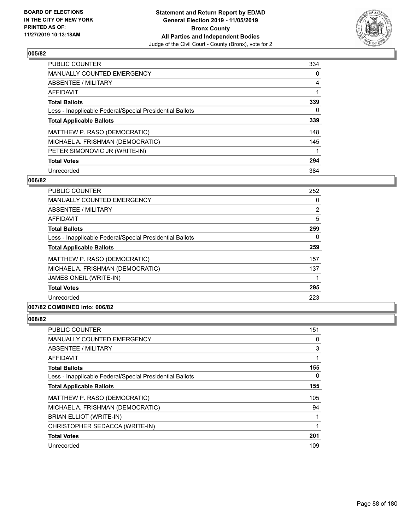

| <b>PUBLIC COUNTER</b>                                    | 334      |
|----------------------------------------------------------|----------|
| <b>MANUALLY COUNTED EMERGENCY</b>                        | $\Omega$ |
| ABSENTEE / MILITARY                                      | 4        |
| <b>AFFIDAVIT</b>                                         |          |
| <b>Total Ballots</b>                                     | 339      |
| Less - Inapplicable Federal/Special Presidential Ballots | 0        |
| <b>Total Applicable Ballots</b>                          | 339      |
| MATTHEW P. RASO (DEMOCRATIC)                             | 148      |
| MICHAEL A. FRISHMAN (DEMOCRATIC)                         | 145      |
| PETER SIMONOVIC JR (WRITE-IN)                            |          |
| <b>Total Votes</b>                                       | 294      |
| Unrecorded                                               | 384      |

#### **006/82**

| PUBLIC COUNTER                                                                                                                                                                                                                                                                                                                                                                                                         | 252            |
|------------------------------------------------------------------------------------------------------------------------------------------------------------------------------------------------------------------------------------------------------------------------------------------------------------------------------------------------------------------------------------------------------------------------|----------------|
| <b>MANUALLY COUNTED EMERGENCY</b>                                                                                                                                                                                                                                                                                                                                                                                      | 0              |
| ABSENTEE / MILITARY                                                                                                                                                                                                                                                                                                                                                                                                    | $\overline{2}$ |
| AFFIDAVIT                                                                                                                                                                                                                                                                                                                                                                                                              | 5              |
| <b>Total Ballots</b>                                                                                                                                                                                                                                                                                                                                                                                                   | 259            |
| Less - Inapplicable Federal/Special Presidential Ballots                                                                                                                                                                                                                                                                                                                                                               | 0              |
| <b>Total Applicable Ballots</b>                                                                                                                                                                                                                                                                                                                                                                                        | 259            |
| MATTHEW P. RASO (DEMOCRATIC)                                                                                                                                                                                                                                                                                                                                                                                           | 157            |
| MICHAEL A. FRISHMAN (DEMOCRATIC)                                                                                                                                                                                                                                                                                                                                                                                       | 137            |
| JAMES ONEIL (WRITE-IN)                                                                                                                                                                                                                                                                                                                                                                                                 |                |
| <b>Total Votes</b>                                                                                                                                                                                                                                                                                                                                                                                                     | 295            |
| Unrecorded                                                                                                                                                                                                                                                                                                                                                                                                             | 223            |
| $\mathbf{A} \mathbf{A} \mathbf{B} \mathbf{B} \mathbf{B} \mathbf{B} \mathbf{B} \mathbf{A} \mathbf{A} \mathbf{A} \mathbf{A} \mathbf{A} \mathbf{A} \mathbf{A} \mathbf{A} \mathbf{A} \mathbf{A} \mathbf{A} \mathbf{A} \mathbf{A} \mathbf{A} \mathbf{A} \mathbf{A} \mathbf{A} \mathbf{A} \mathbf{A} \mathbf{A} \mathbf{A} \mathbf{A} \mathbf{A} \mathbf{A} \mathbf{A} \mathbf{A} \mathbf{A} \mathbf{A} \mathbf{A} \mathbf{$ |                |

## **007/82 COMBINED into: 006/82**

| <b>PUBLIC COUNTER</b>                                    | 151 |
|----------------------------------------------------------|-----|
| MANUALLY COUNTED EMERGENCY                               | 0   |
| ABSENTEE / MILITARY                                      | 3   |
| AFFIDAVIT                                                |     |
| <b>Total Ballots</b>                                     | 155 |
| Less - Inapplicable Federal/Special Presidential Ballots | 0   |
| <b>Total Applicable Ballots</b>                          | 155 |
| MATTHEW P. RASO (DEMOCRATIC)                             | 105 |
| MICHAEL A. FRISHMAN (DEMOCRATIC)                         | 94  |
| <b>BRIAN ELLIOT (WRITE-IN)</b>                           |     |
| CHRISTOPHER SEDACCA (WRITE-IN)                           |     |
| <b>Total Votes</b>                                       | 201 |
| Unrecorded                                               | 109 |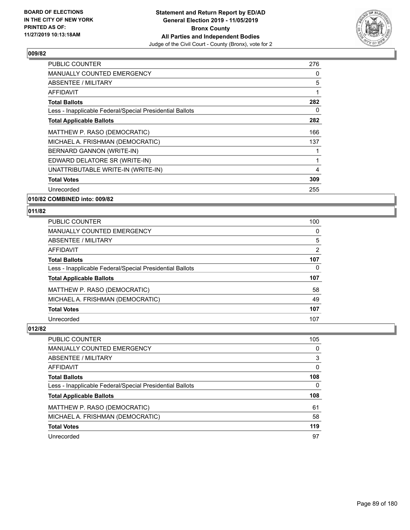

| <b>PUBLIC COUNTER</b>                                    | 276 |
|----------------------------------------------------------|-----|
| <b>MANUALLY COUNTED EMERGENCY</b>                        | 0   |
| <b>ABSENTEE / MILITARY</b>                               | 5   |
| <b>AFFIDAVIT</b>                                         | 1   |
| <b>Total Ballots</b>                                     | 282 |
| Less - Inapplicable Federal/Special Presidential Ballots | 0   |
| <b>Total Applicable Ballots</b>                          | 282 |
| MATTHEW P. RASO (DEMOCRATIC)                             | 166 |
| MICHAEL A. FRISHMAN (DEMOCRATIC)                         | 137 |
| BERNARD GANNON (WRITE-IN)                                | 1   |
| EDWARD DELATORE SR (WRITE-IN)                            | 1   |
| UNATTRIBUTABLE WRITE-IN (WRITE-IN)                       | 4   |
| <b>Total Votes</b>                                       | 309 |
| Unrecorded                                               | 255 |
|                                                          |     |

**010/82 COMBINED into: 009/82**

## **011/82**

| <b>PUBLIC COUNTER</b>                                    | 100      |
|----------------------------------------------------------|----------|
| <b>MANUALLY COUNTED EMERGENCY</b>                        | $\Omega$ |
| ABSENTEE / MILITARY                                      | 5        |
| AFFIDAVIT                                                | 2        |
| <b>Total Ballots</b>                                     | 107      |
| Less - Inapplicable Federal/Special Presidential Ballots | 0        |
| <b>Total Applicable Ballots</b>                          | 107      |
| MATTHEW P. RASO (DEMOCRATIC)                             | 58       |
| MICHAEL A. FRISHMAN (DEMOCRATIC)                         | 49       |
| <b>Total Votes</b>                                       | 107      |
| Unrecorded                                               | 107      |

| PUBLIC COUNTER                                           | 105 |
|----------------------------------------------------------|-----|
| MANUALLY COUNTED EMERGENCY                               | 0   |
| ABSENTEE / MILITARY                                      | 3   |
| AFFIDAVIT                                                | 0   |
| <b>Total Ballots</b>                                     | 108 |
| Less - Inapplicable Federal/Special Presidential Ballots | 0   |
| <b>Total Applicable Ballots</b>                          | 108 |
| MATTHEW P. RASO (DEMOCRATIC)                             | 61  |
| MICHAEL A. FRISHMAN (DEMOCRATIC)                         | 58  |
| <b>Total Votes</b>                                       | 119 |
| Unrecorded                                               | 97  |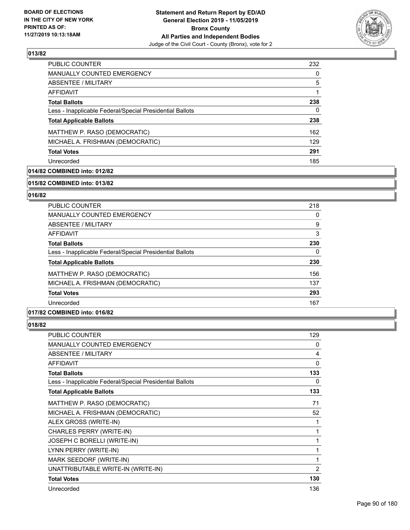

| <b>PUBLIC COUNTER</b>                                    | 232      |
|----------------------------------------------------------|----------|
| MANUALLY COUNTED EMERGENCY                               | $\Omega$ |
| ABSENTEE / MILITARY                                      | 5        |
| AFFIDAVIT                                                |          |
| <b>Total Ballots</b>                                     | 238      |
| Less - Inapplicable Federal/Special Presidential Ballots | 0        |
| <b>Total Applicable Ballots</b>                          | 238      |
| MATTHEW P. RASO (DEMOCRATIC)                             | 162      |
| MICHAEL A. FRISHMAN (DEMOCRATIC)                         | 129      |
| <b>Total Votes</b>                                       | 291      |
| Unrecorded                                               | 185      |

## **014/82 COMBINED into: 012/82**

#### **015/82 COMBINED into: 013/82**

## **016/82**

| <b>PUBLIC COUNTER</b>                                    | 218 |
|----------------------------------------------------------|-----|
| <b>MANUALLY COUNTED EMERGENCY</b>                        | 0   |
| ABSENTEE / MILITARY                                      | 9   |
| AFFIDAVIT                                                | 3   |
| <b>Total Ballots</b>                                     | 230 |
| Less - Inapplicable Federal/Special Presidential Ballots | 0   |
| <b>Total Applicable Ballots</b>                          | 230 |
| MATTHEW P. RASO (DEMOCRATIC)                             | 156 |
| MICHAEL A. FRISHMAN (DEMOCRATIC)                         | 137 |
| <b>Total Votes</b>                                       | 293 |
| Unrecorded                                               | 167 |

## **017/82 COMBINED into: 016/82**

| PUBLIC COUNTER                                           | 129            |
|----------------------------------------------------------|----------------|
| <b>MANUALLY COUNTED EMERGENCY</b>                        | 0              |
| ABSENTEE / MILITARY                                      | 4              |
| <b>AFFIDAVIT</b>                                         | $\Omega$       |
| <b>Total Ballots</b>                                     | 133            |
| Less - Inapplicable Federal/Special Presidential Ballots | 0              |
| <b>Total Applicable Ballots</b>                          | 133            |
| MATTHEW P. RASO (DEMOCRATIC)                             | 71             |
| MICHAEL A. FRISHMAN (DEMOCRATIC)                         | 52             |
| ALEX GROSS (WRITE-IN)                                    | 1              |
| CHARLES PERRY (WRITE-IN)                                 | 1              |
| JOSEPH C BORELLI (WRITE-IN)                              | 1              |
| LYNN PERRY (WRITE-IN)                                    | 1              |
| MARK SEEDORF (WRITE-IN)                                  | 1              |
| UNATTRIBUTABLE WRITE-IN (WRITE-IN)                       | $\overline{2}$ |
| <b>Total Votes</b>                                       | 130            |
| Unrecorded                                               | 136            |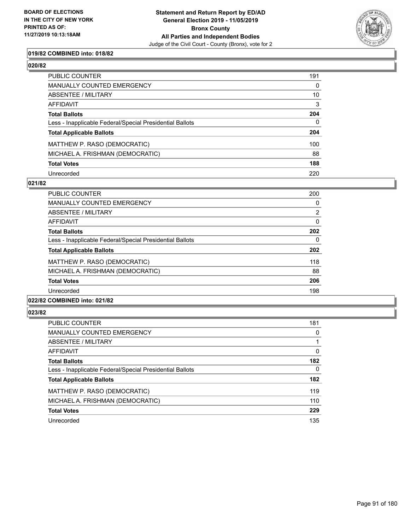

## **019/82 COMBINED into: 018/82**

| ۰,<br>۰,<br>I |
|---------------|
|---------------|

| PUBLIC COUNTER                                           | 191          |
|----------------------------------------------------------|--------------|
| MANUALLY COUNTED EMERGENCY                               | $\mathbf{0}$ |
| ABSENTEE / MILITARY                                      | 10           |
| AFFIDAVIT                                                | 3            |
| Total Ballots                                            | 204          |
| Less - Inapplicable Federal/Special Presidential Ballots | $\mathbf{0}$ |
| <b>Total Applicable Ballots</b>                          | 204          |
| MATTHEW P. RASO (DEMOCRATIC)                             | 100          |
| MICHAEL A. FRISHMAN (DEMOCRATIC)                         | 88           |
| <b>Total Votes</b>                                       | 188          |
| Unrecorded                                               | 220          |

#### **021/82**

| PUBLIC COUNTER                                           | 200      |
|----------------------------------------------------------|----------|
| <b>MANUALLY COUNTED EMERGENCY</b>                        | 0        |
| ABSENTEE / MILITARY                                      | 2        |
| AFFIDAVIT                                                | $\Omega$ |
| <b>Total Ballots</b>                                     | 202      |
| Less - Inapplicable Federal/Special Presidential Ballots | 0        |
| <b>Total Applicable Ballots</b>                          | 202      |
| MATTHEW P. RASO (DEMOCRATIC)                             | 118      |
| MICHAEL A. FRISHMAN (DEMOCRATIC)                         | 88       |
| <b>Total Votes</b>                                       | 206      |
| Unrecorded                                               | 198      |
| 022/82 COMBINED into: 021/82                             |          |

| <b>PUBLIC COUNTER</b>                                    | 181      |
|----------------------------------------------------------|----------|
| MANUALLY COUNTED EMERGENCY                               | 0        |
| ABSENTEE / MILITARY                                      |          |
| AFFIDAVIT                                                | $\Omega$ |
| <b>Total Ballots</b>                                     | 182      |
| Less - Inapplicable Federal/Special Presidential Ballots | $\Omega$ |
| <b>Total Applicable Ballots</b>                          | 182      |
| MATTHEW P. RASO (DEMOCRATIC)                             | 119      |
| MICHAEL A. FRISHMAN (DEMOCRATIC)                         | 110      |
| <b>Total Votes</b>                                       | 229      |
| Unrecorded                                               | 135      |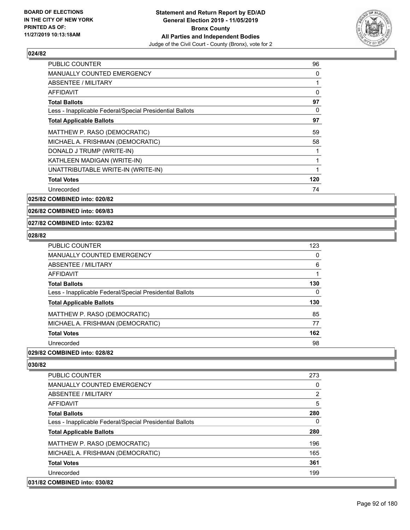

| PUBLIC COUNTER                                           | 96  |
|----------------------------------------------------------|-----|
| <b>MANUALLY COUNTED EMERGENCY</b>                        | 0   |
| ABSENTEE / MILITARY                                      | 1   |
| AFFIDAVIT                                                | 0   |
| <b>Total Ballots</b>                                     | 97  |
| Less - Inapplicable Federal/Special Presidential Ballots | 0   |
| <b>Total Applicable Ballots</b>                          | 97  |
| MATTHEW P. RASO (DEMOCRATIC)                             | 59  |
| MICHAEL A. FRISHMAN (DEMOCRATIC)                         | 58  |
| DONALD J TRUMP (WRITE-IN)                                | 1   |
| KATHLEEN MADIGAN (WRITE-IN)                              | 1   |
| UNATTRIBUTABLE WRITE-IN (WRITE-IN)                       | 1   |
| <b>Total Votes</b>                                       | 120 |
| Unrecorded                                               | 74  |

**025/82 COMBINED into: 020/82**

**026/82 COMBINED into: 069/83**

#### **027/82 COMBINED into: 023/82**

#### **028/82**

| <b>PUBLIC COUNTER</b>                                    | 123 |
|----------------------------------------------------------|-----|
| <b>MANUALLY COUNTED EMERGENCY</b>                        | 0   |
| ABSENTEE / MILITARY                                      | 6   |
| AFFIDAVIT                                                |     |
| <b>Total Ballots</b>                                     | 130 |
| Less - Inapplicable Federal/Special Presidential Ballots | 0   |
| <b>Total Applicable Ballots</b>                          | 130 |
| MATTHEW P. RASO (DEMOCRATIC)                             | 85  |
| MICHAEL A. FRISHMAN (DEMOCRATIC)                         | 77  |
| <b>Total Votes</b>                                       | 162 |
| Unrecorded                                               | 98  |

## **029/82 COMBINED into: 028/82**

| PUBLIC COUNTER                                           | 273            |
|----------------------------------------------------------|----------------|
| <b>MANUALLY COUNTED EMERGENCY</b>                        | 0              |
| ABSENTEE / MILITARY                                      | $\overline{2}$ |
| AFFIDAVIT                                                | 5              |
| <b>Total Ballots</b>                                     | 280            |
| Less - Inapplicable Federal/Special Presidential Ballots | 0              |
| <b>Total Applicable Ballots</b>                          | 280            |
| MATTHEW P. RASO (DEMOCRATIC)                             | 196            |
| MICHAEL A. FRISHMAN (DEMOCRATIC)                         | 165            |
| <b>Total Votes</b>                                       | 361            |
| Unrecorded                                               | 199            |
| 031/82 COMBINED into: 030/82                             |                |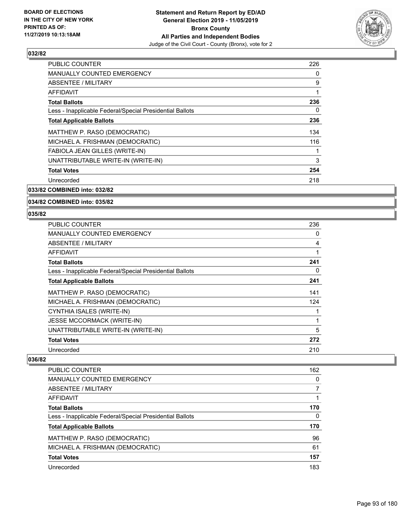

| <b>PUBLIC COUNTER</b>                                    | 226 |
|----------------------------------------------------------|-----|
| <b>MANUALLY COUNTED EMERGENCY</b>                        | 0   |
| ABSENTEE / MILITARY                                      | 9   |
| AFFIDAVIT                                                | 1   |
| <b>Total Ballots</b>                                     | 236 |
| Less - Inapplicable Federal/Special Presidential Ballots | 0   |
| <b>Total Applicable Ballots</b>                          | 236 |
| MATTHEW P. RASO (DEMOCRATIC)                             | 134 |
| MICHAEL A. FRISHMAN (DEMOCRATIC)                         | 116 |
| FABIOLA JEAN GILLES (WRITE-IN)                           | 1   |
| UNATTRIBUTABLE WRITE-IN (WRITE-IN)                       | 3   |
| <b>Total Votes</b>                                       | 254 |
| Unrecorded                                               | 218 |
|                                                          |     |

**033/82 COMBINED into: 032/82**

#### **034/82 COMBINED into: 035/82**

#### **035/82**

| <b>PUBLIC COUNTER</b>                                    | 236 |
|----------------------------------------------------------|-----|
| MANUALLY COUNTED EMERGENCY                               | 0   |
| ABSENTEE / MILITARY                                      | 4   |
| AFFIDAVIT                                                |     |
| <b>Total Ballots</b>                                     | 241 |
| Less - Inapplicable Federal/Special Presidential Ballots | 0   |
| <b>Total Applicable Ballots</b>                          | 241 |
| MATTHEW P. RASO (DEMOCRATIC)                             | 141 |
| MICHAEL A. FRISHMAN (DEMOCRATIC)                         | 124 |
| CYNTHIA ISALES (WRITE-IN)                                |     |
| <b>JESSE MCCORMACK (WRITE-IN)</b>                        | 1   |
| UNATTRIBUTABLE WRITE-IN (WRITE-IN)                       | 5   |
| <b>Total Votes</b>                                       | 272 |
| Unrecorded                                               | 210 |

| <b>PUBLIC COUNTER</b>                                    | 162 |
|----------------------------------------------------------|-----|
| MANUALLY COUNTED EMERGENCY                               | 0   |
| ABSENTEE / MILITARY                                      |     |
| AFFIDAVIT                                                |     |
| <b>Total Ballots</b>                                     | 170 |
| Less - Inapplicable Federal/Special Presidential Ballots | 0   |
| <b>Total Applicable Ballots</b>                          | 170 |
| MATTHEW P. RASO (DEMOCRATIC)                             | 96  |
| MICHAEL A. FRISHMAN (DEMOCRATIC)                         | 61  |
| <b>Total Votes</b>                                       | 157 |
| Unrecorded                                               | 183 |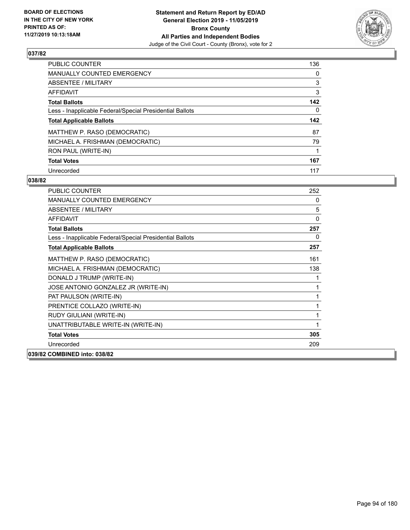

| <b>PUBLIC COUNTER</b>                                    | 136      |
|----------------------------------------------------------|----------|
| <b>MANUALLY COUNTED EMERGENCY</b>                        | $\Omega$ |
| ABSENTEE / MILITARY                                      | 3        |
| AFFIDAVIT                                                | 3        |
| <b>Total Ballots</b>                                     | 142      |
| Less - Inapplicable Federal/Special Presidential Ballots | 0        |
| <b>Total Applicable Ballots</b>                          | 142      |
|                                                          |          |
| MATTHEW P. RASO (DEMOCRATIC)                             | 87       |
| MICHAEL A. FRISHMAN (DEMOCRATIC)                         | 79       |
| RON PAUL (WRITE-IN)                                      |          |
| <b>Total Votes</b>                                       | 167      |

| <b>PUBLIC COUNTER</b>                                    | 252 |
|----------------------------------------------------------|-----|
| <b>MANUALLY COUNTED EMERGENCY</b>                        | 0   |
| ABSENTEE / MILITARY                                      | 5   |
| AFFIDAVIT                                                | 0   |
| <b>Total Ballots</b>                                     | 257 |
| Less - Inapplicable Federal/Special Presidential Ballots | 0   |
| <b>Total Applicable Ballots</b>                          | 257 |
| MATTHEW P. RASO (DEMOCRATIC)                             | 161 |
| MICHAEL A. FRISHMAN (DEMOCRATIC)                         | 138 |
| DONALD J TRUMP (WRITE-IN)                                | 1   |
| JOSE ANTONIO GONZALEZ JR (WRITE-IN)                      | 1   |
| PAT PAULSON (WRITE-IN)                                   | 1   |
| PRENTICE COLLAZO (WRITE-IN)                              | 1   |
| RUDY GIULIANI (WRITE-IN)                                 | 1   |
| UNATTRIBUTABLE WRITE-IN (WRITE-IN)                       | 1   |
| <b>Total Votes</b>                                       | 305 |
| Unrecorded                                               | 209 |
| 039/82 COMBINED into: 038/82                             |     |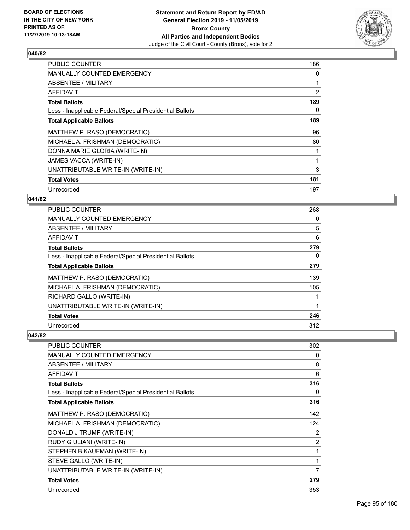

| <b>PUBLIC COUNTER</b>                                    | 186            |
|----------------------------------------------------------|----------------|
| <b>MANUALLY COUNTED EMERGENCY</b>                        | 0              |
| <b>ABSENTEE / MILITARY</b>                               |                |
| AFFIDAVIT                                                | $\overline{2}$ |
| <b>Total Ballots</b>                                     | 189            |
| Less - Inapplicable Federal/Special Presidential Ballots | 0              |
| <b>Total Applicable Ballots</b>                          | 189            |
| MATTHEW P. RASO (DEMOCRATIC)                             | 96             |
| MICHAEL A. FRISHMAN (DEMOCRATIC)                         | 80             |
| DONNA MARIE GLORIA (WRITE-IN)                            |                |
| JAMES VACCA (WRITE-IN)                                   |                |
| UNATTRIBUTABLE WRITE-IN (WRITE-IN)                       | 3              |
| <b>Total Votes</b>                                       | 181            |
| Unrecorded                                               | 197            |

## **041/82**

| <b>PUBLIC COUNTER</b>                                    | 268      |
|----------------------------------------------------------|----------|
| MANUALLY COUNTED EMERGENCY                               | 0        |
| ABSENTEE / MILITARY                                      | 5        |
| AFFIDAVIT                                                | 6        |
| <b>Total Ballots</b>                                     | 279      |
| Less - Inapplicable Federal/Special Presidential Ballots | $\Omega$ |
| <b>Total Applicable Ballots</b>                          | 279      |
| MATTHEW P. RASO (DEMOCRATIC)                             | 139      |
| MICHAEL A. FRISHMAN (DEMOCRATIC)                         | 105      |
| RICHARD GALLO (WRITE-IN)                                 |          |
| UNATTRIBUTABLE WRITE-IN (WRITE-IN)                       | 1        |
| <b>Total Votes</b>                                       | 246      |
| Unrecorded                                               | 312      |

| <b>PUBLIC COUNTER</b>                                    | 302 |
|----------------------------------------------------------|-----|
| MANUALLY COUNTED EMERGENCY                               | 0   |
| <b>ABSENTEE / MILITARY</b>                               | 8   |
| <b>AFFIDAVIT</b>                                         | 6   |
| <b>Total Ballots</b>                                     | 316 |
| Less - Inapplicable Federal/Special Presidential Ballots | 0   |
| <b>Total Applicable Ballots</b>                          | 316 |
| MATTHEW P. RASO (DEMOCRATIC)                             | 142 |
| MICHAEL A. FRISHMAN (DEMOCRATIC)                         | 124 |
| DONALD J TRUMP (WRITE-IN)                                | 2   |
| RUDY GIULIANI (WRITE-IN)                                 | 2   |
| STEPHEN B KAUFMAN (WRITE-IN)                             | 1   |
| STEVE GALLO (WRITE-IN)                                   | 1   |
| UNATTRIBUTABLE WRITE-IN (WRITE-IN)                       | 7   |
| <b>Total Votes</b>                                       | 279 |
| Unrecorded                                               | 353 |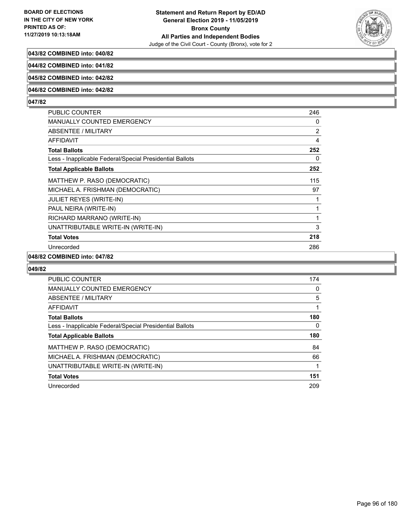

## **043/82 COMBINED into: 040/82**

**044/82 COMBINED into: 041/82**

## **045/82 COMBINED into: 042/82**

#### **046/82 COMBINED into: 042/82**

#### **047/82**

| PUBLIC COUNTER                                           | 246 |
|----------------------------------------------------------|-----|
| <b>MANUALLY COUNTED EMERGENCY</b>                        | 0   |
| ABSENTEE / MILITARY                                      | 2   |
| AFFIDAVIT                                                | 4   |
| <b>Total Ballots</b>                                     | 252 |
| Less - Inapplicable Federal/Special Presidential Ballots | 0   |
| <b>Total Applicable Ballots</b>                          | 252 |
| MATTHEW P. RASO (DEMOCRATIC)                             | 115 |
| MICHAEL A. FRISHMAN (DEMOCRATIC)                         | 97  |
| <b>JULIET REYES (WRITE-IN)</b>                           | 1   |
| PAUL NEIRA (WRITE-IN)                                    | 1   |
| RICHARD MARRANO (WRITE-IN)                               | 1   |
| UNATTRIBUTABLE WRITE-IN (WRITE-IN)                       | 3   |
| <b>Total Votes</b>                                       | 218 |
| Unrecorded                                               | 286 |
|                                                          |     |

#### **048/82 COMBINED into: 047/82**

| <b>PUBLIC COUNTER</b>                                    | 174 |
|----------------------------------------------------------|-----|
| <b>MANUALLY COUNTED EMERGENCY</b>                        | 0   |
| ABSENTEE / MILITARY                                      | 5   |
| AFFIDAVIT                                                | 1   |
| <b>Total Ballots</b>                                     | 180 |
| Less - Inapplicable Federal/Special Presidential Ballots | 0   |
| <b>Total Applicable Ballots</b>                          | 180 |
| MATTHEW P. RASO (DEMOCRATIC)                             | 84  |
| MICHAEL A. FRISHMAN (DEMOCRATIC)                         | 66  |
| UNATTRIBUTABLE WRITE-IN (WRITE-IN)                       |     |
| <b>Total Votes</b>                                       | 151 |
| Unrecorded                                               | 209 |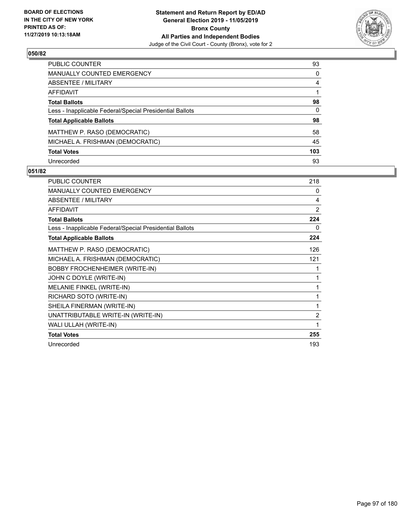

| PUBLIC COUNTER                                           | 93  |
|----------------------------------------------------------|-----|
| <b>MANUALLY COUNTED EMERGENCY</b>                        | 0   |
| ABSENTEE / MILITARY                                      | 4   |
| AFFIDAVIT                                                |     |
| <b>Total Ballots</b>                                     | 98  |
| Less - Inapplicable Federal/Special Presidential Ballots | 0   |
| <b>Total Applicable Ballots</b>                          | 98  |
| MATTHEW P. RASO (DEMOCRATIC)                             | 58  |
| MICHAEL A. FRISHMAN (DEMOCRATIC)                         | 45  |
| <b>Total Votes</b>                                       | 103 |
| Unrecorded                                               | 93  |

| PUBLIC COUNTER                                           | 218 |
|----------------------------------------------------------|-----|
| <b>MANUALLY COUNTED EMERGENCY</b>                        | 0   |
| <b>ABSENTEE / MILITARY</b>                               | 4   |
| <b>AFFIDAVIT</b>                                         | 2   |
| <b>Total Ballots</b>                                     | 224 |
| Less - Inapplicable Federal/Special Presidential Ballots | 0   |
| <b>Total Applicable Ballots</b>                          | 224 |
| MATTHEW P. RASO (DEMOCRATIC)                             | 126 |
| MICHAEL A. FRISHMAN (DEMOCRATIC)                         | 121 |
| <b>BOBBY FROCHENHEIMER (WRITE-IN)</b>                    | 1   |
| JOHN C DOYLE (WRITE-IN)                                  | 1   |
| MELANIE FINKEL (WRITE-IN)                                | 1   |
| RICHARD SOTO (WRITE-IN)                                  | 1   |
| SHEILA FINERMAN (WRITE-IN)                               | 1   |
| UNATTRIBUTABLE WRITE-IN (WRITE-IN)                       | 2   |
| WALI ULLAH (WRITE-IN)                                    | 1   |
| <b>Total Votes</b>                                       | 255 |
| Unrecorded                                               | 193 |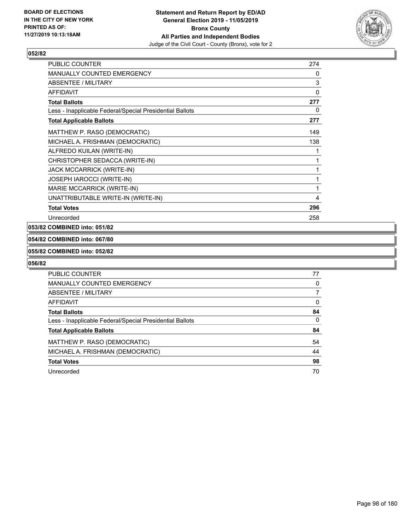

| <b>PUBLIC COUNTER</b>                                    | 274      |
|----------------------------------------------------------|----------|
| MANUALLY COUNTED EMERGENCY                               | 0        |
| ABSENTEE / MILITARY                                      | 3        |
| <b>AFFIDAVIT</b>                                         | $\Omega$ |
| <b>Total Ballots</b>                                     | 277      |
| Less - Inapplicable Federal/Special Presidential Ballots | 0        |
| <b>Total Applicable Ballots</b>                          | 277      |
| MATTHEW P. RASO (DEMOCRATIC)                             | 149      |
| MICHAEL A. FRISHMAN (DEMOCRATIC)                         | 138      |
| ALFREDO KUILAN (WRITE-IN)                                | 1        |
| CHRISTOPHER SEDACCA (WRITE-IN)                           | 1        |
| <b>JACK MCCARRICK (WRITE-IN)</b>                         | 1        |
| JOSEPH IAROCCI (WRITE-IN)                                | 1        |
| MARIE MCCARRICK (WRITE-IN)                               | 1        |
| UNATTRIBUTABLE WRITE-IN (WRITE-IN)                       | 4        |
| <b>Total Votes</b>                                       | 296      |
| Unrecorded                                               | 258      |

#### **053/82 COMBINED into: 051/82**

## **054/82 COMBINED into: 067/80**

#### **055/82 COMBINED into: 052/82**

| <b>PUBLIC COUNTER</b>                                    | 77       |
|----------------------------------------------------------|----------|
| MANUALLY COUNTED EMERGENCY                               | 0        |
| ABSENTEE / MILITARY                                      | 7        |
| AFFIDAVIT                                                | $\Omega$ |
| <b>Total Ballots</b>                                     | 84       |
| Less - Inapplicable Federal/Special Presidential Ballots | 0        |
| <b>Total Applicable Ballots</b>                          | 84       |
| MATTHEW P. RASO (DEMOCRATIC)                             | 54       |
| MICHAEL A. FRISHMAN (DEMOCRATIC)                         | 44       |
| <b>Total Votes</b>                                       | 98       |
| Unrecorded                                               | 70       |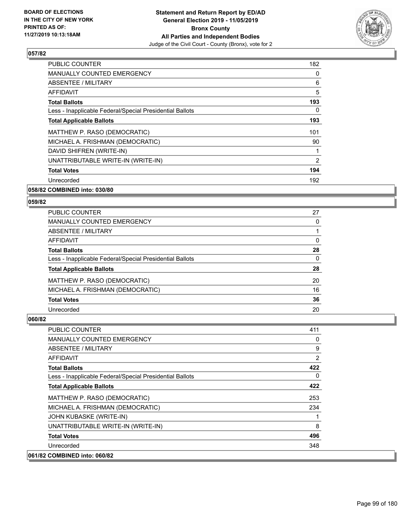

| <b>PUBLIC COUNTER</b>                                    | 182            |
|----------------------------------------------------------|----------------|
| <b>MANUALLY COUNTED EMERGENCY</b>                        | 0              |
| ABSENTEE / MILITARY                                      | 6              |
| AFFIDAVIT                                                | 5              |
| <b>Total Ballots</b>                                     | 193            |
| Less - Inapplicable Federal/Special Presidential Ballots | 0              |
| <b>Total Applicable Ballots</b>                          | 193            |
| MATTHEW P. RASO (DEMOCRATIC)                             | 101            |
| MICHAEL A. FRISHMAN (DEMOCRATIC)                         | 90             |
| DAVID SHIFREN (WRITE-IN)                                 | 1              |
| UNATTRIBUTABLE WRITE-IN (WRITE-IN)                       | $\overline{2}$ |
| <b>Total Votes</b>                                       | 194            |
| Unrecorded                                               | 192            |
|                                                          |                |

## **058/82 COMBINED into: 030/80**

#### **059/82**

| PUBLIC COUNTER                                           | 27       |
|----------------------------------------------------------|----------|
| <b>MANUALLY COUNTED EMERGENCY</b>                        | 0        |
| ABSENTEE / MILITARY                                      |          |
| AFFIDAVIT                                                | $\Omega$ |
| <b>Total Ballots</b>                                     | 28       |
| Less - Inapplicable Federal/Special Presidential Ballots | $\Omega$ |
| <b>Total Applicable Ballots</b>                          | 28       |
| MATTHEW P. RASO (DEMOCRATIC)                             | 20       |
| MICHAEL A. FRISHMAN (DEMOCRATIC)                         | 16       |
| <b>Total Votes</b>                                       | 36       |
| Unrecorded                                               | 20       |

| <b>PUBLIC COUNTER</b>                                    | 411            |
|----------------------------------------------------------|----------------|
| <b>MANUALLY COUNTED EMERGENCY</b>                        | 0              |
| ABSENTEE / MILITARY                                      | 9              |
| AFFIDAVIT                                                | $\overline{2}$ |
| <b>Total Ballots</b>                                     | 422            |
| Less - Inapplicable Federal/Special Presidential Ballots | $\Omega$       |
| <b>Total Applicable Ballots</b>                          | 422            |
| MATTHEW P. RASO (DEMOCRATIC)                             | 253            |
| MICHAEL A. FRISHMAN (DEMOCRATIC)                         | 234            |
| JOHN KUBASKE (WRITE-IN)                                  | 1              |
| UNATTRIBUTABLE WRITE-IN (WRITE-IN)                       | 8              |
| <b>Total Votes</b>                                       | 496            |
| Unrecorded                                               | 348            |
| 061/82 COMBINED into: 060/82                             |                |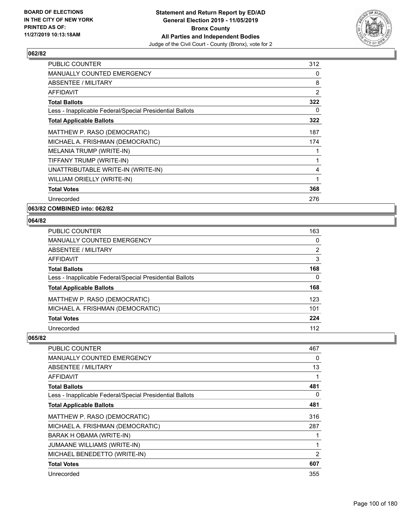

| <b>PUBLIC COUNTER</b>                                    | 312            |
|----------------------------------------------------------|----------------|
| <b>MANUALLY COUNTED EMERGENCY</b>                        | 0              |
| ABSENTEE / MILITARY                                      | 8              |
| <b>AFFIDAVIT</b>                                         | $\overline{2}$ |
| <b>Total Ballots</b>                                     | 322            |
| Less - Inapplicable Federal/Special Presidential Ballots | 0              |
| <b>Total Applicable Ballots</b>                          | 322            |
| MATTHEW P. RASO (DEMOCRATIC)                             | 187            |
| MICHAEL A. FRISHMAN (DEMOCRATIC)                         | 174            |
| MELANIA TRUMP (WRITE-IN)                                 | 1              |
| TIFFANY TRUMP (WRITE-IN)                                 | 1              |
| UNATTRIBUTABLE WRITE-IN (WRITE-IN)                       | 4              |
| WILLIAM ORIELLY (WRITE-IN)                               | 1              |
| <b>Total Votes</b>                                       | 368            |
| Unrecorded                                               | 276            |

**063/82 COMBINED into: 062/82**

## **064/82**

| <b>PUBLIC COUNTER</b>                                    | 163            |
|----------------------------------------------------------|----------------|
| <b>MANUALLY COUNTED EMERGENCY</b>                        | $\Omega$       |
| ABSENTEE / MILITARY                                      | $\overline{2}$ |
| AFFIDAVIT                                                | 3              |
| <b>Total Ballots</b>                                     | 168            |
| Less - Inapplicable Federal/Special Presidential Ballots | 0              |
| <b>Total Applicable Ballots</b>                          | 168            |
| MATTHEW P. RASO (DEMOCRATIC)                             | 123            |
| MICHAEL A. FRISHMAN (DEMOCRATIC)                         | 101            |
| <b>Total Votes</b>                                       | 224            |
| Unrecorded                                               | 112            |

| <b>PUBLIC COUNTER</b>                                    | 467 |
|----------------------------------------------------------|-----|
| MANUALLY COUNTED EMERGENCY                               | 0   |
| ABSENTEE / MILITARY                                      | 13  |
| AFFIDAVIT                                                |     |
| <b>Total Ballots</b>                                     | 481 |
| Less - Inapplicable Federal/Special Presidential Ballots | 0   |
| <b>Total Applicable Ballots</b>                          | 481 |
| MATTHEW P. RASO (DEMOCRATIC)                             | 316 |
| MICHAEL A. FRISHMAN (DEMOCRATIC)                         | 287 |
| BARAK H OBAMA (WRITE-IN)                                 |     |
| JUMAANE WILLIAMS (WRITE-IN)                              | 1   |
| MICHAEL BENEDETTO (WRITE-IN)                             | 2   |
| <b>Total Votes</b>                                       | 607 |
| Unrecorded                                               | 355 |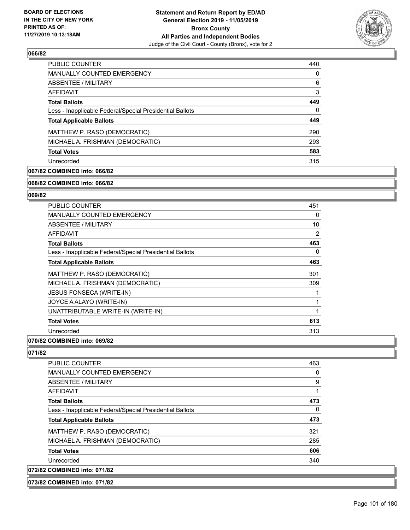

| <b>PUBLIC COUNTER</b>                                    | 440 |
|----------------------------------------------------------|-----|
| <b>MANUALLY COUNTED EMERGENCY</b>                        | 0   |
| ABSENTEE / MILITARY                                      | 6   |
| AFFIDAVIT                                                | 3   |
| <b>Total Ballots</b>                                     | 449 |
| Less - Inapplicable Federal/Special Presidential Ballots | 0   |
| <b>Total Applicable Ballots</b>                          | 449 |
| MATTHEW P. RASO (DEMOCRATIC)                             | 290 |
| MICHAEL A. FRISHMAN (DEMOCRATIC)                         | 293 |
| <b>Total Votes</b>                                       | 583 |
| Unrecorded                                               | 315 |

## **067/82 COMBINED into: 066/82**

#### **068/82 COMBINED into: 066/82**

## **069/82**

| PUBLIC COUNTER                                           | 451 |
|----------------------------------------------------------|-----|
| <b>MANUALLY COUNTED EMERGENCY</b>                        | 0   |
| <b>ABSENTEE / MILITARY</b>                               | 10  |
| <b>AFFIDAVIT</b>                                         | 2   |
| <b>Total Ballots</b>                                     | 463 |
| Less - Inapplicable Federal/Special Presidential Ballots | 0   |
| <b>Total Applicable Ballots</b>                          | 463 |
| MATTHEW P. RASO (DEMOCRATIC)                             | 301 |
| MICHAEL A. FRISHMAN (DEMOCRATIC)                         | 309 |
| JESUS FONSECA (WRITE-IN)                                 |     |
| JOYCE A ALAYO (WRITE-IN)                                 |     |
| UNATTRIBUTABLE WRITE-IN (WRITE-IN)                       | 1   |
| <b>Total Votes</b>                                       | 613 |
| Unrecorded                                               | 313 |
|                                                          |     |

## **070/82 COMBINED into: 069/82**

| <b>PUBLIC COUNTER</b>                                    | 463 |
|----------------------------------------------------------|-----|
| MANUALLY COUNTED EMERGENCY                               | 0   |
| ABSENTEE / MILITARY                                      | 9   |
| AFFIDAVIT                                                | 1   |
| <b>Total Ballots</b>                                     | 473 |
| Less - Inapplicable Federal/Special Presidential Ballots | 0   |
| <b>Total Applicable Ballots</b>                          | 473 |
| MATTHEW P. RASO (DEMOCRATIC)                             | 321 |
| MICHAEL A. FRISHMAN (DEMOCRATIC)                         | 285 |
| <b>Total Votes</b>                                       | 606 |
| Unrecorded                                               | 340 |
| 072/82 COMBINED into: 071/82                             |     |
| 073/82 COMBINED into: 071/82                             |     |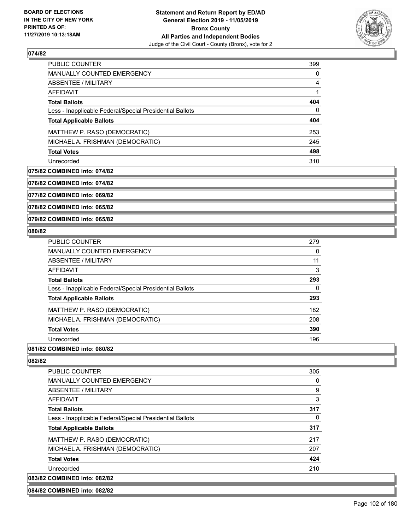

| <b>PUBLIC COUNTER</b>                                    | 399 |
|----------------------------------------------------------|-----|
| <b>MANUALLY COUNTED EMERGENCY</b>                        | 0   |
| ABSENTEE / MILITARY                                      | 4   |
| AFFIDAVIT                                                |     |
| <b>Total Ballots</b>                                     | 404 |
| Less - Inapplicable Federal/Special Presidential Ballots | 0   |
| <b>Total Applicable Ballots</b>                          | 404 |
| MATTHEW P. RASO (DEMOCRATIC)                             | 253 |
| MICHAEL A. FRISHMAN (DEMOCRATIC)                         | 245 |
| <b>Total Votes</b>                                       | 498 |
| Unrecorded                                               | 310 |

#### **075/82 COMBINED into: 074/82**

**076/82 COMBINED into: 074/82**

**077/82 COMBINED into: 069/82**

**078/82 COMBINED into: 065/82**

#### **079/82 COMBINED into: 065/82**

#### **080/82**

| <b>PUBLIC COUNTER</b>                                    | 279 |
|----------------------------------------------------------|-----|
| <b>MANUALLY COUNTED EMERGENCY</b>                        | 0   |
| ABSENTEE / MILITARY                                      | 11  |
| AFFIDAVIT                                                | 3   |
| <b>Total Ballots</b>                                     | 293 |
| Less - Inapplicable Federal/Special Presidential Ballots | 0   |
| <b>Total Applicable Ballots</b>                          | 293 |
| MATTHEW P. RASO (DEMOCRATIC)                             | 182 |
| MICHAEL A. FRISHMAN (DEMOCRATIC)                         | 208 |
| <b>Total Votes</b>                                       | 390 |
| Unrecorded                                               | 196 |
|                                                          |     |

## **081/82 COMBINED into: 080/82**

## **082/82**

| PUBLIC COUNTER                                           | 305 |
|----------------------------------------------------------|-----|
| <b>MANUALLY COUNTED EMERGENCY</b>                        | 0   |
| ABSENTEE / MILITARY                                      | 9   |
| AFFIDAVIT                                                | 3   |
| <b>Total Ballots</b>                                     | 317 |
| Less - Inapplicable Federal/Special Presidential Ballots | 0   |
| <b>Total Applicable Ballots</b>                          | 317 |
| MATTHEW P. RASO (DEMOCRATIC)                             | 217 |
| MICHAEL A. FRISHMAN (DEMOCRATIC)                         | 207 |
| <b>Total Votes</b>                                       | 424 |
| Unrecorded                                               | 210 |
| 083/82 COMBINED into: 082/82                             |     |

#### **084/82 COMBINED into: 082/82**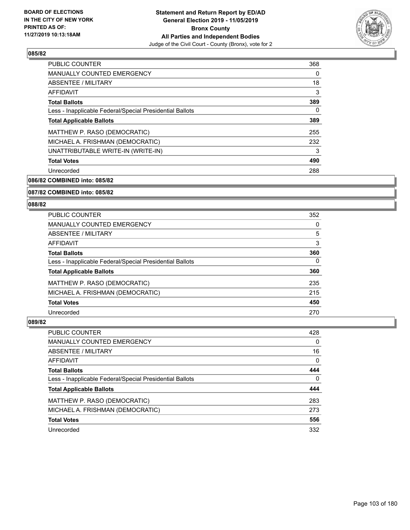

| <b>PUBLIC COUNTER</b>                                    | 368 |
|----------------------------------------------------------|-----|
| <b>MANUALLY COUNTED EMERGENCY</b>                        | 0   |
| ABSENTEE / MILITARY                                      | 18  |
| <b>AFFIDAVIT</b>                                         | 3   |
| <b>Total Ballots</b>                                     | 389 |
| Less - Inapplicable Federal/Special Presidential Ballots | 0   |
| <b>Total Applicable Ballots</b>                          | 389 |
| MATTHEW P. RASO (DEMOCRATIC)                             | 255 |
| MICHAEL A. FRISHMAN (DEMOCRATIC)                         | 232 |
| UNATTRIBUTABLE WRITE-IN (WRITE-IN)                       | 3   |
| <b>Total Votes</b>                                       | 490 |
| Unrecorded                                               | 288 |

**086/82 COMBINED into: 085/82**

#### **087/82 COMBINED into: 085/82**

#### **088/82**

| <b>PUBLIC COUNTER</b>                                    | 352      |
|----------------------------------------------------------|----------|
| <b>MANUALLY COUNTED EMERGENCY</b>                        | $\Omega$ |
| <b>ABSENTEE / MILITARY</b>                               | 5        |
| AFFIDAVIT                                                | 3        |
| <b>Total Ballots</b>                                     | 360      |
| Less - Inapplicable Federal/Special Presidential Ballots | 0        |
| <b>Total Applicable Ballots</b>                          | 360      |
| MATTHEW P. RASO (DEMOCRATIC)                             | 235      |
| MICHAEL A. FRISHMAN (DEMOCRATIC)                         | 215      |
| <b>Total Votes</b>                                       | 450      |
| Unrecorded                                               | 270      |

| PUBLIC COUNTER                                           | 428      |
|----------------------------------------------------------|----------|
| MANUALLY COUNTED EMERGENCY                               | $\Omega$ |
| ABSENTEE / MILITARY                                      | 16       |
| AFFIDAVIT                                                | 0        |
| <b>Total Ballots</b>                                     | 444      |
| Less - Inapplicable Federal/Special Presidential Ballots | 0        |
| <b>Total Applicable Ballots</b>                          | 444      |
| MATTHEW P. RASO (DEMOCRATIC)                             | 283      |
| MICHAEL A. FRISHMAN (DEMOCRATIC)                         | 273      |
| <b>Total Votes</b>                                       | 556      |
| Unrecorded                                               | 332      |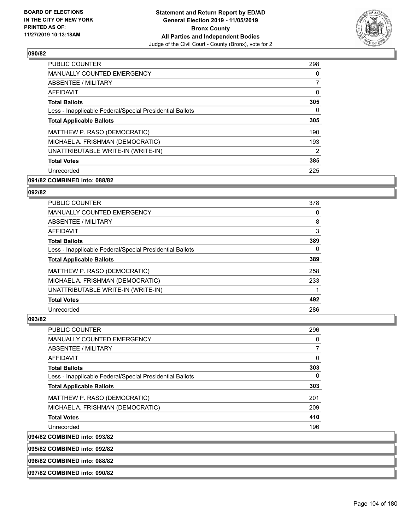

| <b>PUBLIC COUNTER</b>                                    | 298            |
|----------------------------------------------------------|----------------|
| <b>MANUALLY COUNTED EMERGENCY</b>                        | 0              |
| ABSENTEE / MILITARY                                      | 7              |
| <b>AFFIDAVIT</b>                                         | 0              |
| <b>Total Ballots</b>                                     | 305            |
| Less - Inapplicable Federal/Special Presidential Ballots | 0              |
| <b>Total Applicable Ballots</b>                          | 305            |
| MATTHEW P. RASO (DEMOCRATIC)                             | 190            |
| MICHAEL A. FRISHMAN (DEMOCRATIC)                         | 193            |
| UNATTRIBUTABLE WRITE-IN (WRITE-IN)                       | $\overline{2}$ |
| <b>Total Votes</b>                                       | 385            |
| Unrecorded                                               | 225            |

## **091/82 COMBINED into: 088/82**

#### **092/82**

| <b>PUBLIC COUNTER</b>                                    | 378      |
|----------------------------------------------------------|----------|
| <b>MANUALLY COUNTED EMERGENCY</b>                        | 0        |
| ABSENTEE / MILITARY                                      | 8        |
| <b>AFFIDAVIT</b>                                         | 3        |
| <b>Total Ballots</b>                                     | 389      |
| Less - Inapplicable Federal/Special Presidential Ballots | $\Omega$ |
| <b>Total Applicable Ballots</b>                          | 389      |
| MATTHEW P. RASO (DEMOCRATIC)                             | 258      |
| MICHAEL A. FRISHMAN (DEMOCRATIC)                         | 233      |
| UNATTRIBUTABLE WRITE-IN (WRITE-IN)                       |          |
| <b>Total Votes</b>                                       | 492      |
| Unrecorded                                               | 286      |

## **093/82**

| PUBLIC COUNTER                                           | 296 |
|----------------------------------------------------------|-----|
| MANUALLY COUNTED EMERGENCY                               | 0   |
| ABSENTEE / MILITARY                                      | 7   |
| AFFIDAVIT                                                | 0   |
| <b>Total Ballots</b>                                     | 303 |
| Less - Inapplicable Federal/Special Presidential Ballots | 0   |
| <b>Total Applicable Ballots</b>                          | 303 |
| MATTHEW P. RASO (DEMOCRATIC)                             | 201 |
| MICHAEL A. FRISHMAN (DEMOCRATIC)                         | 209 |
| <b>Total Votes</b>                                       | 410 |
| Unrecorded                                               | 196 |
| COMDINED int <sub>0</sub> 002/02                         |     |

**094/82 COMBINED into: 093/82**

**095/82 COMBINED into: 092/82**

**096/82 COMBINED into: 088/82**

**097/82 COMBINED into: 090/82**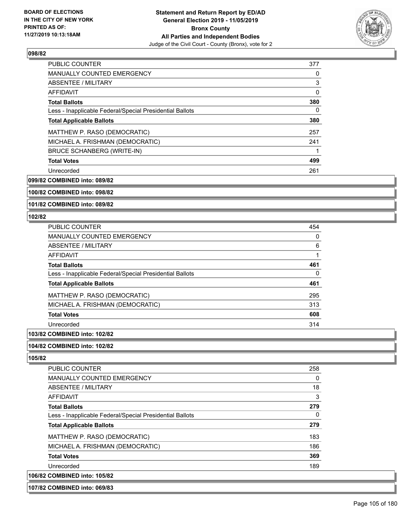

| <b>PUBLIC COUNTER</b>                                    | 377 |
|----------------------------------------------------------|-----|
| <b>MANUALLY COUNTED EMERGENCY</b>                        | 0   |
| ABSENTEE / MILITARY                                      | 3   |
| AFFIDAVIT                                                | 0   |
| <b>Total Ballots</b>                                     | 380 |
| Less - Inapplicable Federal/Special Presidential Ballots | 0   |
| <b>Total Applicable Ballots</b>                          | 380 |
| MATTHEW P. RASO (DEMOCRATIC)                             | 257 |
| MICHAEL A. FRISHMAN (DEMOCRATIC)                         | 241 |
| <b>BRUCE SCHANBERG (WRITE-IN)</b>                        |     |
| <b>Total Votes</b>                                       | 499 |
| Unrecorded                                               | 261 |

**099/82 COMBINED into: 089/82**

## **100/82 COMBINED into: 098/82**

**101/82 COMBINED into: 089/82**

#### **102/82**

| PUBLIC COUNTER                                           | 454 |
|----------------------------------------------------------|-----|
| <b>MANUALLY COUNTED EMERGENCY</b>                        | 0   |
| ABSENTEE / MILITARY                                      | 6   |
| AFFIDAVIT                                                |     |
| <b>Total Ballots</b>                                     | 461 |
| Less - Inapplicable Federal/Special Presidential Ballots | 0   |
| <b>Total Applicable Ballots</b>                          | 461 |
| MATTHEW P. RASO (DEMOCRATIC)                             | 295 |
| MICHAEL A. FRISHMAN (DEMOCRATIC)                         | 313 |
| <b>Total Votes</b>                                       | 608 |
| Unrecorded                                               | 314 |

## **103/82 COMBINED into: 102/82**

## **104/82 COMBINED into: 102/82**

**105/82** 

| <b>PUBLIC COUNTER</b>                                    | 258 |
|----------------------------------------------------------|-----|
| <b>MANUALLY COUNTED EMERGENCY</b>                        | 0   |
| ABSENTEE / MILITARY                                      | 18  |
| AFFIDAVIT                                                | 3   |
| <b>Total Ballots</b>                                     | 279 |
| Less - Inapplicable Federal/Special Presidential Ballots | 0   |
| <b>Total Applicable Ballots</b>                          | 279 |
| MATTHEW P. RASO (DEMOCRATIC)                             | 183 |
| MICHAEL A. FRISHMAN (DEMOCRATIC)                         | 186 |
| <b>Total Votes</b>                                       | 369 |
| Unrecorded                                               | 189 |
| 106/82 COMBINED into: 105/82                             |     |

#### **107/82 COMBINED into: 069/83**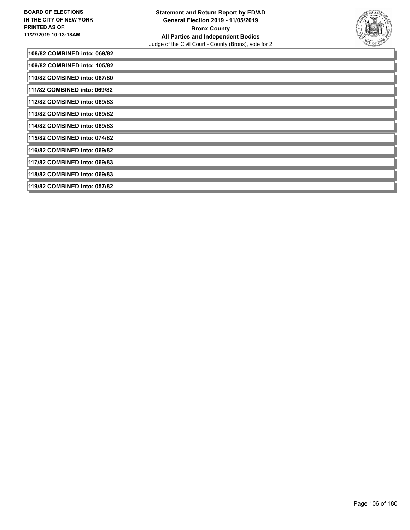

| 108/82 COMBINED into: 069/82  |
|-------------------------------|
| 109/82 COMBINED into: 105/82  |
| 110/82 COMBINED into: 067/80  |
| 1111/82 COMBINED into: 069/82 |
| 112/82 COMBINED into: 069/83  |
| 113/82 COMBINED into: 069/82  |
| 114/82 COMBINED into: 069/83  |
| 115/82 COMBINED into: 074/82  |
| 116/82 COMBINED into: 069/82  |
| 117/82 COMBINED into: 069/83  |
| 118/82 COMBINED into: 069/83  |
| 119/82 COMBINED into: 057/82  |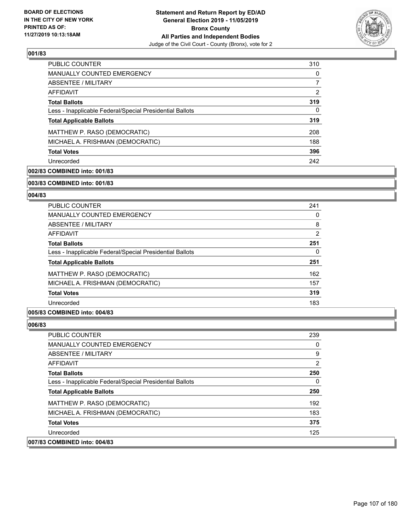

| <b>PUBLIC COUNTER</b>                                    | 310 |
|----------------------------------------------------------|-----|
| <b>MANUALLY COUNTED EMERGENCY</b>                        | 0   |
| ABSENTEE / MILITARY                                      | 7   |
| AFFIDAVIT                                                | 2   |
| <b>Total Ballots</b>                                     | 319 |
| Less - Inapplicable Federal/Special Presidential Ballots | 0   |
| <b>Total Applicable Ballots</b>                          | 319 |
| MATTHEW P. RASO (DEMOCRATIC)                             | 208 |
| MICHAEL A. FRISHMAN (DEMOCRATIC)                         | 188 |
| <b>Total Votes</b>                                       | 396 |
| Unrecorded                                               | 242 |

## **002/83 COMBINED into: 001/83**

#### **003/83 COMBINED into: 001/83**

## **004/83**

| <b>PUBLIC COUNTER</b>                                    | 241            |
|----------------------------------------------------------|----------------|
| <b>MANUALLY COUNTED EMERGENCY</b>                        | 0              |
| ABSENTEE / MILITARY                                      | 8              |
| AFFIDAVIT                                                | $\overline{2}$ |
| <b>Total Ballots</b>                                     | 251            |
| Less - Inapplicable Federal/Special Presidential Ballots | 0              |
| <b>Total Applicable Ballots</b>                          | 251            |
| MATTHEW P. RASO (DEMOCRATIC)                             | 162            |
| MICHAEL A. FRISHMAN (DEMOCRATIC)                         | 157            |
| <b>Total Votes</b>                                       | 319            |
| Unrecorded                                               | 183            |

## **005/83 COMBINED into: 004/83**

| <b>PUBLIC COUNTER</b>                                    | 239 |
|----------------------------------------------------------|-----|
| <b>MANUALLY COUNTED EMERGENCY</b>                        | 0   |
| ABSENTEE / MILITARY                                      | 9   |
| AFFIDAVIT                                                | 2   |
| <b>Total Ballots</b>                                     | 250 |
| Less - Inapplicable Federal/Special Presidential Ballots | 0   |
| <b>Total Applicable Ballots</b>                          | 250 |
| MATTHEW P. RASO (DEMOCRATIC)                             | 192 |
| MICHAEL A. FRISHMAN (DEMOCRATIC)                         | 183 |
| <b>Total Votes</b>                                       | 375 |
| Unrecorded                                               | 125 |
| 007/83 COMBINED into: 004/83                             |     |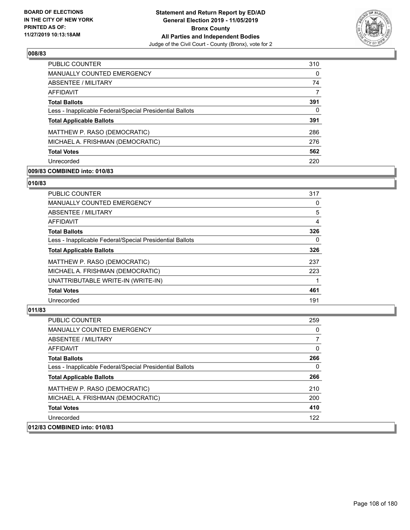

| <b>PUBLIC COUNTER</b>                                    | 310 |
|----------------------------------------------------------|-----|
| <b>MANUALLY COUNTED EMERGENCY</b>                        | 0   |
| ABSENTEE / MILITARY                                      | 74  |
| AFFIDAVIT                                                | 7   |
| <b>Total Ballots</b>                                     | 391 |
| Less - Inapplicable Federal/Special Presidential Ballots | 0   |
| <b>Total Applicable Ballots</b>                          | 391 |
| MATTHEW P. RASO (DEMOCRATIC)                             | 286 |
| MICHAEL A. FRISHMAN (DEMOCRATIC)                         | 276 |
| <b>Total Votes</b>                                       | 562 |
| Unrecorded                                               | 220 |

## **009/83 COMBINED into: 010/83**

#### **010/83**

| 317 |
|-----|
| 0   |
| 5   |
| 4   |
| 326 |
| 0   |
| 326 |
| 237 |
| 223 |
|     |
| 461 |
| 191 |
|     |

| <b>PUBLIC COUNTER</b>                                    | 259      |
|----------------------------------------------------------|----------|
| <b>MANUALLY COUNTED EMERGENCY</b>                        | $\Omega$ |
| ABSENTEE / MILITARY                                      | 7        |
| AFFIDAVIT                                                | $\Omega$ |
| <b>Total Ballots</b>                                     | 266      |
| Less - Inapplicable Federal/Special Presidential Ballots | $\Omega$ |
| <b>Total Applicable Ballots</b>                          | 266      |
| MATTHEW P. RASO (DEMOCRATIC)                             | 210      |
| MICHAEL A. FRISHMAN (DEMOCRATIC)                         | 200      |
| <b>Total Votes</b>                                       | 410      |
| Unrecorded                                               | 122      |
| 012/83 COMBINED into: 010/83                             |          |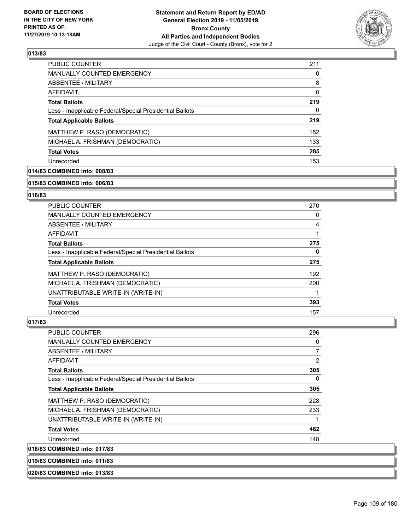

| PUBLIC COUNTER                                           | 211 |
|----------------------------------------------------------|-----|
| <b>MANUALLY COUNTED EMERGENCY</b>                        | 0   |
| ABSENTEE / MILITARY                                      | 8   |
| AFFIDAVIT                                                | 0   |
| <b>Total Ballots</b>                                     | 219 |
| Less - Inapplicable Federal/Special Presidential Ballots | 0   |
| <b>Total Applicable Ballots</b>                          | 219 |
| MATTHEW P. RASO (DEMOCRATIC)                             | 152 |
| MICHAEL A. FRISHMAN (DEMOCRATIC)                         | 133 |
| <b>Total Votes</b>                                       | 285 |
| Unrecorded                                               | 153 |

# **014/83 COMBINED into: 008/83**

#### **015/83 COMBINED into: 006/83**

# **016/83**

| <b>PUBLIC COUNTER</b>                                    | 270      |
|----------------------------------------------------------|----------|
| <b>MANUALLY COUNTED EMERGENCY</b>                        | 0        |
| <b>ABSENTEE / MILITARY</b>                               | 4        |
| AFFIDAVIT                                                |          |
| <b>Total Ballots</b>                                     | 275      |
| Less - Inapplicable Federal/Special Presidential Ballots | $\Omega$ |
| <b>Total Applicable Ballots</b>                          | 275      |
| MATTHEW P. RASO (DEMOCRATIC)                             | 192      |
| MICHAEL A. FRISHMAN (DEMOCRATIC)                         | 200      |
| UNATTRIBUTABLE WRITE-IN (WRITE-IN)                       |          |
| <b>Total Votes</b>                                       | 393      |
| Unrecorded                                               | 157      |

### **017/83**

| <b>PUBLIC COUNTER</b>                                    | 296 |
|----------------------------------------------------------|-----|
| <b>MANUALLY COUNTED EMERGENCY</b>                        | 0   |
| ABSENTEE / MILITARY                                      | 7   |
| AFFIDAVIT                                                | 2   |
| <b>Total Ballots</b>                                     | 305 |
| Less - Inapplicable Federal/Special Presidential Ballots | 0   |
| <b>Total Applicable Ballots</b>                          | 305 |
| MATTHEW P. RASO (DEMOCRATIC)                             | 228 |
| MICHAEL A. FRISHMAN (DEMOCRATIC)                         | 233 |
| UNATTRIBUTABLE WRITE-IN (WRITE-IN)                       | 1   |
| <b>Total Votes</b>                                       | 462 |
| Unrecorded                                               | 148 |
| 018/83 COMBINED into: 017/83                             |     |

**019/83 COMBINED into: 011/83**

**020/83 COMBINED into: 013/83**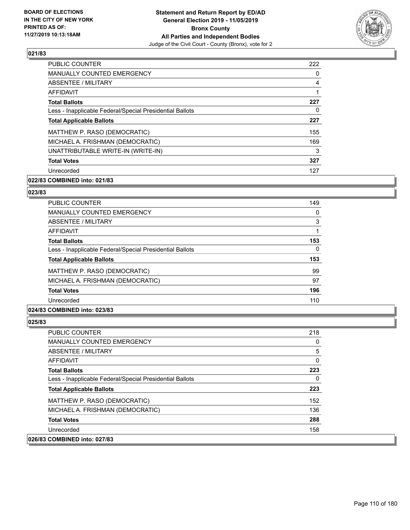

| PUBLIC COUNTER                                           | 222            |
|----------------------------------------------------------|----------------|
| <b>MANUALLY COUNTED EMERGENCY</b>                        | $\Omega$       |
| ABSENTEE / MILITARY                                      | $\overline{4}$ |
| AFFIDAVIT                                                |                |
| <b>Total Ballots</b>                                     | 227            |
| Less - Inapplicable Federal/Special Presidential Ballots | 0              |
| <b>Total Applicable Ballots</b>                          | 227            |
| MATTHEW P. RASO (DEMOCRATIC)                             | 155            |
| MICHAEL A. FRISHMAN (DEMOCRATIC)                         | 169            |
| UNATTRIBUTABLE WRITE-IN (WRITE-IN)                       | 3              |
| <b>Total Votes</b>                                       | 327            |
| Unrecorded                                               | 127            |

# **022/83 COMBINED into: 021/83**

#### **023/83**

| <b>PUBLIC COUNTER</b>                                    | 149 |
|----------------------------------------------------------|-----|
| <b>MANUALLY COUNTED EMERGENCY</b>                        | 0   |
| ABSENTEE / MILITARY                                      | 3   |
| AFFIDAVIT                                                |     |
| <b>Total Ballots</b>                                     | 153 |
| Less - Inapplicable Federal/Special Presidential Ballots | 0   |
| <b>Total Applicable Ballots</b>                          | 153 |
| MATTHEW P. RASO (DEMOCRATIC)                             | 99  |
| MICHAEL A. FRISHMAN (DEMOCRATIC)                         | 97  |
| <b>Total Votes</b>                                       | 196 |
| Unrecorded                                               | 110 |
|                                                          |     |

# **024/83 COMBINED into: 023/83**

| PUBLIC COUNTER                                           | 218 |
|----------------------------------------------------------|-----|
| MANUALLY COUNTED EMERGENCY                               | 0   |
| ABSENTEE / MILITARY                                      | 5   |
| AFFIDAVIT                                                | 0   |
| <b>Total Ballots</b>                                     | 223 |
| Less - Inapplicable Federal/Special Presidential Ballots | 0   |
| <b>Total Applicable Ballots</b>                          | 223 |
| MATTHEW P. RASO (DEMOCRATIC)                             | 152 |
| MICHAEL A. FRISHMAN (DEMOCRATIC)                         | 136 |
| <b>Total Votes</b>                                       | 288 |
| Unrecorded                                               | 158 |
| 026/83 COMBINED into: 027/83                             |     |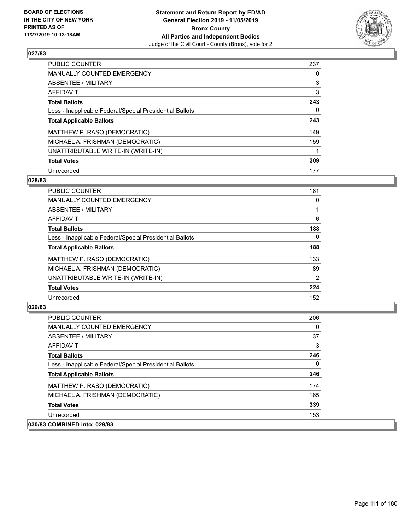

| PUBLIC COUNTER                                           | 237 |
|----------------------------------------------------------|-----|
| <b>MANUALLY COUNTED EMERGENCY</b>                        | 0   |
| ABSENTEE / MILITARY                                      | 3   |
| AFFIDAVIT                                                | 3   |
| <b>Total Ballots</b>                                     | 243 |
| Less - Inapplicable Federal/Special Presidential Ballots | 0   |
| <b>Total Applicable Ballots</b>                          | 243 |
| MATTHEW P. RASO (DEMOCRATIC)                             | 149 |
| MICHAEL A. FRISHMAN (DEMOCRATIC)                         | 159 |
| UNATTRIBUTABLE WRITE-IN (WRITE-IN)                       |     |
| <b>Total Votes</b>                                       | 309 |
| Unrecorded                                               | 177 |

### **028/83**

| <b>PUBLIC COUNTER</b>                                    | 181      |
|----------------------------------------------------------|----------|
| <b>MANUALLY COUNTED EMERGENCY</b>                        | 0        |
| ABSENTEE / MILITARY                                      |          |
| AFFIDAVIT                                                | 6        |
| <b>Total Ballots</b>                                     | 188      |
| Less - Inapplicable Federal/Special Presidential Ballots | $\Omega$ |
| <b>Total Applicable Ballots</b>                          | 188      |
| MATTHEW P. RASO (DEMOCRATIC)                             | 133      |
| MICHAEL A. FRISHMAN (DEMOCRATIC)                         | 89       |
| UNATTRIBUTABLE WRITE-IN (WRITE-IN)                       | 2        |
| <b>Total Votes</b>                                       | 224      |
| Unrecorded                                               | 152      |

| <b>PUBLIC COUNTER</b>                                    | 206 |
|----------------------------------------------------------|-----|
| <b>MANUALLY COUNTED EMERGENCY</b>                        | 0   |
| ABSENTEE / MILITARY                                      | 37  |
| AFFIDAVIT                                                | 3   |
| <b>Total Ballots</b>                                     | 246 |
| Less - Inapplicable Federal/Special Presidential Ballots | 0   |
| <b>Total Applicable Ballots</b>                          | 246 |
| MATTHEW P. RASO (DEMOCRATIC)                             | 174 |
| MICHAEL A. FRISHMAN (DEMOCRATIC)                         | 165 |
| <b>Total Votes</b>                                       | 339 |
| Unrecorded                                               | 153 |
| 030/83 COMBINED into: 029/83                             |     |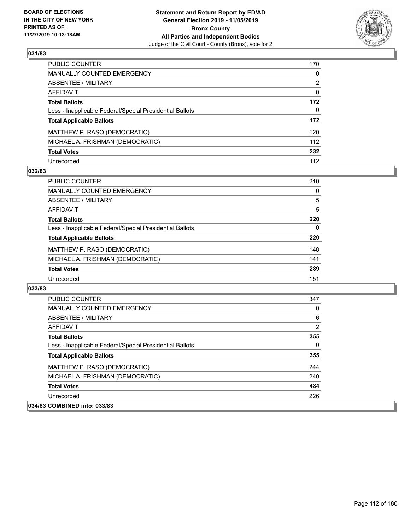

| PUBLIC COUNTER                                           | 170          |
|----------------------------------------------------------|--------------|
| <b>MANUALLY COUNTED EMERGENCY</b>                        | $\mathbf{0}$ |
| <b>ABSENTEE / MILITARY</b>                               | 2            |
| <b>AFFIDAVIT</b>                                         | $\mathbf{0}$ |
| <b>Total Ballots</b>                                     | 172          |
| Less - Inapplicable Federal/Special Presidential Ballots | 0            |
| <b>Total Applicable Ballots</b>                          | 172          |
| MATTHEW P. RASO (DEMOCRATIC)                             | 120          |
| MICHAEL A. FRISHMAN (DEMOCRATIC)                         | 112          |
| <b>Total Votes</b>                                       | 232          |
| Unrecorded                                               | 112          |

### **032/83**

| <b>PUBLIC COUNTER</b>                                    | 210 |
|----------------------------------------------------------|-----|
| <b>MANUALLY COUNTED EMERGENCY</b>                        | 0   |
| ABSENTEE / MILITARY                                      | 5   |
| AFFIDAVIT                                                | 5   |
| <b>Total Ballots</b>                                     | 220 |
| Less - Inapplicable Federal/Special Presidential Ballots | 0   |
| <b>Total Applicable Ballots</b>                          | 220 |
| MATTHEW P. RASO (DEMOCRATIC)                             | 148 |
| MICHAEL A. FRISHMAN (DEMOCRATIC)                         | 141 |
| <b>Total Votes</b>                                       | 289 |
| Unrecorded                                               | 151 |

| <b>PUBLIC COUNTER</b>                                    | 347            |
|----------------------------------------------------------|----------------|
| <b>MANUALLY COUNTED EMERGENCY</b>                        | $\Omega$       |
| ABSENTEE / MILITARY                                      | 6              |
| AFFIDAVIT                                                | $\overline{2}$ |
| <b>Total Ballots</b>                                     | 355            |
| Less - Inapplicable Federal/Special Presidential Ballots | $\Omega$       |
| <b>Total Applicable Ballots</b>                          | 355            |
| MATTHEW P. RASO (DEMOCRATIC)                             | 244            |
| MICHAEL A. FRISHMAN (DEMOCRATIC)                         | 240            |
| <b>Total Votes</b>                                       | 484            |
| Unrecorded                                               | 226            |
| 034/83 COMBINED into: 033/83                             |                |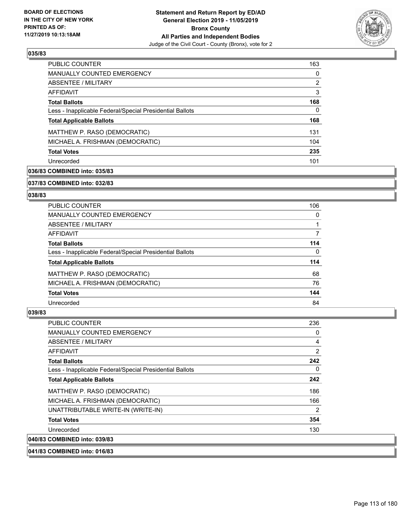

| <b>PUBLIC COUNTER</b>                                    | 163 |
|----------------------------------------------------------|-----|
| <b>MANUALLY COUNTED EMERGENCY</b>                        | 0   |
| ABSENTEE / MILITARY                                      | 2   |
| AFFIDAVIT                                                | 3   |
| <b>Total Ballots</b>                                     | 168 |
| Less - Inapplicable Federal/Special Presidential Ballots | 0   |
| <b>Total Applicable Ballots</b>                          | 168 |
| MATTHEW P. RASO (DEMOCRATIC)                             | 131 |
| MICHAEL A. FRISHMAN (DEMOCRATIC)                         | 104 |
| <b>Total Votes</b>                                       | 235 |
| Unrecorded                                               | 101 |

# **036/83 COMBINED into: 035/83**

#### **037/83 COMBINED into: 032/83**

## **038/83**

| <b>PUBLIC COUNTER</b>                                    | 106      |
|----------------------------------------------------------|----------|
| <b>MANUALLY COUNTED EMERGENCY</b>                        | $\Omega$ |
| ABSENTEE / MILITARY                                      |          |
| AFFIDAVIT                                                | 7        |
| <b>Total Ballots</b>                                     | 114      |
| Less - Inapplicable Federal/Special Presidential Ballots | $\Omega$ |
| <b>Total Applicable Ballots</b>                          | 114      |
| MATTHEW P. RASO (DEMOCRATIC)                             | 68       |
| MICHAEL A. FRISHMAN (DEMOCRATIC)                         | 76       |
| <b>Total Votes</b>                                       | 144      |
| Unrecorded                                               | 84       |

#### **039/83**

| <b>PUBLIC COUNTER</b>                                    | 236            |
|----------------------------------------------------------|----------------|
| <b>MANUALLY COUNTED EMERGENCY</b>                        | 0              |
| ABSENTEE / MILITARY                                      | $\overline{4}$ |
| AFFIDAVIT                                                | 2              |
| <b>Total Ballots</b>                                     | 242            |
| Less - Inapplicable Federal/Special Presidential Ballots | 0              |
| <b>Total Applicable Ballots</b>                          | 242            |
| MATTHEW P. RASO (DEMOCRATIC)                             | 186            |
| MICHAEL A. FRISHMAN (DEMOCRATIC)                         | 166            |
| UNATTRIBUTABLE WRITE-IN (WRITE-IN)                       | 2              |
| <b>Total Votes</b>                                       | 354            |
| Unrecorded                                               | 130            |
| 040/83 COMBINED into: 039/83                             |                |

**041/83 COMBINED into: 016/83**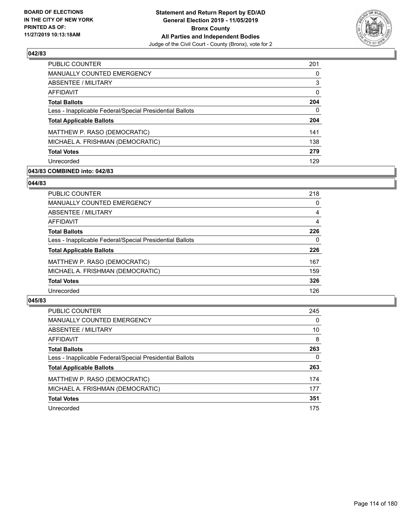

| PUBLIC COUNTER                                           | 201 |
|----------------------------------------------------------|-----|
| MANUALLY COUNTED EMERGENCY                               | 0   |
| ABSENTEE / MILITARY                                      | 3   |
| AFFIDAVIT                                                | 0   |
| <b>Total Ballots</b>                                     | 204 |
| Less - Inapplicable Federal/Special Presidential Ballots | 0   |
| <b>Total Applicable Ballots</b>                          | 204 |
| MATTHEW P. RASO (DEMOCRATIC)                             | 141 |
| MICHAEL A. FRISHMAN (DEMOCRATIC)                         | 138 |
| <b>Total Votes</b>                                       | 279 |
| Unrecorded                                               | 129 |

# **043/83 COMBINED into: 042/83**

### **044/83**

| PUBLIC COUNTER                                           | 218 |
|----------------------------------------------------------|-----|
| <b>MANUALLY COUNTED EMERGENCY</b>                        | 0   |
| ABSENTEE / MILITARY                                      | 4   |
| AFFIDAVIT                                                | 4   |
| <b>Total Ballots</b>                                     | 226 |
| Less - Inapplicable Federal/Special Presidential Ballots | 0   |
| <b>Total Applicable Ballots</b>                          | 226 |
| MATTHEW P. RASO (DEMOCRATIC)                             | 167 |
| MICHAEL A. FRISHMAN (DEMOCRATIC)                         | 159 |
| <b>Total Votes</b>                                       | 326 |
| Unrecorded                                               | 126 |
|                                                          |     |

| <b>PUBLIC COUNTER</b>                                    | 245      |
|----------------------------------------------------------|----------|
| MANUALLY COUNTED EMERGENCY                               | $\Omega$ |
| ABSENTEE / MILITARY                                      | 10       |
| AFFIDAVIT                                                | 8        |
| <b>Total Ballots</b>                                     | 263      |
| Less - Inapplicable Federal/Special Presidential Ballots | 0        |
| <b>Total Applicable Ballots</b>                          | 263      |
| MATTHEW P. RASO (DEMOCRATIC)                             | 174      |
| MICHAEL A. FRISHMAN (DEMOCRATIC)                         | 177      |
| <b>Total Votes</b>                                       | 351      |
| Unrecorded                                               | 175      |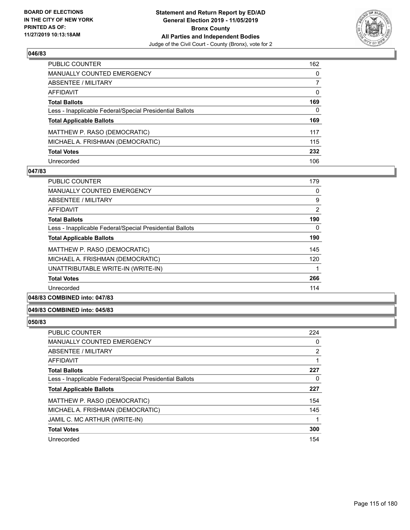

| PUBLIC COUNTER                                           | 162          |
|----------------------------------------------------------|--------------|
| <b>MANUALLY COUNTED EMERGENCY</b>                        | $\mathbf{0}$ |
| <b>ABSENTEE / MILITARY</b>                               | 7            |
| AFFIDAVIT                                                | $\mathbf{0}$ |
| <b>Total Ballots</b>                                     | 169          |
| Less - Inapplicable Federal/Special Presidential Ballots | $\mathbf{0}$ |
| <b>Total Applicable Ballots</b>                          | 169          |
| MATTHEW P. RASO (DEMOCRATIC)                             | 117          |
| MICHAEL A. FRISHMAN (DEMOCRATIC)                         | 115          |
| <b>Total Votes</b>                                       | 232          |
| Unrecorded                                               | 106          |

### **047/83**

| <b>PUBLIC COUNTER</b>                                    | 179 |
|----------------------------------------------------------|-----|
| <b>MANUALLY COUNTED EMERGENCY</b>                        | 0   |
| ABSENTEE / MILITARY                                      | 9   |
| AFFIDAVIT                                                | 2   |
| <b>Total Ballots</b>                                     | 190 |
| Less - Inapplicable Federal/Special Presidential Ballots | 0   |
| <b>Total Applicable Ballots</b>                          | 190 |
| MATTHEW P. RASO (DEMOCRATIC)                             | 145 |
| MICHAEL A. FRISHMAN (DEMOCRATIC)                         | 120 |
| UNATTRIBUTABLE WRITE-IN (WRITE-IN)                       |     |
| <b>Total Votes</b>                                       | 266 |
| Unrecorded                                               | 114 |
|                                                          |     |

# **048/83 COMBINED into: 047/83**

### **049/83 COMBINED into: 045/83**

| PUBLIC COUNTER                                           | 224 |
|----------------------------------------------------------|-----|
| <b>MANUALLY COUNTED EMERGENCY</b>                        | 0   |
| ABSENTEE / MILITARY                                      | 2   |
| AFFIDAVIT                                                | 1   |
| <b>Total Ballots</b>                                     | 227 |
| Less - Inapplicable Federal/Special Presidential Ballots | 0   |
| <b>Total Applicable Ballots</b>                          | 227 |
| MATTHEW P. RASO (DEMOCRATIC)                             | 154 |
| MICHAEL A. FRISHMAN (DEMOCRATIC)                         | 145 |
| JAMIL C. MC ARTHUR (WRITE-IN)                            |     |
| <b>Total Votes</b>                                       | 300 |
| Unrecorded                                               | 154 |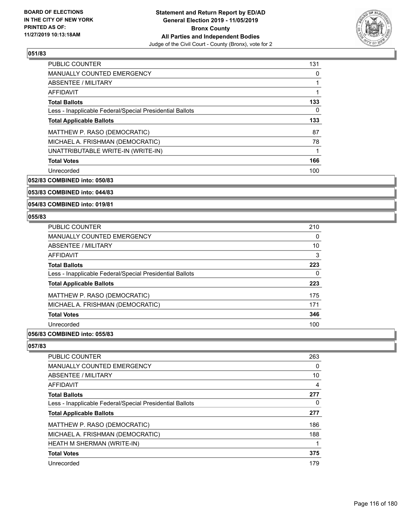

| <b>PUBLIC COUNTER</b>                                    | 131 |
|----------------------------------------------------------|-----|
| <b>MANUALLY COUNTED EMERGENCY</b>                        | 0   |
| ABSENTEE / MILITARY                                      |     |
| AFFIDAVIT                                                |     |
| <b>Total Ballots</b>                                     | 133 |
| Less - Inapplicable Federal/Special Presidential Ballots | 0   |
| <b>Total Applicable Ballots</b>                          | 133 |
| MATTHEW P. RASO (DEMOCRATIC)                             | 87  |
| MICHAEL A. FRISHMAN (DEMOCRATIC)                         | 78  |
| UNATTRIBUTABLE WRITE-IN (WRITE-IN)                       |     |
| <b>Total Votes</b>                                       | 166 |
| Unrecorded                                               | 100 |

**052/83 COMBINED into: 050/83**

# **053/83 COMBINED into: 044/83**

**054/83 COMBINED into: 019/81**

#### **055/83**

| 210 |
|-----|
| 0   |
| 10  |
| 3   |
| 223 |
| 0   |
| 223 |
| 175 |
| 171 |
| 346 |
| 100 |
|     |

### **056/83 COMBINED into: 055/83**

| <b>PUBLIC COUNTER</b>                                    | 263 |
|----------------------------------------------------------|-----|
| <b>MANUALLY COUNTED EMERGENCY</b>                        | 0   |
| ABSENTEE / MILITARY                                      | 10  |
| <b>AFFIDAVIT</b>                                         | 4   |
| <b>Total Ballots</b>                                     | 277 |
| Less - Inapplicable Federal/Special Presidential Ballots | 0   |
| <b>Total Applicable Ballots</b>                          | 277 |
| MATTHEW P. RASO (DEMOCRATIC)                             | 186 |
| MICHAEL A. FRISHMAN (DEMOCRATIC)                         | 188 |
| <b>HEATH M SHERMAN (WRITE-IN)</b>                        |     |
| <b>Total Votes</b>                                       | 375 |
| Unrecorded                                               | 179 |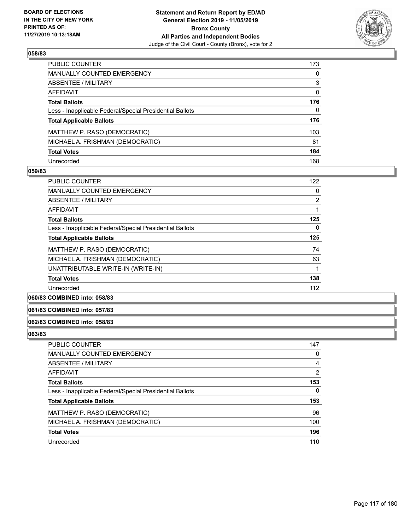

| PUBLIC COUNTER                                           | 173          |
|----------------------------------------------------------|--------------|
| <b>MANUALLY COUNTED EMERGENCY</b>                        | 0            |
| <b>ABSENTEE / MILITARY</b>                               | 3            |
| <b>AFFIDAVIT</b>                                         | $\Omega$     |
| <b>Total Ballots</b>                                     | 176          |
| Less - Inapplicable Federal/Special Presidential Ballots | $\mathbf{0}$ |
| <b>Total Applicable Ballots</b>                          | 176          |
| MATTHEW P. RASO (DEMOCRATIC)                             | 103          |
| MICHAEL A. FRISHMAN (DEMOCRATIC)                         | 81           |
| <b>Total Votes</b>                                       | 184          |
| Unrecorded                                               | 168          |

### **059/83**

| <b>PUBLIC COUNTER</b>                                    | 122            |
|----------------------------------------------------------|----------------|
| <b>MANUALLY COUNTED EMERGENCY</b>                        | 0              |
| ABSENTEE / MILITARY                                      | $\overline{2}$ |
| <b>AFFIDAVIT</b>                                         |                |
| <b>Total Ballots</b>                                     | 125            |
| Less - Inapplicable Federal/Special Presidential Ballots | 0              |
| <b>Total Applicable Ballots</b>                          | 125            |
| MATTHEW P. RASO (DEMOCRATIC)                             | 74             |
| MICHAEL A. FRISHMAN (DEMOCRATIC)                         | 63             |
| UNATTRIBUTABLE WRITE-IN (WRITE-IN)                       |                |
| <b>Total Votes</b>                                       | 138            |
| Unrecorded                                               | 112            |
|                                                          |                |

# **060/83 COMBINED into: 058/83**

### **061/83 COMBINED into: 057/83**

### **062/83 COMBINED into: 058/83**

| PUBLIC COUNTER                                           | 147 |
|----------------------------------------------------------|-----|
| <b>MANUALLY COUNTED EMERGENCY</b>                        | 0   |
| ABSENTEE / MILITARY                                      | 4   |
| AFFIDAVIT                                                | 2   |
| <b>Total Ballots</b>                                     | 153 |
| Less - Inapplicable Federal/Special Presidential Ballots | 0   |
| <b>Total Applicable Ballots</b>                          | 153 |
| MATTHEW P. RASO (DEMOCRATIC)                             | 96  |
| MICHAEL A. FRISHMAN (DEMOCRATIC)                         | 100 |
| <b>Total Votes</b>                                       | 196 |
| Unrecorded                                               | 110 |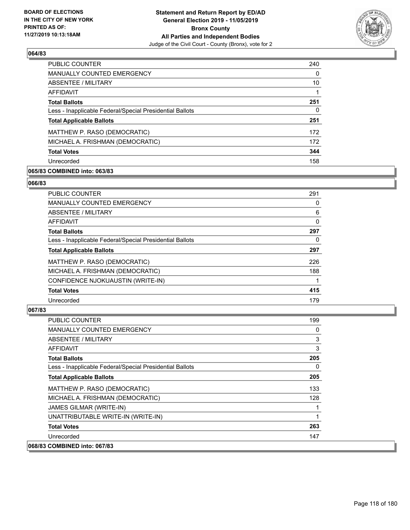

| PUBLIC COUNTER                                           | 240 |
|----------------------------------------------------------|-----|
| <b>MANUALLY COUNTED EMERGENCY</b>                        | 0   |
| ABSENTEE / MILITARY                                      | 10  |
| AFFIDAVIT                                                |     |
| <b>Total Ballots</b>                                     | 251 |
| Less - Inapplicable Federal/Special Presidential Ballots | 0   |
| <b>Total Applicable Ballots</b>                          | 251 |
| MATTHEW P. RASO (DEMOCRATIC)                             | 172 |
| MICHAEL A. FRISHMAN (DEMOCRATIC)                         | 172 |
| <b>Total Votes</b>                                       | 344 |
| Unrecorded                                               | 158 |

## **065/83 COMBINED into: 063/83**

#### **066/83**

| PUBLIC COUNTER                                           | 291 |
|----------------------------------------------------------|-----|
| <b>MANUALLY COUNTED EMERGENCY</b>                        | 0   |
| ABSENTEE / MILITARY                                      | 6   |
| AFFIDAVIT                                                | 0   |
| <b>Total Ballots</b>                                     | 297 |
| Less - Inapplicable Federal/Special Presidential Ballots | 0   |
| <b>Total Applicable Ballots</b>                          | 297 |
| MATTHEW P. RASO (DEMOCRATIC)                             | 226 |
| MICHAEL A. FRISHMAN (DEMOCRATIC)                         | 188 |
| CONFIDENCE NJOKUAUSTIN (WRITE-IN)                        |     |
| <b>Total Votes</b>                                       | 415 |
| Unrecorded                                               | 179 |

| <b>PUBLIC COUNTER</b>                                    | 199      |
|----------------------------------------------------------|----------|
| <b>MANUALLY COUNTED EMERGENCY</b>                        | 0        |
| ABSENTEE / MILITARY                                      | 3        |
| AFFIDAVIT                                                | 3        |
| <b>Total Ballots</b>                                     | 205      |
| Less - Inapplicable Federal/Special Presidential Ballots | $\Omega$ |
| <b>Total Applicable Ballots</b>                          | 205      |
| MATTHEW P. RASO (DEMOCRATIC)                             | 133      |
| MICHAEL A. FRISHMAN (DEMOCRATIC)                         | 128      |
| JAMES GILMAR (WRITE-IN)                                  |          |
| UNATTRIBUTABLE WRITE-IN (WRITE-IN)                       | 1        |
| <b>Total Votes</b>                                       | 263      |
| Unrecorded                                               | 147      |
| 068/83 COMBINED into: 067/83                             |          |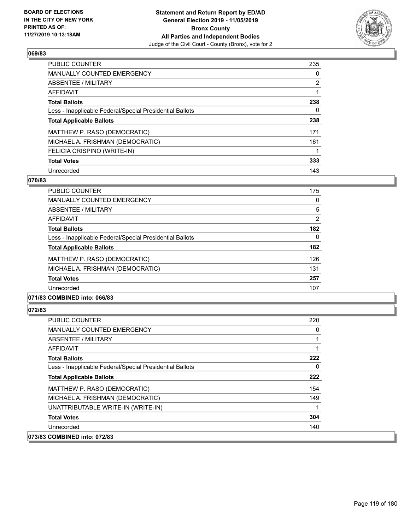

| <b>PUBLIC COUNTER</b>                                    | 235            |
|----------------------------------------------------------|----------------|
| <b>MANUALLY COUNTED EMERGENCY</b>                        | $\Omega$       |
| ABSENTEE / MILITARY                                      | $\overline{2}$ |
| AFFIDAVIT                                                |                |
| <b>Total Ballots</b>                                     | 238            |
| Less - Inapplicable Federal/Special Presidential Ballots | 0              |
| <b>Total Applicable Ballots</b>                          | 238            |
| MATTHEW P. RASO (DEMOCRATIC)                             | 171            |
| MICHAEL A. FRISHMAN (DEMOCRATIC)                         | 161            |
| FELICIA CRISPINO (WRITE-IN)                              |                |
| <b>Total Votes</b>                                       | 333            |
| Unrecorded                                               | 143            |

### **070/83**

| <b>PUBLIC COUNTER</b>                                    | 175      |
|----------------------------------------------------------|----------|
| <b>MANUALLY COUNTED EMERGENCY</b>                        | 0        |
| ABSENTEE / MILITARY                                      | 5        |
| <b>AFFIDAVIT</b>                                         | 2        |
| <b>Total Ballots</b>                                     | 182      |
| Less - Inapplicable Federal/Special Presidential Ballots | $\Omega$ |
| <b>Total Applicable Ballots</b>                          | 182      |
| MATTHEW P. RASO (DEMOCRATIC)                             | 126      |
| MICHAEL A. FRISHMAN (DEMOCRATIC)                         | 131      |
| <b>Total Votes</b>                                       | 257      |
| Unrecorded                                               | 107      |
|                                                          |          |

# **071/83 COMBINED into: 066/83**

| PUBLIC COUNTER                                           | 220 |
|----------------------------------------------------------|-----|
| <b>MANUALLY COUNTED EMERGENCY</b>                        | 0   |
| ABSENTEE / MILITARY                                      |     |
| AFFIDAVIT                                                |     |
| <b>Total Ballots</b>                                     | 222 |
| Less - Inapplicable Federal/Special Presidential Ballots | 0   |
| <b>Total Applicable Ballots</b>                          | 222 |
| MATTHEW P. RASO (DEMOCRATIC)                             | 154 |
| MICHAEL A. FRISHMAN (DEMOCRATIC)                         | 149 |
| UNATTRIBUTABLE WRITE-IN (WRITE-IN)                       |     |
| <b>Total Votes</b>                                       | 304 |
| Unrecorded                                               | 140 |
| 073/83 COMBINED into: 072/83                             |     |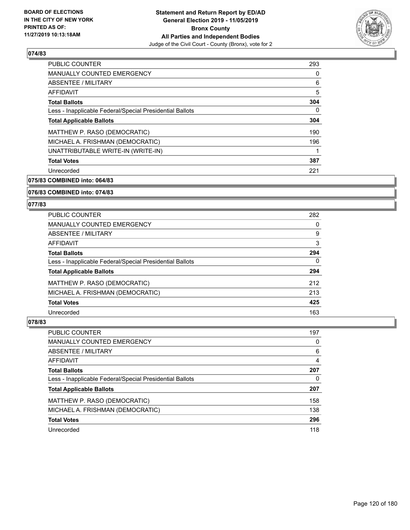

| <b>PUBLIC COUNTER</b>                                    | 293      |
|----------------------------------------------------------|----------|
| <b>MANUALLY COUNTED EMERGENCY</b>                        | 0        |
| ABSENTEE / MILITARY                                      | 6        |
| AFFIDAVIT                                                | 5        |
| <b>Total Ballots</b>                                     | 304      |
| Less - Inapplicable Federal/Special Presidential Ballots | $\Omega$ |
| <b>Total Applicable Ballots</b>                          | 304      |
| MATTHEW P. RASO (DEMOCRATIC)                             | 190      |
| MICHAEL A. FRISHMAN (DEMOCRATIC)                         | 196      |
| UNATTRIBUTABLE WRITE-IN (WRITE-IN)                       |          |
| <b>Total Votes</b>                                       | 387      |
| Unrecorded                                               | 221      |

**075/83 COMBINED into: 064/83**

### **076/83 COMBINED into: 074/83**

#### **077/83**

| <b>PUBLIC COUNTER</b>                                    | 282      |
|----------------------------------------------------------|----------|
| <b>MANUALLY COUNTED EMERGENCY</b>                        | $\Omega$ |
| ABSENTEE / MILITARY                                      | 9        |
| AFFIDAVIT                                                | 3        |
| <b>Total Ballots</b>                                     | 294      |
| Less - Inapplicable Federal/Special Presidential Ballots | $\Omega$ |
| <b>Total Applicable Ballots</b>                          | 294      |
| MATTHEW P. RASO (DEMOCRATIC)                             | 212      |
| MICHAEL A. FRISHMAN (DEMOCRATIC)                         | 213      |
| <b>Total Votes</b>                                       | 425      |
| Unrecorded                                               | 163      |

| PUBLIC COUNTER                                           | 197 |
|----------------------------------------------------------|-----|
| MANUALLY COUNTED EMERGENCY                               | 0   |
| ABSENTEE / MILITARY                                      | 6   |
| AFFIDAVIT                                                | 4   |
| <b>Total Ballots</b>                                     | 207 |
| Less - Inapplicable Federal/Special Presidential Ballots | 0   |
| <b>Total Applicable Ballots</b>                          | 207 |
| MATTHEW P. RASO (DEMOCRATIC)                             | 158 |
| MICHAEL A. FRISHMAN (DEMOCRATIC)                         | 138 |
| <b>Total Votes</b>                                       | 296 |
| Unrecorded                                               | 118 |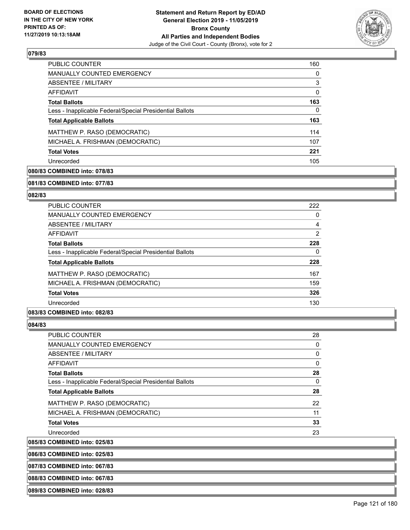

| <b>PUBLIC COUNTER</b>                                    | 160 |
|----------------------------------------------------------|-----|
| <b>MANUALLY COUNTED EMERGENCY</b>                        | 0   |
| ABSENTEE / MILITARY                                      | 3   |
| AFFIDAVIT                                                | 0   |
| <b>Total Ballots</b>                                     | 163 |
| Less - Inapplicable Federal/Special Presidential Ballots | 0   |
| <b>Total Applicable Ballots</b>                          | 163 |
| MATTHEW P. RASO (DEMOCRATIC)                             | 114 |
| MICHAEL A. FRISHMAN (DEMOCRATIC)                         | 107 |
| <b>Total Votes</b>                                       | 221 |
| Unrecorded                                               | 105 |

# **080/83 COMBINED into: 078/83**

#### **081/83 COMBINED into: 077/83**

### **082/83**

| <b>PUBLIC COUNTER</b>                                    | 222 |
|----------------------------------------------------------|-----|
| <b>MANUALLY COUNTED EMERGENCY</b>                        | 0   |
| ABSENTEE / MILITARY                                      | 4   |
| AFFIDAVIT                                                | 2   |
| <b>Total Ballots</b>                                     | 228 |
| Less - Inapplicable Federal/Special Presidential Ballots | 0   |
| <b>Total Applicable Ballots</b>                          | 228 |
| MATTHEW P. RASO (DEMOCRATIC)                             | 167 |
| MICHAEL A. FRISHMAN (DEMOCRATIC)                         | 159 |
| <b>Total Votes</b>                                       | 326 |
| Unrecorded                                               | 130 |

### **083/83 COMBINED into: 082/83**

### **084/83**

| <b>PUBLIC COUNTER</b>                                    | 28       |
|----------------------------------------------------------|----------|
| MANUALLY COUNTED EMERGENCY                               | 0        |
| ABSENTEE / MILITARY                                      | 0        |
| AFFIDAVIT                                                | 0        |
| <b>Total Ballots</b>                                     | 28       |
| Less - Inapplicable Federal/Special Presidential Ballots | $\Omega$ |
| <b>Total Applicable Ballots</b>                          | 28       |
| MATTHEW P. RASO (DEMOCRATIC)                             | 22       |
| MICHAEL A. FRISHMAN (DEMOCRATIC)                         | 11       |
| <b>Total Votes</b>                                       | 33       |
| Unrecorded                                               | 23       |

**085/83 COMBINED into: 025/83**

**086/83 COMBINED into: 025/83**

**087/83 COMBINED into: 067/83**

**088/83 COMBINED into: 067/83**

**089/83 COMBINED into: 028/83**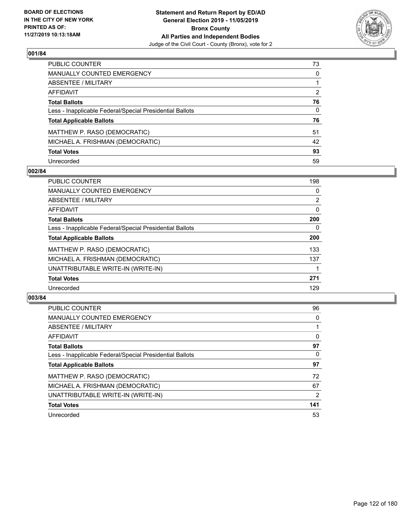

| PUBLIC COUNTER                                           | 73           |
|----------------------------------------------------------|--------------|
| <b>MANUALLY COUNTED EMERGENCY</b>                        | $\mathbf{0}$ |
| <b>ABSENTEE / MILITARY</b>                               |              |
| <b>AFFIDAVIT</b>                                         | 2            |
| <b>Total Ballots</b>                                     | 76           |
| Less - Inapplicable Federal/Special Presidential Ballots | $\mathbf{0}$ |
| <b>Total Applicable Ballots</b>                          | 76           |
| MATTHEW P. RASO (DEMOCRATIC)                             | 51           |
| MICHAEL A. FRISHMAN (DEMOCRATIC)                         | 42           |
| <b>Total Votes</b>                                       | 93           |
| Unrecorded                                               | 59           |

### **002/84**

| <b>PUBLIC COUNTER</b>                                    | 198            |
|----------------------------------------------------------|----------------|
| <b>MANUALLY COUNTED EMERGENCY</b>                        | 0              |
| ABSENTEE / MILITARY                                      | $\overline{2}$ |
| AFFIDAVIT                                                | $\Omega$       |
| <b>Total Ballots</b>                                     | 200            |
| Less - Inapplicable Federal/Special Presidential Ballots | $\Omega$       |
| <b>Total Applicable Ballots</b>                          | 200            |
| MATTHEW P. RASO (DEMOCRATIC)                             | 133            |
| MICHAEL A. FRISHMAN (DEMOCRATIC)                         | 137            |
| UNATTRIBUTABLE WRITE-IN (WRITE-IN)                       |                |
| <b>Total Votes</b>                                       | 271            |
| Unrecorded                                               | 129            |

| <b>PUBLIC COUNTER</b>                                    | 96       |
|----------------------------------------------------------|----------|
| <b>MANUALLY COUNTED EMERGENCY</b>                        | 0        |
| ABSENTEE / MILITARY                                      |          |
| AFFIDAVIT                                                | $\Omega$ |
| <b>Total Ballots</b>                                     | 97       |
| Less - Inapplicable Federal/Special Presidential Ballots | 0        |
| <b>Total Applicable Ballots</b>                          | 97       |
| MATTHEW P. RASO (DEMOCRATIC)                             | 72       |
| MICHAEL A. FRISHMAN (DEMOCRATIC)                         | 67       |
| UNATTRIBUTABLE WRITE-IN (WRITE-IN)                       | 2        |
| <b>Total Votes</b>                                       | 141      |
| Unrecorded                                               | 53       |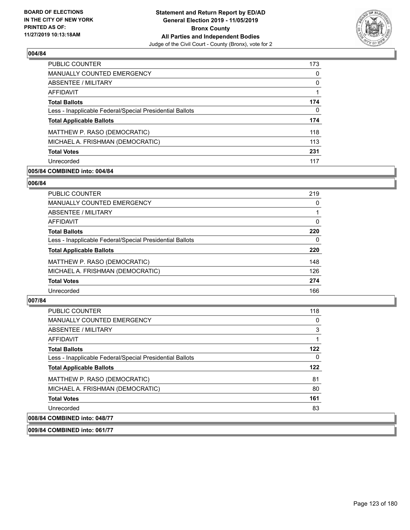

| <b>PUBLIC COUNTER</b>                                    | 173 |
|----------------------------------------------------------|-----|
| <b>MANUALLY COUNTED EMERGENCY</b>                        | 0   |
| ABSENTEE / MILITARY                                      | 0   |
| AFFIDAVIT                                                |     |
| <b>Total Ballots</b>                                     | 174 |
| Less - Inapplicable Federal/Special Presidential Ballots | 0   |
| <b>Total Applicable Ballots</b>                          | 174 |
| MATTHEW P. RASO (DEMOCRATIC)                             | 118 |
| MICHAEL A. FRISHMAN (DEMOCRATIC)                         | 113 |
| <b>Total Votes</b>                                       | 231 |
| Unrecorded                                               | 117 |

## **005/84 COMBINED into: 004/84**

### **006/84**

| PUBLIC COUNTER                                           | 219      |
|----------------------------------------------------------|----------|
| <b>MANUALLY COUNTED EMERGENCY</b>                        | 0        |
| <b>ABSENTEE / MILITARY</b>                               |          |
| <b>AFFIDAVIT</b>                                         | $\Omega$ |
| <b>Total Ballots</b>                                     | 220      |
| Less - Inapplicable Federal/Special Presidential Ballots | $\Omega$ |
| <b>Total Applicable Ballots</b>                          | 220      |
| MATTHEW P. RASO (DEMOCRATIC)                             | 148      |
| MICHAEL A. FRISHMAN (DEMOCRATIC)                         | 126      |
| <b>Total Votes</b>                                       | 274      |
| Unrecorded                                               | 166      |
|                                                          |          |

# **007/84**

| <b>PUBLIC COUNTER</b>                                    | 118 |
|----------------------------------------------------------|-----|
| <b>MANUALLY COUNTED EMERGENCY</b>                        | 0   |
| ABSENTEE / MILITARY                                      | 3   |
| AFFIDAVIT                                                |     |
| <b>Total Ballots</b>                                     | 122 |
| Less - Inapplicable Federal/Special Presidential Ballots | 0   |
| <b>Total Applicable Ballots</b>                          | 122 |
| MATTHEW P. RASO (DEMOCRATIC)                             | 81  |
| MICHAEL A. FRISHMAN (DEMOCRATIC)                         | 80  |
| <b>Total Votes</b>                                       | 161 |
| Unrecorded                                               | 83  |
| 008/84 COMBINED into: 048/77                             |     |

**009/84 COMBINED into: 061/77**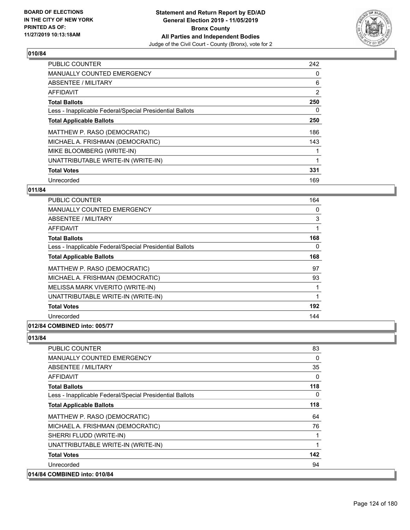

| <b>PUBLIC COUNTER</b>                                    | 242            |
|----------------------------------------------------------|----------------|
| <b>MANUALLY COUNTED EMERGENCY</b>                        | 0              |
| ABSENTEE / MILITARY                                      | 6              |
| <b>AFFIDAVIT</b>                                         | $\overline{2}$ |
| <b>Total Ballots</b>                                     | 250            |
| Less - Inapplicable Federal/Special Presidential Ballots | 0              |
| <b>Total Applicable Ballots</b>                          | 250            |
| MATTHEW P. RASO (DEMOCRATIC)                             | 186            |
| MICHAEL A. FRISHMAN (DEMOCRATIC)                         | 143            |
| MIKE BLOOMBERG (WRITE-IN)                                |                |
| UNATTRIBUTABLE WRITE-IN (WRITE-IN)                       |                |
| <b>Total Votes</b>                                       | 331            |
| Unrecorded                                               | 169            |

# **011/84**

| <b>PUBLIC COUNTER</b>                                    | 164 |
|----------------------------------------------------------|-----|
| <b>MANUALLY COUNTED EMERGENCY</b>                        | 0   |
| ABSENTEE / MILITARY                                      | 3   |
| AFFIDAVIT                                                | 1   |
| <b>Total Ballots</b>                                     | 168 |
| Less - Inapplicable Federal/Special Presidential Ballots | 0   |
| <b>Total Applicable Ballots</b>                          | 168 |
| MATTHEW P. RASO (DEMOCRATIC)                             | 97  |
| MICHAEL A. FRISHMAN (DEMOCRATIC)                         | 93  |
| MELISSA MARK VIVERITO (WRITE-IN)                         |     |
| UNATTRIBUTABLE WRITE-IN (WRITE-IN)                       | 1   |
| <b>Total Votes</b>                                       | 192 |
| Unrecorded                                               | 144 |
|                                                          |     |

# **012/84 COMBINED into: 005/77**

| PUBLIC COUNTER                                           | 83           |
|----------------------------------------------------------|--------------|
| MANUALLY COUNTED EMERGENCY                               | $\Omega$     |
| ABSENTEE / MILITARY                                      | 35           |
| AFFIDAVIT                                                | $\Omega$     |
| <b>Total Ballots</b>                                     | 118          |
| Less - Inapplicable Federal/Special Presidential Ballots | $\mathbf{0}$ |
| <b>Total Applicable Ballots</b>                          | 118          |
| MATTHEW P. RASO (DEMOCRATIC)                             | 64           |
| MICHAEL A. FRISHMAN (DEMOCRATIC)                         | 76           |
| SHERRI FLUDD (WRITE-IN)                                  |              |
| UNATTRIBUTABLE WRITE-IN (WRITE-IN)                       |              |
| <b>Total Votes</b>                                       | 142          |
| Unrecorded                                               | 94           |
| 014/84 COMBINED into: 010/84                             |              |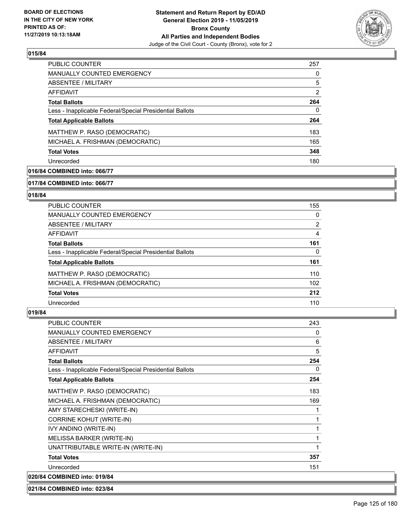

| <b>PUBLIC COUNTER</b>                                    | 257 |
|----------------------------------------------------------|-----|
| <b>MANUALLY COUNTED EMERGENCY</b>                        | 0   |
| ABSENTEE / MILITARY                                      | 5   |
| AFFIDAVIT                                                | 2   |
| <b>Total Ballots</b>                                     | 264 |
| Less - Inapplicable Federal/Special Presidential Ballots | 0   |
| <b>Total Applicable Ballots</b>                          | 264 |
| MATTHEW P. RASO (DEMOCRATIC)                             | 183 |
| MICHAEL A. FRISHMAN (DEMOCRATIC)                         | 165 |
| <b>Total Votes</b>                                       | 348 |
| Unrecorded                                               | 180 |

# **016/84 COMBINED into: 066/77**

#### **017/84 COMBINED into: 066/77**

## **018/84**

| <b>PUBLIC COUNTER</b>                                    | 155            |
|----------------------------------------------------------|----------------|
| <b>MANUALLY COUNTED EMERGENCY</b>                        | 0              |
| ABSENTEE / MILITARY                                      | $\overline{2}$ |
| AFFIDAVIT                                                | 4              |
| <b>Total Ballots</b>                                     | 161            |
| Less - Inapplicable Federal/Special Presidential Ballots | $\Omega$       |
| <b>Total Applicable Ballots</b>                          | 161            |
| MATTHEW P. RASO (DEMOCRATIC)                             | 110            |
| MICHAEL A. FRISHMAN (DEMOCRATIC)                         | 102            |
| <b>Total Votes</b>                                       | 212            |
| Unrecorded                                               | 110            |

### **019/84**

| <b>PUBLIC COUNTER</b>                                    | 243          |
|----------------------------------------------------------|--------------|
| <b>MANUALLY COUNTED EMERGENCY</b>                        | 0            |
| <b>ABSENTEE / MILITARY</b>                               | 6            |
| AFFIDAVIT                                                | 5            |
| <b>Total Ballots</b>                                     | 254          |
| Less - Inapplicable Federal/Special Presidential Ballots | $\mathbf{0}$ |
| <b>Total Applicable Ballots</b>                          | 254          |
| MATTHEW P. RASO (DEMOCRATIC)                             | 183          |
| MICHAEL A. FRISHMAN (DEMOCRATIC)                         | 169          |
| AMY STARECHESKI (WRITE-IN)                               |              |
| <b>CORRINE KOHUT (WRITE-IN)</b>                          |              |
| IVY ANDINO (WRITE-IN)                                    | 1            |
| MELISSA BARKER (WRITE-IN)                                | 1            |
| UNATTRIBUTABLE WRITE-IN (WRITE-IN)                       |              |
| <b>Total Votes</b>                                       | 357          |
| Unrecorded                                               | 151          |
| 020/84 COMBINED into: 019/84                             |              |

### **021/84 COMBINED into: 023/84**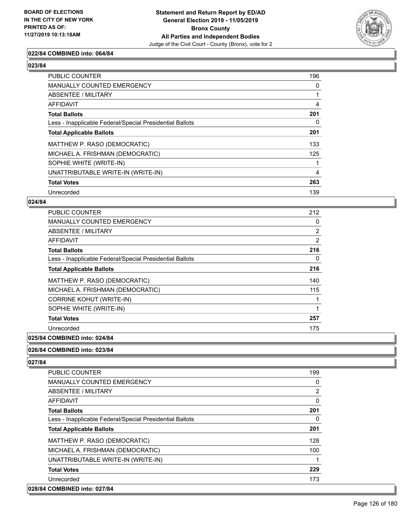

#### **022/84 COMBINED into: 064/84**

| PUBLIC COUNTER                                           | 196      |
|----------------------------------------------------------|----------|
| <b>MANUALLY COUNTED EMERGENCY</b>                        | 0        |
| ABSENTEE / MILITARY                                      |          |
| AFFIDAVIT                                                | 4        |
| <b>Total Ballots</b>                                     | 201      |
| Less - Inapplicable Federal/Special Presidential Ballots | $\Omega$ |
| <b>Total Applicable Ballots</b>                          | 201      |
| MATTHEW P. RASO (DEMOCRATIC)                             | 133      |
| MICHAEL A. FRISHMAN (DEMOCRATIC)                         | 125      |
| SOPHIE WHITE (WRITE-IN)                                  |          |
| UNATTRIBUTABLE WRITE-IN (WRITE-IN)                       | 4        |
| <b>Total Votes</b>                                       | 263      |
| Unrecorded                                               | 139      |

#### **024/84**

| <b>PUBLIC COUNTER</b>                                    | 212            |
|----------------------------------------------------------|----------------|
| <b>MANUALLY COUNTED EMERGENCY</b>                        | 0              |
| ABSENTEE / MILITARY                                      | $\overline{2}$ |
| AFFIDAVIT                                                | 2              |
| <b>Total Ballots</b>                                     | 216            |
| Less - Inapplicable Federal/Special Presidential Ballots | 0              |
| <b>Total Applicable Ballots</b>                          | 216            |
| MATTHEW P. RASO (DEMOCRATIC)                             | 140            |
| MICHAEL A. FRISHMAN (DEMOCRATIC)                         | 115            |
| <b>CORRINE KOHUT (WRITE-IN)</b>                          |                |
| SOPHIE WHITE (WRITE-IN)                                  |                |
| <b>Total Votes</b>                                       | 257            |
| Unrecorded                                               | 175            |
| A                                                        |                |

# **025/84 COMBINED into: 024/84**

#### **026/84 COMBINED into: 023/84**

| <b>PUBLIC COUNTER</b>                                    | 199            |
|----------------------------------------------------------|----------------|
| <b>MANUALLY COUNTED EMERGENCY</b>                        | 0              |
| ABSENTEE / MILITARY                                      | $\overline{2}$ |
| AFFIDAVIT                                                | 0              |
| <b>Total Ballots</b>                                     | 201            |
| Less - Inapplicable Federal/Special Presidential Ballots | $\Omega$       |
| <b>Total Applicable Ballots</b>                          | 201            |
| MATTHEW P. RASO (DEMOCRATIC)                             | 128            |
| MICHAEL A. FRISHMAN (DEMOCRATIC)                         | 100            |
| UNATTRIBUTABLE WRITE-IN (WRITE-IN)                       | 1              |
| <b>Total Votes</b>                                       | 229            |
| Unrecorded                                               | 173            |
| 028/84 COMBINED into: 027/84                             |                |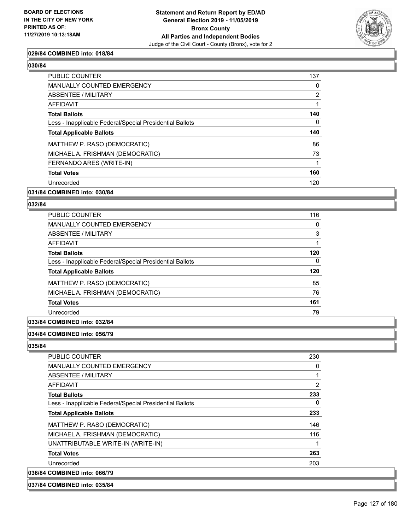

#### **029/84 COMBINED into: 018/84**

| <b>PUBLIC COUNTER</b>                                    | 137 |
|----------------------------------------------------------|-----|
| <b>MANUALLY COUNTED EMERGENCY</b>                        | 0   |
| ABSENTEE / MILITARY                                      | 2   |
| <b>AFFIDAVIT</b>                                         |     |
| <b>Total Ballots</b>                                     | 140 |
| Less - Inapplicable Federal/Special Presidential Ballots | 0   |
| <b>Total Applicable Ballots</b>                          | 140 |
| MATTHEW P. RASO (DEMOCRATIC)                             | 86  |
| MICHAEL A. FRISHMAN (DEMOCRATIC)                         | 73  |
| FERNANDO ARES (WRITE-IN)                                 |     |
| <b>Total Votes</b>                                       | 160 |
| Unrecorded                                               | 120 |
|                                                          |     |

#### **031/84 COMBINED into: 030/84**

#### **032/84**

| PUBLIC COUNTER                                           | 116      |
|----------------------------------------------------------|----------|
| <b>MANUALLY COUNTED EMERGENCY</b>                        | 0        |
| ABSENTEE / MILITARY                                      | 3        |
| AFFIDAVIT                                                | 1        |
| <b>Total Ballots</b>                                     | 120      |
| Less - Inapplicable Federal/Special Presidential Ballots | $\Omega$ |
| <b>Total Applicable Ballots</b>                          | 120      |
| MATTHEW P. RASO (DEMOCRATIC)                             | 85       |
| MICHAEL A. FRISHMAN (DEMOCRATIC)                         | 76       |
| <b>Total Votes</b>                                       | 161      |
| Unrecorded                                               | 79       |
|                                                          |          |

### **033/84 COMBINED into: 032/84**

#### **034/84 COMBINED into: 056/79**

| <b>PUBLIC COUNTER</b>                                    | 230 |
|----------------------------------------------------------|-----|
| <b>MANUALLY COUNTED EMERGENCY</b>                        | 0   |
| ABSENTEE / MILITARY                                      | 1   |
| AFFIDAVIT                                                | 2   |
| <b>Total Ballots</b>                                     | 233 |
| Less - Inapplicable Federal/Special Presidential Ballots | 0   |
| <b>Total Applicable Ballots</b>                          | 233 |
| MATTHEW P. RASO (DEMOCRATIC)                             | 146 |
| MICHAEL A. FRISHMAN (DEMOCRATIC)                         | 116 |
| UNATTRIBUTABLE WRITE-IN (WRITE-IN)                       |     |
| <b>Total Votes</b>                                       | 263 |
| Unrecorded                                               | 203 |
| 036/84 COMBINED into: 066/79                             |     |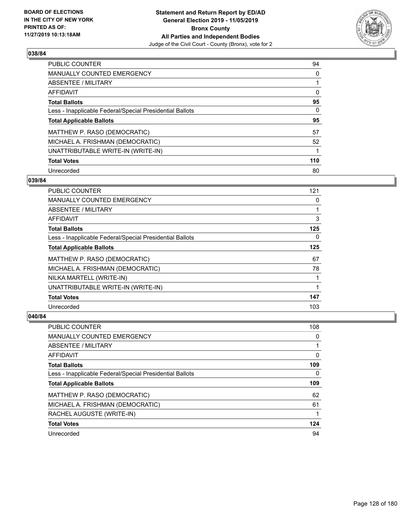

| PUBLIC COUNTER                                           | 94       |
|----------------------------------------------------------|----------|
| <b>MANUALLY COUNTED EMERGENCY</b>                        | $\Omega$ |
| <b>ABSENTEE / MILITARY</b>                               |          |
| AFFIDAVIT                                                | $\Omega$ |
| <b>Total Ballots</b>                                     | 95       |
| Less - Inapplicable Federal/Special Presidential Ballots | 0        |
| <b>Total Applicable Ballots</b>                          | 95       |
| MATTHEW P. RASO (DEMOCRATIC)                             | 57       |
| MICHAEL A. FRISHMAN (DEMOCRATIC)                         | 52       |
| UNATTRIBUTABLE WRITE-IN (WRITE-IN)                       |          |
| <b>Total Votes</b>                                       | 110      |
| Unrecorded                                               | 80       |

### **039/84**

| PUBLIC COUNTER                                           | 121      |
|----------------------------------------------------------|----------|
| <b>MANUALLY COUNTED EMERGENCY</b>                        | $\Omega$ |
| ABSENTEE / MILITARY                                      |          |
| AFFIDAVIT                                                | 3        |
| <b>Total Ballots</b>                                     | 125      |
| Less - Inapplicable Federal/Special Presidential Ballots | 0        |
| <b>Total Applicable Ballots</b>                          | 125      |
| MATTHEW P. RASO (DEMOCRATIC)                             | 67       |
| MICHAEL A. FRISHMAN (DEMOCRATIC)                         | 78       |
| NILKA MARTELL (WRITE-IN)                                 |          |
| UNATTRIBUTABLE WRITE-IN (WRITE-IN)                       |          |
| <b>Total Votes</b>                                       | 147      |
| Unrecorded                                               | 103      |

| <b>PUBLIC COUNTER</b>                                    | 108 |
|----------------------------------------------------------|-----|
| <b>MANUALLY COUNTED EMERGENCY</b>                        | 0   |
| ABSENTEE / MILITARY                                      |     |
| AFFIDAVIT                                                | 0   |
| <b>Total Ballots</b>                                     | 109 |
| Less - Inapplicable Federal/Special Presidential Ballots | 0   |
| <b>Total Applicable Ballots</b>                          | 109 |
| MATTHEW P. RASO (DEMOCRATIC)                             | 62  |
| MICHAEL A. FRISHMAN (DEMOCRATIC)                         | 61  |
| RACHEL AUGUSTE (WRITE-IN)                                | 1   |
| <b>Total Votes</b>                                       | 124 |
| Unrecorded                                               | 94  |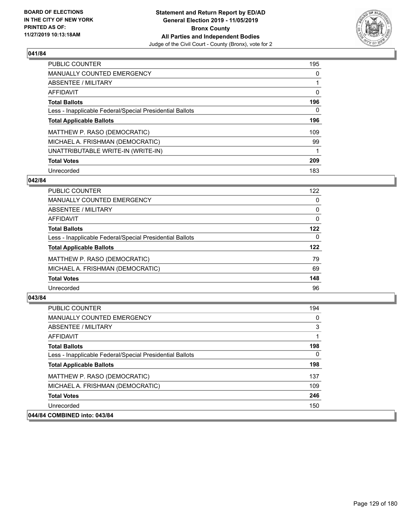

| <b>PUBLIC COUNTER</b>                                    | 195      |
|----------------------------------------------------------|----------|
| <b>MANUALLY COUNTED EMERGENCY</b>                        | $\Omega$ |
| ABSENTEE / MILITARY                                      |          |
| AFFIDAVIT                                                | 0        |
| <b>Total Ballots</b>                                     | 196      |
| Less - Inapplicable Federal/Special Presidential Ballots | 0        |
| <b>Total Applicable Ballots</b>                          | 196      |
| MATTHEW P. RASO (DEMOCRATIC)                             | 109      |
| MICHAEL A. FRISHMAN (DEMOCRATIC)                         | 99       |
| UNATTRIBUTABLE WRITE-IN (WRITE-IN)                       |          |
| <b>Total Votes</b>                                       | 209      |
| Unrecorded                                               | 183      |

### **042/84**

| <b>PUBLIC COUNTER</b>                                    | 122      |
|----------------------------------------------------------|----------|
| MANUALLY COUNTED EMERGENCY                               | 0        |
| ABSENTEE / MILITARY                                      | $\Omega$ |
| <b>AFFIDAVIT</b>                                         | 0        |
| <b>Total Ballots</b>                                     | 122      |
| Less - Inapplicable Federal/Special Presidential Ballots | $\Omega$ |
| <b>Total Applicable Ballots</b>                          | 122      |
| MATTHEW P. RASO (DEMOCRATIC)                             | 79       |
| MICHAEL A. FRISHMAN (DEMOCRATIC)                         | 69       |
| <b>Total Votes</b>                                       | 148      |
| Unrecorded                                               | 96       |

| <b>PUBLIC COUNTER</b>                                    | 194 |
|----------------------------------------------------------|-----|
| <b>MANUALLY COUNTED EMERGENCY</b>                        | 0   |
| ABSENTEE / MILITARY                                      | 3   |
| AFFIDAVIT                                                | 1   |
| <b>Total Ballots</b>                                     | 198 |
| Less - Inapplicable Federal/Special Presidential Ballots | 0   |
| <b>Total Applicable Ballots</b>                          | 198 |
| MATTHEW P. RASO (DEMOCRATIC)                             | 137 |
| MICHAEL A. FRISHMAN (DEMOCRATIC)                         | 109 |
| <b>Total Votes</b>                                       | 246 |
| Unrecorded                                               | 150 |
| 044/84 COMBINED into: 043/84                             |     |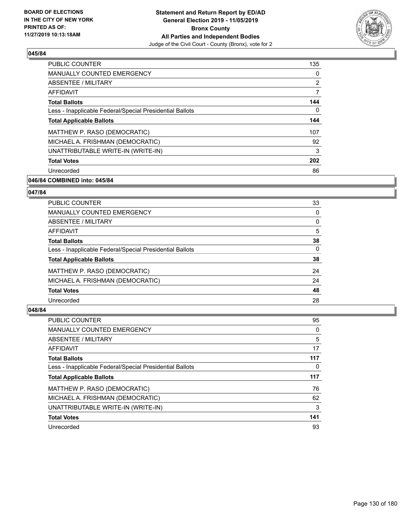

| <b>PUBLIC COUNTER</b>                                    | 135 |
|----------------------------------------------------------|-----|
| <b>MANUALLY COUNTED EMERGENCY</b>                        | 0   |
| ABSENTEE / MILITARY                                      | 2   |
| <b>AFFIDAVIT</b>                                         | 7   |
| <b>Total Ballots</b>                                     | 144 |
| Less - Inapplicable Federal/Special Presidential Ballots | 0   |
| <b>Total Applicable Ballots</b>                          | 144 |
| MATTHEW P. RASO (DEMOCRATIC)                             | 107 |
| MICHAEL A. FRISHMAN (DEMOCRATIC)                         | 92  |
| UNATTRIBUTABLE WRITE-IN (WRITE-IN)                       | 3   |
| <b>Total Votes</b>                                       | 202 |
| Unrecorded                                               | 86  |

# **046/84 COMBINED into: 045/84**

## **047/84**

| <b>PUBLIC COUNTER</b>                                    | 33       |
|----------------------------------------------------------|----------|
| MANUALLY COUNTED EMERGENCY                               | 0        |
| ABSENTEE / MILITARY                                      | 0        |
| AFFIDAVIT                                                | 5        |
| <b>Total Ballots</b>                                     | 38       |
| Less - Inapplicable Federal/Special Presidential Ballots | $\Omega$ |
| <b>Total Applicable Ballots</b>                          | 38       |
| MATTHEW P. RASO (DEMOCRATIC)                             | 24       |
| MICHAEL A. FRISHMAN (DEMOCRATIC)                         | 24       |
| <b>Total Votes</b>                                       | 48       |
| Unrecorded                                               | 28       |

| <b>PUBLIC COUNTER</b>                                    | 95  |
|----------------------------------------------------------|-----|
| <b>MANUALLY COUNTED EMERGENCY</b>                        | 0   |
| ABSENTEE / MILITARY                                      | 5   |
| AFFIDAVIT                                                | 17  |
| <b>Total Ballots</b>                                     | 117 |
| Less - Inapplicable Federal/Special Presidential Ballots | 0   |
| <b>Total Applicable Ballots</b>                          | 117 |
| MATTHEW P. RASO (DEMOCRATIC)                             | 76  |
| MICHAEL A. FRISHMAN (DEMOCRATIC)                         | 62  |
| UNATTRIBUTABLE WRITE-IN (WRITE-IN)                       | 3   |
| <b>Total Votes</b>                                       | 141 |
| Unrecorded                                               | 93  |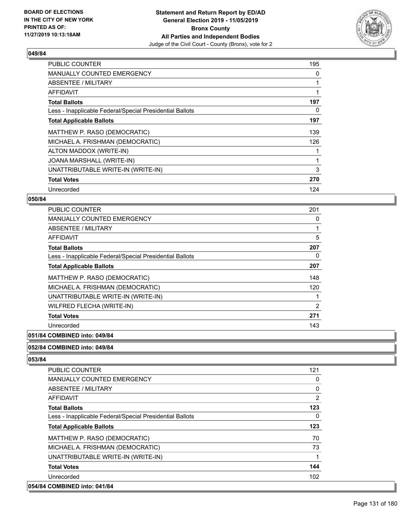

| <b>PUBLIC COUNTER</b>                                    | 195 |
|----------------------------------------------------------|-----|
| <b>MANUALLY COUNTED EMERGENCY</b>                        | 0   |
| ABSENTEE / MILITARY                                      |     |
| AFFIDAVIT                                                |     |
| <b>Total Ballots</b>                                     | 197 |
| Less - Inapplicable Federal/Special Presidential Ballots | 0   |
| <b>Total Applicable Ballots</b>                          | 197 |
| MATTHEW P. RASO (DEMOCRATIC)                             | 139 |
| MICHAEL A. FRISHMAN (DEMOCRATIC)                         | 126 |
| ALTON MADDOX (WRITE-IN)                                  |     |
| JOANA MARSHALL (WRITE-IN)                                |     |
| UNATTRIBUTABLE WRITE-IN (WRITE-IN)                       | 3   |
| <b>Total Votes</b>                                       | 270 |
| Unrecorded                                               | 124 |

## **050/84**

| <b>PUBLIC COUNTER</b>                                    | 201            |
|----------------------------------------------------------|----------------|
| <b>MANUALLY COUNTED EMERGENCY</b>                        | 0              |
| ABSENTEE / MILITARY                                      |                |
| AFFIDAVIT                                                | 5              |
| <b>Total Ballots</b>                                     | 207            |
| Less - Inapplicable Federal/Special Presidential Ballots | 0              |
| <b>Total Applicable Ballots</b>                          | 207            |
| MATTHEW P. RASO (DEMOCRATIC)                             | 148            |
| MICHAEL A. FRISHMAN (DEMOCRATIC)                         | 120            |
| UNATTRIBUTABLE WRITE-IN (WRITE-IN)                       |                |
| WILFRED FLECHA (WRITE-IN)                                | $\overline{2}$ |
| <b>Total Votes</b>                                       | 271            |
| Unrecorded                                               | 143            |
|                                                          |                |

# **051/84 COMBINED into: 049/84**

#### **052/84 COMBINED into: 049/84**

| <b>PUBLIC COUNTER</b>                                    | 121 |
|----------------------------------------------------------|-----|
| <b>MANUALLY COUNTED EMERGENCY</b>                        | 0   |
| ABSENTEE / MILITARY                                      | 0   |
| AFFIDAVIT                                                | 2   |
| <b>Total Ballots</b>                                     | 123 |
| Less - Inapplicable Federal/Special Presidential Ballots | 0   |
| <b>Total Applicable Ballots</b>                          | 123 |
| MATTHEW P. RASO (DEMOCRATIC)                             | 70  |
| MICHAEL A. FRISHMAN (DEMOCRATIC)                         | 73  |
| UNATTRIBUTABLE WRITE-IN (WRITE-IN)                       | 1   |
| <b>Total Votes</b>                                       | 144 |
| Unrecorded                                               | 102 |
| 054/84 COMBINED into: 041/84                             |     |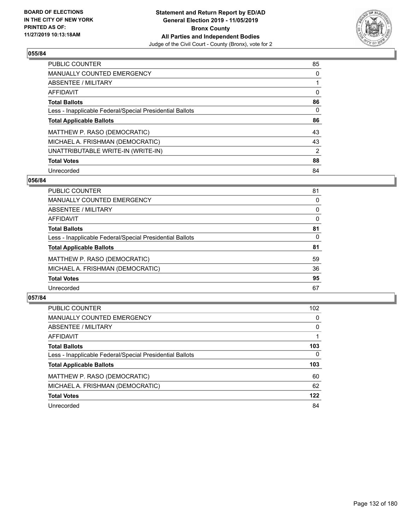

| <b>PUBLIC COUNTER</b>                                    | 85       |
|----------------------------------------------------------|----------|
| MANUALLY COUNTED EMERGENCY                               | 0        |
| ABSENTEE / MILITARY                                      |          |
| AFFIDAVIT                                                | $\Omega$ |
| <b>Total Ballots</b>                                     | 86       |
| Less - Inapplicable Federal/Special Presidential Ballots | 0        |
| <b>Total Applicable Ballots</b>                          | 86       |
| MATTHEW P. RASO (DEMOCRATIC)                             | 43       |
| MICHAEL A. FRISHMAN (DEMOCRATIC)                         | 43       |
| UNATTRIBUTABLE WRITE-IN (WRITE-IN)                       | 2        |
| <b>Total Votes</b>                                       | 88       |
| Unrecorded                                               | 84       |

### **056/84**

| <b>PUBLIC COUNTER</b>                                    | 81       |
|----------------------------------------------------------|----------|
| <b>MANUALLY COUNTED EMERGENCY</b>                        | 0        |
| ABSENTEE / MILITARY                                      | $\Omega$ |
| AFFIDAVIT                                                | 0        |
| <b>Total Ballots</b>                                     | 81       |
| Less - Inapplicable Federal/Special Presidential Ballots | $\Omega$ |
| <b>Total Applicable Ballots</b>                          | 81       |
| MATTHEW P. RASO (DEMOCRATIC)                             | 59       |
| MICHAEL A. FRISHMAN (DEMOCRATIC)                         | 36       |
| <b>Total Votes</b>                                       | 95       |
| Unrecorded                                               | 67       |

| <b>PUBLIC COUNTER</b>                                    | 102          |
|----------------------------------------------------------|--------------|
| MANUALLY COUNTED EMERGENCY                               | 0            |
| ABSENTEE / MILITARY                                      | $\Omega$     |
| AFFIDAVIT                                                |              |
| <b>Total Ballots</b>                                     | 103          |
| Less - Inapplicable Federal/Special Presidential Ballots | $\mathbf{0}$ |
| <b>Total Applicable Ballots</b>                          | 103          |
| MATTHEW P. RASO (DEMOCRATIC)                             | 60           |
| MICHAEL A. FRISHMAN (DEMOCRATIC)                         | 62           |
| <b>Total Votes</b>                                       | 122          |
| Unrecorded                                               | 84           |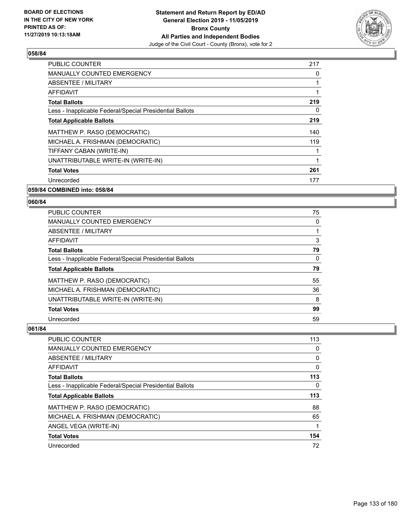

| <b>PUBLIC COUNTER</b>                                    | 217 |
|----------------------------------------------------------|-----|
| <b>MANUALLY COUNTED EMERGENCY</b>                        | 0   |
| ABSENTEE / MILITARY                                      |     |
| <b>AFFIDAVIT</b>                                         |     |
| <b>Total Ballots</b>                                     | 219 |
| Less - Inapplicable Federal/Special Presidential Ballots | 0   |
| <b>Total Applicable Ballots</b>                          | 219 |
| MATTHEW P. RASO (DEMOCRATIC)                             | 140 |
| MICHAEL A. FRISHMAN (DEMOCRATIC)                         | 119 |
| TIFFANY CABAN (WRITE-IN)                                 |     |
| UNATTRIBUTABLE WRITE-IN (WRITE-IN)                       |     |
| <b>Total Votes</b>                                       | 261 |
| Unrecorded                                               | 177 |
| 059/84 COMBINED into: 058/84                             |     |

# **060/84**

| <b>PUBLIC COUNTER</b>                                    | 75 |
|----------------------------------------------------------|----|
| <b>MANUALLY COUNTED EMERGENCY</b>                        | 0  |
| ABSENTEE / MILITARY                                      |    |
| AFFIDAVIT                                                | 3  |
| <b>Total Ballots</b>                                     | 79 |
| Less - Inapplicable Federal/Special Presidential Ballots | 0  |
| <b>Total Applicable Ballots</b>                          | 79 |
| MATTHEW P. RASO (DEMOCRATIC)                             | 55 |
| MICHAEL A. FRISHMAN (DEMOCRATIC)                         | 36 |
| UNATTRIBUTABLE WRITE-IN (WRITE-IN)                       | 8  |
| <b>Total Votes</b>                                       | 99 |
| Unrecorded                                               | 59 |

| <b>PUBLIC COUNTER</b>                                    | 113 |
|----------------------------------------------------------|-----|
| MANUALLY COUNTED EMERGENCY                               | 0   |
| ABSENTEE / MILITARY                                      | 0   |
| AFFIDAVIT                                                | 0   |
| <b>Total Ballots</b>                                     | 113 |
| Less - Inapplicable Federal/Special Presidential Ballots | 0   |
| <b>Total Applicable Ballots</b>                          | 113 |
|                                                          |     |
| MATTHEW P. RASO (DEMOCRATIC)                             | 88  |
| MICHAEL A. FRISHMAN (DEMOCRATIC)                         | 65  |
| ANGEL VEGA (WRITE-IN)                                    |     |
| <b>Total Votes</b>                                       | 154 |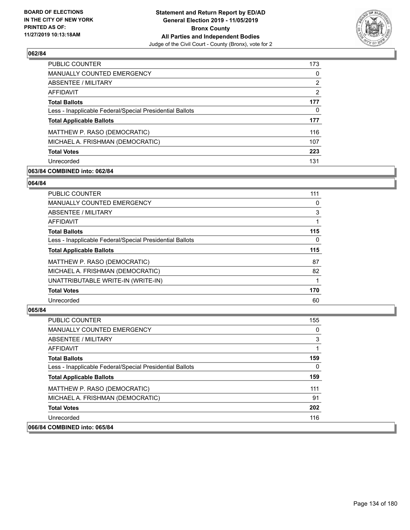

| <b>PUBLIC COUNTER</b>                                    | 173 |
|----------------------------------------------------------|-----|
| <b>MANUALLY COUNTED EMERGENCY</b>                        | 0   |
| ABSENTEE / MILITARY                                      | 2   |
| AFFIDAVIT                                                | 2   |
| <b>Total Ballots</b>                                     | 177 |
| Less - Inapplicable Federal/Special Presidential Ballots | 0   |
| <b>Total Applicable Ballots</b>                          | 177 |
| MATTHEW P. RASO (DEMOCRATIC)                             | 116 |
| MICHAEL A. FRISHMAN (DEMOCRATIC)                         | 107 |
| <b>Total Votes</b>                                       | 223 |
| Unrecorded                                               | 131 |

### **063/84 COMBINED into: 062/84**

#### **064/84**

| PUBLIC COUNTER                                           | 111 |
|----------------------------------------------------------|-----|
| <b>MANUALLY COUNTED EMERGENCY</b>                        | 0   |
| <b>ABSENTEE / MILITARY</b>                               | 3   |
| AFFIDAVIT                                                | 1   |
| <b>Total Ballots</b>                                     | 115 |
| Less - Inapplicable Federal/Special Presidential Ballots | 0   |
| <b>Total Applicable Ballots</b>                          | 115 |
| MATTHEW P. RASO (DEMOCRATIC)                             | 87  |
| MICHAEL A. FRISHMAN (DEMOCRATIC)                         | 82  |
| UNATTRIBUTABLE WRITE-IN (WRITE-IN)                       |     |
| <b>Total Votes</b>                                       | 170 |
| Unrecorded                                               | 60  |

| <b>PUBLIC COUNTER</b>                                    | 155      |
|----------------------------------------------------------|----------|
| <b>MANUALLY COUNTED EMERGENCY</b>                        | $\Omega$ |
| ABSENTEE / MILITARY                                      | 3        |
| AFFIDAVIT                                                |          |
| <b>Total Ballots</b>                                     | 159      |
| Less - Inapplicable Federal/Special Presidential Ballots | 0        |
| <b>Total Applicable Ballots</b>                          | 159      |
| MATTHEW P. RASO (DEMOCRATIC)                             | 111      |
| MICHAEL A. FRISHMAN (DEMOCRATIC)                         | 91       |
| <b>Total Votes</b>                                       | 202      |
| Unrecorded                                               | 116      |
| 066/84 COMBINED into: 065/84                             |          |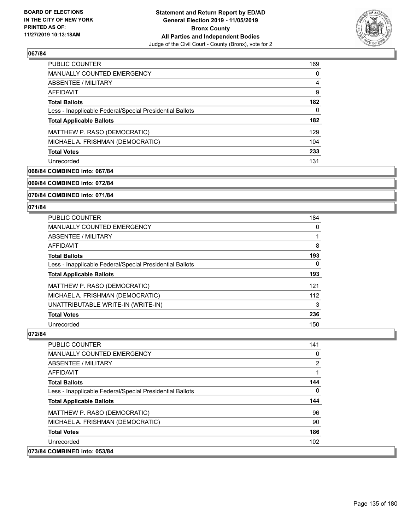

| <b>PUBLIC COUNTER</b>                                    | 169 |
|----------------------------------------------------------|-----|
| <b>MANUALLY COUNTED EMERGENCY</b>                        | 0   |
| ABSENTEE / MILITARY                                      | 4   |
| AFFIDAVIT                                                | 9   |
| <b>Total Ballots</b>                                     | 182 |
| Less - Inapplicable Federal/Special Presidential Ballots | 0   |
| <b>Total Applicable Ballots</b>                          | 182 |
| MATTHEW P. RASO (DEMOCRATIC)                             | 129 |
| MICHAEL A. FRISHMAN (DEMOCRATIC)                         | 104 |
| <b>Total Votes</b>                                       | 233 |
| Unrecorded                                               | 131 |

# **068/84 COMBINED into: 067/84**

**069/84 COMBINED into: 072/84**

**070/84 COMBINED into: 071/84**

#### **071/84**

| <b>PUBLIC COUNTER</b>                                    | 184 |
|----------------------------------------------------------|-----|
| <b>MANUALLY COUNTED EMERGENCY</b>                        | 0   |
| <b>ABSENTEE / MILITARY</b>                               |     |
| <b>AFFIDAVIT</b>                                         | 8   |
| <b>Total Ballots</b>                                     | 193 |
| Less - Inapplicable Federal/Special Presidential Ballots | 0   |
| <b>Total Applicable Ballots</b>                          | 193 |
| MATTHEW P. RASO (DEMOCRATIC)                             | 121 |
| MICHAEL A. FRISHMAN (DEMOCRATIC)                         | 112 |
| UNATTRIBUTABLE WRITE-IN (WRITE-IN)                       | 3   |
| <b>Total Votes</b>                                       | 236 |
| Unrecorded                                               | 150 |

#### **072/84**

 $|073/84|$ 

| <b>PUBLIC COUNTER</b>                                    | 141            |
|----------------------------------------------------------|----------------|
| MANUALLY COUNTED EMERGENCY                               | 0              |
| ABSENTEE / MILITARY                                      | $\overline{2}$ |
| AFFIDAVIT                                                |                |
| <b>Total Ballots</b>                                     | 144            |
| Less - Inapplicable Federal/Special Presidential Ballots | 0              |
| <b>Total Applicable Ballots</b>                          | 144            |
| MATTHEW P. RASO (DEMOCRATIC)                             | 96             |
| MICHAEL A. FRISHMAN (DEMOCRATIC)                         | 90             |
| <b>Total Votes</b>                                       | 186            |
| Unrecorded                                               | 102            |
| <b>COMBINED into: 053/84</b>                             |                |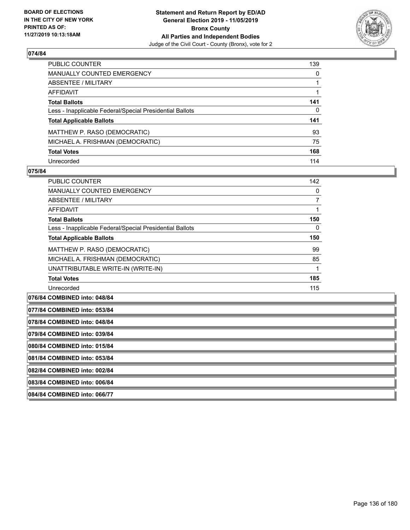

| PUBLIC COUNTER                                           | 139 |
|----------------------------------------------------------|-----|
| <b>MANUALLY COUNTED EMERGENCY</b>                        | 0   |
| <b>ABSENTEE / MILITARY</b>                               |     |
| <b>AFFIDAVIT</b>                                         |     |
| <b>Total Ballots</b>                                     | 141 |
| Less - Inapplicable Federal/Special Presidential Ballots | 0   |
| <b>Total Applicable Ballots</b>                          | 141 |
| MATTHEW P. RASO (DEMOCRATIC)                             | 93  |
| MICHAEL A. FRISHMAN (DEMOCRATIC)                         | 75  |
| <b>Total Votes</b>                                       | 168 |
| Unrecorded                                               | 114 |

#### **075/84**

| PUBLIC COUNTER                                           | 142 |
|----------------------------------------------------------|-----|
| <b>MANUALLY COUNTED EMERGENCY</b>                        | 0   |
| ABSENTEE / MILITARY                                      | 7   |
| AFFIDAVIT                                                |     |
| <b>Total Ballots</b>                                     | 150 |
| Less - Inapplicable Federal/Special Presidential Ballots | 0   |
| <b>Total Applicable Ballots</b>                          | 150 |
| MATTHEW P. RASO (DEMOCRATIC)                             | 99  |
| MICHAEL A. FRISHMAN (DEMOCRATIC)                         | 85  |
| UNATTRIBUTABLE WRITE-IN (WRITE-IN)                       |     |
| <b>Total Votes</b>                                       | 185 |
| Unrecorded                                               | 115 |

**076/84 COMBINED into: 048/84**

| 077/84 COMBINED into: 053/84 |
|------------------------------|
|                              |
|                              |

**078/84 COMBINED into: 048/84**

**079/84 COMBINED into: 039/84**

**080/84 COMBINED into: 015/84**

**081/84 COMBINED into: 053/84**

**082/84 COMBINED into: 002/84**

**083/84 COMBINED into: 006/84**

**084/84 COMBINED into: 066/77**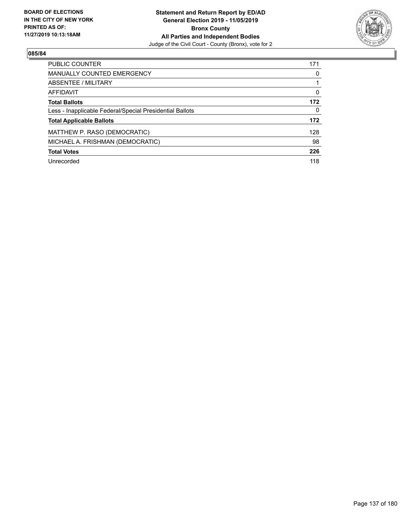

| <b>PUBLIC COUNTER</b>                                    | 171      |
|----------------------------------------------------------|----------|
| <b>MANUALLY COUNTED EMERGENCY</b>                        | 0        |
| ABSENTEE / MILITARY                                      |          |
| <b>AFFIDAVIT</b>                                         | $\Omega$ |
| <b>Total Ballots</b>                                     | 172      |
| Less - Inapplicable Federal/Special Presidential Ballots | $\Omega$ |
| <b>Total Applicable Ballots</b>                          | 172      |
| MATTHEW P. RASO (DEMOCRATIC)                             | 128      |
| MICHAEL A. FRISHMAN (DEMOCRATIC)                         | 98       |
| <b>Total Votes</b>                                       | 226      |
| Unrecorded                                               | 118      |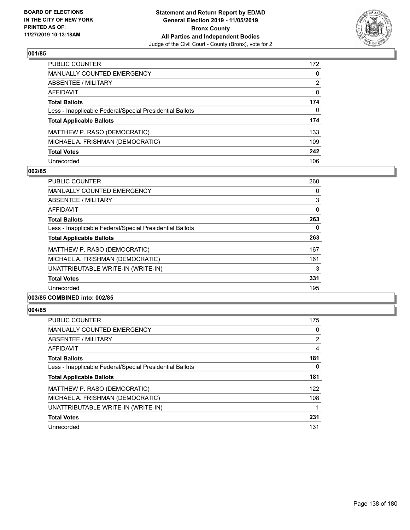

| PUBLIC COUNTER                                           | 172          |
|----------------------------------------------------------|--------------|
| <b>MANUALLY COUNTED EMERGENCY</b>                        | $\mathbf{0}$ |
| <b>ABSENTEE / MILITARY</b>                               | 2            |
| <b>AFFIDAVIT</b>                                         | $\mathbf{0}$ |
| <b>Total Ballots</b>                                     | 174          |
| Less - Inapplicable Federal/Special Presidential Ballots | 0            |
| <b>Total Applicable Ballots</b>                          | 174          |
| MATTHEW P. RASO (DEMOCRATIC)                             | 133          |
| MICHAEL A. FRISHMAN (DEMOCRATIC)                         | 109          |
| <b>Total Votes</b>                                       | 242          |
| Unrecorded                                               | 106          |

### **002/85**

| <b>PUBLIC COUNTER</b>                                    | 260 |
|----------------------------------------------------------|-----|
|                                                          |     |
| <b>MANUALLY COUNTED EMERGENCY</b>                        | 0   |
| ABSENTEE / MILITARY                                      | 3   |
| AFFIDAVIT                                                | 0   |
| <b>Total Ballots</b>                                     | 263 |
| Less - Inapplicable Federal/Special Presidential Ballots | 0   |
| <b>Total Applicable Ballots</b>                          | 263 |
| MATTHEW P. RASO (DEMOCRATIC)                             | 167 |
| MICHAEL A. FRISHMAN (DEMOCRATIC)                         | 161 |
| UNATTRIBUTABLE WRITE-IN (WRITE-IN)                       | 3   |
| <b>Total Votes</b>                                       | 331 |
| Unrecorded                                               | 195 |
|                                                          |     |

# **003/85 COMBINED into: 002/85**

| <b>PUBLIC COUNTER</b>                                    | 175            |
|----------------------------------------------------------|----------------|
| <b>MANUALLY COUNTED EMERGENCY</b>                        | 0              |
| ABSENTEE / MILITARY                                      | $\overline{2}$ |
| <b>AFFIDAVIT</b>                                         | 4              |
| <b>Total Ballots</b>                                     | 181            |
| Less - Inapplicable Federal/Special Presidential Ballots | 0              |
| <b>Total Applicable Ballots</b>                          | 181            |
| MATTHEW P. RASO (DEMOCRATIC)                             | 122            |
| MICHAEL A. FRISHMAN (DEMOCRATIC)                         | 108            |
| UNATTRIBUTABLE WRITE-IN (WRITE-IN)                       |                |
| <b>Total Votes</b>                                       | 231            |
| Unrecorded                                               | 131            |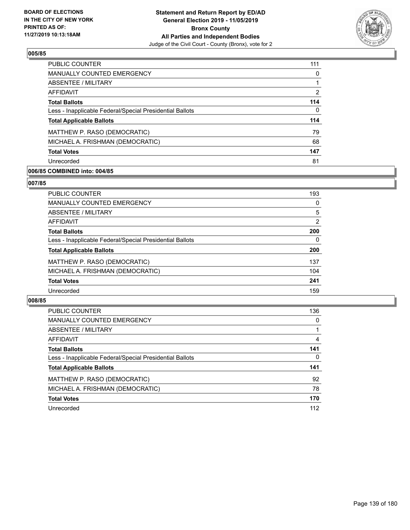

| <b>PUBLIC COUNTER</b>                                    | 111 |
|----------------------------------------------------------|-----|
| <b>MANUALLY COUNTED EMERGENCY</b>                        | 0   |
| ABSENTEE / MILITARY                                      |     |
| AFFIDAVIT                                                | 2   |
| <b>Total Ballots</b>                                     | 114 |
| Less - Inapplicable Federal/Special Presidential Ballots | 0   |
| <b>Total Applicable Ballots</b>                          | 114 |
| MATTHEW P. RASO (DEMOCRATIC)                             | 79  |
| MICHAEL A. FRISHMAN (DEMOCRATIC)                         | 68  |
| <b>Total Votes</b>                                       | 147 |
| Unrecorded                                               | 81  |

## **006/85 COMBINED into: 004/85**

#### **007/85**

| <b>PUBLIC COUNTER</b>                                    | 193           |
|----------------------------------------------------------|---------------|
| MANUALLY COUNTED EMERGENCY                               | 0             |
| ABSENTEE / MILITARY                                      | 5             |
| AFFIDAVIT                                                | $\mathcal{P}$ |
| <b>Total Ballots</b>                                     | 200           |
| Less - Inapplicable Federal/Special Presidential Ballots | 0             |
| <b>Total Applicable Ballots</b>                          | 200           |
| MATTHEW P. RASO (DEMOCRATIC)                             | 137           |
| MICHAEL A. FRISHMAN (DEMOCRATIC)                         | 104           |
| <b>Total Votes</b>                                       | 241           |
| Unrecorded                                               | 159           |
|                                                          |               |

| <b>PUBLIC COUNTER</b>                                    | 136 |
|----------------------------------------------------------|-----|
| <b>MANUALLY COUNTED EMERGENCY</b>                        | 0   |
| ABSENTEE / MILITARY                                      |     |
| AFFIDAVIT                                                | 4   |
| <b>Total Ballots</b>                                     | 141 |
| Less - Inapplicable Federal/Special Presidential Ballots | 0   |
| <b>Total Applicable Ballots</b>                          | 141 |
| MATTHEW P. RASO (DEMOCRATIC)                             | 92  |
| MICHAEL A. FRISHMAN (DEMOCRATIC)                         | 78  |
| <b>Total Votes</b>                                       | 170 |
| Unrecorded                                               | 112 |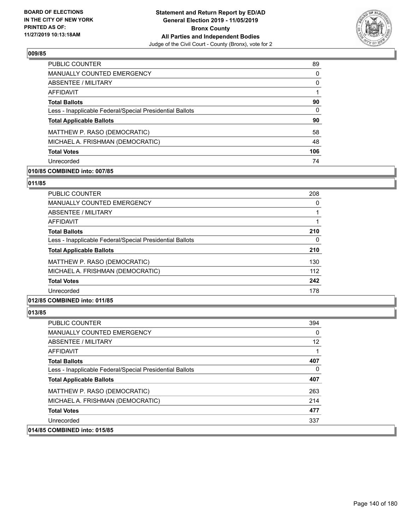

| <b>PUBLIC COUNTER</b>                                    | 89  |
|----------------------------------------------------------|-----|
| <b>MANUALLY COUNTED EMERGENCY</b>                        | 0   |
| ABSENTEE / MILITARY                                      | 0   |
| AFFIDAVIT                                                |     |
| <b>Total Ballots</b>                                     | 90  |
| Less - Inapplicable Federal/Special Presidential Ballots | 0   |
| <b>Total Applicable Ballots</b>                          | 90  |
| MATTHEW P. RASO (DEMOCRATIC)                             | 58  |
| MICHAEL A. FRISHMAN (DEMOCRATIC)                         | 48  |
| <b>Total Votes</b>                                       | 106 |
| Unrecorded                                               | 74  |

## **010/85 COMBINED into: 007/85**

#### **011/85**

| <b>PUBLIC COUNTER</b>                                    | 208 |
|----------------------------------------------------------|-----|
| <b>MANUALLY COUNTED EMERGENCY</b>                        | 0   |
| ABSENTEE / MILITARY                                      |     |
| <b>AFFIDAVIT</b>                                         |     |
| <b>Total Ballots</b>                                     | 210 |
| Less - Inapplicable Federal/Special Presidential Ballots | 0   |
| <b>Total Applicable Ballots</b>                          | 210 |
| MATTHEW P. RASO (DEMOCRATIC)                             | 130 |
| MICHAEL A. FRISHMAN (DEMOCRATIC)                         | 112 |
| <b>Total Votes</b>                                       | 242 |
| Unrecorded                                               | 178 |
|                                                          |     |

# **012/85 COMBINED into: 011/85**

| <b>PUBLIC COUNTER</b>                                    | 394 |
|----------------------------------------------------------|-----|
| <b>MANUALLY COUNTED EMERGENCY</b>                        | 0   |
| ABSENTEE / MILITARY                                      | 12  |
| AFFIDAVIT                                                |     |
| <b>Total Ballots</b>                                     | 407 |
| Less - Inapplicable Federal/Special Presidential Ballots | 0   |
| <b>Total Applicable Ballots</b>                          | 407 |
| MATTHEW P. RASO (DEMOCRATIC)                             | 263 |
| MICHAEL A. FRISHMAN (DEMOCRATIC)                         | 214 |
| <b>Total Votes</b>                                       | 477 |
| Unrecorded                                               | 337 |
| 014/85 COMBINED into: 015/85                             |     |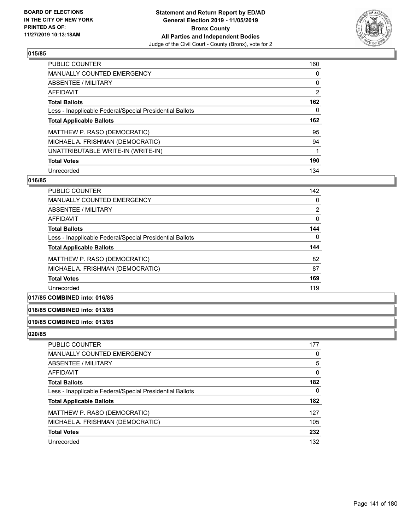

| <b>PUBLIC COUNTER</b>                                    | 160            |
|----------------------------------------------------------|----------------|
| <b>MANUALLY COUNTED EMERGENCY</b>                        | 0              |
| ABSENTEE / MILITARY                                      | 0              |
| AFFIDAVIT                                                | $\overline{2}$ |
| <b>Total Ballots</b>                                     | 162            |
| Less - Inapplicable Federal/Special Presidential Ballots | 0              |
| <b>Total Applicable Ballots</b>                          | 162            |
|                                                          |                |
| MATTHEW P. RASO (DEMOCRATIC)                             | 95             |
| MICHAEL A. FRISHMAN (DEMOCRATIC)                         | 94             |
| UNATTRIBUTABLE WRITE-IN (WRITE-IN)                       |                |
| <b>Total Votes</b>                                       | 190            |

### **016/85**

| <b>PUBLIC COUNTER</b>                                    | 142 |
|----------------------------------------------------------|-----|
| <b>MANUALLY COUNTED EMERGENCY</b>                        | 0   |
| ABSENTEE / MILITARY                                      | 2   |
| AFFIDAVIT                                                | 0   |
| <b>Total Ballots</b>                                     | 144 |
| Less - Inapplicable Federal/Special Presidential Ballots | 0   |
| <b>Total Applicable Ballots</b>                          | 144 |
| MATTHEW P. RASO (DEMOCRATIC)                             | 82  |
| MICHAEL A. FRISHMAN (DEMOCRATIC)                         | 87  |
| <b>Total Votes</b>                                       | 169 |
| Unrecorded                                               | 119 |
|                                                          |     |

# **017/85 COMBINED into: 016/85**

## **018/85 COMBINED into: 013/85**

### **019/85 COMBINED into: 013/85**

| <b>PUBLIC COUNTER</b>                                    | 177 |
|----------------------------------------------------------|-----|
| MANUALLY COUNTED EMERGENCY                               | 0   |
| ABSENTEE / MILITARY                                      | 5   |
| AFFIDAVIT                                                | 0   |
| <b>Total Ballots</b>                                     | 182 |
| Less - Inapplicable Federal/Special Presidential Ballots | 0   |
| <b>Total Applicable Ballots</b>                          | 182 |
| MATTHEW P. RASO (DEMOCRATIC)                             | 127 |
| MICHAEL A. FRISHMAN (DEMOCRATIC)                         | 105 |
| <b>Total Votes</b>                                       | 232 |
| Unrecorded                                               | 132 |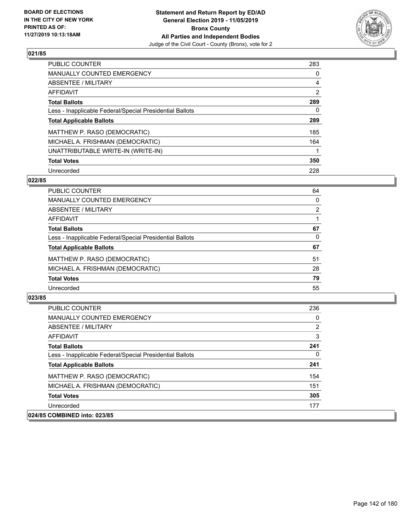

| <b>PUBLIC COUNTER</b>                                    | 283            |
|----------------------------------------------------------|----------------|
| <b>MANUALLY COUNTED EMERGENCY</b>                        | $\Omega$       |
| ABSENTEE / MILITARY                                      | 4              |
| AFFIDAVIT                                                | $\overline{2}$ |
| <b>Total Ballots</b>                                     | 289            |
| Less - Inapplicable Federal/Special Presidential Ballots | 0              |
| <b>Total Applicable Ballots</b>                          | 289            |
| MATTHEW P. RASO (DEMOCRATIC)                             | 185            |
| MICHAEL A. FRISHMAN (DEMOCRATIC)                         | 164            |
| UNATTRIBUTABLE WRITE-IN (WRITE-IN)                       |                |
| <b>Total Votes</b>                                       | 350            |
| Unrecorded                                               | 228            |

### **022/85**

| <b>PUBLIC COUNTER</b>                                    | 64       |
|----------------------------------------------------------|----------|
| <b>MANUALLY COUNTED EMERGENCY</b>                        | $\Omega$ |
| ABSENTEE / MILITARY                                      | 2        |
| AFFIDAVIT                                                |          |
| <b>Total Ballots</b>                                     | 67       |
| Less - Inapplicable Federal/Special Presidential Ballots | $\Omega$ |
| <b>Total Applicable Ballots</b>                          | 67       |
| MATTHEW P. RASO (DEMOCRATIC)                             | 51       |
| MICHAEL A. FRISHMAN (DEMOCRATIC)                         | 28       |
| <b>Total Votes</b>                                       | 79       |
| Unrecorded                                               | 55       |

| <b>PUBLIC COUNTER</b>                                    | 236 |
|----------------------------------------------------------|-----|
| <b>MANUALLY COUNTED EMERGENCY</b>                        | 0   |
| ABSENTEE / MILITARY                                      | 2   |
| AFFIDAVIT                                                | 3   |
| <b>Total Ballots</b>                                     | 241 |
| Less - Inapplicable Federal/Special Presidential Ballots | 0   |
| <b>Total Applicable Ballots</b>                          | 241 |
| MATTHEW P. RASO (DEMOCRATIC)                             | 154 |
| MICHAEL A. FRISHMAN (DEMOCRATIC)                         | 151 |
| <b>Total Votes</b>                                       | 305 |
| Unrecorded                                               | 177 |
| 024/85 COMBINED into: 023/85                             |     |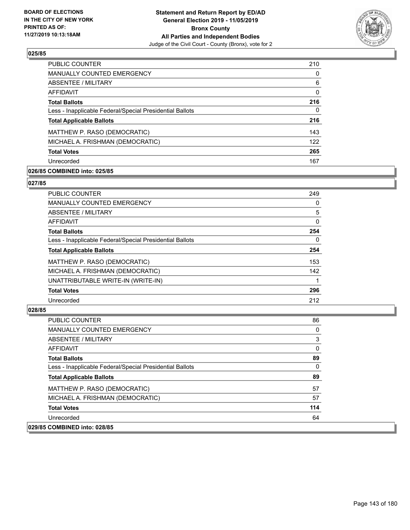

| <b>PUBLIC COUNTER</b>                                    | 210      |
|----------------------------------------------------------|----------|
| <b>MANUALLY COUNTED EMERGENCY</b>                        | 0        |
| ABSENTEE / MILITARY                                      | 6        |
| AFFIDAVIT                                                | $\Omega$ |
| <b>Total Ballots</b>                                     | 216      |
| Less - Inapplicable Federal/Special Presidential Ballots | 0        |
| <b>Total Applicable Ballots</b>                          | 216      |
| MATTHEW P. RASO (DEMOCRATIC)                             | 143      |
| MICHAEL A. FRISHMAN (DEMOCRATIC)                         | 122      |
| <b>Total Votes</b>                                       | 265      |
| Unrecorded                                               | 167      |

## **026/85 COMBINED into: 025/85**

### **027/85**

| <b>PUBLIC COUNTER</b>                                    | 249      |
|----------------------------------------------------------|----------|
| <b>MANUALLY COUNTED EMERGENCY</b>                        | 0        |
| ABSENTEE / MILITARY                                      | 5        |
| AFFIDAVIT                                                | $\Omega$ |
| <b>Total Ballots</b>                                     | 254      |
| Less - Inapplicable Federal/Special Presidential Ballots | 0        |
| <b>Total Applicable Ballots</b>                          | 254      |
| MATTHEW P. RASO (DEMOCRATIC)                             | 153      |
| MICHAEL A. FRISHMAN (DEMOCRATIC)                         | 142      |
| UNATTRIBUTABLE WRITE-IN (WRITE-IN)                       |          |
| <b>Total Votes</b>                                       | 296      |
| Unrecorded                                               | 212      |

| <b>PUBLIC COUNTER</b>                                    | 86       |
|----------------------------------------------------------|----------|
| <b>MANUALLY COUNTED EMERGENCY</b>                        | $\Omega$ |
| ABSENTEE / MILITARY                                      | 3        |
| AFFIDAVIT                                                | $\Omega$ |
| <b>Total Ballots</b>                                     | 89       |
| Less - Inapplicable Federal/Special Presidential Ballots | $\Omega$ |
| <b>Total Applicable Ballots</b>                          | 89       |
| MATTHEW P. RASO (DEMOCRATIC)                             | 57       |
| MICHAEL A. FRISHMAN (DEMOCRATIC)                         | 57       |
| <b>Total Votes</b>                                       | 114      |
| Unrecorded                                               | 64       |
| 029/85 COMBINED into: 028/85                             |          |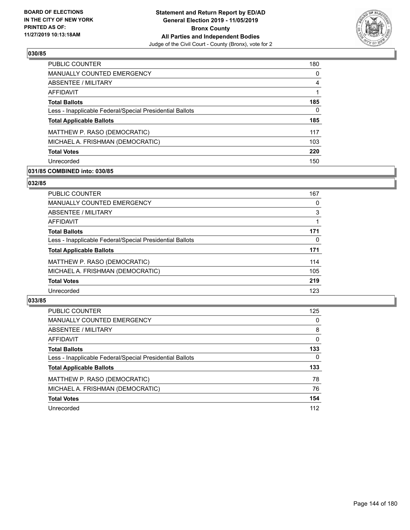

| <b>PUBLIC COUNTER</b>                                    | 180      |
|----------------------------------------------------------|----------|
| MANUALLY COUNTED EMERGENCY                               | $\Omega$ |
| ABSENTEE / MILITARY                                      | 4        |
| AFFIDAVIT                                                |          |
| <b>Total Ballots</b>                                     | 185      |
| Less - Inapplicable Federal/Special Presidential Ballots | 0        |
| <b>Total Applicable Ballots</b>                          | 185      |
| MATTHEW P. RASO (DEMOCRATIC)                             | 117      |
| MICHAEL A. FRISHMAN (DEMOCRATIC)                         | 103      |
| <b>Total Votes</b>                                       | 220      |
|                                                          |          |

## **031/85 COMBINED into: 030/85**

### **032/85**

| <b>PUBLIC COUNTER</b>                                    | 167 |
|----------------------------------------------------------|-----|
| MANUALLY COUNTED EMERGENCY                               | 0   |
| ABSENTEE / MILITARY                                      | 3   |
| AFFIDAVIT                                                |     |
| <b>Total Ballots</b>                                     | 171 |
| Less - Inapplicable Federal/Special Presidential Ballots | 0   |
| <b>Total Applicable Ballots</b>                          | 171 |
| MATTHEW P. RASO (DEMOCRATIC)                             | 114 |
| MICHAEL A. FRISHMAN (DEMOCRATIC)                         | 105 |
| <b>Total Votes</b>                                       | 219 |
| Unrecorded                                               | 123 |
|                                                          |     |

| <b>PUBLIC COUNTER</b>                                    | 125      |
|----------------------------------------------------------|----------|
| <b>MANUALLY COUNTED EMERGENCY</b>                        | 0        |
| ABSENTEE / MILITARY                                      | 8        |
| AFFIDAVIT                                                | $\Omega$ |
| <b>Total Ballots</b>                                     | 133      |
| Less - Inapplicable Federal/Special Presidential Ballots | 0        |
| <b>Total Applicable Ballots</b>                          | 133      |
| MATTHEW P. RASO (DEMOCRATIC)                             | 78       |
| MICHAEL A. FRISHMAN (DEMOCRATIC)                         | 76       |
| <b>Total Votes</b>                                       | 154      |
| Unrecorded                                               | 112      |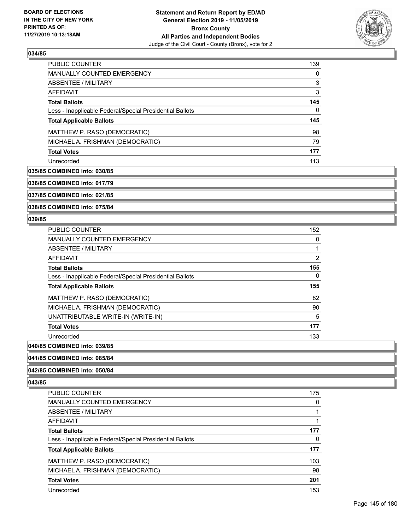

| <b>PUBLIC COUNTER</b>                                    | 139 |
|----------------------------------------------------------|-----|
| <b>MANUALLY COUNTED EMERGENCY</b>                        | 0   |
| ABSENTEE / MILITARY                                      | 3   |
| AFFIDAVIT                                                | 3   |
| <b>Total Ballots</b>                                     | 145 |
| Less - Inapplicable Federal/Special Presidential Ballots | 0   |
| <b>Total Applicable Ballots</b>                          | 145 |
| MATTHEW P. RASO (DEMOCRATIC)                             | 98  |
| MICHAEL A. FRISHMAN (DEMOCRATIC)                         | 79  |
| <b>Total Votes</b>                                       |     |
|                                                          | 177 |

## **035/85 COMBINED into: 030/85**

**036/85 COMBINED into: 017/79**

**037/85 COMBINED into: 021/85**

**038/85 COMBINED into: 075/84**

#### **039/85**

| PUBLIC COUNTER                                           | 152 |
|----------------------------------------------------------|-----|
| <b>MANUALLY COUNTED EMERGENCY</b>                        | 0   |
| ABSENTEE / MILITARY                                      |     |
| AFFIDAVIT                                                | 2   |
| <b>Total Ballots</b>                                     | 155 |
| Less - Inapplicable Federal/Special Presidential Ballots | 0   |
| <b>Total Applicable Ballots</b>                          | 155 |
| MATTHEW P. RASO (DEMOCRATIC)                             | 82  |
| MICHAEL A. FRISHMAN (DEMOCRATIC)                         | 90  |
| UNATTRIBUTABLE WRITE-IN (WRITE-IN)                       | 5   |
| <b>Total Votes</b>                                       | 177 |
| Unrecorded                                               | 133 |
|                                                          |     |

# **040/85 COMBINED into: 039/85**

#### **041/85 COMBINED into: 085/84**

## **042/85 COMBINED into: 050/84**

| PUBLIC COUNTER                                           | 175 |
|----------------------------------------------------------|-----|
| <b>MANUALLY COUNTED EMERGENCY</b>                        | 0   |
| ABSENTEE / MILITARY                                      |     |
| AFFIDAVIT                                                |     |
| <b>Total Ballots</b>                                     | 177 |
| Less - Inapplicable Federal/Special Presidential Ballots | 0   |
| <b>Total Applicable Ballots</b>                          | 177 |
| MATTHEW P. RASO (DEMOCRATIC)                             | 103 |
| MICHAEL A. FRISHMAN (DEMOCRATIC)                         | 98  |
| <b>Total Votes</b>                                       | 201 |
| Unrecorded                                               | 153 |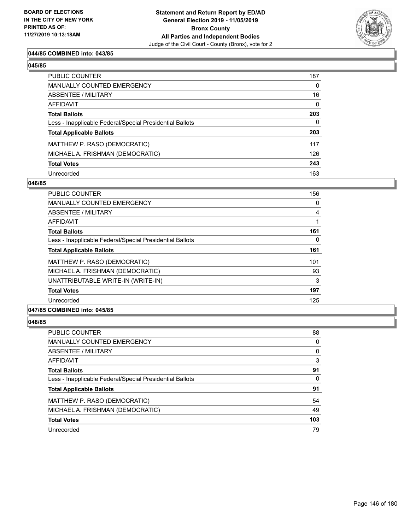

## **044/85 COMBINED into: 043/85**

| PUBLIC COUNTER                                           | 187          |
|----------------------------------------------------------|--------------|
| MANUALLY COUNTED EMERGENCY                               | 0            |
| ABSENTEE / MILITARY                                      | 16           |
| AFFIDAVIT                                                | $\mathbf{0}$ |
| Total Ballots                                            | 203          |
| Less - Inapplicable Federal/Special Presidential Ballots | $\mathbf{0}$ |
| <b>Total Applicable Ballots</b>                          | 203          |
| MATTHEW P. RASO (DEMOCRATIC)                             | 117          |
| MICHAEL A. FRISHMAN (DEMOCRATIC)                         | 126          |
| <b>Total Votes</b>                                       | 243          |
| Unrecorded                                               | 163          |

#### **046/85**

| <b>PUBLIC COUNTER</b>                                    | 156 |
|----------------------------------------------------------|-----|
| <b>MANUALLY COUNTED EMERGENCY</b>                        | 0   |
| ABSENTEE / MILITARY                                      | 4   |
| AFFIDAVIT                                                |     |
| <b>Total Ballots</b>                                     | 161 |
| Less - Inapplicable Federal/Special Presidential Ballots | 0   |
| <b>Total Applicable Ballots</b>                          | 161 |
| MATTHEW P. RASO (DEMOCRATIC)                             | 101 |
| MICHAEL A. FRISHMAN (DEMOCRATIC)                         | 93  |
| UNATTRIBUTABLE WRITE-IN (WRITE-IN)                       | 3   |
| <b>Total Votes</b>                                       | 197 |
| Unrecorded                                               | 125 |
| A                                                        |     |

# **047/85 COMBINED into: 045/85**

| <b>PUBLIC COUNTER</b>                                    | 88       |
|----------------------------------------------------------|----------|
| MANUALLY COUNTED EMERGENCY                               | 0        |
| ABSENTEE / MILITARY                                      | $\Omega$ |
| AFFIDAVIT                                                | 3        |
| <b>Total Ballots</b>                                     | 91       |
| Less - Inapplicable Federal/Special Presidential Ballots | $\Omega$ |
| <b>Total Applicable Ballots</b>                          | 91       |
| MATTHEW P. RASO (DEMOCRATIC)                             | 54       |
| MICHAEL A. FRISHMAN (DEMOCRATIC)                         | 49       |
| <b>Total Votes</b>                                       | 103      |
| Unrecorded                                               | 79       |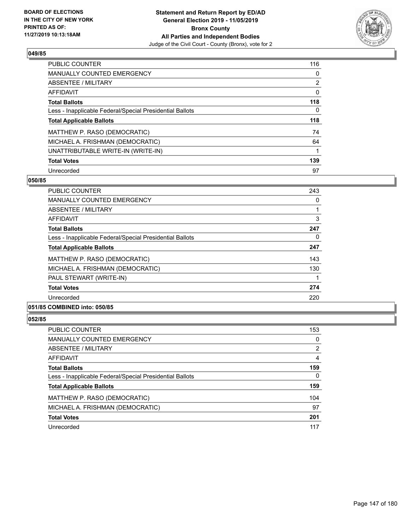

| <b>PUBLIC COUNTER</b>                                    | 116            |
|----------------------------------------------------------|----------------|
| <b>MANUALLY COUNTED EMERGENCY</b>                        | 0              |
| ABSENTEE / MILITARY                                      | $\overline{2}$ |
| AFFIDAVIT                                                | 0              |
| <b>Total Ballots</b>                                     | 118            |
| Less - Inapplicable Federal/Special Presidential Ballots | $\Omega$       |
| <b>Total Applicable Ballots</b>                          | 118            |
| MATTHEW P. RASO (DEMOCRATIC)                             | 74             |
| MICHAEL A. FRISHMAN (DEMOCRATIC)                         | 64             |
| UNATTRIBUTABLE WRITE-IN (WRITE-IN)                       |                |
| <b>Total Votes</b>                                       | 139            |
| Unrecorded                                               | 97             |

#### **050/85**

| PUBLIC COUNTER                                           | 243 |
|----------------------------------------------------------|-----|
| <b>MANUALLY COUNTED EMERGENCY</b>                        | 0   |
| ABSENTEE / MILITARY                                      |     |
| <b>AFFIDAVIT</b>                                         | 3   |
| <b>Total Ballots</b>                                     | 247 |
| Less - Inapplicable Federal/Special Presidential Ballots | 0   |
| <b>Total Applicable Ballots</b>                          | 247 |
| MATTHEW P. RASO (DEMOCRATIC)                             | 143 |
| MICHAEL A. FRISHMAN (DEMOCRATIC)                         | 130 |
| PAUL STEWART (WRITE-IN)                                  |     |
| <b>Total Votes</b>                                       | 274 |
| Unrecorded                                               | 220 |
|                                                          |     |

# **051/85 COMBINED into: 050/85**

| <b>PUBLIC COUNTER</b>                                    | 153 |
|----------------------------------------------------------|-----|
| <b>MANUALLY COUNTED EMERGENCY</b>                        | 0   |
| ABSENTEE / MILITARY                                      | 2   |
| AFFIDAVIT                                                | 4   |
| <b>Total Ballots</b>                                     | 159 |
| Less - Inapplicable Federal/Special Presidential Ballots | 0   |
| <b>Total Applicable Ballots</b>                          | 159 |
| MATTHEW P. RASO (DEMOCRATIC)                             | 104 |
| MICHAEL A. FRISHMAN (DEMOCRATIC)                         | 97  |
| <b>Total Votes</b>                                       | 201 |
| Unrecorded                                               | 117 |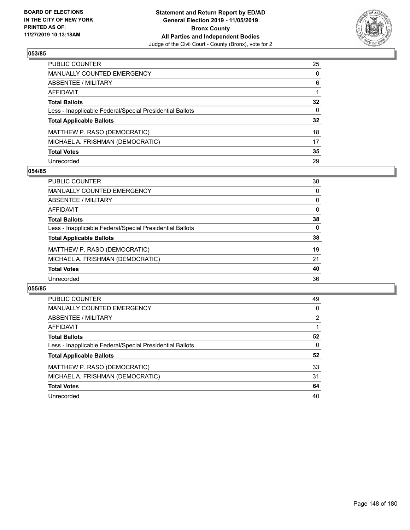

| PUBLIC COUNTER                                           | 25              |
|----------------------------------------------------------|-----------------|
| <b>MANUALLY COUNTED EMERGENCY</b>                        | $\Omega$        |
| <b>ABSENTEE / MILITARY</b>                               | 6               |
| <b>AFFIDAVIT</b>                                         |                 |
| <b>Total Ballots</b>                                     | $32\phantom{a}$ |
| Less - Inapplicable Federal/Special Presidential Ballots | $\mathbf{0}$    |
| <b>Total Applicable Ballots</b>                          | $32\phantom{a}$ |
| MATTHEW P. RASO (DEMOCRATIC)                             | 18              |
| MICHAEL A. FRISHMAN (DEMOCRATIC)                         | 17              |
| <b>Total Votes</b>                                       | 35              |
| Unrecorded                                               | 29              |

## **054/85**

| <b>PUBLIC COUNTER</b>                                    | 38       |
|----------------------------------------------------------|----------|
| <b>MANUALLY COUNTED EMERGENCY</b>                        | $\Omega$ |
| ABSENTEE / MILITARY                                      | $\Omega$ |
| AFFIDAVIT                                                | $\Omega$ |
| <b>Total Ballots</b>                                     | 38       |
| Less - Inapplicable Federal/Special Presidential Ballots | 0        |
| <b>Total Applicable Ballots</b>                          | 38       |
| MATTHEW P. RASO (DEMOCRATIC)                             | 19       |
| MICHAEL A. FRISHMAN (DEMOCRATIC)                         | 21       |
| <b>Total Votes</b>                                       | 40       |
| Unrecorded                                               | 36       |

| PUBLIC COUNTER                                           | 49 |
|----------------------------------------------------------|----|
| <b>MANUALLY COUNTED EMERGENCY</b>                        | 0  |
| <b>ABSENTEE / MILITARY</b>                               | 2  |
| AFFIDAVIT                                                |    |
| <b>Total Ballots</b>                                     | 52 |
| Less - Inapplicable Federal/Special Presidential Ballots | 0  |
| <b>Total Applicable Ballots</b>                          | 52 |
| MATTHEW P. RASO (DEMOCRATIC)                             | 33 |
| MICHAEL A. FRISHMAN (DEMOCRATIC)                         | 31 |
| <b>Total Votes</b>                                       | 64 |
| Unrecorded                                               | 40 |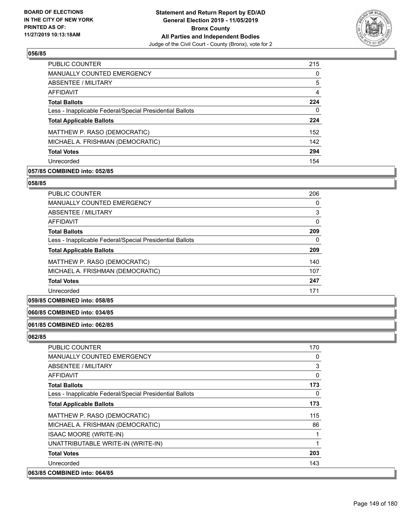

| <b>PUBLIC COUNTER</b>                                    | 215 |
|----------------------------------------------------------|-----|
| <b>MANUALLY COUNTED EMERGENCY</b>                        | 0   |
| ABSENTEE / MILITARY                                      | 5   |
| AFFIDAVIT                                                | 4   |
| <b>Total Ballots</b>                                     | 224 |
| Less - Inapplicable Federal/Special Presidential Ballots | 0   |
| <b>Total Applicable Ballots</b>                          | 224 |
| MATTHEW P. RASO (DEMOCRATIC)                             | 152 |
| MICHAEL A. FRISHMAN (DEMOCRATIC)                         | 142 |
| <b>Total Votes</b>                                       | 294 |
| Unrecorded                                               | 154 |

# **057/85 COMBINED into: 052/85**

#### **058/85**

| <b>PUBLIC COUNTER</b>                                    | 206 |
|----------------------------------------------------------|-----|
| MANUALLY COUNTED EMERGENCY                               | 0   |
| ABSENTEE / MILITARY                                      | 3   |
| <b>AFFIDAVIT</b>                                         | 0   |
| <b>Total Ballots</b>                                     | 209 |
| Less - Inapplicable Federal/Special Presidential Ballots | 0   |
| <b>Total Applicable Ballots</b>                          | 209 |
| MATTHEW P. RASO (DEMOCRATIC)                             | 140 |
| MICHAEL A. FRISHMAN (DEMOCRATIC)                         | 107 |
| <b>Total Votes</b>                                       | 247 |
| Unrecorded                                               | 171 |

# **059/85 COMBINED into: 058/85**

## **060/85 COMBINED into: 034/85**

## **061/85 COMBINED into: 062/85**

| PUBLIC COUNTER                                           | 170 |
|----------------------------------------------------------|-----|
| <b>MANUALLY COUNTED EMERGENCY</b>                        | 0   |
| ABSENTEE / MILITARY                                      | 3   |
| <b>AFFIDAVIT</b>                                         | 0   |
| <b>Total Ballots</b>                                     | 173 |
| Less - Inapplicable Federal/Special Presidential Ballots | 0   |
| <b>Total Applicable Ballots</b>                          | 173 |
| MATTHEW P. RASO (DEMOCRATIC)                             | 115 |
| MICHAEL A. FRISHMAN (DEMOCRATIC)                         | 86  |
| <b>ISAAC MOORE (WRITE-IN)</b>                            |     |
| UNATTRIBUTABLE WRITE-IN (WRITE-IN)                       |     |
| <b>Total Votes</b>                                       | 203 |
| Unrecorded                                               | 143 |
| 063/85 COMBINED into: 064/85                             |     |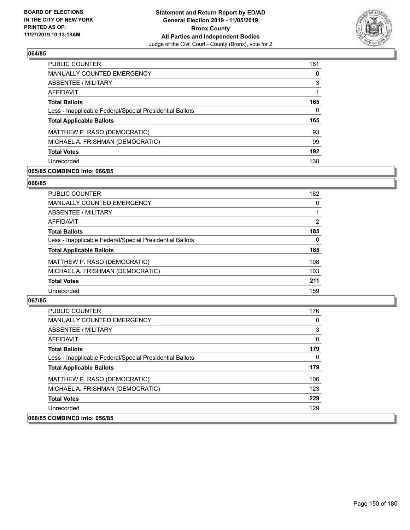

| <b>PUBLIC COUNTER</b>                                    | 161 |
|----------------------------------------------------------|-----|
| <b>MANUALLY COUNTED EMERGENCY</b>                        | 0   |
| ABSENTEE / MILITARY                                      | 3   |
| AFFIDAVIT                                                |     |
| <b>Total Ballots</b>                                     | 165 |
| Less - Inapplicable Federal/Special Presidential Ballots | 0   |
| <b>Total Applicable Ballots</b>                          | 165 |
| MATTHEW P. RASO (DEMOCRATIC)                             | 93  |
| MICHAEL A. FRISHMAN (DEMOCRATIC)                         | 99  |
| <b>Total Votes</b>                                       | 192 |
| Unrecorded                                               | 138 |

## **065/85 COMBINED into: 066/85**

#### **066/85**

| PUBLIC COUNTER                                           | 182 |
|----------------------------------------------------------|-----|
| <b>MANUALLY COUNTED EMERGENCY</b>                        | 0   |
| <b>ABSENTEE / MILITARY</b>                               |     |
| AFFIDAVIT                                                | 2   |
| <b>Total Ballots</b>                                     | 185 |
| Less - Inapplicable Federal/Special Presidential Ballots | 0   |
| <b>Total Applicable Ballots</b>                          | 185 |
| MATTHEW P. RASO (DEMOCRATIC)                             | 108 |
| MICHAEL A. FRISHMAN (DEMOCRATIC)                         | 103 |
| <b>Total Votes</b>                                       | 211 |
| Unrecorded                                               | 159 |

| <b>PUBLIC COUNTER</b>                                    | 176 |
|----------------------------------------------------------|-----|
| <b>MANUALLY COUNTED EMERGENCY</b>                        | 0   |
| ABSENTEE / MILITARY                                      | 3   |
| AFFIDAVIT                                                | 0   |
| <b>Total Ballots</b>                                     | 179 |
| Less - Inapplicable Federal/Special Presidential Ballots | 0   |
| <b>Total Applicable Ballots</b>                          | 179 |
| MATTHEW P. RASO (DEMOCRATIC)                             | 106 |
| MICHAEL A. FRISHMAN (DEMOCRATIC)                         | 123 |
| <b>Total Votes</b>                                       | 229 |
| Unrecorded                                               | 129 |
| 068/85 COMBINED into: 056/85                             |     |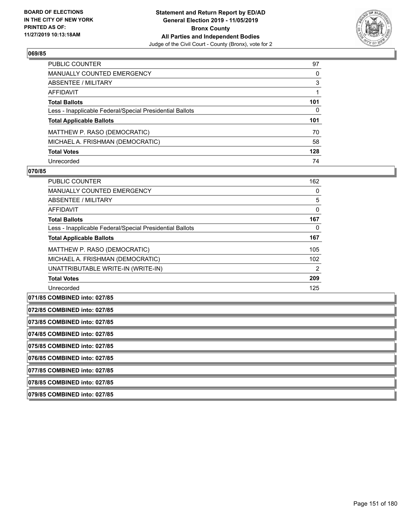

| PUBLIC COUNTER                                           | 97  |
|----------------------------------------------------------|-----|
| <b>MANUALLY COUNTED EMERGENCY</b>                        | 0   |
| ABSENTEE / MILITARY                                      | 3   |
| <b>AFFIDAVIT</b>                                         |     |
| <b>Total Ballots</b>                                     | 101 |
| Less - Inapplicable Federal/Special Presidential Ballots | 0   |
| <b>Total Applicable Ballots</b>                          | 101 |
| MATTHEW P. RASO (DEMOCRATIC)                             | 70  |
| MICHAEL A. FRISHMAN (DEMOCRATIC)                         | 58  |
| <b>Total Votes</b>                                       | 128 |
| Unrecorded                                               | 74  |

#### **070/85**

| PUBLIC COUNTER                                           | 162 |
|----------------------------------------------------------|-----|
| <b>MANUALLY COUNTED EMERGENCY</b>                        | 0   |
| ABSENTEE / MILITARY                                      | 5   |
| AFFIDAVIT                                                | 0   |
| <b>Total Ballots</b>                                     | 167 |
| Less - Inapplicable Federal/Special Presidential Ballots | 0   |
| <b>Total Applicable Ballots</b>                          | 167 |
| MATTHEW P. RASO (DEMOCRATIC)                             | 105 |
| MICHAEL A. FRISHMAN (DEMOCRATIC)                         | 102 |
| UNATTRIBUTABLE WRITE-IN (WRITE-IN)                       | 2   |
| <b>Total Votes</b>                                       | 209 |
| Unrecorded                                               | 125 |

**071/85 COMBINED into: 027/85**

| 072/85 COMBINED into: 027/85 |
|------------------------------|
|                              |

**073/85 COMBINED into: 027/85**

**074/85 COMBINED into: 027/85**

**075/85 COMBINED into: 027/85**

**076/85 COMBINED into: 027/85**

**077/85 COMBINED into: 027/85**

**078/85 COMBINED into: 027/85**

**079/85 COMBINED into: 027/85**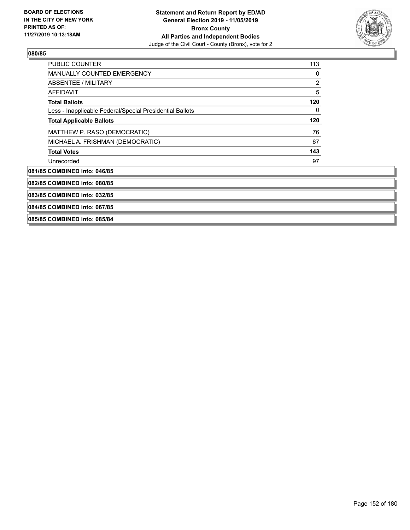

| PUBLIC COUNTER                                           | 113            |
|----------------------------------------------------------|----------------|
| <b>MANUALLY COUNTED EMERGENCY</b>                        | 0              |
| <b>ABSENTEE / MILITARY</b>                               | $\overline{c}$ |
| <b>AFFIDAVIT</b>                                         | 5              |
| <b>Total Ballots</b>                                     | 120            |
| Less - Inapplicable Federal/Special Presidential Ballots | 0              |
| <b>Total Applicable Ballots</b>                          | 120            |
| MATTHEW P. RASO (DEMOCRATIC)                             | 76             |
| MICHAEL A. FRISHMAN (DEMOCRATIC)                         | 67             |
| <b>Total Votes</b>                                       | 143            |
| Unrecorded                                               | 97             |
| 081/85 COMBINED into: 046/85                             |                |
| 082/85 COMBINED into: 080/85                             |                |
| 083/85 COMBINED into: 032/85                             |                |
| 084/85 COMBINED into: 067/85                             |                |
| 085/85 COMBINED into: 085/84                             |                |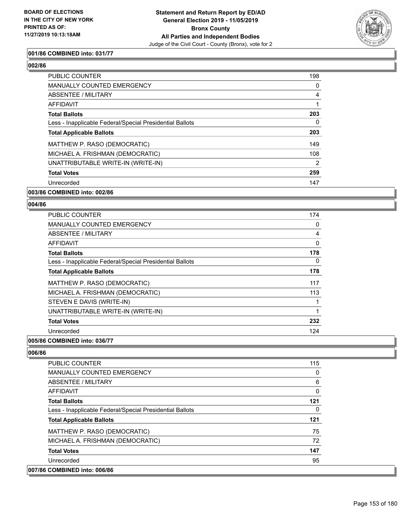

## **001/86 COMBINED into: 031/77**

# **002/86**

| <b>PUBLIC COUNTER</b>                                    | 198            |
|----------------------------------------------------------|----------------|
| <b>MANUALLY COUNTED EMERGENCY</b>                        | 0              |
| ABSENTEE / MILITARY                                      | $\overline{4}$ |
| AFFIDAVIT                                                | 1              |
| <b>Total Ballots</b>                                     | 203            |
| Less - Inapplicable Federal/Special Presidential Ballots | 0              |
| <b>Total Applicable Ballots</b>                          | 203            |
| MATTHEW P. RASO (DEMOCRATIC)                             | 149            |
| MICHAEL A. FRISHMAN (DEMOCRATIC)                         | 108            |
| UNATTRIBUTABLE WRITE-IN (WRITE-IN)                       | $\overline{2}$ |
| <b>Total Votes</b>                                       | 259            |
| Unrecorded                                               | 147            |
|                                                          |                |

## **003/86 COMBINED into: 002/86**

#### **004/86**

| <b>PUBLIC COUNTER</b>                                    | 174 |
|----------------------------------------------------------|-----|
| <b>MANUALLY COUNTED EMERGENCY</b>                        | 0   |
| ABSENTEE / MILITARY                                      | 4   |
| AFFIDAVIT                                                | 0   |
| <b>Total Ballots</b>                                     | 178 |
| Less - Inapplicable Federal/Special Presidential Ballots | 0   |
| <b>Total Applicable Ballots</b>                          | 178 |
| MATTHEW P. RASO (DEMOCRATIC)                             | 117 |
| MICHAEL A. FRISHMAN (DEMOCRATIC)                         | 113 |
| STEVEN E DAVIS (WRITE-IN)                                |     |
| UNATTRIBUTABLE WRITE-IN (WRITE-IN)                       | 1   |
| <b>Total Votes</b>                                       | 232 |
| Unrecorded                                               | 124 |
| ----------<br>$- - - - -$                                |     |

## **005/86 COMBINED into: 036/77**

| PUBLIC COUNTER                                           | 115 |
|----------------------------------------------------------|-----|
| <b>MANUALLY COUNTED EMERGENCY</b>                        | 0   |
| ABSENTEE / MILITARY                                      | 6   |
| AFFIDAVIT                                                | 0   |
| <b>Total Ballots</b>                                     | 121 |
| Less - Inapplicable Federal/Special Presidential Ballots | 0   |
| <b>Total Applicable Ballots</b>                          | 121 |
| MATTHEW P. RASO (DEMOCRATIC)                             | 75  |
| MICHAEL A. FRISHMAN (DEMOCRATIC)                         | 72  |
| <b>Total Votes</b>                                       | 147 |
| Unrecorded                                               | 95  |
| 007/86 COMBINED into: 006/86                             |     |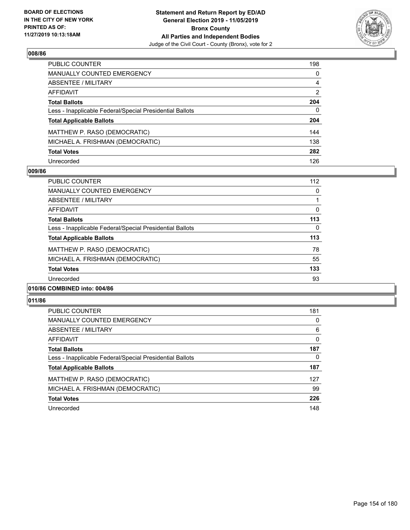

| PUBLIC COUNTER                                           | 198            |
|----------------------------------------------------------|----------------|
| <b>MANUALLY COUNTED EMERGENCY</b>                        | $\Omega$       |
| <b>ABSENTEE / MILITARY</b>                               | 4              |
| <b>AFFIDAVIT</b>                                         | $\overline{2}$ |
| <b>Total Ballots</b>                                     | 204            |
| Less - Inapplicable Federal/Special Presidential Ballots | $\mathbf{0}$   |
| <b>Total Applicable Ballots</b>                          | 204            |
| MATTHEW P. RASO (DEMOCRATIC)                             | 144            |
| MICHAEL A. FRISHMAN (DEMOCRATIC)                         | 138            |
| <b>Total Votes</b>                                       | 282            |
| Unrecorded                                               | 126            |

## **009/86**

| PUBLIC COUNTER                                           | 112      |
|----------------------------------------------------------|----------|
| <b>MANUALLY COUNTED EMERGENCY</b>                        | 0        |
| ABSENTEE / MILITARY                                      |          |
| AFFIDAVIT                                                | $\Omega$ |
| <b>Total Ballots</b>                                     | 113      |
| Less - Inapplicable Federal/Special Presidential Ballots | $\Omega$ |
| <b>Total Applicable Ballots</b>                          | 113      |
| MATTHEW P. RASO (DEMOCRATIC)                             | 78       |
| MICHAEL A. FRISHMAN (DEMOCRATIC)                         | 55       |
| <b>Total Votes</b>                                       | 133      |
| Unrecorded                                               | 93       |
|                                                          |          |

### **010/86 COMBINED into: 004/86**

| <b>PUBLIC COUNTER</b>                                    | 181 |
|----------------------------------------------------------|-----|
| MANUALLY COUNTED EMERGENCY                               | 0   |
| ABSENTEE / MILITARY                                      | 6   |
| AFFIDAVIT                                                | 0   |
| <b>Total Ballots</b>                                     | 187 |
| Less - Inapplicable Federal/Special Presidential Ballots | 0   |
| <b>Total Applicable Ballots</b>                          | 187 |
| MATTHEW P. RASO (DEMOCRATIC)                             | 127 |
| MICHAEL A. FRISHMAN (DEMOCRATIC)                         | 99  |
| <b>Total Votes</b>                                       | 226 |
| Unrecorded                                               | 148 |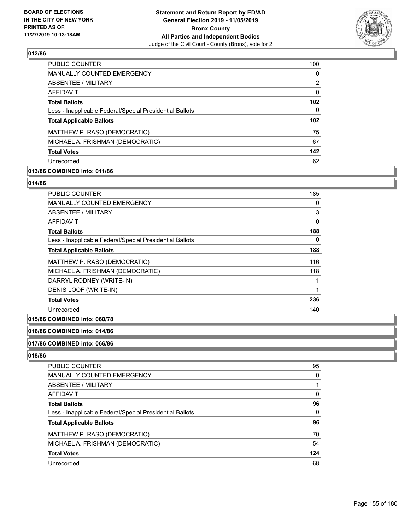

| <b>PUBLIC COUNTER</b>                                    | 100              |
|----------------------------------------------------------|------------------|
| <b>MANUALLY COUNTED EMERGENCY</b>                        | 0                |
| ABSENTEE / MILITARY                                      | 2                |
| <b>AFFIDAVIT</b>                                         | $\Omega$         |
| <b>Total Ballots</b>                                     | 102              |
| Less - Inapplicable Federal/Special Presidential Ballots | 0                |
| <b>Total Applicable Ballots</b>                          | 102 <sub>2</sub> |
| MATTHEW P. RASO (DEMOCRATIC)                             | 75               |
| MICHAEL A. FRISHMAN (DEMOCRATIC)                         | 67               |
| <b>Total Votes</b>                                       | 142              |
| Unrecorded                                               | 62               |

# **013/86 COMBINED into: 011/86**

#### **014/86**

| <b>PUBLIC COUNTER</b>                                    | 185      |
|----------------------------------------------------------|----------|
| <b>MANUALLY COUNTED EMERGENCY</b>                        | 0        |
| ABSENTEE / MILITARY                                      | 3        |
| AFFIDAVIT                                                | $\Omega$ |
| <b>Total Ballots</b>                                     | 188      |
| Less - Inapplicable Federal/Special Presidential Ballots | 0        |
| <b>Total Applicable Ballots</b>                          | 188      |
| MATTHEW P. RASO (DEMOCRATIC)                             | 116      |
| MICHAEL A. FRISHMAN (DEMOCRATIC)                         | 118      |
| DARRYL RODNEY (WRITE-IN)                                 |          |
| DENIS LOOF (WRITE-IN)                                    |          |
| <b>Total Votes</b>                                       | 236      |
| Unrecorded                                               | 140      |

# **015/86 COMBINED into: 060/78**

## **016/86 COMBINED into: 014/86**

#### **017/86 COMBINED into: 066/86**

| PUBLIC COUNTER                                           | 95  |
|----------------------------------------------------------|-----|
| <b>MANUALLY COUNTED EMERGENCY</b>                        | 0   |
| <b>ABSENTEE / MILITARY</b>                               |     |
| <b>AFFIDAVIT</b>                                         | 0   |
| <b>Total Ballots</b>                                     | 96  |
| Less - Inapplicable Federal/Special Presidential Ballots | 0   |
| <b>Total Applicable Ballots</b>                          | 96  |
| MATTHEW P. RASO (DEMOCRATIC)                             | 70  |
| MICHAEL A. FRISHMAN (DEMOCRATIC)                         | 54  |
| <b>Total Votes</b>                                       | 124 |
| Unrecorded                                               | 68  |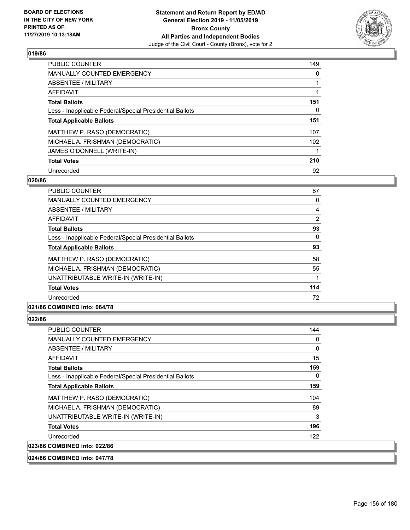

| <b>PUBLIC COUNTER</b>                                    | 149      |
|----------------------------------------------------------|----------|
| <b>MANUALLY COUNTED EMERGENCY</b>                        | 0        |
| ABSENTEE / MILITARY                                      |          |
| AFFIDAVIT                                                |          |
| <b>Total Ballots</b>                                     | 151      |
| Less - Inapplicable Federal/Special Presidential Ballots | $\Omega$ |
| <b>Total Applicable Ballots</b>                          | 151      |
| MATTHEW P. RASO (DEMOCRATIC)                             | 107      |
| MICHAEL A. FRISHMAN (DEMOCRATIC)                         | 102      |
| JAMES O'DONNELL (WRITE-IN)                               |          |
| <b>Total Votes</b>                                       | 210      |
| Unrecorded                                               | 92       |

### **020/86**

| <b>PUBLIC COUNTER</b>                                    | 87  |
|----------------------------------------------------------|-----|
| <b>MANUALLY COUNTED EMERGENCY</b>                        | 0   |
| ABSENTEE / MILITARY                                      | 4   |
| <b>AFFIDAVIT</b>                                         | 2   |
| <b>Total Ballots</b>                                     | 93  |
| Less - Inapplicable Federal/Special Presidential Ballots | 0   |
| <b>Total Applicable Ballots</b>                          | 93  |
| MATTHEW P. RASO (DEMOCRATIC)                             | 58  |
| MICHAEL A. FRISHMAN (DEMOCRATIC)                         | 55  |
| UNATTRIBUTABLE WRITE-IN (WRITE-IN)                       |     |
| <b>Total Votes</b>                                       | 114 |
| Unrecorded                                               | 72  |
|                                                          |     |

## **021/86 COMBINED into: 064/78**

| <b>PUBLIC COUNTER</b>                                    | 144 |
|----------------------------------------------------------|-----|
| MANUALLY COUNTED EMERGENCY                               | 0   |
| ABSENTEE / MILITARY                                      | 0   |
| AFFIDAVIT                                                | 15  |
| <b>Total Ballots</b>                                     | 159 |
| Less - Inapplicable Federal/Special Presidential Ballots | 0   |
| <b>Total Applicable Ballots</b>                          | 159 |
| MATTHEW P. RASO (DEMOCRATIC)                             | 104 |
| MICHAEL A. FRISHMAN (DEMOCRATIC)                         | 89  |
| UNATTRIBUTABLE WRITE-IN (WRITE-IN)                       | 3   |
| <b>Total Votes</b>                                       | 196 |
| Unrecorded                                               | 122 |
| 023/86 COMBINED into: 022/86                             |     |
| 024/86 COMBINED into: 047/78                             |     |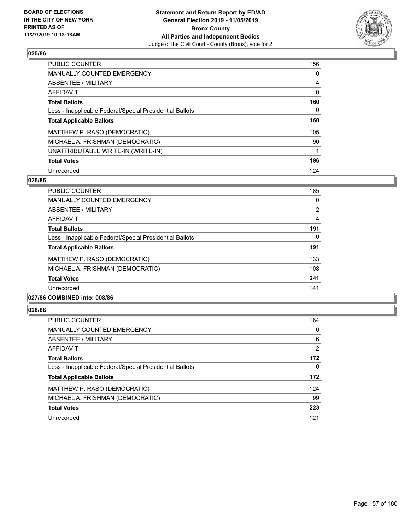

| PUBLIC COUNTER                                           | 156      |
|----------------------------------------------------------|----------|
| <b>MANUALLY COUNTED EMERGENCY</b>                        | $\Omega$ |
| ABSENTEE / MILITARY                                      | 4        |
| AFFIDAVIT                                                | 0        |
| <b>Total Ballots</b>                                     | 160      |
| Less - Inapplicable Federal/Special Presidential Ballots | 0        |
| <b>Total Applicable Ballots</b>                          | 160      |
| MATTHEW P. RASO (DEMOCRATIC)                             | 105      |
| MICHAEL A. FRISHMAN (DEMOCRATIC)                         | 90       |
| UNATTRIBUTABLE WRITE-IN (WRITE-IN)                       |          |
| <b>Total Votes</b>                                       | 196      |
| Unrecorded                                               | 124      |

#### **026/86**

| PUBLIC COUNTER                                           | 185            |
|----------------------------------------------------------|----------------|
| <b>MANUALLY COUNTED EMERGENCY</b>                        | 0              |
| <b>ABSENTEE / MILITARY</b>                               | $\overline{2}$ |
| <b>AFFIDAVIT</b>                                         | 4              |
| <b>Total Ballots</b>                                     | 191            |
| Less - Inapplicable Federal/Special Presidential Ballots | 0              |
| <b>Total Applicable Ballots</b>                          | 191            |
| MATTHEW P. RASO (DEMOCRATIC)                             | 133            |
| MICHAEL A. FRISHMAN (DEMOCRATIC)                         | 108            |
| <b>Total Votes</b>                                       | 241            |
| Unrecorded                                               | 141            |
|                                                          |                |

## **027/86 COMBINED into: 008/86**

| <b>PUBLIC COUNTER</b>                                    | 164 |
|----------------------------------------------------------|-----|
| MANUALLY COUNTED EMERGENCY                               | 0   |
| ABSENTEE / MILITARY                                      | 6   |
| AFFIDAVIT                                                | 2   |
| <b>Total Ballots</b>                                     | 172 |
| Less - Inapplicable Federal/Special Presidential Ballots | 0   |
| <b>Total Applicable Ballots</b>                          | 172 |
| MATTHEW P. RASO (DEMOCRATIC)                             | 124 |
| MICHAEL A. FRISHMAN (DEMOCRATIC)                         | 99  |
| <b>Total Votes</b>                                       | 223 |
| Unrecorded                                               | 121 |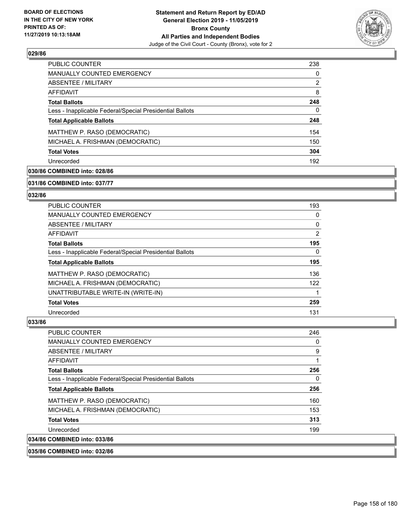

| <b>PUBLIC COUNTER</b>                                    | 238 |
|----------------------------------------------------------|-----|
| MANUALLY COUNTED EMERGENCY                               | 0   |
| ABSENTEE / MILITARY                                      | 2   |
| AFFIDAVIT                                                | 8   |
| <b>Total Ballots</b>                                     | 248 |
| Less - Inapplicable Federal/Special Presidential Ballots | 0   |
| <b>Total Applicable Ballots</b>                          | 248 |
| MATTHEW P. RASO (DEMOCRATIC)                             | 154 |
| MICHAEL A. FRISHMAN (DEMOCRATIC)                         | 150 |
| <b>Total Votes</b>                                       | 304 |
| Unrecorded                                               | 192 |

# **030/86 COMBINED into: 028/86**

**031/86 COMBINED into: 037/77**

## **032/86**

| <b>PUBLIC COUNTER</b>                                    | 193      |
|----------------------------------------------------------|----------|
| <b>MANUALLY COUNTED EMERGENCY</b>                        | 0        |
| ABSENTEE / MILITARY                                      | 0        |
| <b>AFFIDAVIT</b>                                         | 2        |
| <b>Total Ballots</b>                                     | 195      |
| Less - Inapplicable Federal/Special Presidential Ballots | $\Omega$ |
| <b>Total Applicable Ballots</b>                          | 195      |
| MATTHEW P. RASO (DEMOCRATIC)                             | 136      |
| MICHAEL A. FRISHMAN (DEMOCRATIC)                         | 122      |
| UNATTRIBUTABLE WRITE-IN (WRITE-IN)                       |          |
| <b>Total Votes</b>                                       | 259      |
| Unrecorded                                               | 131      |

#### **033/86**

| <b>PUBLIC COUNTER</b>                                    | 246 |
|----------------------------------------------------------|-----|
| <b>MANUALLY COUNTED EMERGENCY</b>                        | 0   |
| ABSENTEE / MILITARY                                      | 9   |
| AFFIDAVIT                                                |     |
| <b>Total Ballots</b>                                     | 256 |
| Less - Inapplicable Federal/Special Presidential Ballots | 0   |
| <b>Total Applicable Ballots</b>                          | 256 |
| MATTHEW P. RASO (DEMOCRATIC)                             | 160 |
| MICHAEL A. FRISHMAN (DEMOCRATIC)                         | 153 |
| <b>Total Votes</b>                                       | 313 |
| Unrecorded                                               | 199 |
| 034/86 COMBINED into: 033/86                             |     |

**035/86 COMBINED into: 032/86**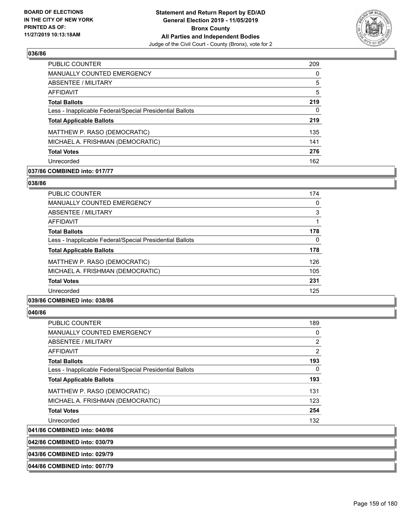

| <b>PUBLIC COUNTER</b>                                    | 209 |
|----------------------------------------------------------|-----|
| <b>MANUALLY COUNTED EMERGENCY</b>                        | 0   |
| ABSENTEE / MILITARY                                      | 5   |
| AFFIDAVIT                                                | 5   |
| <b>Total Ballots</b>                                     | 219 |
| Less - Inapplicable Federal/Special Presidential Ballots | 0   |
| <b>Total Applicable Ballots</b>                          | 219 |
| MATTHEW P. RASO (DEMOCRATIC)                             | 135 |
| MICHAEL A. FRISHMAN (DEMOCRATIC)                         | 141 |
| <b>Total Votes</b>                                       | 276 |
| Unrecorded                                               | 162 |

## **037/86 COMBINED into: 017/77**

#### **038/86**

| <b>PUBLIC COUNTER</b>                                    | 174 |
|----------------------------------------------------------|-----|
| MANUALLY COUNTED EMERGENCY                               | 0   |
| ABSENTEE / MILITARY                                      | 3   |
| AFFIDAVIT                                                |     |
| <b>Total Ballots</b>                                     | 178 |
| Less - Inapplicable Federal/Special Presidential Ballots | 0   |
| <b>Total Applicable Ballots</b>                          | 178 |
| MATTHEW P. RASO (DEMOCRATIC)                             | 126 |
| MICHAEL A. FRISHMAN (DEMOCRATIC)                         | 105 |
| <b>Total Votes</b>                                       | 231 |
| Unrecorded                                               | 125 |
|                                                          |     |

## **039/86 COMBINED into: 038/86**

#### **040/86**

| <b>PUBLIC COUNTER</b>                                    | 189            |
|----------------------------------------------------------|----------------|
| <b>MANUALLY COUNTED EMERGENCY</b>                        | 0              |
| ABSENTEE / MILITARY                                      | $\overline{2}$ |
| AFFIDAVIT                                                | 2              |
| <b>Total Ballots</b>                                     | 193            |
| Less - Inapplicable Federal/Special Presidential Ballots | $\Omega$       |
| <b>Total Applicable Ballots</b>                          | 193            |
| MATTHEW P. RASO (DEMOCRATIC)                             | 131            |
| MICHAEL A. FRISHMAN (DEMOCRATIC)                         | 123            |
| <b>Total Votes</b>                                       | 254            |
| Unrecorded                                               | 132            |
| 041/86 COMBINED into: 040/86                             |                |

**042/86 COMBINED into: 030/79**

**043/86 COMBINED into: 029/79**

**044/86 COMBINED into: 007/79**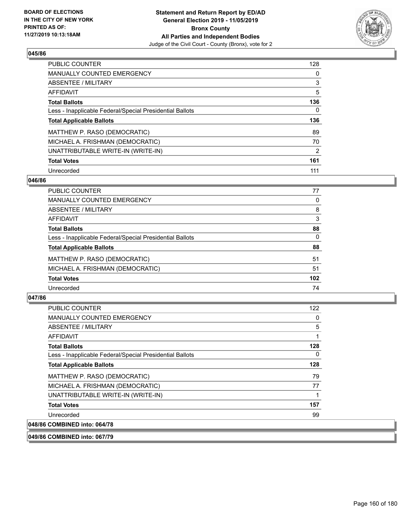

| <b>PUBLIC COUNTER</b>                                    | 128      |
|----------------------------------------------------------|----------|
| <b>MANUALLY COUNTED EMERGENCY</b>                        | $\Omega$ |
| ABSENTEE / MILITARY                                      | 3        |
| AFFIDAVIT                                                | 5        |
| <b>Total Ballots</b>                                     | 136      |
| Less - Inapplicable Federal/Special Presidential Ballots | 0        |
| <b>Total Applicable Ballots</b>                          | 136      |
| MATTHEW P. RASO (DEMOCRATIC)                             | 89       |
| MICHAEL A. FRISHMAN (DEMOCRATIC)                         | 70       |
| UNATTRIBUTABLE WRITE-IN (WRITE-IN)                       | 2        |
| <b>Total Votes</b>                                       | 161      |
| Unrecorded                                               | 111      |

### **046/86**

| <b>PUBLIC COUNTER</b>                                    | 77       |
|----------------------------------------------------------|----------|
| <b>MANUALLY COUNTED EMERGENCY</b>                        | 0        |
| ABSENTEE / MILITARY                                      | 8        |
| <b>AFFIDAVIT</b>                                         | 3        |
| <b>Total Ballots</b>                                     | 88       |
| Less - Inapplicable Federal/Special Presidential Ballots | $\Omega$ |
| <b>Total Applicable Ballots</b>                          | 88       |
| MATTHEW P. RASO (DEMOCRATIC)                             | 51       |
| MICHAEL A. FRISHMAN (DEMOCRATIC)                         | 51       |
| <b>Total Votes</b>                                       | 102      |
| Unrecorded                                               | 74       |

## **047/86**

| PUBLIC COUNTER                                           | 122 |
|----------------------------------------------------------|-----|
| <b>MANUALLY COUNTED EMERGENCY</b>                        | 0   |
| ABSENTEE / MILITARY                                      | 5   |
| AFFIDAVIT                                                | 1   |
| <b>Total Ballots</b>                                     | 128 |
| Less - Inapplicable Federal/Special Presidential Ballots | 0   |
| <b>Total Applicable Ballots</b>                          | 128 |
| MATTHEW P. RASO (DEMOCRATIC)                             | 79  |
| MICHAEL A. FRISHMAN (DEMOCRATIC)                         | 77  |
| UNATTRIBUTABLE WRITE-IN (WRITE-IN)                       |     |
| <b>Total Votes</b>                                       | 157 |
| Unrecorded                                               | 99  |
| 048/86 COMBINED into: 064/78                             |     |

**049/86 COMBINED into: 067/79**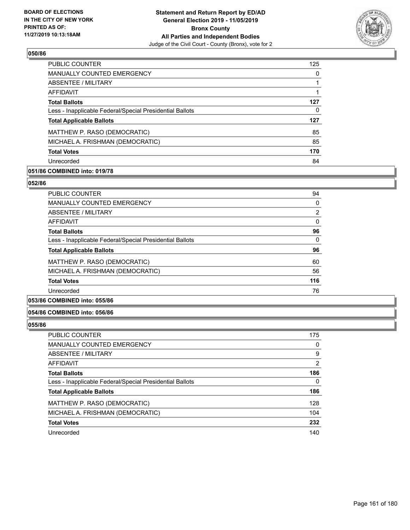

| <b>PUBLIC COUNTER</b>                                    | 125 |
|----------------------------------------------------------|-----|
| MANUALLY COUNTED EMERGENCY                               | 0   |
| ABSENTEE / MILITARY                                      |     |
| AFFIDAVIT                                                |     |
| <b>Total Ballots</b>                                     | 127 |
| Less - Inapplicable Federal/Special Presidential Ballots | 0   |
| <b>Total Applicable Ballots</b>                          | 127 |
| MATTHEW P. RASO (DEMOCRATIC)                             | 85  |
| MICHAEL A. FRISHMAN (DEMOCRATIC)                         | 85  |
| <b>Total Votes</b>                                       | 170 |
| Unrecorded                                               | 84  |

## **051/86 COMBINED into: 019/78**

#### **052/86**

| <b>PUBLIC COUNTER</b>                                    | 94       |
|----------------------------------------------------------|----------|
| MANUALLY COUNTED EMERGENCY                               | 0        |
| ABSENTEE / MILITARY                                      | 2        |
| AFFIDAVIT                                                | 0        |
| <b>Total Ballots</b>                                     | 96       |
| Less - Inapplicable Federal/Special Presidential Ballots | $\Omega$ |
| <b>Total Applicable Ballots</b>                          | 96       |
| MATTHEW P. RASO (DEMOCRATIC)                             | 60       |
| MICHAEL A. FRISHMAN (DEMOCRATIC)                         | 56       |
| <b>Total Votes</b>                                       | 116      |
| Unrecorded                                               | 76       |
|                                                          |          |

# **053/86 COMBINED into: 055/86**

## **054/86 COMBINED into: 056/86**

| <b>PUBLIC COUNTER</b>                                    | 175 |
|----------------------------------------------------------|-----|
| MANUALLY COUNTED EMERGENCY                               | 0   |
| ABSENTEE / MILITARY                                      | 9   |
| AFFIDAVIT                                                | 2   |
| <b>Total Ballots</b>                                     | 186 |
| Less - Inapplicable Federal/Special Presidential Ballots | 0   |
| <b>Total Applicable Ballots</b>                          | 186 |
| MATTHEW P. RASO (DEMOCRATIC)                             | 128 |
| MICHAEL A. FRISHMAN (DEMOCRATIC)                         | 104 |
| <b>Total Votes</b>                                       | 232 |
| Unrecorded                                               | 140 |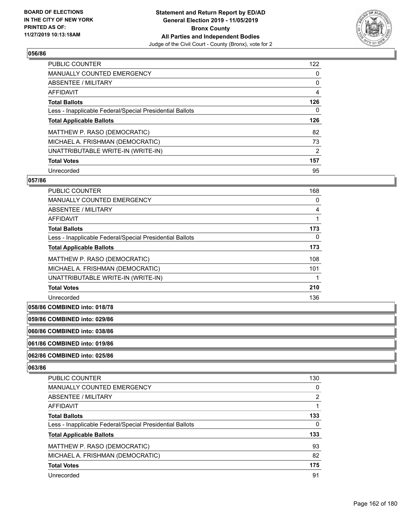

| <b>PUBLIC COUNTER</b>                                    | 122 |
|----------------------------------------------------------|-----|
| <b>MANUALLY COUNTED EMERGENCY</b>                        | 0   |
| ABSENTEE / MILITARY                                      | 0   |
| AFFIDAVIT                                                | 4   |
| <b>Total Ballots</b>                                     | 126 |
| Less - Inapplicable Federal/Special Presidential Ballots | 0   |
| <b>Total Applicable Ballots</b>                          | 126 |
| MATTHEW P. RASO (DEMOCRATIC)                             | 82  |
| MICHAEL A. FRISHMAN (DEMOCRATIC)                         | 73  |
| UNATTRIBUTABLE WRITE-IN (WRITE-IN)                       | 2   |
| <b>Total Votes</b>                                       | 157 |
| Unrecorded                                               | 95  |

### **057/86**

| <b>PUBLIC COUNTER</b>                                    | 168 |
|----------------------------------------------------------|-----|
| <b>MANUALLY COUNTED EMERGENCY</b>                        | 0   |
| ABSENTEE / MILITARY                                      | 4   |
| AFFIDAVIT                                                |     |
| <b>Total Ballots</b>                                     | 173 |
| Less - Inapplicable Federal/Special Presidential Ballots | 0   |
| <b>Total Applicable Ballots</b>                          | 173 |
| MATTHEW P. RASO (DEMOCRATIC)                             | 108 |
| MICHAEL A. FRISHMAN (DEMOCRATIC)                         | 101 |
| UNATTRIBUTABLE WRITE-IN (WRITE-IN)                       |     |
| <b>Total Votes</b>                                       | 210 |
| Unrecorded                                               | 136 |

**058/86 COMBINED into: 018/78**

**059/86 COMBINED into: 029/86**

**060/86 COMBINED into: 038/86**

**061/86 COMBINED into: 019/86**

#### **062/86 COMBINED into: 025/86**

| PUBLIC COUNTER                                           | 130            |
|----------------------------------------------------------|----------------|
| <b>MANUALLY COUNTED EMERGENCY</b>                        | 0              |
| ABSENTEE / MILITARY                                      | $\overline{2}$ |
| AFFIDAVIT                                                |                |
| <b>Total Ballots</b>                                     | 133            |
| Less - Inapplicable Federal/Special Presidential Ballots | 0              |
| <b>Total Applicable Ballots</b>                          | 133            |
| MATTHEW P. RASO (DEMOCRATIC)                             | 93             |
| MICHAEL A. FRISHMAN (DEMOCRATIC)                         | 82             |
| <b>Total Votes</b>                                       | 175            |
| Unrecorded                                               | 91             |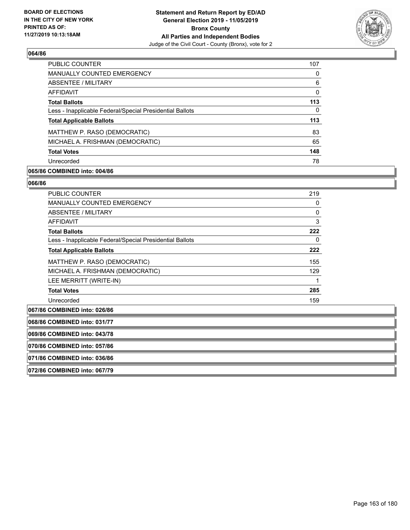

| <b>PUBLIC COUNTER</b>                                    | 107 |
|----------------------------------------------------------|-----|
| <b>MANUALLY COUNTED EMERGENCY</b>                        | 0   |
| ABSENTEE / MILITARY                                      | 6   |
| AFFIDAVIT                                                | 0   |
| <b>Total Ballots</b>                                     | 113 |
| Less - Inapplicable Federal/Special Presidential Ballots | 0   |
| <b>Total Applicable Ballots</b>                          | 113 |
| MATTHEW P. RASO (DEMOCRATIC)                             | 83  |
| MICHAEL A. FRISHMAN (DEMOCRATIC)                         | 65  |
| <b>Total Votes</b>                                       | 148 |
| Unrecorded                                               | 78  |

## **065/86 COMBINED into: 004/86**

#### **066/86**

| PUBLIC COUNTER                                           | 219 |
|----------------------------------------------------------|-----|
| <b>MANUALLY COUNTED EMERGENCY</b>                        | 0   |
| ABSENTEE / MILITARY                                      | 0   |
| AFFIDAVIT                                                | 3   |
| <b>Total Ballots</b>                                     | 222 |
| Less - Inapplicable Federal/Special Presidential Ballots | 0   |
| <b>Total Applicable Ballots</b>                          | 222 |
| MATTHEW P. RASO (DEMOCRATIC)                             | 155 |
| MICHAEL A. FRISHMAN (DEMOCRATIC)                         | 129 |
| LEE MERRITT (WRITE-IN)                                   | 1   |
| <b>Total Votes</b>                                       | 285 |
| Unrecorded                                               | 159 |
|                                                          |     |

**067/86 COMBINED into: 026/86 068/86 COMBINED into: 031/77 069/86 COMBINED into: 043/78 070/86 COMBINED into: 057/86 071/86 COMBINED into: 036/86 072/86 COMBINED into: 067/79**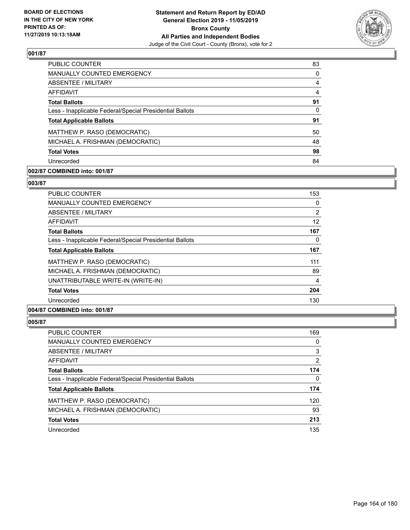

| <b>PUBLIC COUNTER</b>                                    | 83       |
|----------------------------------------------------------|----------|
| <b>MANUALLY COUNTED EMERGENCY</b>                        | $\Omega$ |
| <b>ABSENTEE / MILITARY</b>                               | 4        |
| AFFIDAVIT                                                | 4        |
| <b>Total Ballots</b>                                     | 91       |
| Less - Inapplicable Federal/Special Presidential Ballots | 0        |
| <b>Total Applicable Ballots</b>                          | 91       |
| MATTHEW P. RASO (DEMOCRATIC)                             | 50       |
| MICHAEL A. FRISHMAN (DEMOCRATIC)                         | 48       |
|                                                          |          |
| <b>Total Votes</b>                                       | 98       |

# **002/87 COMBINED into: 001/87**

#### **003/87**

| PUBLIC COUNTER                                           | 153 |
|----------------------------------------------------------|-----|
| <b>MANUALLY COUNTED EMERGENCY</b>                        | 0   |
| ABSENTEE / MILITARY                                      | 2   |
| AFFIDAVIT                                                | 12  |
| <b>Total Ballots</b>                                     | 167 |
| Less - Inapplicable Federal/Special Presidential Ballots | 0   |
| <b>Total Applicable Ballots</b>                          | 167 |
| MATTHEW P. RASO (DEMOCRATIC)                             | 111 |
| MICHAEL A. FRISHMAN (DEMOCRATIC)                         | 89  |
| UNATTRIBUTABLE WRITE-IN (WRITE-IN)                       | 4   |
| <b>Total Votes</b>                                       | 204 |
| Unrecorded                                               | 130 |
| A                                                        |     |

# **004/87 COMBINED into: 001/87**

| PUBLIC COUNTER                                           | 169            |
|----------------------------------------------------------|----------------|
| MANUALLY COUNTED EMERGENCY                               | 0              |
| ABSENTEE / MILITARY                                      | 3              |
| AFFIDAVIT                                                | $\overline{2}$ |
| <b>Total Ballots</b>                                     | 174            |
| Less - Inapplicable Federal/Special Presidential Ballots | 0              |
| <b>Total Applicable Ballots</b>                          | 174            |
| MATTHEW P. RASO (DEMOCRATIC)                             | 120            |
| MICHAEL A. FRISHMAN (DEMOCRATIC)                         | 93             |
| <b>Total Votes</b>                                       | 213            |
| Unrecorded                                               | 135            |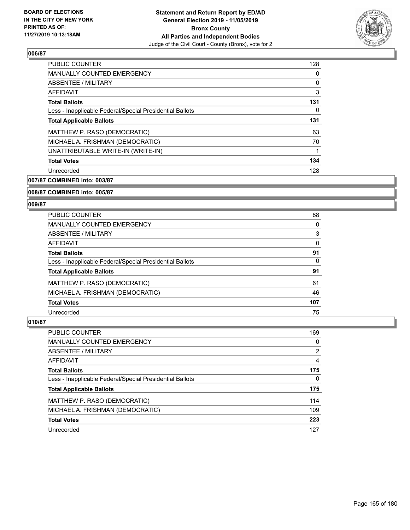

| <b>PUBLIC COUNTER</b>                                    | 128 |
|----------------------------------------------------------|-----|
| <b>MANUALLY COUNTED EMERGENCY</b>                        | 0   |
| ABSENTEE / MILITARY                                      | 0   |
| AFFIDAVIT                                                | 3   |
| <b>Total Ballots</b>                                     | 131 |
| Less - Inapplicable Federal/Special Presidential Ballots | 0   |
| <b>Total Applicable Ballots</b>                          | 131 |
| MATTHEW P. RASO (DEMOCRATIC)                             | 63  |
| MICHAEL A. FRISHMAN (DEMOCRATIC)                         | 70  |
| UNATTRIBUTABLE WRITE-IN (WRITE-IN)                       | 1   |
| <b>Total Votes</b>                                       | 134 |
| Unrecorded                                               | 128 |

**007/87 COMBINED into: 003/87**

## **008/87 COMBINED into: 005/87**

#### **009/87**

| PUBLIC COUNTER                                           | 88       |
|----------------------------------------------------------|----------|
| <b>MANUALLY COUNTED EMERGENCY</b>                        | 0        |
| ABSENTEE / MILITARY                                      | 3        |
| AFFIDAVIT                                                | $\Omega$ |
| <b>Total Ballots</b>                                     | 91       |
| Less - Inapplicable Federal/Special Presidential Ballots | 0        |
| <b>Total Applicable Ballots</b>                          | 91       |
| MATTHEW P. RASO (DEMOCRATIC)                             | 61       |
| MICHAEL A. FRISHMAN (DEMOCRATIC)                         | 46       |
| <b>Total Votes</b>                                       | 107      |
| Unrecorded                                               | 75       |

| PUBLIC COUNTER                                           | 169            |
|----------------------------------------------------------|----------------|
| <b>MANUALLY COUNTED EMERGENCY</b>                        | 0              |
| ABSENTEE / MILITARY                                      | $\overline{2}$ |
| AFFIDAVIT                                                | 4              |
| <b>Total Ballots</b>                                     | 175            |
| Less - Inapplicable Federal/Special Presidential Ballots | 0              |
| <b>Total Applicable Ballots</b>                          | 175            |
| MATTHEW P. RASO (DEMOCRATIC)                             | 114            |
| MICHAEL A. FRISHMAN (DEMOCRATIC)                         | 109            |
| <b>Total Votes</b>                                       | 223            |
| Unrecorded                                               | 127            |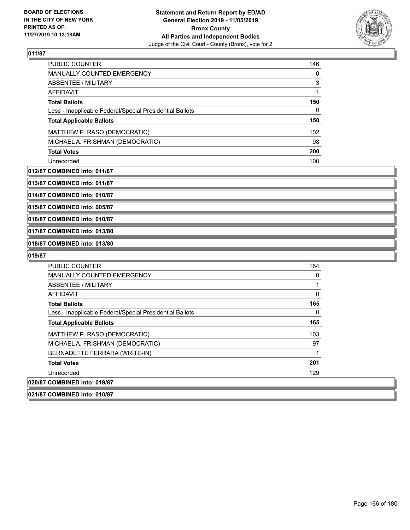

| <b>PUBLIC COUNTER</b>                                    | 146 |
|----------------------------------------------------------|-----|
| <b>MANUALLY COUNTED EMERGENCY</b>                        | 0   |
| ABSENTEE / MILITARY                                      | 3   |
| <b>AFFIDAVIT</b>                                         |     |
| <b>Total Ballots</b>                                     | 150 |
| Less - Inapplicable Federal/Special Presidential Ballots | 0   |
| <b>Total Applicable Ballots</b>                          | 150 |
| MATTHEW P. RASO (DEMOCRATIC)                             | 102 |
| MICHAEL A. FRISHMAN (DEMOCRATIC)                         | 98  |
| <b>Total Votes</b>                                       | 200 |
| Unrecorded                                               | 100 |

#### **012/87 COMBINED into: 011/87**

**013/87 COMBINED into: 011/87**

**014/87 COMBINED into: 010/87**

**015/87 COMBINED into: 005/87**

**016/87 COMBINED into: 010/87**

**017/87 COMBINED into: 013/80**

# **018/87 COMBINED into: 013/80**

# **019/87**

| <b>PUBLIC COUNTER</b>                                    | 164 |
|----------------------------------------------------------|-----|
| <b>MANUALLY COUNTED EMERGENCY</b>                        | 0   |
| ABSENTEE / MILITARY                                      |     |
| AFFIDAVIT                                                | 0   |
| <b>Total Ballots</b>                                     | 165 |
| Less - Inapplicable Federal/Special Presidential Ballots | 0   |
| <b>Total Applicable Ballots</b>                          | 165 |
| MATTHEW P. RASO (DEMOCRATIC)                             | 103 |
| MICHAEL A. FRISHMAN (DEMOCRATIC)                         | 97  |
| BERNADETTE FERRARA (WRITE-IN)                            | 1   |
| <b>Total Votes</b>                                       | 201 |
| Unrecorded                                               | 129 |
| 020/87 COMBINED into: 019/87                             |     |

#### **021/87 COMBINED into: 010/87**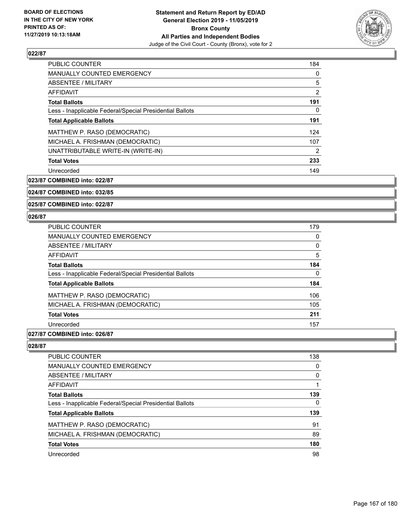

| <b>PUBLIC COUNTER</b>                                    | 184 |
|----------------------------------------------------------|-----|
| <b>MANUALLY COUNTED EMERGENCY</b>                        | 0   |
| ABSENTEE / MILITARY                                      | 5   |
| <b>AFFIDAVIT</b>                                         | 2   |
| <b>Total Ballots</b>                                     | 191 |
| Less - Inapplicable Federal/Special Presidential Ballots | 0   |
| <b>Total Applicable Ballots</b>                          | 191 |
| MATTHEW P. RASO (DEMOCRATIC)                             | 124 |
| MICHAEL A. FRISHMAN (DEMOCRATIC)                         | 107 |
| UNATTRIBUTABLE WRITE-IN (WRITE-IN)                       | 2   |
| <b>Total Votes</b>                                       | 233 |
| Unrecorded                                               | 149 |

**023/87 COMBINED into: 022/87**

## **024/87 COMBINED into: 032/85**

**025/87 COMBINED into: 022/87**

#### **026/87**

| <b>PUBLIC COUNTER</b>                                    | 179 |
|----------------------------------------------------------|-----|
| <b>MANUALLY COUNTED EMERGENCY</b>                        | 0   |
| ABSENTEE / MILITARY                                      | 0   |
| AFFIDAVIT                                                | 5   |
| <b>Total Ballots</b>                                     | 184 |
| Less - Inapplicable Federal/Special Presidential Ballots | 0   |
| <b>Total Applicable Ballots</b>                          | 184 |
| MATTHEW P. RASO (DEMOCRATIC)                             | 106 |
| MICHAEL A. FRISHMAN (DEMOCRATIC)                         | 105 |
| <b>Total Votes</b>                                       | 211 |
| Unrecorded                                               | 157 |

#### **027/87 COMBINED into: 026/87**

| <b>PUBLIC COUNTER</b>                                    | 138      |
|----------------------------------------------------------|----------|
| <b>MANUALLY COUNTED EMERGENCY</b>                        | 0        |
| ABSENTEE / MILITARY                                      | $\Omega$ |
| AFFIDAVIT                                                |          |
| <b>Total Ballots</b>                                     | 139      |
| Less - Inapplicable Federal/Special Presidential Ballots | 0        |
| <b>Total Applicable Ballots</b>                          | 139      |
| MATTHEW P. RASO (DEMOCRATIC)                             | 91       |
| MICHAEL A. FRISHMAN (DEMOCRATIC)                         | 89       |
| <b>Total Votes</b>                                       | 180      |
| Unrecorded                                               | 98       |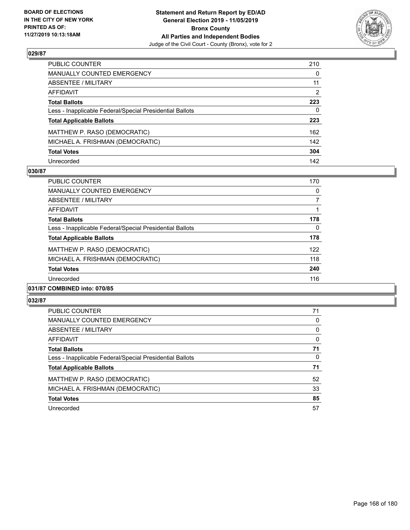

| PUBLIC COUNTER                                           | 210          |
|----------------------------------------------------------|--------------|
| MANUALLY COUNTED EMERGENCY                               | $\mathbf{0}$ |
| ABSENTEE / MILITARY                                      | 11           |
| <b>AFFIDAVIT</b>                                         | 2            |
| <b>Total Ballots</b>                                     | 223          |
| Less - Inapplicable Federal/Special Presidential Ballots | 0            |
| <b>Total Applicable Ballots</b>                          | 223          |
| MATTHEW P. RASO (DEMOCRATIC)                             | 162          |
| MICHAEL A. FRISHMAN (DEMOCRATIC)                         | 142          |
| <b>Total Votes</b>                                       | 304          |
| Unrecorded                                               | 142          |

## **030/87**

| PUBLIC COUNTER                                           | 170      |
|----------------------------------------------------------|----------|
| <b>MANUALLY COUNTED EMERGENCY</b>                        | 0        |
| ABSENTEE / MILITARY                                      | 7        |
| <b>AFFIDAVIT</b>                                         |          |
| <b>Total Ballots</b>                                     | 178      |
| Less - Inapplicable Federal/Special Presidential Ballots | $\Omega$ |
| <b>Total Applicable Ballots</b>                          | 178      |
| MATTHEW P. RASO (DEMOCRATIC)                             | 122      |
| MICHAEL A. FRISHMAN (DEMOCRATIC)                         | 118      |
| <b>Total Votes</b>                                       | 240      |
| Unrecorded                                               | 116      |
|                                                          |          |

#### **031/87 COMBINED into: 070/85**

| <b>PUBLIC COUNTER</b>                                    | 71       |
|----------------------------------------------------------|----------|
| <b>MANUALLY COUNTED EMERGENCY</b>                        | 0        |
| ABSENTEE / MILITARY                                      | 0        |
| AFFIDAVIT                                                | $\Omega$ |
| <b>Total Ballots</b>                                     | 71       |
| Less - Inapplicable Federal/Special Presidential Ballots | 0        |
| <b>Total Applicable Ballots</b>                          | 71       |
| MATTHEW P. RASO (DEMOCRATIC)                             | 52       |
| MICHAEL A. FRISHMAN (DEMOCRATIC)                         | 33       |
| <b>Total Votes</b>                                       | 85       |
| Unrecorded                                               | 57       |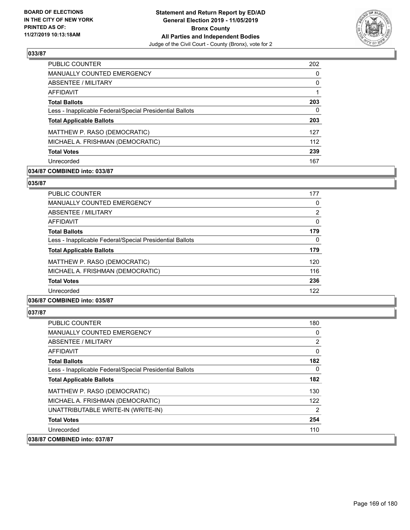

| <b>PUBLIC COUNTER</b>                                    | 202 |
|----------------------------------------------------------|-----|
| <b>MANUALLY COUNTED EMERGENCY</b>                        | 0   |
| ABSENTEE / MILITARY                                      | 0   |
| AFFIDAVIT                                                |     |
| <b>Total Ballots</b>                                     | 203 |
| Less - Inapplicable Federal/Special Presidential Ballots | 0   |
| <b>Total Applicable Ballots</b>                          | 203 |
| MATTHEW P. RASO (DEMOCRATIC)                             | 127 |
| MICHAEL A. FRISHMAN (DEMOCRATIC)                         | 112 |
| <b>Total Votes</b>                                       | 239 |
| Unrecorded                                               | 167 |

## **034/87 COMBINED into: 033/87**

#### **035/87**

| <b>PUBLIC COUNTER</b>                                    | 177            |
|----------------------------------------------------------|----------------|
| <b>MANUALLY COUNTED EMERGENCY</b>                        | 0              |
| ABSENTEE / MILITARY                                      | $\overline{2}$ |
| AFFIDAVIT                                                | $\Omega$       |
| <b>Total Ballots</b>                                     | 179            |
| Less - Inapplicable Federal/Special Presidential Ballots | 0              |
| <b>Total Applicable Ballots</b>                          | 179            |
| MATTHEW P. RASO (DEMOCRATIC)                             | 120            |
| MICHAEL A. FRISHMAN (DEMOCRATIC)                         | 116            |
| <b>Total Votes</b>                                       | 236            |
| Unrecorded                                               | 122            |
|                                                          |                |

## **036/87 COMBINED into: 035/87**

| <b>PUBLIC COUNTER</b>                                    | 180            |
|----------------------------------------------------------|----------------|
| <b>MANUALLY COUNTED EMERGENCY</b>                        | 0              |
| ABSENTEE / MILITARY                                      | $\overline{2}$ |
| AFFIDAVIT                                                | 0              |
| <b>Total Ballots</b>                                     | 182            |
| Less - Inapplicable Federal/Special Presidential Ballots | 0              |
| <b>Total Applicable Ballots</b>                          | 182            |
| MATTHEW P. RASO (DEMOCRATIC)                             | 130            |
| MICHAEL A. FRISHMAN (DEMOCRATIC)                         | 122            |
| UNATTRIBUTABLE WRITE-IN (WRITE-IN)                       | 2              |
| <b>Total Votes</b>                                       | 254            |
| Unrecorded                                               | 110            |
| 038/87 COMBINED into: 037/87                             |                |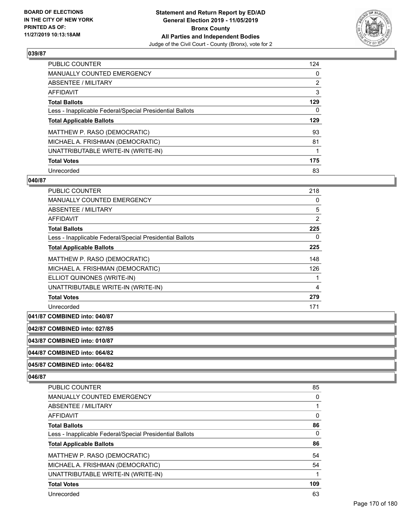

| <b>PUBLIC COUNTER</b>                                    | 124            |
|----------------------------------------------------------|----------------|
| <b>MANUALLY COUNTED EMERGENCY</b>                        | $\mathbf{0}$   |
| <b>ABSENTEE / MILITARY</b>                               | $\overline{2}$ |
| AFFIDAVIT                                                | 3              |
| <b>Total Ballots</b>                                     | 129            |
| Less - Inapplicable Federal/Special Presidential Ballots | 0              |
| <b>Total Applicable Ballots</b>                          | 129            |
| MATTHEW P. RASO (DEMOCRATIC)                             | 93             |
| MICHAEL A. FRISHMAN (DEMOCRATIC)                         | 81             |
| UNATTRIBUTABLE WRITE-IN (WRITE-IN)                       |                |
| <b>Total Votes</b>                                       | 175            |
| Unrecorded                                               | 83             |

#### **040/87**

| PUBLIC COUNTER                                           | 218      |
|----------------------------------------------------------|----------|
| <b>MANUALLY COUNTED EMERGENCY</b>                        | 0        |
| ABSENTEE / MILITARY                                      | 5        |
| AFFIDAVIT                                                | 2        |
| <b>Total Ballots</b>                                     | 225      |
| Less - Inapplicable Federal/Special Presidential Ballots | $\Omega$ |
| <b>Total Applicable Ballots</b>                          | 225      |
| MATTHEW P. RASO (DEMOCRATIC)                             | 148      |
| MICHAEL A. FRISHMAN (DEMOCRATIC)                         | 126      |
| ELLIOT QUINONES (WRITE-IN)                               |          |
| UNATTRIBUTABLE WRITE-IN (WRITE-IN)                       | 4        |
| <b>Total Votes</b>                                       | 279      |
| Unrecorded                                               | 171      |

# **041/87 COMBINED into: 040/87**

## **042/87 COMBINED into: 027/85**

**043/87 COMBINED into: 010/87**

#### **044/87 COMBINED into: 064/82**

**045/87 COMBINED into: 064/82**

| <b>PUBLIC COUNTER</b>                                    | 85  |
|----------------------------------------------------------|-----|
| <b>MANUALLY COUNTED EMERGENCY</b>                        | 0   |
| ABSENTEE / MILITARY                                      |     |
| <b>AFFIDAVIT</b>                                         | 0   |
| <b>Total Ballots</b>                                     | 86  |
| Less - Inapplicable Federal/Special Presidential Ballots | 0   |
| <b>Total Applicable Ballots</b>                          | 86  |
| MATTHEW P. RASO (DEMOCRATIC)                             | 54  |
| MICHAEL A. FRISHMAN (DEMOCRATIC)                         | 54  |
|                                                          |     |
| UNATTRIBUTABLE WRITE-IN (WRITE-IN)                       | 1   |
| <b>Total Votes</b>                                       | 109 |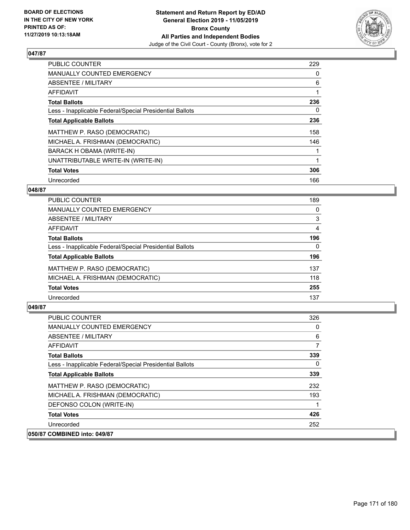

| <b>PUBLIC COUNTER</b>                                    | 229 |
|----------------------------------------------------------|-----|
| MANUALLY COUNTED EMERGENCY                               | 0   |
| ABSENTEE / MILITARY                                      | 6   |
| <b>AFFIDAVIT</b>                                         |     |
| <b>Total Ballots</b>                                     | 236 |
| Less - Inapplicable Federal/Special Presidential Ballots | 0   |
| <b>Total Applicable Ballots</b>                          | 236 |
| MATTHEW P. RASO (DEMOCRATIC)                             | 158 |
| MICHAEL A. FRISHMAN (DEMOCRATIC)                         | 146 |
| BARACK H OBAMA (WRITE-IN)                                |     |
| UNATTRIBUTABLE WRITE-IN (WRITE-IN)                       |     |
| <b>Total Votes</b>                                       | 306 |
| Unrecorded                                               | 166 |

## **048/87**

| 189      |
|----------|
| 0        |
| 3        |
| 4        |
| 196      |
| $\Omega$ |
| 196      |
| 137      |
| 118      |
| 255      |
| 137      |
|          |

| <b>PUBLIC COUNTER</b>                                    | 326 |
|----------------------------------------------------------|-----|
| <b>MANUALLY COUNTED EMERGENCY</b>                        | 0   |
| ABSENTEE / MILITARY                                      | 6   |
| AFFIDAVIT                                                |     |
| <b>Total Ballots</b>                                     | 339 |
| Less - Inapplicable Federal/Special Presidential Ballots | 0   |
| <b>Total Applicable Ballots</b>                          | 339 |
| MATTHEW P. RASO (DEMOCRATIC)                             | 232 |
| MICHAEL A. FRISHMAN (DEMOCRATIC)                         | 193 |
| DEFONSO COLON (WRITE-IN)                                 |     |
| <b>Total Votes</b>                                       | 426 |
| Unrecorded                                               | 252 |
| 050/87 COMBINED into: 049/87                             |     |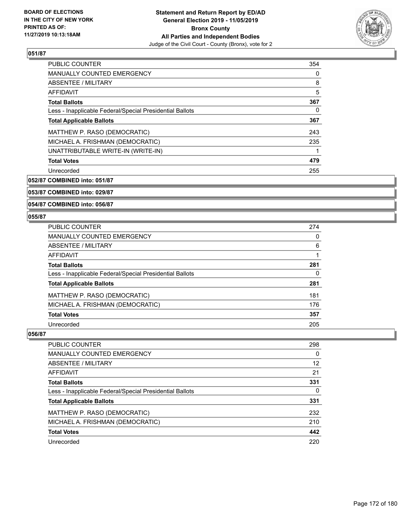

| <b>PUBLIC COUNTER</b>                                    | 354 |
|----------------------------------------------------------|-----|
| MANUALLY COUNTED EMERGENCY                               | 0   |
| ABSENTEE / MILITARY                                      | 8   |
| <b>AFFIDAVIT</b>                                         | 5   |
| <b>Total Ballots</b>                                     | 367 |
| Less - Inapplicable Federal/Special Presidential Ballots | 0   |
| <b>Total Applicable Ballots</b>                          | 367 |
| MATTHEW P. RASO (DEMOCRATIC)                             | 243 |
| MICHAEL A. FRISHMAN (DEMOCRATIC)                         | 235 |
| UNATTRIBUTABLE WRITE-IN (WRITE-IN)                       |     |
| <b>Total Votes</b>                                       | 479 |
| Unrecorded                                               | 255 |

**052/87 COMBINED into: 051/87**

## **053/87 COMBINED into: 029/87**

**054/87 COMBINED into: 056/87**

#### **055/87**

| <b>PUBLIC COUNTER</b>                                    | 274 |
|----------------------------------------------------------|-----|
| MANUALLY COUNTED EMERGENCY                               | 0   |
| ABSENTEE / MILITARY                                      | 6   |
| AFFIDAVIT                                                |     |
| <b>Total Ballots</b>                                     | 281 |
| Less - Inapplicable Federal/Special Presidential Ballots | 0   |
| <b>Total Applicable Ballots</b>                          | 281 |
| MATTHEW P. RASO (DEMOCRATIC)                             | 181 |
| MICHAEL A. FRISHMAN (DEMOCRATIC)                         | 176 |
| <b>Total Votes</b>                                       | 357 |
| Unrecorded                                               | 205 |

| PUBLIC COUNTER                                           | 298      |
|----------------------------------------------------------|----------|
| MANUALLY COUNTED EMERGENCY                               | $\Omega$ |
| <b>ABSENTEE / MILITARY</b>                               | 12       |
| AFFIDAVIT                                                | 21       |
| <b>Total Ballots</b>                                     | 331      |
| Less - Inapplicable Federal/Special Presidential Ballots | 0        |
| <b>Total Applicable Ballots</b>                          | 331      |
| MATTHEW P. RASO (DEMOCRATIC)                             | 232      |
| MICHAEL A. FRISHMAN (DEMOCRATIC)                         | 210      |
| <b>Total Votes</b>                                       | 442      |
| Unrecorded                                               | 220      |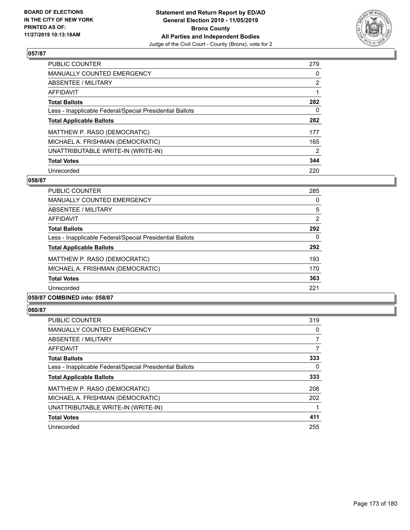

| PUBLIC COUNTER                                           | 279            |
|----------------------------------------------------------|----------------|
| MANUALLY COUNTED EMERGENCY                               | $\Omega$       |
| ABSENTEE / MILITARY                                      | $\overline{2}$ |
| AFFIDAVIT                                                |                |
| <b>Total Ballots</b>                                     | 282            |
| Less - Inapplicable Federal/Special Presidential Ballots | 0              |
| <b>Total Applicable Ballots</b>                          | 282            |
| MATTHEW P. RASO (DEMOCRATIC)                             | 177            |
| MICHAEL A. FRISHMAN (DEMOCRATIC)                         | 165            |
| UNATTRIBUTABLE WRITE-IN (WRITE-IN)                       | $\overline{2}$ |
| <b>Total Votes</b>                                       | 344            |
| Unrecorded                                               | 220            |

### **058/87**

| <b>PUBLIC COUNTER</b>                                    | 285 |
|----------------------------------------------------------|-----|
| <b>MANUALLY COUNTED EMERGENCY</b>                        | 0   |
| ABSENTEE / MILITARY                                      | 5   |
| <b>AFFIDAVIT</b>                                         | 2   |
| <b>Total Ballots</b>                                     | 292 |
| Less - Inapplicable Federal/Special Presidential Ballots | 0   |
| <b>Total Applicable Ballots</b>                          | 292 |
| MATTHEW P. RASO (DEMOCRATIC)                             | 193 |
| MICHAEL A. FRISHMAN (DEMOCRATIC)                         | 170 |
| <b>Total Votes</b>                                       | 363 |
| Unrecorded                                               | 221 |
|                                                          |     |

## **059/87 COMBINED into: 058/87**

| <b>PUBLIC COUNTER</b>                                    | 319 |
|----------------------------------------------------------|-----|
| <b>MANUALLY COUNTED EMERGENCY</b>                        | 0   |
| ABSENTEE / MILITARY                                      | 7   |
| AFFIDAVIT                                                | 7   |
| <b>Total Ballots</b>                                     | 333 |
| Less - Inapplicable Federal/Special Presidential Ballots | 0   |
| <b>Total Applicable Ballots</b>                          | 333 |
| MATTHEW P. RASO (DEMOCRATIC)                             | 208 |
| MICHAEL A. FRISHMAN (DEMOCRATIC)                         | 202 |
| UNATTRIBUTABLE WRITE-IN (WRITE-IN)                       |     |
| <b>Total Votes</b>                                       | 411 |
| Unrecorded                                               | 255 |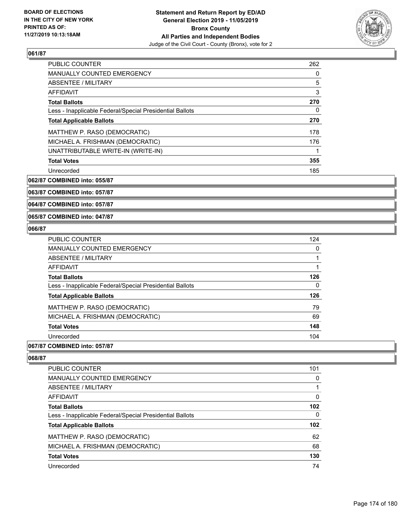

| PUBLIC COUNTER                                           | 262 |
|----------------------------------------------------------|-----|
| <b>MANUALLY COUNTED EMERGENCY</b>                        | 0   |
| ABSENTEE / MILITARY                                      | 5   |
| <b>AFFIDAVIT</b>                                         | 3   |
| <b>Total Ballots</b>                                     | 270 |
| Less - Inapplicable Federal/Special Presidential Ballots | 0   |
| <b>Total Applicable Ballots</b>                          | 270 |
| MATTHEW P. RASO (DEMOCRATIC)                             | 178 |
| MICHAEL A. FRISHMAN (DEMOCRATIC)                         | 176 |
| UNATTRIBUTABLE WRITE-IN (WRITE-IN)                       |     |
| <b>Total Votes</b>                                       | 355 |
| Unrecorded                                               | 185 |

**062/87 COMBINED into: 055/87**

**063/87 COMBINED into: 057/87**

**064/87 COMBINED into: 057/87**

**065/87 COMBINED into: 047/87**

## **066/87**

| <b>PUBLIC COUNTER</b>                                    | 124 |
|----------------------------------------------------------|-----|
| <b>MANUALLY COUNTED EMERGENCY</b>                        | 0   |
| ABSENTEE / MILITARY                                      |     |
| AFFIDAVIT                                                |     |
| <b>Total Ballots</b>                                     | 126 |
| Less - Inapplicable Federal/Special Presidential Ballots | 0   |
| <b>Total Applicable Ballots</b>                          | 126 |
| MATTHEW P. RASO (DEMOCRATIC)                             | 79  |
| MICHAEL A. FRISHMAN (DEMOCRATIC)                         | 69  |
| <b>Total Votes</b>                                       | 148 |
| Unrecorded                                               | 104 |
|                                                          |     |

## **067/87 COMBINED into: 057/87**

| PUBLIC COUNTER                                           | 101 |
|----------------------------------------------------------|-----|
| <b>MANUALLY COUNTED EMERGENCY</b>                        | 0   |
| ABSENTEE / MILITARY                                      |     |
| AFFIDAVIT                                                | 0   |
| <b>Total Ballots</b>                                     | 102 |
| Less - Inapplicable Federal/Special Presidential Ballots | 0   |
| <b>Total Applicable Ballots</b>                          | 102 |
| MATTHEW P. RASO (DEMOCRATIC)                             | 62  |
| MICHAEL A. FRISHMAN (DEMOCRATIC)                         | 68  |
| <b>Total Votes</b>                                       | 130 |
| Unrecorded                                               | 74  |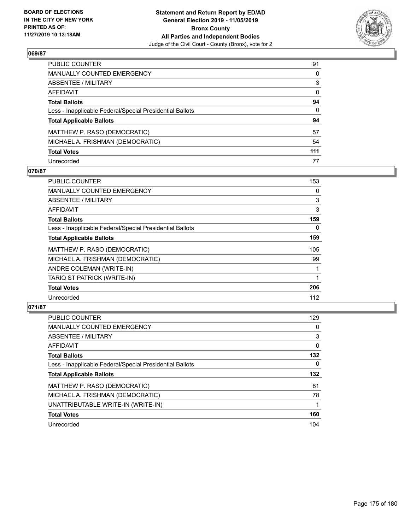

| PUBLIC COUNTER                                           | 91           |
|----------------------------------------------------------|--------------|
| MANUALLY COUNTED EMERGENCY                               | $\mathbf{0}$ |
| ABSENTEE / MILITARY                                      | 3            |
| AFFIDAVIT                                                | 0            |
| Total Ballots                                            | 94           |
| Less - Inapplicable Federal/Special Presidential Ballots | $\mathbf{0}$ |
| <b>Total Applicable Ballots</b>                          | 94           |
| MATTHEW P. RASO (DEMOCRATIC)                             | 57           |
| MICHAEL A. FRISHMAN (DEMOCRATIC)                         | 54           |
| <b>Total Votes</b>                                       | 111          |
| Unrecorded                                               | 77           |

# **070/87**

| <b>PUBLIC COUNTER</b>                                    | 153 |
|----------------------------------------------------------|-----|
| <b>MANUALLY COUNTED EMERGENCY</b>                        | 0   |
| ABSENTEE / MILITARY                                      | 3   |
| AFFIDAVIT                                                | 3   |
| <b>Total Ballots</b>                                     | 159 |
| Less - Inapplicable Federal/Special Presidential Ballots | 0   |
| <b>Total Applicable Ballots</b>                          | 159 |
| MATTHEW P. RASO (DEMOCRATIC)                             | 105 |
| MICHAEL A. FRISHMAN (DEMOCRATIC)                         | 99  |
| ANDRE COLEMAN (WRITE-IN)                                 |     |
| TARIQ ST PATRICK (WRITE-IN)                              |     |
| <b>Total Votes</b>                                       | 206 |
| Unrecorded                                               | 112 |

| PUBLIC COUNTER                                           | 129      |
|----------------------------------------------------------|----------|
| <b>MANUALLY COUNTED EMERGENCY</b>                        | $\Omega$ |
| ABSENTEE / MILITARY                                      | 3        |
| AFFIDAVIT                                                | $\Omega$ |
| <b>Total Ballots</b>                                     | 132      |
| Less - Inapplicable Federal/Special Presidential Ballots | $\Omega$ |
| <b>Total Applicable Ballots</b>                          | 132      |
| MATTHEW P. RASO (DEMOCRATIC)                             | 81       |
| MICHAEL A. FRISHMAN (DEMOCRATIC)                         | 78       |
| UNATTRIBUTABLE WRITE-IN (WRITE-IN)                       |          |
| <b>Total Votes</b>                                       | 160      |
| Unrecorded                                               | 104      |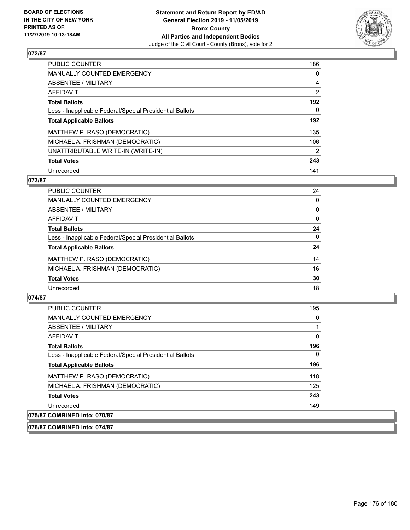

| PUBLIC COUNTER                                           | 186            |
|----------------------------------------------------------|----------------|
| <b>MANUALLY COUNTED EMERGENCY</b>                        | 0              |
| ABSENTEE / MILITARY                                      | 4              |
| AFFIDAVIT                                                | $\overline{2}$ |
| <b>Total Ballots</b>                                     | 192            |
| Less - Inapplicable Federal/Special Presidential Ballots | 0              |
| <b>Total Applicable Ballots</b>                          | 192            |
| MATTHEW P. RASO (DEMOCRATIC)                             | 135            |
| MICHAEL A. FRISHMAN (DEMOCRATIC)                         | 106            |
| UNATTRIBUTABLE WRITE-IN (WRITE-IN)                       | $\overline{2}$ |
| <b>Total Votes</b>                                       | 243            |
| Unrecorded                                               | 141            |

### **073/87**

| <b>PUBLIC COUNTER</b>                                    | 24       |
|----------------------------------------------------------|----------|
| <b>MANUALLY COUNTED EMERGENCY</b>                        | 0        |
| ABSENTEE / MILITARY                                      | 0        |
| AFFIDAVIT                                                | $\Omega$ |
| <b>Total Ballots</b>                                     | 24       |
| Less - Inapplicable Federal/Special Presidential Ballots | 0        |
| <b>Total Applicable Ballots</b>                          | 24       |
| MATTHEW P. RASO (DEMOCRATIC)                             | 14       |
| MICHAEL A. FRISHMAN (DEMOCRATIC)                         | 16       |
| <b>Total Votes</b>                                       | 30       |
| Unrecorded                                               | 18       |

## **074/87**

| <b>PUBLIC COUNTER</b>                                    | 195 |
|----------------------------------------------------------|-----|
| <b>MANUALLY COUNTED EMERGENCY</b>                        | 0   |
| ABSENTEE / MILITARY                                      |     |
| AFFIDAVIT                                                | 0   |
| <b>Total Ballots</b>                                     | 196 |
| Less - Inapplicable Federal/Special Presidential Ballots | 0   |
| <b>Total Applicable Ballots</b>                          | 196 |
| MATTHEW P. RASO (DEMOCRATIC)                             | 118 |
| MICHAEL A. FRISHMAN (DEMOCRATIC)                         | 125 |
| <b>Total Votes</b>                                       | 243 |
| Unrecorded                                               | 149 |
| 075/87 COMBINED into: 070/87                             |     |

#### **076/87 COMBINED into: 074/87**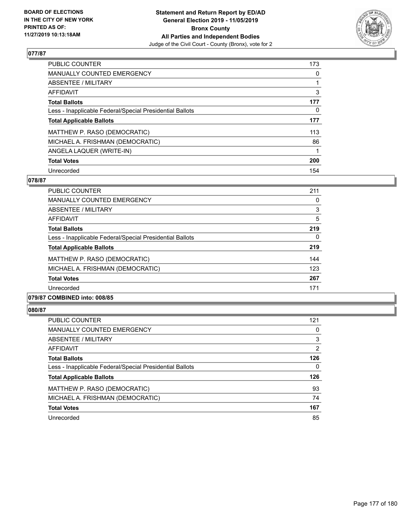

| <b>PUBLIC COUNTER</b>                                    | 173      |
|----------------------------------------------------------|----------|
| <b>MANUALLY COUNTED EMERGENCY</b>                        | $\Omega$ |
| ABSENTEE / MILITARY                                      |          |
| <b>AFFIDAVIT</b>                                         | 3        |
| <b>Total Ballots</b>                                     | 177      |
| Less - Inapplicable Federal/Special Presidential Ballots | 0        |
| <b>Total Applicable Ballots</b>                          | 177      |
| MATTHEW P. RASO (DEMOCRATIC)                             | 113      |
| MICHAEL A. FRISHMAN (DEMOCRATIC)                         | 86       |
| ANGELA LAQUER (WRITE-IN)                                 |          |
| <b>Total Votes</b>                                       | 200      |
| Unrecorded                                               | 154      |

### **078/87**

| <b>PUBLIC COUNTER</b>                                    | 211      |
|----------------------------------------------------------|----------|
| <b>MANUALLY COUNTED EMERGENCY</b>                        | 0        |
| ABSENTEE / MILITARY                                      | 3        |
| <b>AFFIDAVIT</b>                                         | 5        |
| <b>Total Ballots</b>                                     | 219      |
| Less - Inapplicable Federal/Special Presidential Ballots | $\Omega$ |
| <b>Total Applicable Ballots</b>                          | 219      |
| MATTHEW P. RASO (DEMOCRATIC)                             | 144      |
| MICHAEL A. FRISHMAN (DEMOCRATIC)                         | 123      |
| <b>Total Votes</b>                                       | 267      |
| Unrecorded                                               | 171      |
|                                                          |          |

# **079/87 COMBINED into: 008/85**

| <b>PUBLIC COUNTER</b>                                    | 121 |
|----------------------------------------------------------|-----|
| MANUALLY COUNTED EMERGENCY                               | 0   |
| ABSENTEE / MILITARY                                      | 3   |
| AFFIDAVIT                                                | 2   |
| <b>Total Ballots</b>                                     | 126 |
| Less - Inapplicable Federal/Special Presidential Ballots | 0   |
| <b>Total Applicable Ballots</b>                          | 126 |
| MATTHEW P. RASO (DEMOCRATIC)                             | 93  |
| MICHAEL A. FRISHMAN (DEMOCRATIC)                         | 74  |
| <b>Total Votes</b>                                       | 167 |
| Unrecorded                                               | 85  |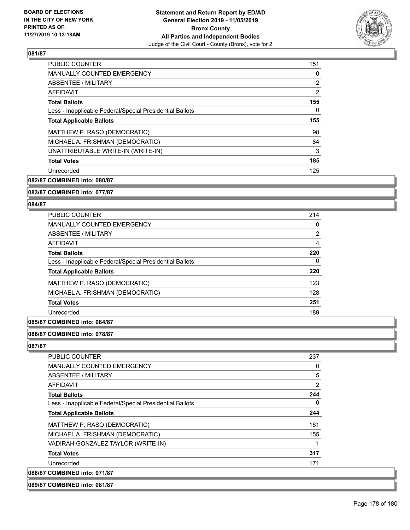

| PUBLIC COUNTER                                           | 151            |
|----------------------------------------------------------|----------------|
| <b>MANUALLY COUNTED EMERGENCY</b>                        | 0              |
| ABSENTEE / MILITARY                                      | $\overline{2}$ |
| <b>AFFIDAVIT</b>                                         | 2              |
| <b>Total Ballots</b>                                     | 155            |
| Less - Inapplicable Federal/Special Presidential Ballots | 0              |
| <b>Total Applicable Ballots</b>                          | 155            |
| MATTHEW P. RASO (DEMOCRATIC)                             | 98             |
| MICHAEL A. FRISHMAN (DEMOCRATIC)                         | 84             |
| UNATTRIBUTABLE WRITE-IN (WRITE-IN)                       | 3              |
| <b>Total Votes</b>                                       | 185            |
| Unrecorded                                               | 125            |

**082/87 COMBINED into: 080/87**

**083/87 COMBINED into: 077/87**

#### **084/87**

| PUBLIC COUNTER                                           | 214            |
|----------------------------------------------------------|----------------|
| MANUALLY COUNTED EMERGENCY                               | $\Omega$       |
| ABSENTEE / MILITARY                                      | $\overline{2}$ |
| <b>AFFIDAVIT</b>                                         | 4              |
| <b>Total Ballots</b>                                     | 220            |
| Less - Inapplicable Federal/Special Presidential Ballots | 0              |
| <b>Total Applicable Ballots</b>                          | 220            |
| MATTHEW P. RASO (DEMOCRATIC)                             | 123            |
| MICHAEL A. FRISHMAN (DEMOCRATIC)                         | 128            |
| <b>Total Votes</b>                                       | 251            |
| Unrecorded                                               | 189            |
|                                                          |                |

## **085/87 COMBINED into: 084/87**

#### **086/87 COMBINED into: 078/87**

| <b>PUBLIC COUNTER</b>                                    | 237 |
|----------------------------------------------------------|-----|
| <b>MANUALLY COUNTED EMERGENCY</b>                        | 0   |
| ABSENTEE / MILITARY                                      | 5   |
| AFFIDAVIT                                                | 2   |
| <b>Total Ballots</b>                                     | 244 |
| Less - Inapplicable Federal/Special Presidential Ballots | 0   |
| <b>Total Applicable Ballots</b>                          | 244 |
| MATTHEW P. RASO (DEMOCRATIC)                             | 161 |
| MICHAEL A. FRISHMAN (DEMOCRATIC)                         | 155 |
| VADIRAH GONZALEZ TAYLOR (WRITE-IN)                       |     |
| <b>Total Votes</b>                                       | 317 |
| Unrecorded                                               | 171 |
| 088/87 COMBINED into: 071/87                             |     |
|                                                          |     |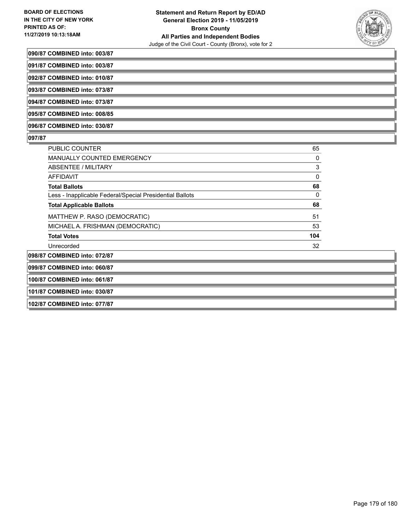

#### **090/87 COMBINED into: 003/87**

| 091/87 COMBINED into: 003/87 |  |
|------------------------------|--|
|------------------------------|--|

**092/87 COMBINED into: 010/87**

**093/87 COMBINED into: 073/87**

**094/87 COMBINED into: 073/87 095/87 COMBINED into: 008/85**

**096/87 COMBINED into: 030/87**

#### **097/87**

| <b>PUBLIC COUNTER</b>                                    | 65  |
|----------------------------------------------------------|-----|
| <b>MANUALLY COUNTED EMERGENCY</b>                        | 0   |
| ABSENTEE / MILITARY                                      | 3   |
| AFFIDAVIT                                                | 0   |
| <b>Total Ballots</b>                                     | 68  |
| Less - Inapplicable Federal/Special Presidential Ballots | 0   |
| <b>Total Applicable Ballots</b>                          | 68  |
| MATTHEW P. RASO (DEMOCRATIC)                             | 51  |
| MICHAEL A. FRISHMAN (DEMOCRATIC)                         | 53  |
| <b>Total Votes</b>                                       | 104 |
| Unrecorded                                               | 32  |
| 098/87 COMBINED into: 072/87                             |     |

# **099/87 COMBINED into: 060/87**

**100/87 COMBINED into: 061/87**

**101/87 COMBINED into: 030/87**

**102/87 COMBINED into: 077/87**